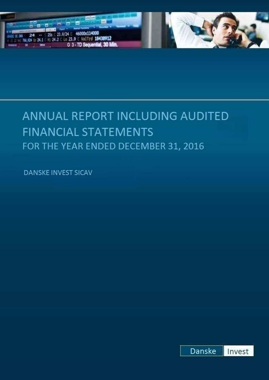

# ANNUAL REPORT INCLUDING AUDITED **FINANCIAL STATEMENTS** FOR THE YEAR ENDED DECEMBER 31, 2016

**DANSKE INVEST SICAV** 

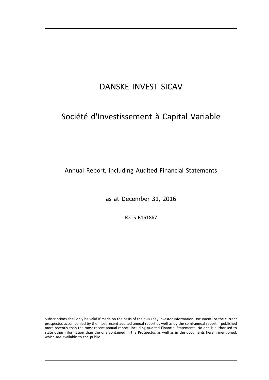# Société d'Investissement à Capital Variable

Annual Report, including Audited Financial Statements

as at December 31, 2016

R.C.S B161867

Subscriptions shall only be valid if made on the basis of the KIID (Key Investor Information Document) or the current prospectus accompanied by the most recent audited annual report as well as by the semi-annual report if published more recently than the most recent annual report, including Audited Financial Statements. No one is authorised to state other information than the one contained in the Prospectus as well as in the documents herein mentioned, which are available to the public.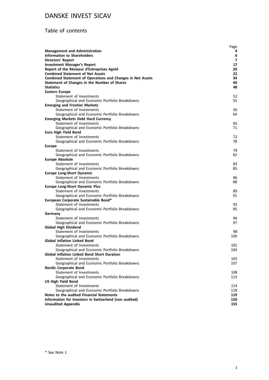# Table of contents

|                                                                                                     | Page       |
|-----------------------------------------------------------------------------------------------------|------------|
| <b>Management and Administration</b>                                                                | 4          |
| <b>Information to Shareholders</b>                                                                  | 6          |
| <b>Directors' Report</b>                                                                            | 7          |
| <b>Investment Manager's Report</b>                                                                  | 17         |
| Report of the Réviseur d'Entreprises Agréé                                                          | 20         |
| <b>Combined Statement of Net Assets</b>                                                             | 22         |
| <b>Combined Statement of Operations and Changes in Net Assets</b>                                   | 34<br>40   |
| Statement of Changes in the Number of Shares<br><b>Statistics</b>                                   | 48         |
| <b>Eastern Europe</b>                                                                               |            |
| Statement of Investments                                                                            | 52         |
| Geographical and Economic Portfolio Breakdowns                                                      | 55         |
| <b>Emerging and Frontier Markets</b>                                                                |            |
| Statement of Investments                                                                            | 56         |
| Geographical and Economic Portfolio Breakdowns                                                      | 64         |
| <b>Emerging Markets Debt Hard Currency</b>                                                          |            |
| Statement of Investments                                                                            | 65         |
| Geographical and Economic Portfolio Breakdowns                                                      | 71         |
| <b>Euro High Yield Bond</b>                                                                         |            |
| Statement of Investments                                                                            | 72         |
| Geographical and Economic Portfolio Breakdowns                                                      | 78         |
| <b>Europe</b>                                                                                       |            |
| Statement of Investments                                                                            | 79         |
| Geographical and Economic Portfolio Breakdowns                                                      | 82         |
| <b>Europe Absolute</b>                                                                              |            |
| Statement of Investments                                                                            | 83         |
| Geographical and Economic Portfolio Breakdowns                                                      | 85         |
| <b>Europe Long-Short Dynamic</b>                                                                    |            |
| Statement of Investments                                                                            | 86         |
| Geographical and Economic Portfolio Breakdowns                                                      | 88         |
| <b>Europe Long-Short Dynamic Plus</b>                                                               |            |
| Statement of Investments                                                                            | 89         |
| Geographical and Economic Portfolio Breakdowns<br>European Corporate Sustainable Bond*              | 91         |
| Statement of Investments                                                                            | 92         |
| Geographical and Economic Portfolio Breakdowns                                                      | 95         |
| Germany                                                                                             |            |
| Statement of Investments                                                                            | 96         |
| Geographical and Economic Portfolio Breakdowns                                                      | 97         |
| <b>Global High Dividend</b>                                                                         |            |
| Statement of Investments                                                                            | 98         |
| Geographical and Economic Portfolio Breakdowns                                                      | 100        |
| <b>Global Inflation Linked Bond</b>                                                                 |            |
| Statement of Investments                                                                            | 101        |
| Geographical and Economic Portfolio Breakdowns                                                      | 104        |
| <b>Global Inflation Linked Bond Short Duration</b>                                                  |            |
| Statement of Investments                                                                            | 105        |
| Geographical and Economic Portfolio Breakdowns                                                      | 107        |
| <b>Nordic Corporate Bond</b>                                                                        |            |
| Statement of Investments                                                                            | 108        |
| Geographical and Economic Portfolio Breakdowns                                                      | 113        |
| <b>US High Yield Bond</b>                                                                           |            |
| Statement of Investments                                                                            | 114        |
| Geographical and Economic Portfolio Breakdowns                                                      | 118        |
| Notes to the audited Financial Statements<br>Information for Investors in Switzerland (non audited) | 119<br>150 |
| <b>Unaudited Appendix</b>                                                                           | 155        |
|                                                                                                     |            |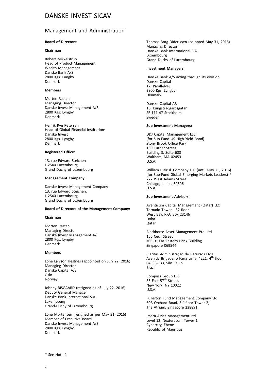### Management and Administration

### **Board of Directors:**

#### **Chairman**

Robert Mikkelstrup Head of Product Management Wealth Management Danske Bank A/S 2800 Kgs. Lungby Denmark

#### **Members**

Morten Rasten Managing Director Danske Invest Management A/S 2800 Kgs. Lyngby Denmark

Henrik Rye Petersen Head of Global Financial Institutions Danske Invest 2800 Kgs. Lyngby, Denmark

#### **Registered Office:**

13, rue Edward Steichen L-2540 Luxembourg Grand Duchy of Luxembourg

#### **Management Company:**

Danske Invest Management Company 13, rue Edward Steichen, L-2540 Luxembourg, Grand Duchy of Luxembourg

#### **Board of Directors of the Management Company:**

#### **Chairman**

Morten Rasten Managing Director Danske Invest Management A/S 2800 Kgs. Lyngby Denmark

#### **Members**

Lone Larsson Hestnes (appointed on July 22, 2016) Managing Director Danske Capital A/S Oslo Norway

Johnny BISGAARD (resigned as of July 22, 2016) Deputy General Manager Danske Bank International S.A. Luxembourg Grand-Duchy of Luxembourg

Lone Mortensen (resigned as per May 31, 2016) Member of Executive Board Danske Invest Management A/S 2800 Kgs. Lyngby Denmark

Thomas Borg Dideriksen (co-opted May 31, 2016) Managing Director Danske Bank International S.A. Luxembourg Grand Duchy of Luxembourg

#### **Investment Managers:**

Danske Bank A/S acting through its division Danske Capital 17, Parallelvej 2800 Kgs. Lyngby Denmark

Danske Capital AB 16, Kungsträdgårdsgatan SE-111 47 Stockholm Sweden

#### **Sub-Investment Managers:**

DDJ Capital Management LLC (for Sub-Fund US High Yield Bond) Stony Brook Office Park 130 Turner Street Building 3, Suite 600 Waltham, MA 02453  $II S A$ 

William Blair & Company LLC (until May 25, 2016) (for Sub-Fund Global Emerging Markets Leaders) \* 222 West Adams Street Chicago, Illinois 60606 U.S.A.

#### **Sub-Investment Advisors:**

Aventicum Capital Management (Qatar) LLC Tornado Tower - 32 floor West Bay, P.O. Box 23146 Doha **O**atar

Blackhorse Asset Management Pte. Ltd 156 Cecil Street #06-01 Far Eastern Bank Building Singapore 069544

Claritas Administração de Recursos Ltda. Avenida Brigadeiro Faria Lima, 4221, 4<sup>th</sup> floor 04538-133, São Paulo Brazil

Compass Group LLC  $35$  East  $57<sup>th</sup>$  Street. New York, NY 10022 U.S.A.

Fullerton Fund Management Company Ltd 60B Orchard Road,  $5^{\overline{th}}$  floor Tower 2, The Atrium, Singapore 238891

Imara Asset Management Ltd Level 12, Nexteracom Tower 1 Cybercity, Ebene Republic of Mauritius

\* See Note 1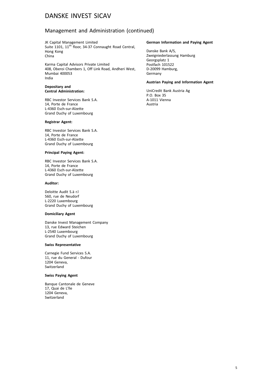# Management and Administration (continued)

JK Capital Management Limited Suite 1101, 11<sup>th</sup> floor, 34-37 Connaught Road Central, Hong Kong China

Karma Capital Advisors Private Limited 408, Oberoi Chambers 1, Off Link Road, Andheri West, Mumbai 400053 India

#### **Depositary and Central Administration:**

RBC Investor Services Bank S.A. 14, Porte de France L-4360 Esch-sur-Alzette Grand Duchy of Luxembourg

#### **Registrar Agent:**

RBC Investor Services Bank S.A. 14, Porte de France L-4360 Esch-sur-Alzette Grand Duchy of Luxembourg

#### **Principal Paying Agent:**

RBC Investor Services Bank S.A. 14, Porte de France L-4360 Esch-sur-Alzette Grand Duchy of Luxembourg

#### **Auditor:**

Deloitte Audit S.à r.l 560, rue de Neudorf L-2220 Luxembourg Grand Duchy of Luxembourg

#### **Domiciliary Agent**

Danske Invest Management Company 13, rue Edward Steichen L-2540 Luxembourg Grand Duchy of Luxembourg

#### **Swiss Representative**

Carnegie Fund Services S.A. 11, rue du General - Dufour 1204 Geneva, Switzerland

### **Swiss Paying Agent**

Banque Cantonale de Geneve 17, Quai de L'lle 1204 Geneva, Switzerland

#### **German Information and Paying Agent**

Danske Bank A/S, Zweigniederlassung Hamburg Georgsplatz 1 Postfach 101522 D-20099 Hamburg, Germany

#### **Austrian Paying and Information Agent**

UniCredit Bank Austria Ag P.O. Box 35 A-1011 Vienna Austria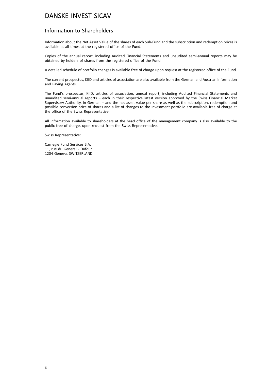## Information to Shareholders

Information about the Net Asset Value of the shares of each Sub-Fund and the subscription and redemption prices is available at all times at the registered office of the Fund.

Copies of the annual report, including Audited Financial Statements and unaudited semi-annual reports may be obtained by holders of shares from the registered office of the Fund.

A detailed schedule of portfolio changes is available free of charge upon request at the registered office of the Fund.

The current prospectus, KIID and articles of association are also available from the German and Austrian Information and Paying Agents.

The Fund's prospectus, KIID, articles of association, annual report, including Audited Financial Statements and unaudited semi-annual reports – each in their respective latest version approved by the Swiss Financial Market Supervisory Authority, in German – and the net asset value per share as well as the subscription, redemption and possible conversion price of shares and a list of changes to the investment portfolio are available free of charge at the office of the Swiss Representative.

All information available to shareholders at the head office of the management company is also available to the public free of charge, upon request from the Swiss Representative.

Swiss Representative:

Carnegie Fund Services S.A. 11, rue du General - Dufour 1204 Geneva, SWITZERLAND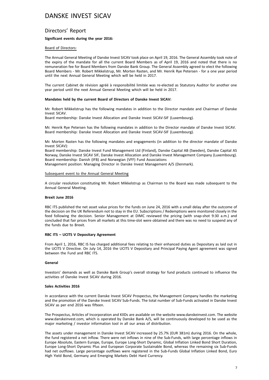### Directors' Report

### **Significant events during the year 2016:**

#### Board of Directors:

The Annual General Meeting of Danske Invest SICAV took place on April 19, 2016. The General Assembly took note of the expiry of the mandate for all the current Board Members as of April 19, 2016 and noted that there is no remuneration fee for Board Members from Danske Bank Group. The General Assembly agreed to elect the following Board Members - Mr. Robert Mikkelstrup, Mr. Morten Rasten, and Mr. Henrik Rye Petersen - for a one year period until the next Annual General Meeting which will be held in 2017.

The current Cabinet de révision agréé à responsibilité limitée was re-elected as Statutory Auditor for another one year period until the next Annual General Meeting which will be held in 2017.

#### **Mandates held by the current Board of Directors of Danske Invest SICAV:**

Mr. Robert Mikkelstrup has the following mandates in addition to the Director mandate and Chairman of Danske Invest SICAV.

Board membership: Danske Invest Allocation and Danske Invest SICAV-SIF (Luxembourg).

Mr. Henrik Rye Petersen has the following mandates in addition to the Director mandate of Danske Invest SICAV. Board membership: Danske Invest Allocation and Danske Invest SICAV-SIF (Luxembourg).

Mr. Morten Rasten has the following mandates and engagements (in addition to the director mandate of Danske Invest SICAV):

Board membership: Danske Invest Fund Management Ltd (Finland), Danske Capital AB (Sweden), Danske Capital AS Norway, Danske Invest SICAV SIF, Danske Invest Allocation and Danske Invest Management Company (Luxembourg). Board membership: Danish (IFB) and Norwegian (VFF) Fund Associations

Management position: Managing Director in Danske Invest Management A/S (Denmark).

#### Subsequent event to the Annual General Meeting

A circular resolution constituting Mr. Robert Mikkelstrup as Chairman to the Board was made subsequent to the Annual General Meeting.

#### **Brexit June 2016**

RBC ITS published the net asset value prices for the funds on June 24, 2016 with a small delay after the outcome of the decision on the UK Referendum not to stay in the EU. Subscriptions / Redemptions were monitored closely in the feed following the decision. Senior Management at DIMC reviewed the pricing (with snap-shot 9:30 a.m.) and concluded that fair prices from all markets at this time-slot were obtained and there was no need to suspend any of the funds due to Brexit.

#### **RBC ITS – UCITS V Depositary Agreement**

From April 1, 2016, RBC IS has charged additional fees relating to their enhanced duties as Depositary as laid out in the UCITS V Directive. On July 14, 2016 the UCITS V Depositary and Principal Paying Agent agreement was signed between the Fund and RBC ITS.

#### **General**

Investors' demands as well as Danske Bank Group's overall strategy for fund products continued to influence the activities of Danske Invest SICAV during 2016.

### **Sales Activities 2016**

In accordance with the current Danske Invest SICAV Prospectus, the Management Company handles the marketing and the promotion of the Danske Invest SICAV Sub-Funds. The total number of Sub-Funds activated in Danske Invest SICAV as per end 2016 was fifteen.

The Prospectus, Articles of Incorporation and KIIDs are available on the website www.danskeinvest.com. The website www.danskeinvest.com, which is operated by Danske Bank A/S, will be continuously developed to be used as the major marketing / investor information tool in all our areas of distribution.

The assets under management in Danske Invest SICAV increased by 25.7% (EUR 381m) during 2016. On the whole, the fund registered a net inflow. There were net inflows in nine of the Sub-Funds, with large percentage inflows in Europe Absolute, Eastern Europe, Europe, Europe Long-Short Dynamic, Global Inflation Linked Bond Short Duration, Europe Long-Short Dynamic Plus and European Corporate Sustainable Bond, whereas the remaining six Sub-Funds had net outflows. Large percentage outflows were registered in the Sub-Funds Global Inflation Linked Bond, Euro High Yield Bond, Germany and Emerging Markets Debt Hard Currency.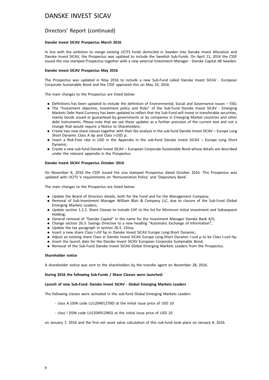### Directors' Report (continued)

#### **Danske Invest SICAV Prospectus March 2016**

In line with the ambition to merge existing UCITS funds domiciled in Sweden into Danske Invest Allocation and Danske Invest SICAV, the Prospectus was updated to include the Swedish Sub-Funds. On April 11, 2016 the CSSF issued the visa stamped Prospectus together with a new external Investment Manager - Danske Capital AB Sweden.

#### **Danske Invest SICAV Prospectus May 2016**

The Prospectus was updated in May 2016 to include a new Sub-Fund called Danske Invest SICAV - European Corporate Sustainable Bond and the CSSF approved this on May 23, 2016.

The main changes to the Prospectus are listed below:

- . Definitions has been updated to include the definition of Environmental, Social and Governance issues ESG;
- . The "Investment objective, Investment policy and Risks" of the Sub-Fund Danske Invest SICAV Emerging Markets Debt Hard Currency has been updated to reflect that the Sub-Fund will invest in transferable securities, mainly bonds issued or guaranteed by governments or by companies in Emerging Market countries and other debt instruments. Please note that we see these updates as a further precision of the current text and not a change that would require a Notice to Shareholders;
- . Create two new share classes together with their fee analysis in the sub-fund Danske Invest SICAV Europe Long Short Dynamic Class A dp and Class I-USD p;
- . Insert a Risk-Free rate in USD in the Appendix in the sub-fund Danske Invest SICAV Europe Long Short Dynamic;
- . Create a new sub-fund Danske Invest SICAV European Corporate Sustainable Bond whose details are described under the relevant appendix in the Prospectus.

#### **Danske Invest SICAV Prospectus October 2016**

On November 8, 2016 the CSSF issued the visa stamped Prospectus dated October 2016. This Prospectus was updated with UCITS V requirements on 'Remuneration Policy' and 'Depositary Bank'.

The main changes to the Prospectus are listed below:

- . Update the Board of Directors details, both for the Fund and for the Management Company;
- . Removal of Sub-Investment Manager William Blair & Company LLC, due to closure of the Sub-Fund Global Emerging Markets Leaders;
- . Update section 1.2.2. Share Classes to include CHF to the list for Minimum Initial Investment and Subsequent Holding;
- . General removal of "Danske Capital" in the name for the Investment Manager Danske Bank A/S;
- . Change section 26.3. Savings Directive to a new heading "Automatic Exchange of Information";
- . Update the tax paragraph in section 26.5. China;
- . Insert a new share Class I-chf hp in Danske Invest SICAV Europe Long-Short Dynamic;
- . Adjust an existing share Class in Danske Invest SICAV Europe Long-Short Dynamic I-usd p to be Class I-usd hp;
- . Insert the launch date for the Danske Invest SICAV European Corporate Sustainable Bond;
- . Removal of the Sub-Fund Danske Invest SICAV Global Emerging Markets Leaders from the Prospectus.

#### **Shareholder notice**

A shareholder notice was sent to the shareholders by the transfer agent on November 28, 2016.

#### **During 2016 the following Sub-Funds / Share Classes were launched:**

#### **Launch of new Sub-Fund: Danske Invest SICAV - Global Emerging Markets Leaders**

The following classes were activated in the sub-fund Global Emerging Markets Leaders

- class A (ISIN code LU1204912700) at the initial issue price of USD 10
- class I (ISIN code LU1204912965) at the initial issue price of USD 10

on January 7, 2016 and the first net asset value calculation of this sub-fund took place on January 8, 2016.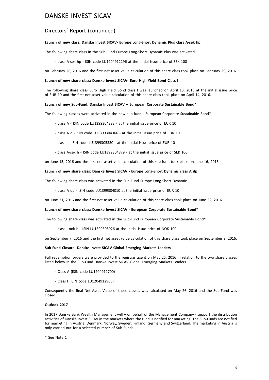### Directors' Report (continued)

### **Launch of new class: Danske Invest SICAV- Europe Long-Short Dynamic Plus class A-sek hp**

The following share class in the Sub-Fund Europe Long-Short Dynamic Plus was activated

- class A-sek hp - ISIN code LU1204912296 at the initial issue price of SEK 100

on February 26, 2016 and the first net asset value calculation of this share class took place on February 29, 2016.

#### **Launch of new share class: Danske Invest SICAV- Euro High Yield Bond Class I**

The following share class Euro High Yield Bond class I was launched on April 13, 2016 at the initial issue price of EUR 10 and the first net asset value calculation of this share class took place on April 14, 2016.

#### **Launch of new Sub-Fund: Danske Invest SICAV – European Corporate Sustainable Bond\***

The following classes were activated in the new sub-fund - European Corporate Sustainable Bond\*

- class A ISIN code LU1399304283 at the initial issue price of EUR 10
- class A d ISIN code LU1399304366 at the initial issue price of EUR 10
- class I ISIN code LU1399305330 at the initial issue price of EUR 10
- class A-sek h ISIN code LU1399304879 at the initial issue price of SEK 100

on June 15, 2016 and the first net asset value calculation of this sub-fund took place on June 16, 2016.

#### **Launch of new share class: Danske Invest SICAV - Europe Long-Short Dynamic class A dp**

The following share class was activated in the Sub-Fund Europe Long-Short Dynamic

- class A dp - ISIN code LU1399304010 at the initial issue price of EUR 10

on June 21, 2016 and the first net asset value calculation of this share class took place on June 22, 2016.

#### **Launch of new share class: Danske Invest SICAV - European Corporate Sustainable Bond\***

The following share class was activated in the Sub-Fund European Corporate Sustainable Bond\*

- class I-nok h - ISIN LU1399305926 at the initial issue price of NOK 100

on September 7, 2016 and the first net asset value calculation of this share class took place on September 8, 2016.

#### **Sub-Fund Closure: Danske Invest SICAV Global Emerging Markets Leaders**

Full redemption orders were provided to the registrar agent on May 25, 2016 in relation to the two share classes listed below in the Sub-Fund Danske Invest SICAV Global Emerging Markets Leaders

- Class A (ISIN code LU1204912700)
- Class I (ISIN code LU1204912965)

Consequently the final Net Asset Value of these classes was calculated on May 26, 2016 and the Sub-Fund was closed.

#### **Outlook 2017**

In 2017 Danske Bank Wealth Management will – on behalf of the Management Company - support the distribution activities of Danske Invest SICAV in the markets where the fund is notified for marketing. The Sub-Funds are notified for marketing in Austria, Denmark, Norway, Sweden, Finland, Germany and Switzerland. The marketing in Austria is only carried out for a selected number of Sub-Funds.

\* See Note 1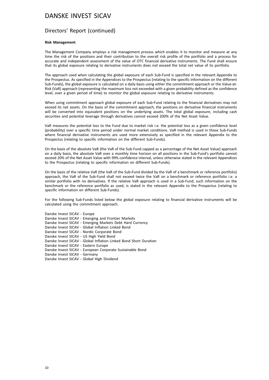### Directors' Report (continued)

#### **Risk Management**

The Management Company employs a risk management process which enables it to monitor and measure at any time the risk of the positions and their contribution to the overall risk profile of the portfolio and a process for accurate and independent assessment of the value of OTC financial derivative instruments. The Fund shall ensure that its global exposure relating to derivative instruments does not exceed the total net value of its portfolio.

The approach used when calculating the global exposure of each Sub-Fund is specified in the relevant Appendix to the Prospectus. As specified in the Appendices to the Prospectus (relating to the specific information on the different Sub-Funds), the global exposure is calculated on a daily basis using either the commitment approach or the Value-at-Risk (VaR) approach (representing the maximum loss not exceeded with a given probability defined as the confidence level, over a given period of time) to monitor the global exposure relating to derivative instruments.

When using commitment approach global exposure of each Sub-Fund relating to the financial derivatives may not exceed its net assets. On the basis of the commitment approach, the positions on derivative financial instruments will be converted into equivalent positions on the underlying assets. The total global exposure, including cash securities and potential leverage through derivatives cannot exceed 200% of the Net Asset Value.

VaR measures the potential loss to the Fund due to market risk i.e. the potential loss as a given confidence level (probability) over a specific time period under normal market conditions. VaR method is used in those Sub-Funds where financial derivative instruments are used more extensively as specified in the relevant Appendix to the Prospectus (relating to specific information on the different Sub-Funds).

On the basis of the absolute VaR (the VaR of the Sub-Fund capped as a percentage of the Net Asset Value) approach on a daily basis, the absolute VaR over a monthly time horizon on all positions in the Sub-Fund's portfolio cannot exceed 20% of the Net Asset Value with 99% confidence interval, unless otherwise stated in the relevant Appendices to the Prospectus (relating to specific information on different Sub-Funds).

On the basis of the relative VaR (the VaR of the Sub-Fund divided by the VaR of a benchmark or reference portfolio) approach, the VaR of the Sub-Fund shall not exceed twice the VaR on a benchmark or reference portfolio i.e. a similar portfolio with no derivatives. If the relative VaR approach is used in a Sub-Fund, such information on the benchmark or the reference portfolio as used, is stated in the relevant Appendix to the Prospectus (relating to specific information on different Sub-Funds).

For the following Sub-Funds listed below the global exposure relating to financial derivative instruments will be calculated using the commitment approach.

| Danske Invest SICAV - Europe                                      |
|-------------------------------------------------------------------|
| Danske Invest SICAV - Emerging and Frontier Markets               |
| Danske Invest SICAV - Emerging Markets Debt Hard Currency         |
| Danske Invest SICAV - Global Inflation Linked Bond                |
| Danske Invest SICAV - Nordic Corporate Bond                       |
| Danske Invest SICAV - US High Yield Bond                          |
| Danske Invest SICAV - Global Inflation Linked Bond Short Duration |
| Danske Invest SICAV - Eastern Europe                              |
| Danske Invest SICAV - European Corporate Sustainable Bond         |
| Danske Invest SICAV - Germany                                     |
| Danske Invest SICAV - Global High Dividend                        |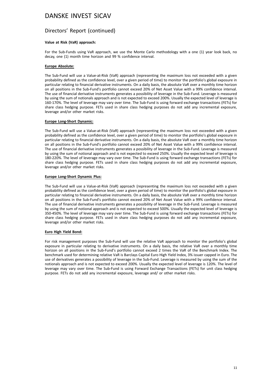# Directors' Report (continued)

#### **Value at Risk (VaR) approach:**

For the Sub-Funds using VaR approach, we use the Monte Carlo methodology with a one (1) year look back, no decay, one (1) month time horizon and 99 % confidence interval.

#### **Europe Absolute:**

The Sub-Fund will use a Value-at-Risk (VaR) approach (representing the maximum loss not exceeded with a given probability defined as the confidence level, over a given period of time) to monitor the portfolio's global exposure in particular relating to financial derivative instruments. On a daily basis, the absolute VaR over a monthly time horizon on all positions in the Sub-Fund's portfolio cannot exceed 20% of Net Asset Value with a 99% confidence interval. The use of financial derivative instruments generates a possibility of leverage in the Sub-Fund. Leverage is measured by using the sum of notionals approach and is not expected to exceed 200%. Usually the expected level of leverage is 160-170%. The level of leverage may vary over time. The Sub-Fund is using forward exchange transactions (FETs) for share class hedging purpose. FETs used in share class hedging purposes do not add any incremental exposure, leverage and/or other market risks.

### **Europe Long-Short Dynamic:**

The Sub-Fund will use a Value-at-Risk (VaR) approach (representing the maximum loss not exceeded with a given probability defined as the confidence level, over a given period of time) to monitor the portfolio's global exposure in particular relating to financial derivative instruments. On a daily basis, the absolute VaR over a monthly time horizon on all positions in the Sub-Fund's portfolio cannot exceed 20% of Net Asset Value with a 99% confidence interval. The use of financial derivative instruments generates a possibility of leverage in the Sub-Fund. Leverage is measured by using the sum of notional approach and is not expected to exceed 250%. Usually the expected level of leverage is 180-220%. The level of leverage may vary over time. The Sub-Fund is using forward exchange transactions (FETs) for share class hedging purpose. FETs used in share class hedging purposes do not add any incremental exposure, leverage and/or other market risks.

### **Europe Long-Short Dynamic Plus:**

The Sub-Fund will use a Value-at-Risk (VaR) approach (representing the maximum loss not exceeded with a given probability defined as the confidence level, over a given period of time) to monitor the portfolio's global exposure in particular relating to financial derivative instruments. On a daily basis, the absolute VaR over a monthly time horizon on all positions in the Sub-Fund's portfolio cannot exceed 20% of Net Asset Value with a 99% confidence interval. The use of financial derivative instruments generates a possibility of leverage in the Sub-Fund. Leverage is measured by using the sum of notional approach and is not expected to exceed 500%. Usually the expected level of leverage is 350-450%. The level of leverage may vary over time. The Sub-Fund is using forward exchange transactions (FETs) for share class hedging purpose. FETs used in share class hedging purposes do not add any incremental exposure, leverage and/or other market risks.

#### **Euro High Yield Bond:**

For risk management purposes the Sub-Fund will use the relative VaR approach to monitor the portfolio's global exposure in particular relating to derivative instruments. On a daily basis, the relative VaR over a monthly time horizon on all positions in the Sub-Fund's portfolio cannot exceed 2 times the VaR of the Benchmark Index. The benchmark used for determining relative VaR is Barclays Capital Euro High Yield Index, 3% issuer capped in Euro. The use of derivatives generates a possibility of leverage in the Sub-Fund. Leverage is measured by using the sum of the notionals approach and is not expected to exceed 200%. Usually the expected level of leverage is 120%. The level of leverage may vary over time. The Sub-Fund is using Forward Exchange Transactions (FETs) for unit class hedging purpose. FETs do not add any incremental exposure, leverage and/ or other market risks.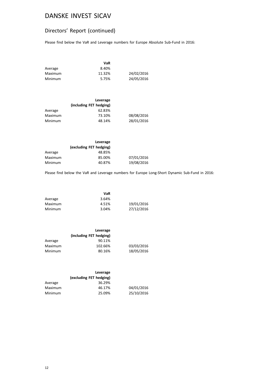# Directors' Report (continued)

Please find below the VaR and Leverage numbers for Europe Absolute Sub-Fund in 2016:

|         | VaR    |            |
|---------|--------|------------|
| Average | 8.40%  |            |
| Maximum | 11.32% | 24/02/2016 |
| Minimum | 5.75%  | 24/05/2016 |

|         | Leverage                |            |
|---------|-------------------------|------------|
|         | (including FET hedging) |            |
| Average | 62.83%                  |            |
| Maximum | 73.10%                  | 08/08/2016 |
| Minimum | 48.14%                  | 28/01/2016 |

|         | Leverage                |            |
|---------|-------------------------|------------|
|         | (excluding FET hedging) |            |
| Average | 48.85%                  |            |
| Maximum | 85.00%                  | 07/01/2016 |
| Minimum | 40.87%                  | 19/08/2016 |

Please find below the VaR and Leverage numbers for Europe Long-Short Dynamic Sub-Fund in 2016:

|         | VaR   |            |
|---------|-------|------------|
| Average | 3.64% |            |
| Maximum | 4.51% | 19/01/2016 |
| Minimum | 3.04% | 27/12/2016 |

|         | Leverage                |            |
|---------|-------------------------|------------|
|         | (including FET hedging) |            |
| Average | 90.11%                  |            |
| Maximum | 102.66%                 | 03/03/2016 |
| Minimum | 80.16%                  | 18/05/2016 |

|         | Leverage<br>(excluding FET hedging) |            |
|---------|-------------------------------------|------------|
| Average | 36.29%                              |            |
| Maximum | 46.17%                              | 04/01/2016 |
| Minimum | 25.09%                              | 25/10/2016 |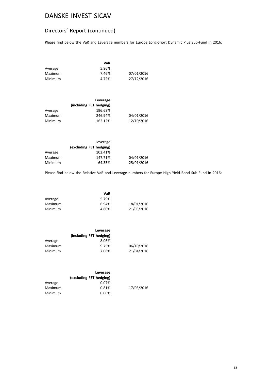# Directors' Report (continued)

Please find below the VaR and Leverage numbers for Europe Long-Short Dynamic Plus Sub-Fund in 2016:

|         | VaR   |            |
|---------|-------|------------|
| Average | 5.86% |            |
| Maximum | 7.46% | 07/01/2016 |
| Minimum | 4.72% | 27/12/2016 |

|         | Leverage                |            |
|---------|-------------------------|------------|
|         | (including FET hedging) |            |
| Average | 196.68%                 |            |
| Maximum | 246.94%                 | 04/01/2016 |
| Minimum | 162.12%                 | 12/10/2016 |

| Leverage                |            |
|-------------------------|------------|
| (excluding FET hedging) |            |
| 103.41%                 |            |
| 147.71%                 | 04/01/2016 |
| 64.35%                  | 25/01/2016 |
|                         |            |

Please find below the Relative VaR and Leverage numbers for Europe High Yield Bond Sub-Fund in 2016:

|         | VaR   |            |
|---------|-------|------------|
| Average | 5.79% |            |
| Maximum | 6.94% | 18/01/2016 |
| Minimum | 4.80% | 21/03/2016 |

| Leverage                |            |
|-------------------------|------------|
| (including FET hedging) |            |
| 8.06%                   |            |
| 9.75%                   | 06/10/2016 |
| 7.08%                   | 21/04/2016 |
|                         |            |

|         | Leverage<br>(excluding FET hedging) |            |
|---------|-------------------------------------|------------|
| Average | 0.07%                               |            |
| Maximum | 0.81%                               | 17/03/2016 |
| Minimum | $0.00\%$                            |            |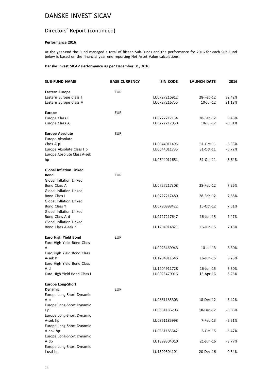# Directors' Report (continued)

### **Performance 2016**

At the year-end the Fund managed a total of fifteen Sub-Funds and the performance for 2016 for each Sub-Fund below is based on the financial year end reporting Net Asset Value calculations:

#### **Danske Invest SICAV Performance as per December 31, 2016**

| <b>SUB-FUND NAME</b>           | <b>BASE CURRENCY</b> | <b>ISIN CODE</b> | <b>LAUNCH DATE</b> | 2016     |
|--------------------------------|----------------------|------------------|--------------------|----------|
| <b>Eastern Europe</b>          | <b>EUR</b>           |                  |                    |          |
| Eastern Europe Class I         |                      | LU0727216912     | 28-Feb-12          | 32.42%   |
| Eastern Europe Class A         |                      | LU0727216755     | 10-Jul-12          | 31.18%   |
| <b>Europe</b>                  | <b>EUR</b>           |                  |                    |          |
| Europe Class I                 |                      | LU0727217134     | 28-Feb-12          | 0.43%    |
| Europe Class A                 |                      | LU0727217050     | 10-Jul-12          | $-0.31%$ |
| <b>Europe Absolute</b>         | <b>EUR</b>           |                  |                    |          |
| Europe Absolute                |                      |                  |                    |          |
| Class A p                      |                      | LU0644011495     | 31-Oct-11          | $-6.33%$ |
| Europe Absolute Class I p      |                      | LU0644011735     | 31-Oct-11          | -5.72%   |
| Europe Absolute Class A-sek    |                      |                  |                    |          |
| hp                             |                      | LU0644011651     | 31-Oct-11          | $-6.64%$ |
| <b>Global Inflation Linked</b> |                      |                  |                    |          |
| <b>Bond</b>                    | <b>EUR</b>           |                  |                    |          |
| <b>Global Inflation Linked</b> |                      |                  |                    |          |
| <b>Bond Class A</b>            |                      | LU0727217308     | 28-Feb-12          | 7.26%    |
| Global Inflation Linked        |                      |                  |                    |          |
| Bond Class I                   |                      | LU0727217480     | 28-Feb-12          | 7.88%    |
| Global Inflation Linked        |                      |                  |                    |          |
| <b>Bond Class Y</b>            |                      | LU0790898422     | 15-Oct-12          | 7.51%    |
| <b>Global Inflation Linked</b> |                      |                  |                    |          |
| Bond Class A d                 |                      | LU0727217647     | 16-Jun-15          | 7.47%    |
| <b>Global Inflation Linked</b> |                      |                  |                    |          |
| Bond Class A-sek h             |                      | LU1204914821     | 16-Jun-15          | 7.18%    |
| Euro High Yield Bond           | <b>EUR</b>           |                  |                    |          |
| Euro High Yield Bond Class     |                      |                  |                    |          |
| А                              |                      | LU0923469943     | 10-Jul-13          | 6.30%    |
| Euro High Yield Bond Class     |                      |                  |                    |          |
| A-sek h                        |                      | LU1204911645     | 16-Jun-15          | 6.25%    |
| Euro High Yield Bond Class     |                      |                  |                    |          |
| A d                            |                      | LU1204911728     | 16-Jun-15          | 6.30%    |
| Euro High Yield Bond Class I   |                      | LU0923470016     | 13-Apr-16          | 6.25%    |
| <b>Europe Long-Short</b>       |                      |                  |                    |          |
| <b>Dynamic</b>                 | <b>EUR</b>           |                  |                    |          |
| Europe Long-Short Dynamic      |                      |                  |                    |          |
| A p                            |                      | LU0861185303     | 18-Dec-12          | $-6.42%$ |
| Europe Long-Short Dynamic      |                      |                  |                    |          |
| l p                            |                      | LU0861186293     | 18-Dec-12          | $-5.83%$ |
| Europe Long-Short Dynamic      |                      |                  |                    |          |
| A-sek hp                       |                      | LU0861185998     | 7-Feb-13           | $-6.51%$ |
| Europe Long-Short Dynamic      |                      |                  |                    |          |
| A-nok hp                       |                      | LU0861185642     | 8-Oct-15           | $-5.47%$ |
| Europe Long-Short Dynamic      |                      |                  |                    |          |
| A dp                           |                      | LU1399304010     | 21-Jun-16          | -3.77%   |
| Europe Long-Short Dynamic      |                      |                  |                    |          |
| I-usd hp                       |                      | LU1399304101     | 20-Dec-16          | 0.34%    |
|                                |                      |                  |                    |          |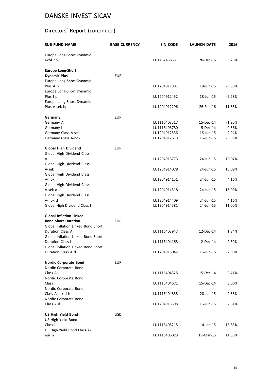# Directors' Report (continued)

| <b>SUB-FUND NAME</b>               | <b>BASE CURRENCY</b> | <b>ISIN CODE</b> | LAUNCH DATE | 2016      |
|------------------------------------|----------------------|------------------|-------------|-----------|
| Europe Long-Short Dynamic          |                      |                  |             |           |
| I-chf hp                           |                      | LU1467468531     | 20-Dec-16   | 0.25%     |
| <b>Europe Long-Short</b>           |                      |                  |             |           |
| <b>Dynamic Plus</b>                | <b>EUR</b>           |                  |             |           |
| Europe Long-Short Dynamic          |                      |                  |             |           |
| Plus A p                           |                      | LU1204911991     | 18-Jun-15   | $-9.89%$  |
| Europe Long-Short Dynamic          |                      |                  |             |           |
| Plus I p                           |                      | LU1204912452     | 18-Jun-15   | $-9.28%$  |
| Europe Long-Short Dynamic          |                      |                  |             |           |
| Plus A-sek hp                      |                      | LU1204912296     | 26-Feb-16   | $-11.85%$ |
| Germany                            | <b>EUR</b>           |                  |             |           |
| Germany A                          |                      | LU1116403517     | 15-Dec-14   | $-1.20%$  |
| Germany I                          |                      | LU1116403780     | 15-Dec-14   | $-0.56%$  |
| Germany Class A-sek                |                      | LU1204912536     | 16-Jun-15   | 2.94%     |
| Germany Class A-nok                |                      | LU1204912619     | 16-Jun-15   | $-5.69%$  |
|                                    |                      |                  |             |           |
| <b>Global High Dividend</b>        | <b>EUR</b>           |                  |             |           |
| Global High Dividend Class         |                      |                  |             |           |
| А                                  |                      | LU1204913773     | 24-Jun-15   | 10.07%    |
| Global High Dividend Class         |                      |                  |             |           |
| A-sek                              |                      | LU1204914078     | 24-Jun-15   | 16.09%    |
| Global High Dividend Class         |                      |                  |             |           |
| A-nok                              |                      | LU1204914151     | 24-Jun-15   | 4.16%     |
| Global High Dividend Class         |                      |                  |             |           |
| A-sek d                            |                      | LU1204914318     | 24-Jun-15   | 16.09%    |
| Global High Dividend Class         |                      |                  |             |           |
| A-nok d                            |                      | LU1204914409     | 24-Jun-15   | 4.16%     |
| Global High Dividend Class I       |                      | LU1204914581     | 24-Jun-15   | 11.00%    |
| <b>Global Inflation Linked</b>     |                      |                  |             |           |
| <b>Bond Short Duration</b>         | <b>EUR</b>           |                  |             |           |
| Global Inflation Linked Bond Short |                      |                  |             |           |
| <b>Duration Class A</b>            |                      | LU1116403947     | 12-Dec-14   | 1.84%     |
| Global Inflation Linked Bond Short |                      |                  |             |           |
| <b>Duration Class I</b>            |                      | LU1116404168     | 12-Dec-14   | 2.30%     |
| Global Inflation Linked Bond Short |                      |                  |             |           |
| Duration Class A d                 |                      | LU1204915042     | 16-Jun-15   | 2.00%     |
| <b>Nordic Corporate Bond</b>       | <b>EUR</b>           |                  |             |           |
| Nordic Corporate Bond              |                      |                  |             |           |
| Class A                            |                      | LU1116404325     | 15-Dec-14   | 2.41%     |
| Nordic Corporate Bond              |                      |                  |             |           |
| Class I                            |                      | LU1116404671     | 15-Dec-14   | 3.00%     |
| Nordic Corporate Bond              |                      |                  |             |           |
| Class A-sek d h                    |                      | LU1116404838     | 28-Jan-15   | 2.38%     |
| Nordic Corporate Bond              |                      |                  |             |           |
| Class A d                          |                      | LU1204915398     | 16-Jun-15   | 2.61%     |
|                                    |                      |                  |             |           |
| <b>US High Yield Bond</b>          | <b>USD</b>           |                  |             |           |
| US High Yield Bond<br>Class I      |                      | LU1116405215     | 14-Jan-15   | 13.83%    |
| US High Yield Bond Class A-        |                      |                  |             |           |
| eur h                              |                      | LU1116406023     | 19-Mar-15   | 11.35%    |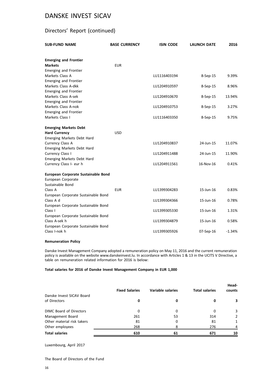# Directors' Report (continued)

| <b>SUB-FUND NAME</b>                                 | <b>BASE CURRENCY</b> | <b>ISIN CODE</b> | LAUNCH DATE | 2016     |
|------------------------------------------------------|----------------------|------------------|-------------|----------|
| <b>Emerging and Frontier</b>                         |                      |                  |             |          |
| <b>Markets</b>                                       | <b>EUR</b>           |                  |             |          |
| <b>Emerging and Frontier</b>                         |                      |                  |             |          |
| Markets Class A                                      |                      | LU1116403194     | 8-Sep-15    | 9.39%    |
| <b>Emerging and Frontier</b>                         |                      |                  |             |          |
| Markets Class A-dkk                                  |                      | LU1204910597     | 8-Sep-15    | 8.96%    |
| <b>Emerging and Frontier</b>                         |                      |                  |             |          |
| Markets Class A-sek                                  |                      | LU1204910670     | 8-Sep-15    | 13.94%   |
| <b>Emerging and Frontier</b>                         |                      |                  |             |          |
| Markets Class A-nok                                  |                      | LU1204910753     | 8-Sep-15    | 3.27%    |
| <b>Emerging and Frontier</b>                         |                      |                  |             |          |
| Markets Class I                                      |                      | LU1116403350     | 8-Sep-15    | 9.75%    |
| <b>Emerging Markets Debt</b>                         |                      |                  |             |          |
| <b>Hard Currency</b>                                 | <b>USD</b>           |                  |             |          |
| Emerging Markets Debt Hard                           |                      |                  |             |          |
| Currency Class A                                     |                      | LU1204910837     | 24-Jun-15   | 11.07%   |
| Emerging Markets Debt Hard                           |                      |                  |             |          |
| Currency Class I                                     |                      | LU1204911488     | 24-Jun-15   | 11.90%   |
| Emerging Markets Debt Hard                           |                      |                  |             |          |
| Currency Class I- eur h                              |                      | LU1204911561     | 16-Nov-16   | 0.41%    |
| European Corporate Sustainable Bond                  |                      |                  |             |          |
| European Corporate                                   |                      |                  |             |          |
| Sustainable Bond                                     |                      |                  |             |          |
| Class A                                              | <b>EUR</b>           | LU1399304283     | 15-Jun-16   | 0.83%    |
| European Corporate Sustainable Bond                  |                      |                  |             |          |
| Class A d                                            |                      | LU1399304366     | 15-Jun-16   | 0.78%    |
| European Corporate Sustainable Bond                  |                      |                  |             |          |
| Class I                                              |                      | LU1399305330     | 15-Jun-16   | 1.31%    |
| European Corporate Sustainable Bond                  |                      |                  |             |          |
| Class A-sek h                                        |                      | LU1399304879     | 15-Jun-16   | 0.58%    |
| European Corporate Sustainable Bond<br>Class I-nok h |                      | LU1399305926     | 07-Sep-16   | $-1.34%$ |
|                                                      |                      |                  |             |          |

### **Remuneration Policy**

Danske Invest Management Company adopted a remuneration policy on May 11, 2016 and the current remuneration policy is available on the website www.danskeinvest.lu. In accordance with Articles 1 & 13 in the UCITS V Directive, a table on remuneration related information for 2016 is below:

#### **Total salaries for 2016 of Danske Invest Management Company in EUR 1,000**

|                                | <b>Fixed Salaries</b> | Variable salaries | <b>Total salaries</b> | Head-<br>counts |
|--------------------------------|-----------------------|-------------------|-----------------------|-----------------|
| Danske Invest SICAV Board      |                       |                   |                       |                 |
| of Directors                   | 0                     | 0                 | 0                     | З.              |
| <b>DIMC Board of Directors</b> | 0                     | 0                 | 0                     | 3               |
| Management Board               | 261                   | 53                | 314                   | 2               |
| Other material risk takers     | 81                    | 0                 | 81                    | 1               |
| Other employees                | 268                   | 8                 | 276                   | 4               |
| <b>Total salaries</b>          | 610                   | 61                | 671                   | 10              |

### Luxembourg, April 2017

The Board of Directors of the Fund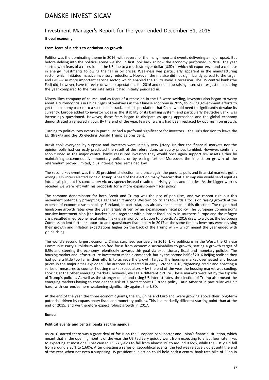### Investment Manager's Report for the year ended December 31, 2016

### **Global economy:**

### **From fears of a crisis to optimism on growth**

Politics was the dominating theme in 2016, with several of the many important events delivering a major upset. But before delving into the political scene we should first look back at how the economy performed in 2016. The year started with fears of a recession in the US due to a much stronger dollar (USD) – which hit exporters – and a collapse in energy investments following the fall in oil prices. Weakness was particularly apparent in the manufacturing sector, which initiated massive inventory reductions. However, the malaise did not significantly spread to the larger and GDP-wise more important service sector, which enabled the US to avoid a recession. The US central bank (the Fed) did, however, have to revise down its expectations for 2016 and ended up raising interest rates just once during the year compared to the four rate hikes it had initially pencilled in.

Misery likes company of course, and as fears of a recession in the US were swirling, investors also began to worry about a currency crisis in China. Signs of weakness in the Chinese economy in 2015, following government efforts to get the economy back onto a sustainable track, stoked speculation that China would need to significantly devalue its currency. Europe added to investor woes as the stability of its banking system, and particularly Deutsche Bank, was increasingly questioned. However, these fears began to dissipate as spring approached and the global economy demonstrated a renewed vigour. By the end of the year, fears of a crisis had been replaced by optimism on growth.

Turning to politics, two events in particular had a profound significance for investors – the UK's decision to leave the EU (Brexit) and the US electing Donald Trump as president.

Brexit took everyone by surprise and investors were initially very jittery. Neither the financial markets nor the opinion polls had correctly predicted the result of the referendum, so equity prices tumbled. However, sentiment soon turned as the major central banks reassured investors they would once again support risk assets either by maintaining accommodative monetary policies or by easing further. Moreover, the impact on growth of the referendum proved limited, plus interest rates remained low.

The second key event was the US presidential election, and once again the pundits, polls and financial markets got it wrong – US voters elected Donald Trump. Ahead of the election many forecast that a Trump win would send equities into a tailspin, but his conciliatory victory speech instead resulted in rising yields and equities. As the bigger worries receded we were left with his proposals for a more expansionary fiscal policy.

The common denominator for both Brexit and Trump was the rise of populism, and we cannot rule out this movement potentially prompting a general shift among Western politicians towards a focus on raising growth at the expense of economic sustainability. Euroland, in particular, has already taken steps in this direction. The region had handsome growth rates over the year, largely driven by an expansionary fiscal policy. The European Commission's massive investment plan (the Juncker plan), together with a looser fiscal policy in southern Europe and the refugee crisis resulted in eurozone fiscal policy making a major contribution to growth. As 2016 drew to a close, the European Commission lent further support to an expansionary fiscal policy in 2017 at the same time as investors were revising their growth and inflation expectations higher on the back of the Trump win – which meant the year ended with yields rising.

The world's second largest economy, China, surprised positively in 2016. Like politicians in the West, the Chinese Communist Party's Politburo also shifted focus from economic sustainability to growth, setting a growth target of 6.5% and steering the economy relentlessly towards this goal via expansionary fiscal and monetary policies. The housing market and infrastructure investment made a comeback, but by the second half of 2016 Beijing realised they had gone a little too far in their efforts to achieve the growth target. The housing market overheated and house prices in the major cities exploded. The authorities reacted in early October 2016, tightening credit and enacting a series of measures to counter housing market speculators – by the end of the year the housing market was cooling. Looking at the other emerging markets, however, we see a different picture. These markets were hit by the flipside of Trump's policies. As well as the stronger dollar and rising US interest rates, the election of Trump also meant the emerging markets having to consider the risk of a protectionist US trade policy. Latin America in particular was hit hard, with currencies here weakening significantly against the USD.

At the end of the year, the three economic giants, the US, China and Euroland, were growing above their long-term potential, driven by expansionary fiscal and monetary policies. This is a markedly different starting point than at the end of 2015, and we therefore expect robust growth in 2017.

#### **Bonds:**

#### **Political events and central banks set the agenda.**

As 2016 started there was a great deal of focus on the European bank sector and China's financial situation, which meant that in the opening months of the year the US Fed very quickly went from expecting to enact four rate hikes to expecting at most one. That caused US 2Y yields to fall from almost 1% to around 0.65%, while the 10Y yield fell from around 2.25% to 1.60%. After digesting a series of geopolitical events, the Fed was relatively quiet until the end of the year, when not even a surprising US presidential election could hold back a central bank rate hike of 25bp in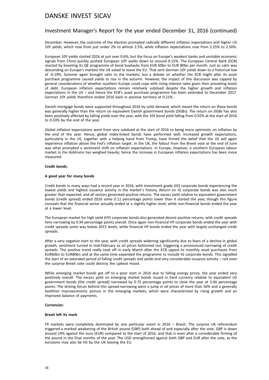# Investment Manager's Report for the year ended December 31, 2016 (continued)

December. However, the outcome of the election prompted radically different inflation expectations and higher US 10Y yields, which rose from just under 2% to almost 2.5%, while inflation expectations rose from 2.25% to 2.50%.

European 10Y yields started 2016 at just over 0.6%, but the focus on Europe's weakest banks and unstable economic signals from China quickly pushed European 10Y yields down to around 0.15%. The European Central Bank (ECB) reacted by boosting its QE programme of bond buybacks from EUR 60bn to EUR 80bn per month. Just as calm was descending on Europe's markets the UK voted to leave the EU. That sent German 10Y yields down to a historical low of -0.19%. Summer again brought calm to the markets, but a debate on whether the ECB might alter its asset purchase programme caused yields to rise in the autumn. However, the impact of this discussion was capped by general considerations of whether southern Europe could cope with rising interest rates given their prevailing levels of debt. European inflation expectations remain relatively subdued despite the higher growth and inflation expectations in the US – and hence the ECB's asset purchase programme has been extended to December 2017. German 10Y yields therefore ended 2016 back in positive territory at 0.21%.

Danish mortgage bonds were supported throughout 2016 by solid demand, which meant the return on these bonds was generally higher than the return on equivalent Danish government bonds (DGBs). The return on DGBs has also been positively affected by falling yields over the year, with the 10Y bond yield falling from 0.92% at the start of 2016 to 0.33% by the end of the year.

Global inflation expectations went from very subdued at the start of 2016 to being more optimistic on inflation by the end of the year. Hence, global index-linked bonds have performed well. Increased growth expectations, particularly in the US, together with a helping hand from Trump, have firmed the belief that the US will again experience inflation above the Fed's inflation target. In the UK, the fallout from the Brexit vote at the end of June was what prompted a sentiment shift on inflation expectations. In Europe, however, a southern European labour market in the doldrums has weighed heavily; hence the increase in European inflation expectations has been more measured.

#### **Credit bonds:**

#### **A good year for many bonds**

Credit bonds in many ways had a record year in 2016, with investment grade (IG) corporate bonds experiencing the lowest yields and highest issuance activity in the market's history. Return on IG corporate bonds was also much greater than expected, and all sectors generated positive returns. The excess yield relative to equivalent government bonds (credit spread) ended 2016 some 0.11 percentage points lower than it started the year, though this figure conceals that the financial sector actually ended at a slightly higher level, while non-financial bonds ended the year at a lower level.

The European market for high yield (HY) corporate bonds also generated decent positive returns, with credit spreads here narrowing by 0.94 percentage points overall. Once again non-financial HY corporate bonds ended the year with credit spreads some way below 2015 levels, while financial HY bonds ended the year with largely unchanged credit spreads.

After a very negative start to the year, with credit spreads widening significantly due to fears of a decline in global growth, sentiment turned in mid-February as oil prices bottomed out, triggering a pronounced narrowing of credit spreads. The positive trend really took off in early March after the ECB upped its monthly asset purchases from EUR60bn to EUR80bn and at the same time expanded the programme to include IG corporate bonds. This signalled the start of an extended period of falling credit spreads and yields and very considerable issuance activity – not even the surprise Brexit vote could destroy the upbeat mood.

While emerging market bonds got off to a poor start in 2016 due to falling energy prices, the year ended very positively overall. The excess yield on emerging market bonds issued in hard currency relative to equivalent US government bonds (the credit spread) narrowed by 0.75 percentage points to close the year at 3.40 percentage points. The driving forces behind this spread-narrowing were a jump in oil prices of more than 50% and a generally healthier macroeconomic picture in the emerging markets, which were characterised by rising growth and an improved balance of payments.

#### **Currencies:**

#### **Brexit left its mark**

FX markets were completely dominated by one particular event in 2016 – Brexit. The surprise UK referendum triggered a marked weakening of the British pound (GBP) both ahead of and especially after the vote. GBP is down around 14% against the euro (EUR) compared to the start of 2016, and that is even after a considerable firming of the pound in the final months of the year. The USD strengthened against both GBP and EUR after the vote, as the eurozone may also be hit by the UK leaving the EU.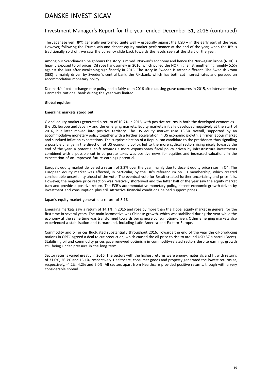## Investment Manager's Report for the year ended December 31, 2016 (continued)

The Japanese yen (JPY) generally performed quite well – especially against the USD – in the early part of the year. However, following the Trump win and decent equity market performance at the end of the year, when the JPY is traditionally sold off, we saw the currency slide back towards the levels seen at the start of the year.

Among our Scandinavian neighbours the story is mixed. Norway's economy and hence the Norwegian krone (NOK) is heavily exposed to oil prices. Oil rose handsomely in 2016, which pulled the NOK higher, strengthening roughly 5.5% against the DKK after weakening significantly in 2015. The story in Sweden is rather different. The Swedish krona (SEK) is mainly driven by Sweden's central bank, the Riksbank, which has both cut interest rates and pursued an accommodative monetary policy.

Denmark's fixed-exchange-rate policy had a fairly calm 2016 after causing grave concerns in 2015, so intervention by Danmarks National bank during the year was limited.

#### **Global equities:**

#### **Emerging markets stood out**

Global equity markets generated a return of 10.7% in 2016, with positive returns in both the developed economies – the US, Europe and Japan – and the emerging markets. Equity markets initially developed negatively at the start of 2016, but later moved into positive territory. The US equity market rose 13.8% overall, supported by an accommodative monetary policy together with a further acceleration in US economic growth, a firmer labour market and subdued inflation expectations. The surprise election of a Republican candidate to the presidency, thus signalling a possible change in the direction of US economic policy, led to the more cyclical sectors rising nicely towards the end of the year. A potential shift towards a more expansionary fiscal policy driven by infrastructure investments combined with a possible cut in corporate taxes was positive news for equities and increased valuations in the expectation of an improved future earnings potential.

Europe's equity market delivered a return of 2.2% over the year, mainly due to decent equity price rises in Q4. The European equity market was affected, in particular, by the UK's referendum on EU membership, which created considerable uncertainty ahead of the vote. The eventual vote for Brexit created further uncertainty and price falls. However, the negative price reaction was relatively short-lived and the latter half of the year saw the equity market turn and provide a positive return. The ECB's accommodative monetary policy, decent economic growth driven by investment and consumption plus still attractive financial conditions helped support prices.

Japan's equity market generated a return of 5.1%.

Emerging markets saw a return of 14.1% in 2016 and rose by more than the global equity market in general for the first time in several years. The main locomotive was Chinese growth, which was stabilised during the year while the economy at the same time was transformed towards being more consumption-driven. Other emerging markets also experienced a stabilisation and turnaround, including Latin America and Eastern Europe.

Commodity and oil prices fluctuated substantially throughout 2016. Towards the end of the year the oil-producing nations in OPEC agreed a deal to cut production, which caused the oil price to rise to around USD 57 a barrel (Brent). Stabilising oil and commodity prices gave renewed optimism in commodity-related sectors despite earnings growth still being under pressure in the long term.

Sector returns varied greatly in 2016. The sectors with the highest returns were energy, materials and IT, with returns of 31.0%, 26.7% and 15.1%, respectively. Healthcare, consumer goods and property generated the lowest returns at, respectively, -4.2%, 4.2% and 5.0%. All sectors apart from Healthcare provided positive returns, though with a very considerable spread.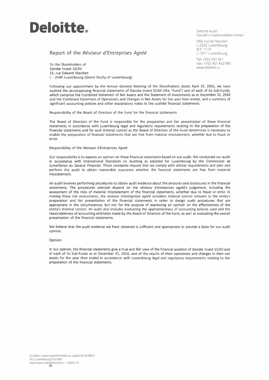

**Report of the** *Réviseur d'Entreprises Agréé* 

To the Shareholders of Danske Invest SICAV 13, rue Edward Steichen **L -** 2540 Luxembourg (Grand Duchy of Luxembourg) Deloitte Audit Société à responsabilité limitée

560, rue de Neudorf L-2220 Luxembourg B.P. 1173 L-1011 Luxembourg

Tel: +352 451 451 Fax: + 352 451 452 992 www.deloitte.lu

Following our appointment by the Annual General Meeting of the Shareholders dated April 19, 2016, we have audited the accompanying financial statements of Danske Invest SICAV (the "Fund") and of each of its Sub-Funds, which comprise the Combined Statement of Net Assets and the Statement of Investments as at December 31, 2016 and the Combined Statement of Operations and Changes in Net Assets for the year then ended, and a summary of significant accounting policies and other explanatory notes to the audited financial statements.

Responsibility of the Board of Directors of the Fund for the financial statements

The Board of Directors of the Fund is responsible for the preparation and fair presentation of these financial statements in accordance with Luxembourg legal and regulatory requirements relating to the preparation of the financial statements and for such internal control as the Board of Directors of the Fund determines is necessary to enable the preparation of financial statements that are free from material misstatement, whether due to fraud or error.

#### Responsibility of the *Réviseur d'Entreprises Agréé*

Our responsibility is to express an opinion on these financial statements based on our audit. We conducted our audit in accordance with International Standards on Auditing as adopted for Luxembourg by the *Commission de Surveillance du Secteur Financier.* Those standards require that we comply with ethical requirements and plan and perform the audit to obtain reasonable assurance whether the financial statements are free from material misstatement.

An audit involves performing procedures to obtain audit evidence about the amounts and disclosures in the financial statements. The procedures selected depend on the *réviseur d'entreprises agréé's* judgement, including the assessment of the risks of material misstatement of the financial statements, whether due to fraud or error. ln making those risk assessments, the *réviseur d'entreprises agréé* considers internal control relevant to the entity's preparation and fair presentation of the financial statements in order to design audit procedures that are appropriate in the circumstances, but not for the purpose of expressing an opinion on the effectiveness of the entity's internal control. An audit also includes evaluating the appropriateness of accounting policies used and the reasonableness of accounting estimates made by the Board of Directors of the Fund, as well as evaluating the overall presentation of the financial statements.

We believe that the audit evidence we have obtained is sufficient and appropriate to provide a basis for our audit opinion.

#### Opinion

ln our opinion, the financial statements give a true and fair view of the financial position of Danske Invest SICAV and of each of its Sub-Funds as at December 31, 2016, and of the results of their operations and changes in their net assets for the year then ended in accordance with Luxembourg legal and regulatory requirements relating to the preparation of the financial statements.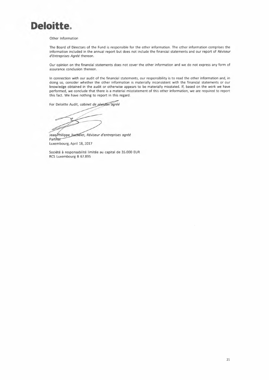

#### Other Information

The Board of Directors of the Fund is responsible for the other information. The other information comprises the information included in the annual report but does not include the financial statements and our report of *Réviseur d'Entreprises Agréé* thereon.

Our opinion on the financial statements does not cover the other information and we do not express any form of assurance conclusion thereon.

ln connection with our audit of the financial statements, our responsibility is to read the other information and, in doing so, consider whether the other information is materially inconsistent with the financial statements or our knowledge obtained in the audit or otherwise appears to be materially misstated. If, based on the work we have performed, we conclude that there is a material misstatement of this other information, we are required to report this fact. We have nothing to report in this regard.

For Deloitte Audit, cabinet de révision agréé

Jean-Philippe Bachelet, Réviseur d'entreprises agréé Partner Luxembourg, April 18, 2017

Société à responsabilité limitée au capital de 35.000 EUR RCS Luxembourg B 67.895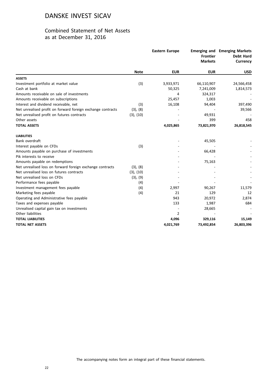# Combined Statement of Net Assets as at December 31, 2016

|                                                             |             | <b>Eastern Europe</b> | <b>Frontier</b><br><b>Markets</b> | <b>Emerging and Emerging Markets</b><br><b>Debt Hard</b><br><b>Currency</b> |
|-------------------------------------------------------------|-------------|-----------------------|-----------------------------------|-----------------------------------------------------------------------------|
|                                                             | <b>Note</b> | <b>EUR</b>            | <b>EUR</b>                        | <b>USD</b>                                                                  |
| <b>ASSETS</b>                                               |             |                       |                                   |                                                                             |
| Investment portfolio at market value                        | (3)         | 3,933,971             | 66,110,907                        | 24,566,458                                                                  |
| Cash at bank                                                |             | 50,325                | 7,241,009                         | 1,814,573                                                                   |
| Amounts receivable on sale of investments                   |             | 4                     | 324,317                           |                                                                             |
| Amounts receivable on subscriptions                         |             | 25,457                | 1,003                             |                                                                             |
| Interest and dividend receivable, net                       | (3)         | 16,108                | 94,404                            | 397,490                                                                     |
| Net unrealised profit on forward foreign exchange contracts | (3), (8)    |                       |                                   | 39,566                                                                      |
| Net unrealised profit on futures contracts                  | (3), (10)   |                       | 49,931                            |                                                                             |
| Other assets                                                |             |                       | 399                               | 458                                                                         |
| <b>TOTAL ASSETS</b>                                         |             | 4,025,865             | 73,821,970                        | 26,818,545                                                                  |
| <b>LIABILITIES</b>                                          |             |                       |                                   |                                                                             |
| Bank overdraft                                              |             |                       | 45,505                            |                                                                             |
| Interest payable on CFDs                                    | (3)         |                       |                                   |                                                                             |
| Amounts payable on purchase of investments                  |             |                       | 66,428                            |                                                                             |
| Pik interests to receive                                    |             |                       |                                   |                                                                             |
| Amounts payable on redemptions                              |             |                       | 75,163                            |                                                                             |
| Net unrealised loss on forward foreign exchange contracts   | (3), (8)    |                       |                                   |                                                                             |
| Net unrealised loss on futures contracts                    | (3), (10)   |                       |                                   |                                                                             |
| Net unrealised loss on CFDs                                 | (3), (9)    |                       |                                   |                                                                             |
| Performance fees payable                                    | (4)         |                       |                                   |                                                                             |
| Investment management fees payable                          | (4)         | 2,997                 | 90,267                            | 11,579                                                                      |
| Marketing fees payable                                      | (4)         | 21                    | 129                               | 12                                                                          |
| Operating and Administrative fees payable                   |             | 943                   | 20,972                            | 2,874                                                                       |
| Taxes and expenses payable                                  |             | 133                   | 1,987                             | 684                                                                         |
| Unrealised capital gain tax on investments                  |             |                       | 28,665                            |                                                                             |
| Other liabilities                                           |             | $\overline{2}$        |                                   |                                                                             |
| <b>TOTAL LIABILITIES</b>                                    |             | 4,096                 | 329,116                           | 15,149                                                                      |
| <b>TOTAL NET ASSETS</b>                                     |             | 4,021,769             | 73,492,854                        | 26,803,396                                                                  |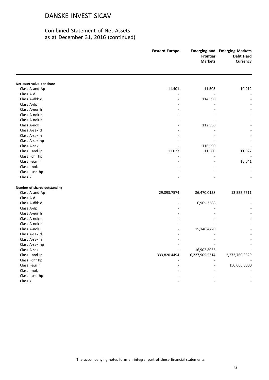|                                             | <b>Eastern Europe</b> | <b>Frontier</b><br><b>Markets</b> | <b>Emerging and Emerging Markets</b><br><b>Debt Hard</b><br>Currency |
|---------------------------------------------|-----------------------|-----------------------------------|----------------------------------------------------------------------|
|                                             |                       |                                   |                                                                      |
| Net asset value per share<br>Class A and Ap | 11.401                | 11.505                            | 10.912                                                               |
| Class A d                                   |                       |                                   |                                                                      |
| Class A-dkk d                               | $\blacksquare$        | 114.590                           |                                                                      |
| Class A-dp                                  |                       |                                   |                                                                      |
| Class A-eur h                               |                       |                                   |                                                                      |
| Class A-nok d                               |                       |                                   |                                                                      |
| Class A-nok h                               |                       |                                   |                                                                      |
| Class A-nok                                 |                       | 112.330                           |                                                                      |
| Class A-sek d                               |                       |                                   |                                                                      |
| Class A-sek h                               |                       |                                   |                                                                      |
| Class A-sek hp                              |                       |                                   |                                                                      |
| Class A-sek                                 |                       | 116.590                           |                                                                      |
| Class I and Ip                              | 11.027                | 11.560                            | 11.027                                                               |
| Class I-chf hp                              |                       |                                   |                                                                      |
| Class I-eur h                               |                       |                                   | 10.041                                                               |
| Class I-nok                                 |                       |                                   |                                                                      |
| Class I-usd hp                              |                       |                                   |                                                                      |
| Class Y                                     |                       |                                   |                                                                      |
| Number of shares outstanding                |                       |                                   |                                                                      |
| Class A and Ap                              | 29,893.7574           | 86,470.0158                       | 13,555.7611                                                          |
| Class A d                                   |                       |                                   |                                                                      |
| Class A-dkk d                               |                       | 6,965.3388                        |                                                                      |
| Class A-dp                                  |                       |                                   |                                                                      |
| Class A-eur h                               |                       |                                   |                                                                      |
| Class A-nok d                               |                       |                                   |                                                                      |
| Class A-nok h                               |                       |                                   |                                                                      |
| Class A-nok                                 |                       | 15,146.4720                       |                                                                      |
| Class A-sek d                               |                       |                                   |                                                                      |
| Class A-sek h                               |                       |                                   |                                                                      |
| Class A-sek hp                              |                       |                                   |                                                                      |
| Class A-sek                                 |                       | 16,902.8066                       |                                                                      |
| Class I and Ip                              | 333,820.4494          | 6,227,905.5314                    | 2,273,760.9329                                                       |
| Class I-chf hp                              |                       |                                   |                                                                      |
| Class I-eur h                               |                       |                                   | 150,000.0000                                                         |
| Class I-nok                                 |                       |                                   |                                                                      |
| Class I-usd hp                              |                       |                                   |                                                                      |
| Class Y                                     |                       |                                   |                                                                      |
|                                             |                       |                                   |                                                                      |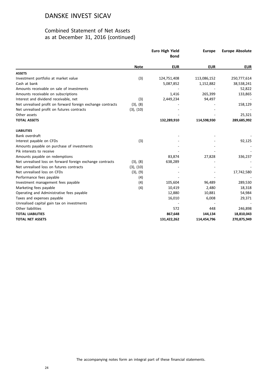|                                                             |             | <b>Euro High Yield</b><br><b>Bond</b> | <b>Europe</b> | <b>Europe Absolute</b> |
|-------------------------------------------------------------|-------------|---------------------------------------|---------------|------------------------|
|                                                             | <b>Note</b> | <b>EUR</b>                            | <b>EUR</b>    | <b>EUR</b>             |
| <b>ASSETS</b>                                               |             |                                       |               |                        |
| Investment portfolio at market value                        | (3)         | 124,751,408                           | 113,086,152   | 250,777,614            |
| Cash at bank                                                |             | 5,087,852                             | 1,152,882     | 38,538,241             |
| Amounts receivable on sale of investments                   |             |                                       |               | 52,822                 |
| Amounts receivable on subscriptions                         |             | 1,416                                 | 265,399       | 133,865                |
| Interest and dividend receivable, net                       | (3)         | 2,449,234                             | 94,497        |                        |
| Net unrealised profit on forward foreign exchange contracts | (3), (8)    |                                       |               | 158,129                |
| Net unrealised profit on futures contracts                  | (3), (10)   |                                       |               |                        |
| Other assets                                                |             |                                       |               | 25,321                 |
| <b>TOTAL ASSETS</b>                                         |             | 132,289,910                           | 114,598,930   | 289,685,992            |
| <b>LIABILITIES</b>                                          |             |                                       |               |                        |
| Bank overdraft                                              |             |                                       |               |                        |
| Interest payable on CFDs                                    | (3)         |                                       |               | 92,125                 |
| Amounts payable on purchase of investments                  |             |                                       |               |                        |
| Pik interests to receive                                    |             |                                       |               |                        |
| Amounts payable on redemptions                              |             | 83,874                                | 27,828        | 336,237                |
| Net unrealised loss on forward foreign exchange contracts   | (3), (8)    | 638,289                               |               |                        |
| Net unrealised loss on futures contracts                    | (3), (10)   |                                       |               |                        |
| Net unrealised loss on CFDs                                 | (3), (9)    |                                       |               | 17,742,580             |
| Performance fees payable                                    | (4)         |                                       |               |                        |
| Investment management fees payable                          | (4)         | 105,604                               | 96,489        | 289,530                |
| Marketing fees payable                                      | (4)         | 10,419                                | 2,480         | 18,318                 |
| Operating and Administrative fees payable                   |             | 12,880                                | 10,881        | 54,984                 |
| Taxes and expenses payable                                  |             | 16,010                                | 6,008         | 29,371                 |
| Unrealised capital gain tax on investments                  |             |                                       |               |                        |
| Other liabilities                                           |             | 572                                   | 448           | 246,898                |
| <b>TOTAL LIABILITIES</b>                                    |             | 867,648                               | 144,134       | 18,810,043             |
| <b>TOTAL NET ASSETS</b>                                     |             | 131,422,262                           | 114,454,796   | 270,875,949            |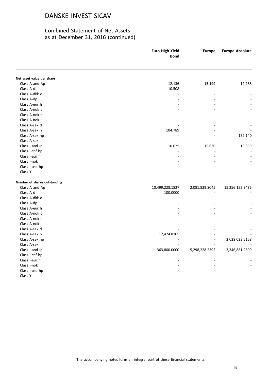|                              | Euro High Yield<br><b>Bond</b> | <b>Europe</b>  | <b>Europe Absolute</b> |
|------------------------------|--------------------------------|----------------|------------------------|
|                              |                                |                |                        |
| Net asset value per share    |                                |                |                        |
| Class A and Ap               | 12.136                         | 15.199         | 12.988                 |
| Class A d                    | 10.508                         |                |                        |
| Class A-dkk d                |                                |                |                        |
| Class A-dp                   |                                |                |                        |
| Class A-eur h                |                                |                |                        |
| Class A-nok d                |                                |                |                        |
| Class A-nok h                |                                |                |                        |
| Class A-nok                  |                                |                |                        |
| Class A-sek d                |                                |                |                        |
| Class A-sek h                | 104.789                        |                |                        |
| Class A-sek hp               |                                |                | 132.140                |
| Class A-sek                  |                                |                |                        |
| Class I and Ip               | 10.625                         | 15.630         | 13.359                 |
| Class I-chf hp               |                                |                |                        |
| Class I-eur h                |                                |                |                        |
| Class I-nok                  |                                |                |                        |
| Class I-usd hp               |                                |                |                        |
| Class Y                      |                                |                |                        |
| Number of shares outstanding |                                |                |                        |
| Class A and Ap               | 10,499,228.1827                | 2,081,829.8045 | 15,256,152.9486        |
| Class A d                    | 100.0000                       |                |                        |
| Class A-dkk d                |                                |                |                        |
| Class A-dp                   |                                |                |                        |
| Class A-eur h                |                                |                |                        |
| Class A-nok d                |                                |                |                        |
| Class A-nok h                |                                |                |                        |
| Class A-nok                  |                                |                |                        |
| Class A-sek d                |                                |                |                        |
| Class A-sek h                | 12,474.8105                    |                |                        |
| Class A-sek hp               |                                |                | 2,029,022.5158         |
| Class A-sek                  |                                |                |                        |
| Class I and Ip               | 363,800.0000                   | 5,298,228.2392 | 3,346,881.2509         |
| Class I-chf hp               |                                |                |                        |
| Class I-eur h                |                                |                |                        |
| Class I-nok                  |                                |                |                        |
| Class I-usd hp               |                                |                |                        |
| Class Y                      |                                |                |                        |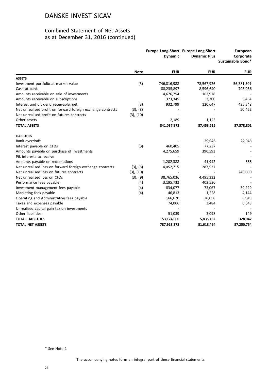# Combined Statement of Net Assets as at December 31, 2016 (continued)

|                                                             |             | <b>Dynamic</b> | Europe Long-Short Europe Long-Short<br><b>Dynamic Plus</b> | <b>European</b><br>Corporate<br>Sustainable Bond* |
|-------------------------------------------------------------|-------------|----------------|------------------------------------------------------------|---------------------------------------------------|
|                                                             | <b>Note</b> | <b>EUR</b>     | <b>EUR</b>                                                 | <b>EUR</b>                                        |
| <b>ASSETS</b>                                               |             |                |                                                            |                                                   |
| Investment portfolio at market value                        | (3)         | 746,816,988    | 78,567,926                                                 | 56,381,301                                        |
| Cash at bank                                                |             | 88,235,897     | 8,596,640                                                  | 706,036                                           |
| Amounts receivable on sale of investments                   |             | 4,676,754      | 163,978                                                    |                                                   |
| Amounts receivable on subscriptions                         |             | 373,345        | 3,300                                                      | 5,454                                             |
| Interest and dividend receivable, net                       | (3)         | 932,799        | 120,647                                                    | 435,548                                           |
| Net unrealised profit on forward foreign exchange contracts | (3), (8)    |                |                                                            | 50,462                                            |
| Net unrealised profit on futures contracts                  | (3), (10)   |                |                                                            |                                                   |
| Other assets                                                |             | 2,189          | 1,125                                                      |                                                   |
| <b>TOTAL ASSETS</b>                                         |             | 841,037,972    | 87,453,616                                                 | 57,578,801                                        |
| <b>LIABILITIES</b>                                          |             |                |                                                            |                                                   |
| Bank overdraft                                              |             |                | 39,046                                                     | 22,045                                            |
| Interest payable on CFDs                                    | (3)         | 460,405        | 77,237                                                     |                                                   |
| Amounts payable on purchase of investments                  |             | 4,275,659      | 390,593                                                    |                                                   |
| Pik interests to receive                                    |             |                |                                                            |                                                   |
| Amounts payable on redemptions                              |             | 1,202,388      | 41,942                                                     | 888                                               |
| Net unrealised loss on forward foreign exchange contracts   | (3), (8)    | 4,052,715      | 287,537                                                    |                                                   |
| Net unrealised loss on futures contracts                    | (3), (10)   |                |                                                            | 248,000                                           |
| Net unrealised loss on CFDs                                 | (3), (9)    | 38,765,036     | 4,495,332                                                  |                                                   |
| Performance fees payable                                    | (4)         | 3,195,732      | 402,530                                                    |                                                   |
| Investment management fees payable                          | (4)         | 834,077        | 73,067                                                     | 39,229                                            |
| Marketing fees payable                                      | (4)         | 46,813         | 1,228                                                      | 4,144                                             |
| Operating and Administrative fees payable                   |             | 166,670        | 20,058                                                     | 6,949                                             |
| Taxes and expenses payable                                  |             | 74,066         | 3,484                                                      | 6,643                                             |
| Unrealised capital gain tax on investments                  |             |                |                                                            |                                                   |
| Other liabilities                                           |             | 51,039         | 3,098                                                      | 149                                               |
| <b>TOTAL LIABILITIES</b>                                    |             | 53,124,600     | 5,835,152                                                  | 328,047                                           |
| <b>TOTAL NET ASSETS</b>                                     |             | 787,913,372    | 81,618,464                                                 | 57,250,754                                        |

\* See Note 1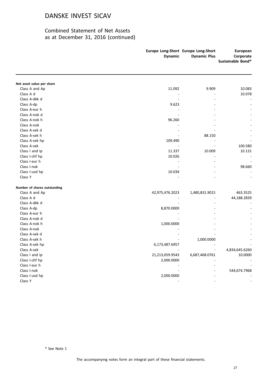|                                             | <b>Dynamic</b>  | Europe Long-Short Europe Long-Short<br><b>Dynamic Plus</b> | European<br>Corporate<br>Sustainable Bond* |
|---------------------------------------------|-----------------|------------------------------------------------------------|--------------------------------------------|
|                                             |                 |                                                            |                                            |
| Net asset value per share<br>Class A and Ap | 11.092          | 9.909                                                      | 10.083                                     |
| Class A d                                   |                 |                                                            | 10.078                                     |
| Class A-dkk d                               |                 |                                                            |                                            |
| Class A-dp                                  | 9.623           |                                                            |                                            |
| Class A-eur h                               |                 |                                                            |                                            |
| Class A-nok d                               |                 |                                                            |                                            |
| Class A-nok h                               | 96.260          |                                                            |                                            |
| Class A-nok                                 |                 |                                                            |                                            |
| Class A-sek d                               |                 |                                                            |                                            |
| Class A-sek h                               |                 | 88.150                                                     |                                            |
| Class A-sek hp                              | 109.490         |                                                            |                                            |
| Class A-sek                                 |                 |                                                            | 100.580                                    |
| Class I and Ip                              | 11.337          | 10.009                                                     | 10.131                                     |
| Class I-chf hp                              | 10.026          |                                                            |                                            |
| Class I-eur h                               |                 |                                                            |                                            |
| Class I-nok                                 |                 |                                                            | 98.660                                     |
| Class I-usd hp                              | 10.034          |                                                            |                                            |
| Class Y                                     |                 |                                                            |                                            |
| Number of shares outstanding                |                 |                                                            |                                            |
| Class A and Ap                              | 42,975,476.2023 | 1,480,831.9015                                             | 463.3525                                   |
| Class A d                                   |                 |                                                            | 44,188.2839                                |
| Class A-dkk d                               |                 |                                                            |                                            |
| Class A-dp                                  | 8,870.0000      |                                                            |                                            |
| Class A-eur h                               |                 |                                                            |                                            |
| Class A-nok d                               |                 |                                                            |                                            |
| Class A-nok h                               | 1,000.0000      |                                                            |                                            |
| Class A-nok                                 |                 |                                                            |                                            |
| Class A-sek d                               |                 |                                                            |                                            |
| Class A-sek h                               |                 | 1,000.0000                                                 |                                            |
| Class A-sek hp                              | 6,173,487.6957  |                                                            |                                            |
| Class A-sek                                 |                 |                                                            | 4,834,645.6260                             |
| Class I and Ip                              | 21,213,059.9543 | 6,687,468.0761                                             | 10.0000                                    |
| Class I-chf hp                              | 2,000.0000      |                                                            |                                            |
| Class I-eur h                               |                 |                                                            |                                            |
| Class I-nok                                 |                 |                                                            | 544,674.7968                               |
| Class I-usd hp                              | 2,000.0000      |                                                            |                                            |
| Class Y                                     |                 |                                                            |                                            |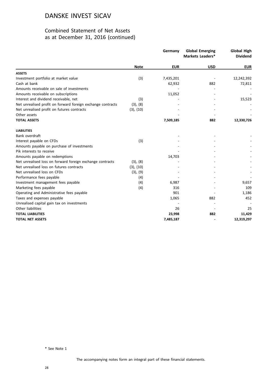|                                                             |             | Germany    | <b>Global Emerging</b><br>Markets Leaders* | <b>Global High</b><br><b>Dividend</b> |
|-------------------------------------------------------------|-------------|------------|--------------------------------------------|---------------------------------------|
|                                                             | <b>Note</b> | <b>EUR</b> | <b>USD</b>                                 | <b>EUR</b>                            |
| <b>ASSETS</b>                                               |             |            |                                            |                                       |
| Investment portfolio at market value                        | (3)         | 7,435,201  |                                            | 12,242,392                            |
| Cash at bank                                                |             | 62,932     | 882                                        | 72,811                                |
| Amounts receivable on sale of investments                   |             |            |                                            |                                       |
| Amounts receivable on subscriptions                         |             | 11,052     |                                            |                                       |
| Interest and dividend receivable, net                       | (3)         |            |                                            | 15,523                                |
| Net unrealised profit on forward foreign exchange contracts | (3), (8)    |            |                                            |                                       |
| Net unrealised profit on futures contracts                  | (3), (10)   |            |                                            |                                       |
| Other assets                                                |             |            |                                            |                                       |
| <b>TOTAL ASSETS</b>                                         |             | 7,509,185  | 882                                        | 12,330,726                            |
| <b>LIABILITIES</b>                                          |             |            |                                            |                                       |
| Bank overdraft                                              |             |            |                                            |                                       |
| Interest payable on CFDs                                    | (3)         |            |                                            |                                       |
| Amounts payable on purchase of investments                  |             |            |                                            |                                       |
| Pik interests to receive                                    |             |            |                                            |                                       |
| Amounts payable on redemptions                              |             | 14,703     |                                            |                                       |
| Net unrealised loss on forward foreign exchange contracts   | (3), (8)    |            |                                            |                                       |
| Net unrealised loss on futures contracts                    | (3), (10)   |            |                                            |                                       |
| Net unrealised loss on CFDs                                 | (3), (9)    |            |                                            |                                       |
| Performance fees payable                                    | (4)         |            |                                            |                                       |
| Investment management fees payable                          | (4)         | 6,987      |                                            | 9,657                                 |
| Marketing fees payable                                      | (4)         | 316        |                                            | 109                                   |
| Operating and Administrative fees payable                   |             | 901        |                                            | 1,186                                 |
| Taxes and expenses payable                                  |             | 1,065      | 882                                        | 452                                   |
| Unrealised capital gain tax on investments                  |             |            |                                            |                                       |
| Other liabilities                                           |             | 26         |                                            | 25                                    |
| <b>TOTAL LIABILITIES</b>                                    |             | 23,998     | 882                                        | 11,429                                |
| <b>TOTAL NET ASSETS</b>                                     |             | 7,485,187  |                                            | 12,319,297                            |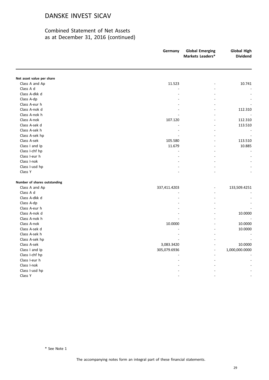# Combined Statement of Net Assets as at December 31, 2016 (continued)

|                              | Germany      | <b>Global Emerging</b><br>Markets Leaders* | <b>Global High</b><br><b>Dividend</b> |
|------------------------------|--------------|--------------------------------------------|---------------------------------------|
|                              |              |                                            |                                       |
| Net asset value per share    |              |                                            |                                       |
| Class A and Ap               | 11.523       |                                            | 10.741                                |
| Class A d                    |              |                                            |                                       |
| Class A-dkk d                |              |                                            |                                       |
| Class A-dp                   |              |                                            |                                       |
| Class A-eur h                |              |                                            |                                       |
| Class A-nok d                |              |                                            | 112.310                               |
| Class A-nok h                |              |                                            |                                       |
| Class A-nok                  | 107.120      |                                            | 112.310                               |
| Class A-sek d                |              |                                            | 113.510                               |
| Class A-sek h                |              |                                            |                                       |
| Class A-sek hp               |              |                                            |                                       |
| Class A-sek                  | 105.580      |                                            | 113.510                               |
| Class I and Ip               | 11.679       |                                            | 10.885                                |
| Class I-chf hp               |              |                                            |                                       |
| Class I-eur h                |              |                                            |                                       |
| Class I-nok                  |              |                                            |                                       |
| Class I-usd hp               |              |                                            |                                       |
| Class Y                      |              |                                            |                                       |
| Number of shares outstanding |              |                                            |                                       |
| Class A and Ap               | 337,411.4203 |                                            | 133,509.4251                          |
| Class A d                    |              |                                            |                                       |
| Class A-dkk d                |              |                                            |                                       |
| Class A-dp                   |              |                                            |                                       |
| Class A-eur h                |              |                                            |                                       |
| Class A-nok d                |              |                                            | 10.0000                               |
| Class A-nok h                |              |                                            |                                       |
| Class A-nok                  | 10.0000      |                                            | 10.0000                               |
| Class A-sek d                |              |                                            | 10.0000                               |
| Class A-sek h                |              |                                            |                                       |
| Class A-sek hp               |              |                                            |                                       |
| Class A-sek                  | 3,083.3420   |                                            | 10.0000                               |
| Class I and Ip               | 305,079.6936 | $\overline{a}$                             | 1,000,000.0000                        |
| Class I-chf hp               |              |                                            |                                       |
| Class I-eur h                |              |                                            |                                       |
| Class I-nok                  |              |                                            |                                       |
| Class I-usd hp               |              |                                            |                                       |
| Class Y                      |              |                                            |                                       |
|                              |              |                                            |                                       |

\* See Note 1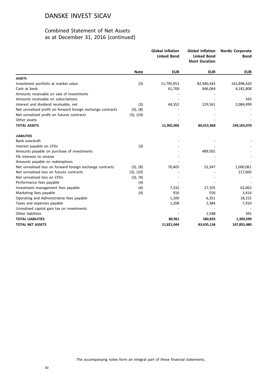|                                                             |             | <b>Global Inflation</b><br><b>Linked Bond</b> | <b>Global Inflation</b><br><b>Linked Bond</b><br><b>Short Duration</b> | <b>Nordic Corporate</b><br>Bond |
|-------------------------------------------------------------|-------------|-----------------------------------------------|------------------------------------------------------------------------|---------------------------------|
|                                                             | <b>Note</b> | <b>EUR</b>                                    | <b>EUR</b>                                                             | <b>EUR</b>                      |
| <b>ASSETS</b>                                               |             |                                               |                                                                        |                                 |
| Investment portfolio at market value                        | (3)         | 11,795,953                                    | 82,940,343                                                             | 142,898,420                     |
| Cash at bank                                                |             | 61,700                                        | 846,064                                                                | 4,181,808                       |
| Amounts receivable on sale of investments                   |             |                                               |                                                                        |                                 |
| Amounts receivable on subscriptions                         |             |                                               |                                                                        | 343                             |
| Interest and dividend receivable, net                       | (3)         | 44,352                                        | 229,561                                                                | 2,084,499                       |
| Net unrealised profit on forward foreign exchange contracts | (3), (8)    |                                               |                                                                        |                                 |
| Net unrealised profit on futures contracts                  | (3), (10)   |                                               |                                                                        |                                 |
| Other assets                                                |             |                                               |                                                                        |                                 |
| <b>TOTAL ASSETS</b>                                         |             | 11,902,005                                    | 84,015,968                                                             | 149,165,070                     |
| <b>LIABILITIES</b>                                          |             |                                               |                                                                        |                                 |
| Bank overdraft                                              |             |                                               |                                                                        |                                 |
| Interest payable on CFDs                                    | (3)         |                                               |                                                                        |                                 |
| Amounts payable on purchase of investments                  |             |                                               | 489,501                                                                |                                 |
| Pik interests to receive                                    |             |                                               |                                                                        |                                 |
| Amounts payable on redemptions                              |             |                                               |                                                                        |                                 |
| Net unrealised loss on forward foreign exchange contracts   | (3), (8)    | 70,405                                        | 52,347                                                                 | 1,000,061                       |
| Net unrealised loss on futures contracts                    | (3), (10)   |                                               |                                                                        | 217,600                         |
| Net unrealised loss on CFDs                                 | (3), (9)    |                                               |                                                                        |                                 |
| Performance fees payable                                    | (4)         |                                               |                                                                        |                                 |
| Investment management fees payable                          | (4)         | 7,332                                         | 27,105                                                                 | 62,062                          |
| Marketing fees payable                                      | (4)         | 916                                           | 556                                                                    | 3,414                           |
| Operating and Administrative fees payable                   |             | 1,100                                         | 6,351                                                                  | 18,152                          |
| Taxes and expenses payable                                  |             | 1,208                                         | 2,384                                                                  | 7,910                           |
| Unrealised capital gain tax on investments                  |             |                                               |                                                                        |                                 |
| Other liabilities                                           |             |                                               | 2,588                                                                  | 391                             |
| <b>TOTAL LIABILITIES</b>                                    |             | 80,961                                        | 580,832                                                                | 1,309,590                       |
| <b>TOTAL NET ASSETS</b>                                     |             | 11,821,044                                    | 83,435,136                                                             | 147,855,480                     |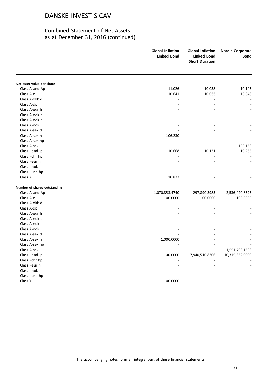|                              | <b>Global Inflation</b><br><b>Linked Bond</b> | <b>Global Inflation</b><br><b>Linked Bond</b><br><b>Short Duration</b> | <b>Nordic Corporate</b><br><b>Bond</b> |
|------------------------------|-----------------------------------------------|------------------------------------------------------------------------|----------------------------------------|
|                              |                                               |                                                                        |                                        |
| Net asset value per share    |                                               |                                                                        |                                        |
| Class A and Ap               | 11.026                                        | 10.038                                                                 | 10.145                                 |
| Class A d                    | 10.641                                        | 10.066                                                                 | 10.048                                 |
| Class A-dkk d                |                                               |                                                                        |                                        |
| Class A-dp                   |                                               |                                                                        |                                        |
| Class A-eur h                |                                               |                                                                        |                                        |
| Class A-nok d                |                                               |                                                                        |                                        |
| Class A-nok h                |                                               |                                                                        |                                        |
| Class A-nok                  |                                               |                                                                        |                                        |
| Class A-sek d                |                                               |                                                                        |                                        |
| Class A-sek h                | 106.230                                       |                                                                        |                                        |
| Class A-sek hp               |                                               |                                                                        |                                        |
| Class A-sek                  |                                               |                                                                        | 100.153                                |
| Class I and Ip               | 10.668                                        | 10.131                                                                 | 10.265                                 |
| Class I-chf hp               |                                               |                                                                        |                                        |
| Class I-eur h                |                                               |                                                                        |                                        |
| Class I-nok                  |                                               |                                                                        |                                        |
| Class I-usd hp               |                                               |                                                                        |                                        |
| Class Y                      | 10.877                                        |                                                                        |                                        |
| Number of shares outstanding |                                               |                                                                        |                                        |
| Class A and Ap               | 1,070,853.4740                                | 297,890.3985                                                           | 2,536,420.8393                         |
| Class A d                    | 100.0000                                      | 100.0000                                                               | 100.0000                               |
| Class A-dkk d                |                                               |                                                                        |                                        |
| Class A-dp                   |                                               |                                                                        |                                        |
| Class A-eur h                |                                               |                                                                        |                                        |
| Class A-nok d                |                                               |                                                                        |                                        |
| Class A-nok h                |                                               |                                                                        |                                        |
| Class A-nok                  |                                               |                                                                        |                                        |
| Class A-sek d                |                                               |                                                                        |                                        |
| Class A-sek h                | 1,000.0000                                    |                                                                        |                                        |
| Class A-sek hp               |                                               |                                                                        |                                        |
| Class A-sek                  |                                               |                                                                        | 1,551,798.1598                         |
| Class I and Ip               | 100.0000                                      | 7,940,510.8306                                                         | 10,315,362.0000                        |
| Class I-chf hp               |                                               |                                                                        |                                        |
| Class I-eur h                |                                               |                                                                        |                                        |
| Class I-nok                  |                                               |                                                                        |                                        |
| Class I-usd hp               |                                               |                                                                        |                                        |
| Class Y                      | 100.0000                                      |                                                                        |                                        |
|                              |                                               |                                                                        |                                        |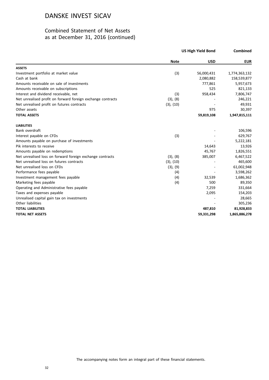|                                                             | <b>US High Yield Bond</b> |            | Combined      |
|-------------------------------------------------------------|---------------------------|------------|---------------|
|                                                             | <b>Note</b>               | <b>USD</b> | <b>EUR</b>    |
| <b>ASSETS</b>                                               |                           |            |               |
| Investment portfolio at market value                        | (3)                       | 56,000,431 | 1,774,363,132 |
| Cash at bank                                                |                           | 2,080,882  | 158,539,877   |
| Amounts receivable on sale of investments                   |                           | 777,861    | 5,957,673     |
| Amounts receivable on subscriptions                         |                           | 525        | 821,133       |
| Interest and dividend receivable, net                       | (3)                       | 958,434    | 7,806,747     |
| Net unrealised profit on forward foreign exchange contracts | (3), (8)                  |            | 246,221       |
| Net unrealised profit on futures contracts                  | (3), (10)                 |            | 49,931        |
| Other assets                                                |                           | 975        | 30,397        |
| <b>TOTAL ASSETS</b>                                         |                           | 59,819,108 | 1,947,815,111 |
| <b>LIABILITIES</b>                                          |                           |            |               |
| Bank overdraft                                              |                           |            | 106,596       |
| Interest payable on CFDs                                    | (3)                       |            | 629,767       |
| Amounts payable on purchase of investments                  |                           |            | 5,222,181     |
| Pik interests to receive                                    |                           | 14,643     | 13,926        |
| Amounts payable on redemptions                              |                           | 45,767     | 1,826,551     |
| Net unrealised loss on forward foreign exchange contracts   | (3), (8)                  | 385,007    | 6,467,522     |
| Net unrealised loss on futures contracts                    | (3), (10)                 |            | 465,600       |
| Net unrealised loss on CFDs                                 | (3), (9)                  |            | 61,002,948    |
| Performance fees payable                                    | (4)                       |            | 3,598,262     |
| Investment management fees payable                          | (4)                       | 32,539     | 1,686,362     |
| Marketing fees payable                                      | (4)                       | 500        | 89,350        |
| Operating and Administrative fees payable                   |                           | 7,259      | 331,664       |
| Taxes and expenses payable                                  |                           | 2,095      | 154,203       |
| Unrealised capital gain tax on investments                  |                           |            | 28,665        |
| Other liabilities                                           |                           |            | 305,236       |
| <b>TOTAL LIABILITIES</b>                                    |                           | 487,810    | 81,928,833    |
| <b>TOTAL NET ASSETS</b>                                     |                           | 59,331,298 | 1,865,886,278 |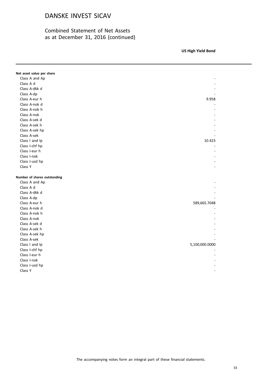# Combined Statement of Net Assets as at December 31, 2016 (continued)

**US High Yield Bond**

**Note USD EUR** 

| Net asset value per share    |                |
|------------------------------|----------------|
| Class A and Ap               |                |
| Class A d                    |                |
| Class A-dkk d                |                |
| Class A-dp                   |                |
| Class A-eur h                | 9.958          |
| Class A-nok d                |                |
| Class A-nok h                |                |
| Class A-nok                  |                |
| Class A-sek d                |                |
| Class A-sek h                |                |
| Class A-sek hp               |                |
| Class A-sek                  |                |
| Class I and Ip               | 10.423         |
| Class I-chf hp               |                |
| Class I-eur h                |                |
| Class I-nok                  |                |
| Class I-usd hp               |                |
| Class Y                      |                |
|                              |                |
| Number of shares outstanding |                |
| Class A and Ap               |                |
| Class A d                    |                |
| Class A-dkk d                |                |
| Class A-dp                   |                |
| Class A-eur h                | 589,665.7048   |
| Class A-nok d                |                |
| Class A-nok h                |                |
| Class A-nok                  |                |
| Class A-sek d                |                |
| Class A-sek h                |                |
| Class A-sek hp               |                |
| Class A-sek                  |                |
| Class I and Ip               | 5,100,000.0000 |
| Class I-chf hp               |                |
| Class I-eur h                |                |
| Class I-nok                  |                |
| Class I-usd hp               |                |
| Class Y                      |                |
|                              |                |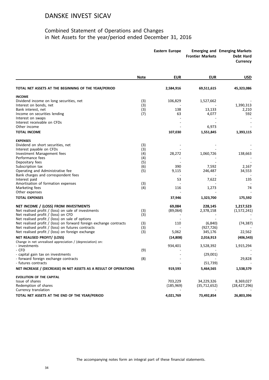# Combined Statement of Operations and Changes in Net Assets for the year/period ended December 31, 2016

|                                                                    |             | <b>Eastern Europe</b> | <b>Frontier Markets</b> | <b>Emerging and Emerging Markets</b><br>Debt Hard<br>Currency |
|--------------------------------------------------------------------|-------------|-----------------------|-------------------------|---------------------------------------------------------------|
|                                                                    | <b>Note</b> | <b>EUR</b>            | <b>EUR</b>              | <b>USD</b>                                                    |
| TOTAL NET ASSETS AT THE BEGINNING OF THE YEAR/PERIOD               |             | 2,584,916             | 69,511,615              | 45,323,086                                                    |
| <b>INCOME</b>                                                      |             |                       |                         |                                                               |
| Dividend income on long securities, net                            | (3)         | 106,829               | 1,527,662               |                                                               |
| Interest on bonds, net                                             | (3)         |                       |                         | 1,390,313                                                     |
| Bank interest, net                                                 | (3)         | 138                   | 13,133                  | 2,210                                                         |
| Income on securities lending                                       | (7)         | 63                    | 4,077                   | 592                                                           |
| Interest on swaps<br>Interest receivable on CFDs                   |             |                       |                         |                                                               |
| Other income                                                       |             |                       | 6,973                   |                                                               |
| <b>TOTAL INCOME</b>                                                |             | 107,030               | 1,551,845               | 1,393,115                                                     |
| <b>EXPENSES</b>                                                    |             |                       |                         |                                                               |
| Dividend on short securities, net                                  | (3)         |                       |                         |                                                               |
| Interest payable on CFDs                                           | (3)         |                       |                         |                                                               |
| Investment Management fees                                         | (4)         | 28,272                | 1,060,726               | 138,663                                                       |
| Performance fees                                                   | (4)         |                       |                         |                                                               |
| Depositary fees                                                    | (5)         |                       |                         |                                                               |
| Subscription tax                                                   | (6)         | 390                   | 7,592                   | 2,167                                                         |
| Operating and Administrative fee                                   | (5)         | 9,115                 | 246,487                 | 34,553                                                        |
| Bank charges and correspondent fees                                |             |                       |                         |                                                               |
| Interest paid                                                      |             | 53                    | 7,622                   | 135                                                           |
| Amortisation of formation expenses<br>Marketing fees               | (3)<br>(4)  | 116                   | 1,273                   | 74                                                            |
| Other expenses                                                     |             |                       |                         |                                                               |
| <b>TOTAL EXPENSES</b>                                              |             | 37,946                | 1,323,700               | 175,592                                                       |
| NET INCOME / (LOSS) FROM INVESTMENTS                               |             | 69,084                | 228,145                 | 1,217,523                                                     |
| Net realised profit $/$ (loss) on sale of investments              | (3)         | (89,064)              | 2,378,158               | (1,572,241)                                                   |
| Net realised profit / (loss) on CFD                                | (3)         |                       |                         |                                                               |
| Net realised profit / (loss) on sale of options                    |             |                       |                         |                                                               |
| Net realised profit / (loss) on forward foreign exchange contracts | (3)         | 110                   | (6, 840)                | (74, 387)                                                     |
| Net realised profit / (loss) on futures contracts                  | (3)         |                       | (927, 726)              |                                                               |
| Net realised profit / (loss) on foreign exchange                   | (3)         | 5,062                 | 345,176                 | 22,562                                                        |
| NET REALISED PROFIT/ (LOSS)                                        |             | (14, 808)             | 2,016,913               | (406, 543)                                                    |
| Change in net unrealised appreciation / (depreciation) on:         |             |                       |                         |                                                               |
| - investments<br>- CFD                                             | (9)         | 934,401               | 3,528,392               | 1,915,294                                                     |
| - capital gain tax on investments                                  |             |                       | (29,001)                |                                                               |
| - forward foreign exchange contracts                               | (8)         |                       |                         | 29,828                                                        |
| - futures contracts                                                |             |                       | (51, 739)               |                                                               |
| NET INCREASE / (DECREASE) IN NET ASSETS AS A RESULT OF OPERATIONS  |             | 919,593               | 5,464,565               | 1,538,579                                                     |
| <b>EVOLUTION OF THE CAPITAL</b>                                    |             |                       |                         |                                                               |
| Issue of shares                                                    |             | 703,229               | 34,229,326              | 8,369,027                                                     |
| Redemption of shares                                               |             | (185, 969)            | (35, 712, 652)          | (28, 427, 296)                                                |
| Currency translation                                               |             |                       |                         |                                                               |
| TOTAL NET ASSETS AT THE END OF THE YEAR/PERIOD                     |             | 4,021,769             | 73,492,854              | 26,803,396                                                    |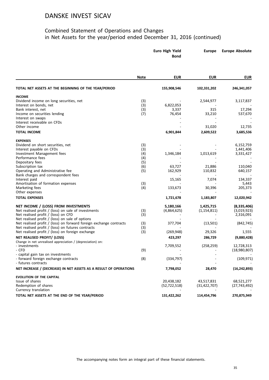# Combined Statement of Operations and Changes in Net Assets for the year/period ended December 31, 2016 (continued)

|                                                                                                                       | <b>Euro High Yield</b><br><b>Bond</b> |                | <b>Europe</b>  | <b>Europe Absolute</b> |
|-----------------------------------------------------------------------------------------------------------------------|---------------------------------------|----------------|----------------|------------------------|
|                                                                                                                       | <b>Note</b>                           | <b>EUR</b>     | <b>EUR</b>     | <b>EUR</b>             |
| TOTAL NET ASSETS AT THE BEGINNING OF THE YEAR/PERIOD                                                                  |                                       | 155,908,546    | 102,331,202    | 246,341,057            |
| <b>INCOME</b>                                                                                                         |                                       |                |                |                        |
| Dividend income on long securities, net                                                                               | (3)                                   |                | 2,544,977      | 3,117,837              |
| Interest on bonds, net                                                                                                | (3)                                   | 6,822,053      |                |                        |
| Bank interest, net                                                                                                    | (3)                                   | 3,337          | 315            | 17,294                 |
| Income on securities lending                                                                                          | (7)                                   | 76,454         | 33,210         | 537,670                |
| Interest on swaps<br>Interest receivable on CFDs                                                                      |                                       |                |                |                        |
| Other income                                                                                                          |                                       |                | 31,020         | 12,735                 |
| <b>TOTAL INCOME</b>                                                                                                   |                                       | 6,901,844      | 2,609,522      | 3,685,536              |
| <b>EXPENSES</b>                                                                                                       |                                       |                |                |                        |
| Dividend on short securities, net                                                                                     | (3)                                   |                |                | 6,152,759              |
| Interest payable on CFDs                                                                                              | (3)                                   |                |                | 1,441,406              |
| Investment Management fees                                                                                            | (4)                                   | 1,346,184      | 1,013,619      | 3,331,427              |
| Performance fees                                                                                                      | (4)                                   |                |                |                        |
| Depositary fees<br>Subscription tax                                                                                   | (5)<br>(6)                            | 63,727         | 21,886         | 110,040                |
| Operating and Administrative fee                                                                                      | (5)                                   | 162,929        | 110,832        | 640,157                |
| Bank charges and correspondent fees                                                                                   |                                       |                |                |                        |
| Interest paid                                                                                                         |                                       | 15,165         | 7,074          | 134,337                |
| Amortisation of formation expenses                                                                                    | (3)                                   |                |                | 5,443                  |
| Marketing fees                                                                                                        | (4)                                   | 133,673        | 30,396         | 205,373                |
| Other expenses<br><b>TOTAL EXPENSES</b>                                                                               |                                       | 1,721,678      | 1,183,807      | 12,020,942             |
|                                                                                                                       |                                       |                |                |                        |
| NET INCOME / (LOSS) FROM INVESTMENTS                                                                                  |                                       | 5,180,166      | 1,425,715      | (8, 335, 406)          |
| Net realised profit / (loss) on sale of investments                                                                   | (3)                                   | (4,864,625)    | (1, 154, 811)  | (3,019,923)            |
| Net realised profit / (loss) on CFD                                                                                   | (3)                                   |                |                | 2,316,091              |
| Net realised profit / (loss) on sale of options<br>Net realised profit / (loss) on forward foreign exchange contracts |                                       |                |                |                        |
| Net realised profit / (loss) on futures contracts                                                                     | (3)<br>(3)                            | 377,704        | (13,501)       | (842, 745)             |
| Net realised profit / (loss) on foreign exchange                                                                      | (3)                                   | (269, 948)     | 29,326         | 1,555                  |
| NET REALISED PROFIT/ (LOSS)                                                                                           |                                       | 423,297        | 286,729        | (9,880,428)            |
| Change in net unrealised appreciation / (depreciation) on:                                                            |                                       |                |                |                        |
| - investments                                                                                                         |                                       | 7,709,552      | (258, 259)     | 12,728,313             |
| - CFD                                                                                                                 | (9)                                   |                |                | (18,980,807)           |
| - capital gain tax on investments                                                                                     |                                       |                |                |                        |
| - forward foreign exchange contracts                                                                                  | (8)                                   | (334, 797)     |                | (109, 971)             |
| - futures contracts<br>NET INCREASE / (DECREASE) IN NET ASSETS AS A RESULT OF OPERATIONS                              |                                       | 7,798,052      | 28,470         | (16, 242, 893)         |
| <b>EVOLUTION OF THE CAPITAL</b>                                                                                       |                                       |                |                |                        |
| Issue of shares                                                                                                       |                                       | 20,438,182     | 43,517,831     | 68,521,277             |
| Redemption of shares                                                                                                  |                                       | (52, 722, 518) | (31, 422, 707) | (27,743,492)           |
| Currency translation                                                                                                  |                                       |                |                |                        |
| TOTAL NET ASSETS AT THE END OF THE YEAR/PERIOD                                                                        |                                       | 131,422,262    | 114,454,796    | 270,875,949            |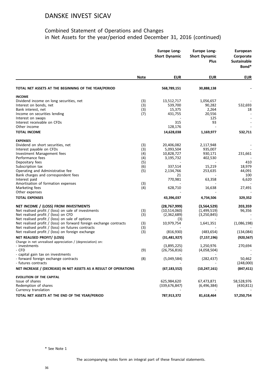# Combined Statement of Operations and Changes in Net Assets for the year/period ended December 31, 2016 (continued)

|                                                                                          |             | <b>Europe Long-</b><br><b>Short Dynamic</b> | <b>Europe Long-</b><br><b>Short Dynamic</b><br><b>Plus</b> | European<br>Corporate<br><b>Sustainable</b><br>Bond* |
|------------------------------------------------------------------------------------------|-------------|---------------------------------------------|------------------------------------------------------------|------------------------------------------------------|
|                                                                                          | <b>Note</b> | <b>EUR</b>                                  | <b>EUR</b>                                                 | <b>EUR</b>                                           |
| TOTAL NET ASSETS AT THE BEGINNING OF THE YEAR/PERIOD                                     |             | 568,789,151                                 | 30,888,138                                                 |                                                      |
| <b>INCOME</b>                                                                            |             |                                             |                                                            |                                                      |
| Dividend income on long securities, net                                                  | (3)         | 13,512,717                                  | 1,056,657                                                  |                                                      |
| Interest on bonds, net                                                                   | (3)         | 539,700                                     | 90,282                                                     | 532,693                                              |
| Bank interest, net                                                                       | (3)         | 15,375                                      | 2,264                                                      | 18                                                   |
| Income on securities lending                                                             | (7)         | 431,755                                     | 20,556                                                     |                                                      |
| Interest on swaps                                                                        |             |                                             | 125                                                        |                                                      |
| Interest receivable on CFDs                                                              |             | 315                                         | 93                                                         |                                                      |
| Other income                                                                             |             | 128,176                                     |                                                            |                                                      |
| <b>TOTAL INCOME</b>                                                                      |             | 14,628,038                                  | 1,169,977                                                  | 532,711                                              |
| <b>EXPENSES</b>                                                                          |             |                                             |                                                            |                                                      |
| Dividend on short securities, net                                                        | (3)         | 20,406,082                                  | 2,117,948                                                  |                                                      |
| Interest payable on CFDs                                                                 | (3)         | 5,093,504                                   | 935,007                                                    |                                                      |
| Investment Management fees                                                               | (4)         | 10,828,727                                  | 930,171                                                    | 231,661                                              |
| Performance fees                                                                         | (4)         | 3,195,732                                   | 402,530                                                    |                                                      |
| Depositary fees                                                                          | (5)         |                                             |                                                            | 410                                                  |
| Subscription tax                                                                         | (6)         | 337,514                                     | 15,219                                                     | 18,979                                               |
| Operating and Administrative fee                                                         | (5)         | 2,134,766                                   | 253,635                                                    | 44,091                                               |
| Bank charges and correspondent fees                                                      |             | 21                                          |                                                            | 100                                                  |
| Interest paid                                                                            |             | 770,981                                     | 63,358                                                     | 6,620                                                |
| Amortisation of formation expenses                                                       | (3)         |                                             |                                                            |                                                      |
| Marketing fees                                                                           | (4)         | 628,710                                     | 16,638                                                     | 27,491                                               |
| Other expenses                                                                           |             |                                             |                                                            |                                                      |
| <b>TOTAL EXPENSES</b>                                                                    |             | 43,396,037                                  | 4,734,506                                                  | 329,352                                              |
| NET INCOME / (LOSS) FROM INVESTMENTS                                                     |             | (28,767,999)                                | (3,564,529)                                                | 203,359                                              |
| Net realised profit / (loss) on sale of investments                                      | (3)         | (10,514,060)                                | (1,499,519)                                                | 96,356                                               |
| Net realised profit / (loss) on CFD                                                      | (3)         | (2,362,689)                                 | (3,250,845)                                                |                                                      |
| Net realised profit / (loss) on sale of options                                          |             | (3)                                         |                                                            |                                                      |
| Net realised profit / (loss) on forward foreign exchange contracts                       | (3)         | 10,979,754                                  | 1,641,351                                                  | (1,086,198)                                          |
| Net realised profit / (loss) on futures contracts                                        | (3)         |                                             |                                                            |                                                      |
| Net realised profit / (loss) on foreign exchange                                         | (3)         | (816,930)                                   | (483, 654)                                                 | (134,084)                                            |
| NET REALISED PROFIT/ (LOSS)                                                              |             | (31, 481, 927)                              | (7, 157, 196)                                              | (920, 567)                                           |
| Change in net unrealised appreciation / (depreciation) on:                               |             |                                             |                                                            |                                                      |
| - investments                                                                            |             | (3,895,225)                                 | 1,250,976                                                  | 270,694                                              |
| - CFD                                                                                    | (9)         | (26, 756, 816)                              | (4,058,504)                                                |                                                      |
| - capital gain tax on investments                                                        |             |                                             |                                                            |                                                      |
| - forward foreign exchange contracts                                                     | (8)         | (5,049,584)                                 | (282, 437)                                                 | 50,462                                               |
| - futures contracts<br>NET INCREASE / (DECREASE) IN NET ASSETS AS A RESULT OF OPERATIONS |             | (67, 183, 552)                              | (10, 247, 161)                                             | (248,000)<br>(847, 411)                              |
|                                                                                          |             |                                             |                                                            |                                                      |
| <b>EVOLUTION OF THE CAPITAL</b>                                                          |             |                                             |                                                            |                                                      |
| Issue of shares                                                                          |             | 625,984,620                                 | 67,473,871                                                 | 58,528,976                                           |
| Redemption of shares                                                                     |             | (339, 676, 847)                             | (6,496,384)                                                | (430,811)                                            |
| Currency translation                                                                     |             |                                             |                                                            |                                                      |
| TOTAL NET ASSETS AT THE END OF THE YEAR/PERIOD                                           |             | 787,913,372                                 | 81,618,464                                                 | 57,250,754                                           |

\* See Note 1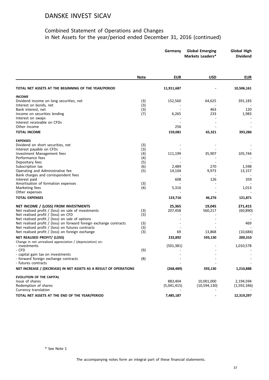#### Combined Statement of Operations and Changes in Net Assets for the year/period ended December 31, 2016 (continued)

|                                                                                                                       |             | Germany     | <b>Global Emerging</b><br>Markets Leaders* | <b>Global High</b><br><b>Dividend</b> |
|-----------------------------------------------------------------------------------------------------------------------|-------------|-------------|--------------------------------------------|---------------------------------------|
|                                                                                                                       |             |             |                                            |                                       |
|                                                                                                                       | <b>Note</b> | <b>EUR</b>  | <b>USD</b>                                 | <b>EUR</b>                            |
| TOTAL NET ASSETS AT THE BEGINNING OF THE YEAR/PERIOD                                                                  |             | 11,911,687  |                                            | 10,506,161                            |
| <b>INCOME</b>                                                                                                         |             |             |                                            |                                       |
| Dividend income on long securities, net                                                                               | (3)         | 152,560     | 64,625                                     | 391,183                               |
| Interest on bonds, net<br>Bank interest, net                                                                          | (3)<br>(3)  |             | 463                                        | 120                                   |
| Income on securities lending                                                                                          | (7)         | 6,265       | 233                                        | 1,983                                 |
| Interest on swaps                                                                                                     |             |             |                                            |                                       |
| Interest receivable on CFDs                                                                                           |             |             |                                            |                                       |
| Other income                                                                                                          |             | 256         |                                            |                                       |
| <b>TOTAL INCOME</b>                                                                                                   |             | 159,081     | 65,321                                     | 393,286                               |
| <b>EXPENSES</b>                                                                                                       |             |             |                                            |                                       |
| Dividend on short securities, net                                                                                     | (3)         |             |                                            |                                       |
| Interest payable on CFDs                                                                                              | (3)         |             |                                            |                                       |
| Investment Management fees                                                                                            | (4)         | 111,199     | 35,907                                     | 105,744                               |
| Performance fees<br>Depositary fees                                                                                   | (4)<br>(5)  |             |                                            |                                       |
| Subscription tax                                                                                                      | (6)         | 2,489       | 270                                        | 1,598                                 |
| Operating and Administrative fee                                                                                      | (5)         | 14,104      | 9,973                                      | 13,157                                |
| Bank charges and correspondent fees                                                                                   |             |             |                                            |                                       |
| Interest paid                                                                                                         |             | 608         | 126                                        | 359                                   |
| Amortisation of formation expenses                                                                                    | (3)         |             |                                            |                                       |
| Marketing fees                                                                                                        | (4)         | 5,316       |                                            | 1,013                                 |
| Other expenses                                                                                                        |             |             |                                            |                                       |
| <b>TOTAL EXPENSES</b>                                                                                                 |             | 133,716     | 46,276                                     | 121,871                               |
| NET INCOME / (LOSS) FROM INVESTMENTS                                                                                  |             | 25,365      | 19,045                                     | 271,415                               |
| Net realised profit $/$ (loss) on sale of investments                                                                 | (3)         | 207,458     | 560,217                                    | (60, 890)                             |
| Net realised profit / (loss) on CFD                                                                                   | (3)         |             |                                            |                                       |
| Net realised profit / (loss) on sale of options<br>Net realised profit / (loss) on forward foreign exchange contracts |             |             |                                            | 469                                   |
| Net realised profit / (loss) on futures contracts                                                                     | (3)<br>(3)  |             |                                            |                                       |
| Net realised profit / (loss) on foreign exchange                                                                      | (3)         | 69          | 13,868                                     | (10, 684)                             |
| NET REALISED PROFIT/ (LOSS)                                                                                           |             | 232,892     | 593,130                                    | 200,310                               |
| Change in net unrealised appreciation / (depreciation) on:                                                            |             |             |                                            |                                       |
| - investments                                                                                                         |             | (501, 381)  |                                            | 1,010,578                             |
| - CFD<br>- capital gain tax on investments                                                                            | (9)         |             |                                            |                                       |
| - forward foreign exchange contracts                                                                                  | (8)         |             |                                            |                                       |
| - futures contracts                                                                                                   |             |             |                                            |                                       |
| NET INCREASE / (DECREASE) IN NET ASSETS AS A RESULT OF OPERATIONS                                                     |             | (268, 489)  | 593,130                                    | 1,210,888                             |
| <b>EVOLUTION OF THE CAPITAL</b>                                                                                       |             |             |                                            |                                       |
| Issue of shares                                                                                                       |             | 883,404     | 10,001,000                                 | 2,194,594                             |
| Redemption of shares<br>Currency translation                                                                          |             | (5,041,415) | (10,594,130)                               | (1,592,346)                           |
| TOTAL NET ASSETS AT THE END OF THE YEAR/PERIOD                                                                        |             | 7,485,187   |                                            | 12,319,297                            |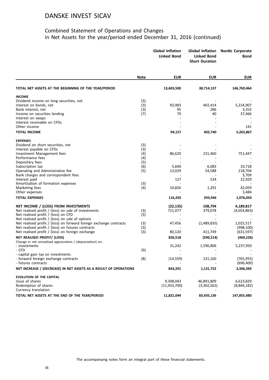#### Combined Statement of Operations and Changes in Net Assets for the year/period ended December 31, 2016 (continued)

|                                                                    |             | <b>Global Inflation</b><br><b>Linked Bond</b> | <b>Global Inflation</b><br><b>Linked Bond</b><br><b>Short Duration</b> | <b>Nordic Corporate</b><br>Bond |
|--------------------------------------------------------------------|-------------|-----------------------------------------------|------------------------------------------------------------------------|---------------------------------|
|                                                                    | <b>Note</b> | <b>EUR</b>                                    | <b>EUR</b>                                                             | <b>EUR</b>                      |
| TOTAL NET ASSETS AT THE BEGINNING OF THE YEAR/PERIOD               |             | 13,603,500                                    | 38,714,137                                                             | 146,769,464                     |
| <b>INCOME</b>                                                      |             |                                               |                                                                        |                                 |
| Dividend income on long securities, net                            | (3)         |                                               |                                                                        |                                 |
| Interest on bonds, net                                             | (3)         | 93,983                                        | 402,414                                                                | 5,224,907                       |
| Bank interest, net                                                 | (3)         | 95                                            | 286                                                                    | 3,353                           |
| Income on securities lending                                       | (7)         | 79                                            | 40                                                                     | 37,466                          |
| Interest on swaps                                                  |             |                                               |                                                                        |                                 |
| Interest receivable on CFDs                                        |             |                                               |                                                                        |                                 |
| Other income                                                       |             |                                               |                                                                        | 141                             |
| <b>TOTAL INCOME</b>                                                |             | 94,157                                        | 402,740                                                                | 5,265,867                       |
| <b>EXPENSES</b>                                                    |             |                                               |                                                                        |                                 |
| Dividend on short securities, net                                  | (3)         |                                               |                                                                        |                                 |
| Interest payable on CFDs                                           | (3)         |                                               |                                                                        |                                 |
| Investment Management fees                                         | (4)         | 86,620                                        | 231,460                                                                | 751,447                         |
| Performance fees                                                   | (4)         |                                               |                                                                        |                                 |
| Depositary fees                                                    | (5)         |                                               |                                                                        |                                 |
| Subscription tax                                                   | (6)         | 5,690                                         | 6,083                                                                  | 33,718                          |
| Operating and Administrative fee                                   | (5)         | 13,029                                        | 54,588                                                                 | 218,704                         |
| Bank charges and correspondent fees                                |             |                                               |                                                                        | 3,709                           |
| Interest paid                                                      |             | 127                                           | 524                                                                    | 22,929                          |
| Amortisation of formation expenses                                 | (3)         |                                               |                                                                        |                                 |
| Marketing fees                                                     | (4)         | 10,826                                        | 1,291                                                                  | 42,059                          |
| Other expenses                                                     |             |                                               |                                                                        | 3,484                           |
| <b>TOTAL EXPENSES</b>                                              |             | 116,292                                       | 293,946                                                                | 1,076,050                       |
| NET INCOME / (LOSS) FROM INVESTMENTS                               |             | (22, 135)                                     | 108,794                                                                | 4,189,817                       |
| Net realised profit / (loss) on sale of investments                | (3)         | 721,077                                       | 379,078                                                                | (4,054,863)                     |
| Net realised profit / (loss) on CFD                                | (3)         |                                               |                                                                        |                                 |
| Net realised profit / (loss) on sale of options                    |             |                                               |                                                                        |                                 |
| Net realised profit / (loss) on forward foreign exchange contracts | (3)         | 47,456                                        | (1,489,835)                                                            | 1,025,517                       |
| Net realised profit / (loss) on futures contracts                  | (3)         |                                               |                                                                        | (998, 100)                      |
| Net realised profit / (loss) on foreign exchange                   | (3)         | 80,120                                        | 411,749                                                                | (631, 597)                      |
| NET REALISED PROFIT/ (LOSS)                                        |             | 826,518                                       | (590, 214)                                                             | (469, 226)                      |
| Change in net unrealised appreciation / (depreciation) on:         |             |                                               |                                                                        |                                 |
| - investments<br>- CFD                                             |             | 31,242                                        | 1,590,806                                                              | 5,237,950                       |
| - capital gain tax on investments                                  | (9)         |                                               |                                                                        |                                 |
| - forward foreign exchange contracts                               | (8)         | (14, 559)                                     | 131,160                                                                | (765, 955)                      |
| - futures contracts                                                |             |                                               |                                                                        | (696, 400)                      |
| NET INCREASE / (DECREASE) IN NET ASSETS AS A RESULT OF OPERATIONS  |             | 843,201                                       | 1,131,752                                                              | 3,306,369                       |
|                                                                    |             |                                               |                                                                        |                                 |
| <b>EVOLUTION OF THE CAPITAL</b>                                    |             |                                               |                                                                        |                                 |
| Issue of shares                                                    |             | 9,308,043                                     | 46,891,809                                                             | 6,623,829                       |
| Redemption of shares<br>Currency translation                       |             | (11,933,700)                                  | (3,302,562)                                                            | (8,844,182)                     |
|                                                                    |             |                                               |                                                                        |                                 |
| TOTAL NET ASSETS AT THE END OF THE YEAR/PERIOD                     |             | 11,821,044                                    | 83,435,136                                                             | 147,855,480                     |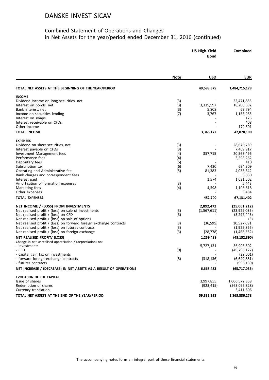#### Combined Statement of Operations and Changes in Net Assets for the year/period ended December 31, 2016 (continued)

| <b>US High Yield</b> | <b>Combined</b> |
|----------------------|-----------------|
| <b>Bond</b>          |                 |
|                      |                 |

|                                                                    | <b>Note</b> | <b>USD</b>  | <b>EUR</b>     |
|--------------------------------------------------------------------|-------------|-------------|----------------|
| TOTAL NET ASSETS AT THE BEGINNING OF THE YEAR/PERIOD               |             | 49,588,375  | 1,484,715,178  |
| <b>INCOME</b>                                                      |             |             |                |
| Dividend income on long securities, net                            | (3)         |             | 22,471,885     |
| Interest on bonds, net                                             | (3)         | 3,335,597   | 18,200,692     |
| Bank interest, net                                                 | (3)         | 5,808       | 63,794         |
| Income on securities lending                                       | (7)         | 3,767       | 1,153,985      |
| Interest on swaps                                                  |             |             | 125            |
| Interest receivable on CFDs                                        |             |             | 408            |
| Other income                                                       |             |             | 179,301        |
| <b>TOTAL INCOME</b>                                                |             | 3,345,172   | 42,070,190     |
| <b>EXPENSES</b>                                                    |             |             |                |
| Dividend on short securities, net                                  | (3)         |             | 28,676,789     |
| Interest payable on CFDs                                           | (3)         |             | 7,469,917      |
| Investment Management fees                                         | (4)         | 357,715     | 20,563,496     |
| Performance fees                                                   | (4)         |             | 3,598,262      |
| Depositary fees                                                    | (5)         |             | 410            |
| Subscription tax                                                   | (6)         | 7,430       | 634,309        |
| Operating and Administrative fee                                   | (5)         | 81,383      | 4,035,342      |
| Bank charges and correspondent fees                                |             |             | 3,830          |
| Interest paid                                                      |             | 1,574       | 1,031,502      |
| Amortisation of formation expenses                                 | (3)         |             | 5,443          |
| Marketing fees                                                     | (4)         | 4,598       | 1,108,618      |
| Other expenses                                                     |             |             | 3,484          |
| <b>TOTAL EXPENSES</b>                                              |             | 452,700     | 67,131,402     |
| NET INCOME / (LOSS) FROM INVESTMENTS                               |             | 2,892,472   | (25,061,212)   |
| Net realised profit / (loss) on sale of investments                | (3)         | (1,567,611) | (23,929,035)   |
| Net realised profit / (loss) on CFD                                | (3)         |             | (3, 297, 443)  |
| Net realised profit / (loss) on sale of options                    |             |             | (3)            |
| Net realised profit / (loss) on forward foreign exchange contracts | (3)         | (36, 595)   | 10,527,691     |
| Net realised profit / (loss) on futures contracts                  | (3)         |             | (1,925,826)    |
| Net realised profit / (loss) on foreign exchange                   | (3)         | (28, 778)   | (1,466,562)    |
| NET REALISED PROFIT/ (LOSS)                                        |             | 1,259,488   | (45, 152, 390) |
| Change in net unrealised appreciation / (depreciation) on:         |             |             |                |
| - investments                                                      |             | 5,727,131   | 36,906,502     |
| - CFD                                                              | (9)         |             | (49, 796, 127) |
| - capital gain tax on investments                                  |             |             | (29,001)       |
| - forward foreign exchange contracts                               | (8)         | (318, 136)  | (6,649,881)    |
| - futures contracts                                                |             |             | (996, 139)     |
| NET INCREASE / (DECREASE) IN NET ASSETS AS A RESULT OF OPERATIONS  |             | 6,668,483   | (65, 717, 036) |
| <b>EVOLUTION OF THE CAPITAL</b>                                    |             |             |                |
| Issue of shares                                                    |             | 3,997,855   | 1,006,572,358  |
| Redemption of shares                                               |             | (923, 415)  | (563,095,828)  |
| Currency translation                                               |             |             | 3,411,606      |
| TOTAL NET ASSETS AT THE END OF THE YEAR/PERIOD                     |             | 59,331,298  | 1,865,886,278  |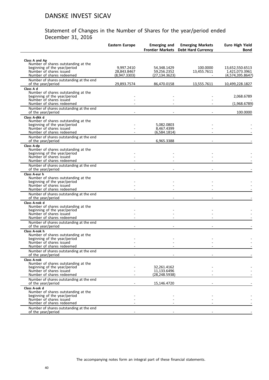|                                                                                                                                                   | <b>Eastern Europe</b>                     | <b>Emerging and</b>                          | <b>Emerging Markets</b><br><b>Frontier Markets Debt Hard Currency</b> | <b>Euro High Yield</b><br><b>Bond</b>                 |
|---------------------------------------------------------------------------------------------------------------------------------------------------|-------------------------------------------|----------------------------------------------|-----------------------------------------------------------------------|-------------------------------------------------------|
| Class A and Ap<br>Number of shares outstanding at the                                                                                             |                                           |                                              |                                                                       |                                                       |
| beginning of the year/period<br>Number of shares issued<br>Number of shares redeemed                                                              | 9,997.2410<br>28,843.8467<br>(8,947.3303) | 54,348.1429<br>59,256.2352<br>(27, 134.3623) | 100.0000<br>13,455.7611                                               | 13,652,550.6513<br>1,421,073.3961<br>(4,574,395.8647) |
| Number of shares outstanding at the end<br>of the year/period                                                                                     | 29,893.7574                               | 86,470.0158                                  | 13,555.7611                                                           | 10,499,228.1827                                       |
| Class A d<br>Number of shares outstanding at the<br>beginning of the year/period<br>Number of shares issued                                       |                                           |                                              |                                                                       | 2,068.6789                                            |
| Number of shares redeemed<br>Number of shares outstanding at the end                                                                              |                                           |                                              |                                                                       | (1,968.6789)                                          |
| of the year/period                                                                                                                                |                                           |                                              |                                                                       | 100.0000                                              |
| Class A-dkk d<br>Number of shares outstanding at the<br>beginning of the year/period<br>Number of shares issued<br>Number of shares redeemed      |                                           | 5,082.0803<br>8,467.4399<br>(6,584.1814)     |                                                                       |                                                       |
| Number of shares outstanding at the end<br>of the year/period                                                                                     |                                           | 6,965.3388                                   |                                                                       |                                                       |
| Class A-dp<br>Number of shares outstanding at the<br>beginning of the year/period<br>Number of shares issued<br>Number of shares redeemed         |                                           |                                              |                                                                       |                                                       |
| Number of shares outstanding at the end<br>of the year/period                                                                                     |                                           |                                              |                                                                       |                                                       |
| Class A-eur h<br>Number of shares outstanding at the<br>beginning of the year/period<br>Number of shares issued<br>Number of shares redeemed      |                                           |                                              |                                                                       |                                                       |
| Number of shares outstanding at the end<br>of the year/period                                                                                     |                                           |                                              |                                                                       |                                                       |
| Class A-nok d<br>Number of shares outstanding at the<br>beginning of the year/period<br>Number of shares issued<br>Number of shares redeemed      |                                           |                                              |                                                                       |                                                       |
| Number of shares outstanding at the end<br>of the year/period                                                                                     |                                           |                                              |                                                                       |                                                       |
| Class A-nok h<br>Number of shares outstanding at the<br>beginning of the year/period<br>Number of shares issued<br>Number of shares redeemed      |                                           |                                              |                                                                       |                                                       |
| Number of shares outstanding at the end<br>of the year/period                                                                                     |                                           |                                              |                                                                       |                                                       |
| <b>Class A-nok</b><br>Number of shares outstanding at the<br>beginning of the year/period<br>Number of shares issued<br>Number of shares redeemed |                                           | 32,261.4162<br>11,133.6496<br>(28, 248.5938) |                                                                       |                                                       |
| Number of shares outstanding at the end<br>of the year/period                                                                                     |                                           | 15,146.4720                                  |                                                                       |                                                       |
| Class A-sek d<br>Number of shares outstanding at the<br>beginning of the year/period<br>Number of shares issued<br>Number of shares redeemed      |                                           |                                              |                                                                       |                                                       |
| Number of shares outstanding at the end<br>of the year/period                                                                                     |                                           |                                              |                                                                       |                                                       |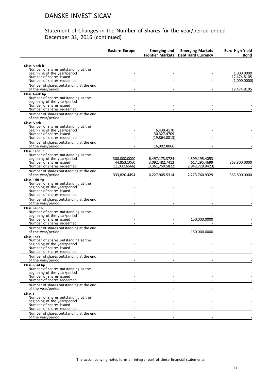|                                                                     | <b>Eastern Europe</b> | <b>Emerging and</b>       | <b>Emerging Markets</b><br>Frontier Markets Debt Hard Currency | <b>Euro High Yield</b><br>Bond |
|---------------------------------------------------------------------|-----------------------|---------------------------|----------------------------------------------------------------|--------------------------------|
| Class A-sek h                                                       |                       |                           |                                                                |                                |
| Number of shares outstanding at the                                 |                       |                           |                                                                |                                |
| beginning of the year/period<br>Number of shares issued             |                       |                           |                                                                | 1,000.0000<br>12,474.8105      |
| Number of shares redeemed                                           |                       |                           |                                                                | (1.000.0000)                   |
| Number of shares outstanding at the end<br>of the year/period       |                       |                           |                                                                | 12,474.8105                    |
| Class A-sek hp                                                      |                       |                           |                                                                |                                |
| Number of shares outstanding at the<br>beginning of the year/period |                       |                           |                                                                |                                |
| Number of shares issued                                             |                       |                           |                                                                |                                |
| Number of shares redeemed                                           |                       |                           |                                                                |                                |
| Number of shares outstanding at the end<br>of the year/period       |                       |                           |                                                                |                                |
| <b>Class A-sek</b>                                                  |                       |                           |                                                                |                                |
| Number of shares outstanding at the                                 |                       |                           |                                                                |                                |
| beginning of the year/period<br>Number of shares issued             |                       | 6,439.4170<br>30,327.4709 |                                                                |                                |
| Number of shares redeemed                                           |                       | (19,864.0813)             |                                                                |                                |
| Number of shares outstanding at the end                             |                       |                           |                                                                |                                |
| of the year/period                                                  |                       | 16,902.8066               |                                                                |                                |
| Class I and Ip<br>Number of shares outstanding at the               |                       |                           |                                                                |                                |
| beginning of the year/period                                        | 300,000.0000          | 6,497,173.3724            | 4,599,195.4053                                                 |                                |
| Number of shares issued                                             | 44,853.1060           | 3,092,482.7412            | 617,295.4699                                                   | 363,800.0000                   |
| Number of shares redeemed                                           | (11,032.6566)         | (3,361,750.5822)          | (2,942,729.9423)                                               |                                |
| Number of shares outstanding at the end<br>of the year/period       | 333,820.4494          | 6,227,905.5314            | 2,273,760.9329                                                 | 363,800.0000                   |
| Class I-chf hp                                                      |                       |                           |                                                                |                                |
| Number of shares outstanding at the<br>beginning of the year/period |                       |                           |                                                                |                                |
| Number of shares issued                                             |                       |                           |                                                                |                                |
| Number of shares redeemed                                           |                       |                           |                                                                |                                |
| Number of shares outstanding at the end<br>of the year/period       |                       |                           |                                                                |                                |
| Class I-eur h                                                       |                       |                           |                                                                |                                |
| Number of shares outstanding at the                                 |                       |                           |                                                                |                                |
| beginning of the year/period<br>Number of shares issued             |                       |                           | 150,000.0000                                                   |                                |
| Number of shares redeemed                                           |                       |                           |                                                                |                                |
| Number of shares outstanding at the end                             |                       |                           |                                                                |                                |
| of the year/period                                                  |                       |                           | 150,000.0000                                                   |                                |
| Class I-nok<br>Number of shares outstanding at the                  |                       |                           |                                                                |                                |
| beginning of the year/period                                        |                       |                           |                                                                |                                |
| Number of shares issued<br>Number of shares redeemed                |                       |                           |                                                                |                                |
| Number of shares outstanding at the end                             |                       |                           |                                                                |                                |
| of the year/period                                                  |                       |                           |                                                                |                                |
| Class I-usd hp                                                      |                       |                           |                                                                |                                |
| Number of shares outstanding at the<br>beginning of the year/period |                       |                           |                                                                |                                |
| Number of shares issued                                             |                       |                           |                                                                |                                |
| Number of shares redeemed                                           |                       |                           |                                                                |                                |
| Number of shares outstanding at the end<br>of the year/period       |                       |                           |                                                                |                                |
| Class Y                                                             |                       |                           |                                                                |                                |
| Number of shares outstanding at the                                 |                       |                           |                                                                |                                |
| beginning of the year/period                                        |                       |                           |                                                                |                                |
| Number of shares issued<br>Number of shares redeemed                |                       |                           |                                                                |                                |
| Number of shares outstanding at the end                             |                       |                           |                                                                |                                |
| of the year/period                                                  |                       |                           |                                                                |                                |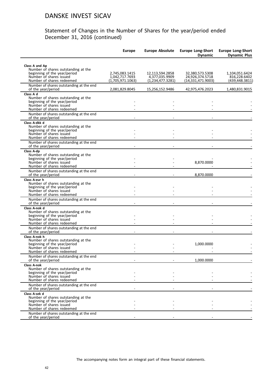|                                                                                                                                              | <b>Europe</b>                                        | <b>Europe Absolute</b>                                | <b>Europe Long-Short</b><br><b>Dynamic</b>              | <b>Europe Long-Short</b><br><b>Dynamic Plus</b>  |
|----------------------------------------------------------------------------------------------------------------------------------------------|------------------------------------------------------|-------------------------------------------------------|---------------------------------------------------------|--------------------------------------------------|
| Class A and Ap<br>Number of shares outstanding at the                                                                                        |                                                      |                                                       |                                                         |                                                  |
| beginning of the year/period<br>Number of shares issued<br>Number of shares redeemed                                                         | 2,745,083.1415<br>1,042,717.7693<br>(1,705,971.1063) | 12,113,594.2858<br>4,377,035.9909<br>(1,234,477.3281) | 32,380,573.5308<br>24,926,374.5718<br>(14,331,471.9003) | 1,104,051.6424<br>816,228.6402<br>(439,448.3811) |
| Number of shares outstanding at the end<br>of the year/period                                                                                | 2,081,829.8045                                       | 15,256,152.9486                                       | 42,975,476.2023                                         | 1,480,831.9015                                   |
| Class A d<br>Number of shares outstanding at the<br>beginning of the year/period<br>Number of shares issued                                  |                                                      |                                                       |                                                         |                                                  |
| Number of shares redeemed                                                                                                                    |                                                      |                                                       |                                                         |                                                  |
| Number of shares outstanding at the end<br>of the year/period                                                                                |                                                      |                                                       |                                                         |                                                  |
| Class A-dkk d<br>Number of shares outstanding at the<br>beginning of the year/period<br>Number of shares issued                              |                                                      |                                                       |                                                         |                                                  |
| Number of shares redeemed<br>Number of shares outstanding at the end                                                                         |                                                      |                                                       |                                                         |                                                  |
| of the year/period<br>Class A-dp                                                                                                             |                                                      |                                                       |                                                         |                                                  |
| Number of shares outstanding at the<br>beginning of the year/period<br>Number of shares issued<br>Number of shares redeemed                  |                                                      |                                                       | 8,870.0000                                              |                                                  |
| Number of shares outstanding at the end<br>of the year/period                                                                                |                                                      |                                                       | 8,870.0000                                              |                                                  |
| Class A-eur h<br>Number of shares outstanding at the<br>beginning of the year/period<br>Number of shares issued                              |                                                      |                                                       |                                                         |                                                  |
| Number of shares redeemed<br>Number of shares outstanding at the end                                                                         |                                                      |                                                       |                                                         |                                                  |
| of the year/period                                                                                                                           |                                                      |                                                       |                                                         |                                                  |
| Class A-nok d<br>Number of shares outstanding at the<br>beginning of the year/period<br>Number of shares issued<br>Number of shares redeemed |                                                      |                                                       |                                                         |                                                  |
| Number of shares outstanding at the end<br>of the year/period                                                                                |                                                      |                                                       |                                                         |                                                  |
| Class A-nok h<br>Number of shares outstanding at the                                                                                         |                                                      |                                                       |                                                         |                                                  |
| beginning of the year/period<br>Number of shares issued<br>Number of shares redeemed                                                         |                                                      |                                                       | 1,000.0000                                              |                                                  |
| Number of shares outstanding at the end<br>of the year/period                                                                                |                                                      |                                                       | 1,000.0000                                              |                                                  |
| <b>Class A-nok</b><br>Number of shares outstanding at the                                                                                    |                                                      |                                                       |                                                         |                                                  |
| beginning of the year/period<br>Number of shares issued<br>Number of shares redeemed                                                         |                                                      |                                                       |                                                         |                                                  |
| Number of shares outstanding at the end<br>of the year/period                                                                                |                                                      |                                                       |                                                         |                                                  |
| Class A-sek d<br>Number of shares outstanding at the<br>beginning of the year/period                                                         |                                                      |                                                       |                                                         |                                                  |
| Number of shares issued<br>Number of shares redeemed                                                                                         |                                                      |                                                       |                                                         |                                                  |
| Number of shares outstanding at the end<br>of the year/period                                                                                |                                                      |                                                       |                                                         |                                                  |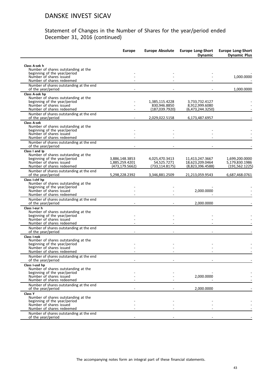|                                                                     | <b>Europe</b>                     | <b>Europe Absolute</b>         | <b>Europe Long-Short</b><br><b>Dynamic</b> | <b>Europe Long-Short</b><br><b>Dynamic Plus</b> |
|---------------------------------------------------------------------|-----------------------------------|--------------------------------|--------------------------------------------|-------------------------------------------------|
| Class A-sek h                                                       |                                   |                                |                                            |                                                 |
| Number of shares outstanding at the                                 |                                   |                                |                                            |                                                 |
| beginning of the year/period                                        |                                   |                                |                                            |                                                 |
| Number of shares issued<br>Number of shares redeemed                |                                   |                                |                                            | 1,000.0000                                      |
| Number of shares outstanding at the end<br>of the year/period       |                                   |                                |                                            | 1,000.0000                                      |
| Class A-sek hp                                                      |                                   |                                |                                            |                                                 |
| Number of shares outstanding at the<br>beginning of the year/period |                                   | 1,385,115.4228                 | 3,733,732.4127                             |                                                 |
| Number of shares issued                                             |                                   | 830.946.8850                   | 8,912,999.6080                             |                                                 |
| Number of shares redeemed                                           |                                   | (187,039.7920)                 | (6,473,244.3250)                           |                                                 |
| Number of shares outstanding at the end<br>of the year/period       |                                   | 2,029,022.5158                 | 6,173,487.6957                             |                                                 |
| <b>Class A-sek</b>                                                  |                                   |                                |                                            |                                                 |
| Number of shares outstanding at the                                 |                                   |                                |                                            |                                                 |
| beginning of the year/period<br>Number of shares issued             |                                   |                                |                                            |                                                 |
| Number of shares redeemed                                           |                                   |                                |                                            |                                                 |
| Number of shares outstanding at the end<br>of the year/period       |                                   |                                |                                            |                                                 |
| Class I and Ip                                                      |                                   |                                |                                            |                                                 |
| Number of shares outstanding at the                                 |                                   |                                |                                            |                                                 |
| beginning of the year/period<br>Number of shares issued             | 3,886,148.3853                    | 4,025,470.3413                 | 11,413,247.3667                            | 1,699,200.0000                                  |
| Number of shares redeemed                                           | 1,885,259.4201<br>(473, 179.5662) | 54,525.7271<br>(733, 114.8175) | 18,623,209.0464<br>(8,823,396.4588)        | 5,179,830.1986<br>(191, 562.1225)               |
| Number of shares outstanding at the end                             |                                   |                                |                                            |                                                 |
| of the year/period                                                  | 5,298,228.2392                    | 3,346,881.2509                 | 21,213,059.9543                            | 6,687,468.0761                                  |
| Class I-chf hp                                                      |                                   |                                |                                            |                                                 |
| Number of shares outstanding at the<br>beginning of the year/period |                                   |                                |                                            |                                                 |
| Number of shares issued                                             |                                   |                                | 2,000.0000                                 |                                                 |
| Number of shares redeemed                                           |                                   |                                |                                            |                                                 |
| Number of shares outstanding at the end<br>of the year/period       |                                   |                                | 2,000.0000                                 |                                                 |
| Class I-eur h                                                       |                                   |                                |                                            |                                                 |
| Number of shares outstanding at the                                 |                                   |                                |                                            |                                                 |
| beginning of the year/period<br>Number of shares issued             |                                   |                                |                                            |                                                 |
| Number of shares redeemed                                           |                                   |                                |                                            |                                                 |
| Number of shares outstanding at the end                             |                                   |                                |                                            |                                                 |
| of the year/period<br>Class I-nok                                   |                                   |                                |                                            |                                                 |
| Number of shares outstanding at the                                 |                                   |                                |                                            |                                                 |
| beginning of the year/period                                        |                                   |                                |                                            |                                                 |
| Number of shares issued<br>Number of shares redeemed                |                                   |                                |                                            |                                                 |
| Number of shares outstanding at the end                             |                                   |                                |                                            |                                                 |
| of the year/period<br>Class I-usd hp                                |                                   |                                |                                            |                                                 |
| Number of shares outstanding at the                                 |                                   |                                |                                            |                                                 |
| beginning of the year/period<br>Number of shares issued             |                                   |                                |                                            |                                                 |
| Number of shares redeemed                                           |                                   |                                | 2,000.0000                                 |                                                 |
| Number of shares outstanding at the end                             |                                   |                                |                                            |                                                 |
| of the year/period                                                  |                                   |                                | 2,000.0000                                 |                                                 |
| Class Y<br>Number of shares outstanding at the                      |                                   |                                |                                            |                                                 |
| beginning of the year/period                                        |                                   |                                |                                            |                                                 |
| Number of shares issued<br>Number of shares redeemed                |                                   |                                |                                            |                                                 |
| Number of shares outstanding at the end                             |                                   |                                |                                            |                                                 |
| of the year/period                                                  |                                   |                                |                                            |                                                 |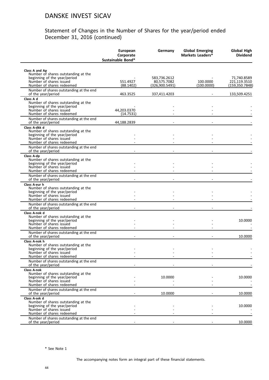#### Statement of Changes in the Number of Shares for the year/period ended December 31, 2016 (continued)

|                                                                                                                                                   | <b>European</b><br>Corporate<br>Sustainable Bond* | Germany                                       | <b>Global Emerging</b><br>Markets Leaders* | Global High<br><b>Dividend</b>                |
|---------------------------------------------------------------------------------------------------------------------------------------------------|---------------------------------------------------|-----------------------------------------------|--------------------------------------------|-----------------------------------------------|
|                                                                                                                                                   |                                                   |                                               |                                            |                                               |
| Class A and Ap<br>Number of shares outstanding at the<br>beginning of the year/period<br>Number of shares issued<br>Number of shares redeemed     | 551.4927<br>(88.1402)                             | 583,736.2612<br>80,575.7082<br>(326,900.5491) | 100.0000<br>(100.0000)                     | 71,740.8589<br>221,119.3510<br>(159,350.7848) |
| Number of shares outstanding at the end<br>of the year/period                                                                                     | 463.3525                                          | 337,411.4203                                  |                                            | 133,509.4251                                  |
| Class A d<br>Number of shares outstanding at the<br>beginning of the year/period<br>Number of shares issued<br>Number of shares redeemed          | 44,203.0370<br>(14.7531)                          |                                               |                                            |                                               |
| Number of shares outstanding at the end<br>of the year/period                                                                                     | 44,188.2839                                       |                                               |                                            |                                               |
| Class A-dkk d<br>Number of shares outstanding at the<br>beginning of the year/period<br>Number of shares issued<br>Number of shares redeemed      |                                                   |                                               |                                            |                                               |
| Number of shares outstanding at the end<br>of the year/period                                                                                     |                                                   |                                               |                                            |                                               |
| Class A-dp<br>Number of shares outstanding at the<br>beginning of the year/period<br>Number of shares issued<br>Number of shares redeemed         |                                                   |                                               |                                            |                                               |
| Number of shares outstanding at the end<br>of the year/period                                                                                     |                                                   |                                               |                                            |                                               |
| Class A-eur h<br>Number of shares outstanding at the<br>beginning of the year/period<br>Number of shares issued<br>Number of shares redeemed      |                                                   |                                               |                                            |                                               |
| Number of shares outstanding at the end<br>of the year/period                                                                                     |                                                   |                                               |                                            |                                               |
| Class A-nok d<br>Number of shares outstanding at the<br>beginning of the year/period<br>Number of shares issued<br>Number of shares redeemed      |                                                   |                                               |                                            | 10.0000                                       |
| Number of shares outstanding at the end<br>of the year/period                                                                                     |                                                   |                                               |                                            | 10.0000                                       |
| Class A-nok h<br>Number of shares outstanding at the<br>beginning of the year/period<br>Number of shares issued<br>Number of shares redeemed      |                                                   |                                               |                                            |                                               |
| Number of shares outstanding at the end<br>of the year/period                                                                                     |                                                   |                                               |                                            |                                               |
| <b>Class A-nok</b><br>Number of shares outstanding at the<br>beginning of the year/period<br>Number of shares issued<br>Number of shares redeemed |                                                   | 10.0000                                       |                                            | 10.0000                                       |
| Number of shares outstanding at the end<br>of the year/period                                                                                     |                                                   | 10.0000                                       |                                            | 10.0000                                       |
| Class A-sek d<br>Number of shares outstanding at the<br>beginning of the year/period<br>Number of shares issued                                   |                                                   |                                               |                                            | 10.0000                                       |
| Number of shares redeemed<br>Number of shares outstanding at the end<br>of the year/period                                                        |                                                   |                                               |                                            | 10.0000                                       |

\* See Note 1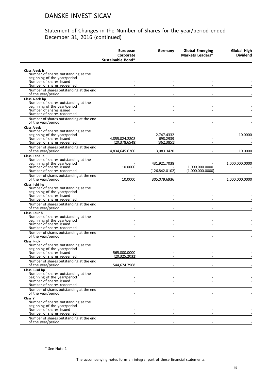|                                                                                                                             | European<br>Corporate<br>Sustainable Bond* | Germany                              | <b>Global Emerging</b><br>Markets Leaders* | <b>Global High</b><br><b>Dividend</b> |
|-----------------------------------------------------------------------------------------------------------------------------|--------------------------------------------|--------------------------------------|--------------------------------------------|---------------------------------------|
|                                                                                                                             |                                            |                                      |                                            |                                       |
| Class A-sek h<br>Number of shares outstanding at the<br>beginning of the year/period<br>Number of shares issued             |                                            |                                      |                                            |                                       |
| Number of shares redeemed                                                                                                   |                                            |                                      |                                            |                                       |
| Number of shares outstanding at the end<br>of the year/period                                                               |                                            |                                      |                                            |                                       |
| Class A-sek hp<br>Number of shares outstanding at the<br>beginning of the year/period                                       |                                            |                                      |                                            |                                       |
| Number of shares issued<br>Number of shares redeemed                                                                        |                                            |                                      |                                            |                                       |
| Number of shares outstanding at the end<br>of the year/period                                                               |                                            |                                      |                                            |                                       |
| <b>Class A-sek</b>                                                                                                          |                                            |                                      |                                            |                                       |
| Number of shares outstanding at the<br>beginning of the year/period<br>Number of shares issued<br>Number of shares redeemed | 4.855.024.2808<br>(20, 378.6548)           | 2,747.4332<br>698.2939<br>(362.3851) |                                            | 10.0000                               |
| Number of shares outstanding at the end<br>of the year/period                                                               | 4,834,645.6260                             | 3,083.3420                           |                                            | 10.0000                               |
| Class I and Ip                                                                                                              |                                            |                                      |                                            |                                       |
| Number of shares outstanding at the<br>beginning of the year/period                                                         |                                            | 431,921.7038                         |                                            | 1,000,000.0000                        |
| Number of shares issued<br>Number of shares redeemed                                                                        | 10.0000                                    | (126, 842.0102)                      | 1,000,000.0000<br>(1,000,000.0000)         |                                       |
| Number of shares outstanding at the end<br>of the year/period                                                               | 10.0000                                    | 305,079.6936                         |                                            | 1,000,000.0000                        |
| Class I-chf hp                                                                                                              |                                            |                                      |                                            |                                       |
| Number of shares outstanding at the<br>beginning of the year/period<br>Number of shares issued                              |                                            |                                      |                                            |                                       |
| Number of shares redeemed                                                                                                   |                                            |                                      |                                            |                                       |
| Number of shares outstanding at the end<br>of the year/period                                                               |                                            |                                      |                                            |                                       |
| Class I-eur h<br>Number of shares outstanding at the<br>beginning of the year/period                                        |                                            |                                      |                                            |                                       |
| Number of shares issued                                                                                                     |                                            |                                      |                                            |                                       |
| Number of shares redeemed<br>Number of shares outstanding at the end<br>of the year/period                                  |                                            |                                      |                                            |                                       |
| Class I-nok                                                                                                                 |                                            |                                      |                                            |                                       |
| Number of shares outstanding at the                                                                                         |                                            |                                      |                                            |                                       |
| beginning of the year/period<br>Number of shares issued<br>Number of shares redeemed                                        | 565,000.0000<br>(20, 325.2032)             |                                      |                                            |                                       |
| Number of shares outstanding at the end<br>of the year/period                                                               | 544,674.7968                               |                                      |                                            |                                       |
| Class I-usd hp<br>Number of shares outstanding at the                                                                       |                                            |                                      |                                            |                                       |
| beginning of the year/period                                                                                                |                                            |                                      |                                            |                                       |
| Number of shares issued<br>Number of shares redeemed                                                                        |                                            |                                      |                                            |                                       |
| Number of shares outstanding at the end<br>of the year/period                                                               |                                            |                                      |                                            |                                       |
| Class Y                                                                                                                     |                                            |                                      |                                            |                                       |
| Number of shares outstanding at the<br>beginning of the year/period                                                         |                                            |                                      |                                            |                                       |
| Number of shares issued                                                                                                     |                                            |                                      |                                            |                                       |
| Number of shares redeemed                                                                                                   |                                            |                                      |                                            |                                       |
| Number of shares outstanding at the end<br>of the year/period                                                               |                                            |                                      |                                            |                                       |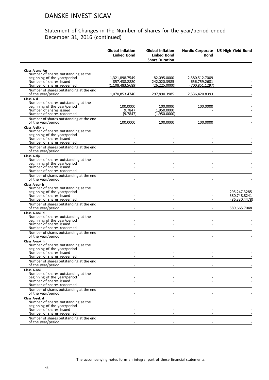| Class A and Ap<br>Number of shares outstanding at the<br>beginning of the year/period<br>1,321,898.7549<br>82,095.0000<br>2,580,512.7009<br>Number of shares issued<br>857,438.2880<br>242,020.3985<br>656,759.2681<br>Number of shares redeemed<br>(26, 225.0000)<br>(1,108,483.5689)<br>(700,851.1297)<br>Number of shares outstanding at the end<br>of the year/period<br>1,070,853.4740<br>297,890.3985<br>2,536,420.8393<br>Class A d<br>Number of shares outstanding at the<br>beginning of the year/period<br>100.0000<br>100.0000<br>100.0000<br>Number of shares issued<br>9.7847<br>1,950.0000<br>Number of shares redeemed<br>(1,950.0000)<br>(9.7847)<br>Number of shares outstanding at the end<br>of the year/period<br>100.0000<br>100.0000<br>100.0000<br>Class A-dkk d<br>Number of shares outstanding at the<br>beginning of the year/period<br>Number of shares issued<br>Number of shares redeemed<br>Number of shares outstanding at the end<br>of the year/period<br>Class A-dp<br>Number of shares outstanding at the<br>beginning of the year/period<br>Number of shares issued<br>Number of shares redeemed<br>Number of shares outstanding at the end<br>of the year/period<br>Class A-eur h<br>Number of shares outstanding at the<br>beginning of the year/period<br>Number of shares issued<br>Number of shares redeemed<br>Number of shares outstanding at the end<br>of the year/period<br>589,665.7048<br>Class A-nok d<br>Number of shares outstanding at the<br>beginning of the year/period<br>Number of shares issued<br>Number of shares redeemed<br>Number of shares outstanding at the end<br>of the year/period<br>Class A-nok h<br>Number of shares outstanding at the<br>beginning of the year/period<br>Number of shares issued<br>Number of shares redeemed<br>Number of shares outstanding at the end<br>of the year/period<br><b>Class A-nok</b><br>Number of shares outstanding at the<br>beginning of the year/period<br>Number of shares issued<br>Number of shares redeemed<br>Number of shares outstanding at the end<br>of the year/period<br>Class A-sek d<br>Number of shares outstanding at the<br>beginning of the year/period<br>Number of shares issued<br>Number of shares redeemed<br>Number of shares outstanding at the end |                    | <b>Global Inflation</b><br><b>Linked Bond</b> | <b>Global Inflation</b><br><b>Linked Bond</b><br><b>Short Duration</b> | <b>Bond</b> | Nordic Corporate US High Yield Bond |
|-------------------------------------------------------------------------------------------------------------------------------------------------------------------------------------------------------------------------------------------------------------------------------------------------------------------------------------------------------------------------------------------------------------------------------------------------------------------------------------------------------------------------------------------------------------------------------------------------------------------------------------------------------------------------------------------------------------------------------------------------------------------------------------------------------------------------------------------------------------------------------------------------------------------------------------------------------------------------------------------------------------------------------------------------------------------------------------------------------------------------------------------------------------------------------------------------------------------------------------------------------------------------------------------------------------------------------------------------------------------------------------------------------------------------------------------------------------------------------------------------------------------------------------------------------------------------------------------------------------------------------------------------------------------------------------------------------------------------------------------------------------------------------------------------------------------------------------------------------------------------------------------------------------------------------------------------------------------------------------------------------------------------------------------------------------------------------------------------------------------------------------------------------------------------------------------------------------------------------------------------------------------------------------------|--------------------|-----------------------------------------------|------------------------------------------------------------------------|-------------|-------------------------------------|
| 295,247.3285<br>380,748.8241                                                                                                                                                                                                                                                                                                                                                                                                                                                                                                                                                                                                                                                                                                                                                                                                                                                                                                                                                                                                                                                                                                                                                                                                                                                                                                                                                                                                                                                                                                                                                                                                                                                                                                                                                                                                                                                                                                                                                                                                                                                                                                                                                                                                                                                              |                    |                                               |                                                                        |             |                                     |
|                                                                                                                                                                                                                                                                                                                                                                                                                                                                                                                                                                                                                                                                                                                                                                                                                                                                                                                                                                                                                                                                                                                                                                                                                                                                                                                                                                                                                                                                                                                                                                                                                                                                                                                                                                                                                                                                                                                                                                                                                                                                                                                                                                                                                                                                                           |                    |                                               |                                                                        |             |                                     |
|                                                                                                                                                                                                                                                                                                                                                                                                                                                                                                                                                                                                                                                                                                                                                                                                                                                                                                                                                                                                                                                                                                                                                                                                                                                                                                                                                                                                                                                                                                                                                                                                                                                                                                                                                                                                                                                                                                                                                                                                                                                                                                                                                                                                                                                                                           |                    |                                               |                                                                        |             |                                     |
|                                                                                                                                                                                                                                                                                                                                                                                                                                                                                                                                                                                                                                                                                                                                                                                                                                                                                                                                                                                                                                                                                                                                                                                                                                                                                                                                                                                                                                                                                                                                                                                                                                                                                                                                                                                                                                                                                                                                                                                                                                                                                                                                                                                                                                                                                           |                    |                                               |                                                                        |             |                                     |
|                                                                                                                                                                                                                                                                                                                                                                                                                                                                                                                                                                                                                                                                                                                                                                                                                                                                                                                                                                                                                                                                                                                                                                                                                                                                                                                                                                                                                                                                                                                                                                                                                                                                                                                                                                                                                                                                                                                                                                                                                                                                                                                                                                                                                                                                                           |                    |                                               |                                                                        |             |                                     |
|                                                                                                                                                                                                                                                                                                                                                                                                                                                                                                                                                                                                                                                                                                                                                                                                                                                                                                                                                                                                                                                                                                                                                                                                                                                                                                                                                                                                                                                                                                                                                                                                                                                                                                                                                                                                                                                                                                                                                                                                                                                                                                                                                                                                                                                                                           |                    |                                               |                                                                        |             |                                     |
| (86, 330.4478)                                                                                                                                                                                                                                                                                                                                                                                                                                                                                                                                                                                                                                                                                                                                                                                                                                                                                                                                                                                                                                                                                                                                                                                                                                                                                                                                                                                                                                                                                                                                                                                                                                                                                                                                                                                                                                                                                                                                                                                                                                                                                                                                                                                                                                                                            |                    |                                               |                                                                        |             |                                     |
|                                                                                                                                                                                                                                                                                                                                                                                                                                                                                                                                                                                                                                                                                                                                                                                                                                                                                                                                                                                                                                                                                                                                                                                                                                                                                                                                                                                                                                                                                                                                                                                                                                                                                                                                                                                                                                                                                                                                                                                                                                                                                                                                                                                                                                                                                           |                    |                                               |                                                                        |             |                                     |
|                                                                                                                                                                                                                                                                                                                                                                                                                                                                                                                                                                                                                                                                                                                                                                                                                                                                                                                                                                                                                                                                                                                                                                                                                                                                                                                                                                                                                                                                                                                                                                                                                                                                                                                                                                                                                                                                                                                                                                                                                                                                                                                                                                                                                                                                                           |                    |                                               |                                                                        |             |                                     |
|                                                                                                                                                                                                                                                                                                                                                                                                                                                                                                                                                                                                                                                                                                                                                                                                                                                                                                                                                                                                                                                                                                                                                                                                                                                                                                                                                                                                                                                                                                                                                                                                                                                                                                                                                                                                                                                                                                                                                                                                                                                                                                                                                                                                                                                                                           |                    |                                               |                                                                        |             |                                     |
|                                                                                                                                                                                                                                                                                                                                                                                                                                                                                                                                                                                                                                                                                                                                                                                                                                                                                                                                                                                                                                                                                                                                                                                                                                                                                                                                                                                                                                                                                                                                                                                                                                                                                                                                                                                                                                                                                                                                                                                                                                                                                                                                                                                                                                                                                           |                    |                                               |                                                                        |             |                                     |
|                                                                                                                                                                                                                                                                                                                                                                                                                                                                                                                                                                                                                                                                                                                                                                                                                                                                                                                                                                                                                                                                                                                                                                                                                                                                                                                                                                                                                                                                                                                                                                                                                                                                                                                                                                                                                                                                                                                                                                                                                                                                                                                                                                                                                                                                                           |                    |                                               |                                                                        |             |                                     |
|                                                                                                                                                                                                                                                                                                                                                                                                                                                                                                                                                                                                                                                                                                                                                                                                                                                                                                                                                                                                                                                                                                                                                                                                                                                                                                                                                                                                                                                                                                                                                                                                                                                                                                                                                                                                                                                                                                                                                                                                                                                                                                                                                                                                                                                                                           |                    |                                               |                                                                        |             |                                     |
|                                                                                                                                                                                                                                                                                                                                                                                                                                                                                                                                                                                                                                                                                                                                                                                                                                                                                                                                                                                                                                                                                                                                                                                                                                                                                                                                                                                                                                                                                                                                                                                                                                                                                                                                                                                                                                                                                                                                                                                                                                                                                                                                                                                                                                                                                           |                    |                                               |                                                                        |             |                                     |
|                                                                                                                                                                                                                                                                                                                                                                                                                                                                                                                                                                                                                                                                                                                                                                                                                                                                                                                                                                                                                                                                                                                                                                                                                                                                                                                                                                                                                                                                                                                                                                                                                                                                                                                                                                                                                                                                                                                                                                                                                                                                                                                                                                                                                                                                                           |                    |                                               |                                                                        |             |                                     |
|                                                                                                                                                                                                                                                                                                                                                                                                                                                                                                                                                                                                                                                                                                                                                                                                                                                                                                                                                                                                                                                                                                                                                                                                                                                                                                                                                                                                                                                                                                                                                                                                                                                                                                                                                                                                                                                                                                                                                                                                                                                                                                                                                                                                                                                                                           |                    |                                               |                                                                        |             |                                     |
|                                                                                                                                                                                                                                                                                                                                                                                                                                                                                                                                                                                                                                                                                                                                                                                                                                                                                                                                                                                                                                                                                                                                                                                                                                                                                                                                                                                                                                                                                                                                                                                                                                                                                                                                                                                                                                                                                                                                                                                                                                                                                                                                                                                                                                                                                           |                    |                                               |                                                                        |             |                                     |
|                                                                                                                                                                                                                                                                                                                                                                                                                                                                                                                                                                                                                                                                                                                                                                                                                                                                                                                                                                                                                                                                                                                                                                                                                                                                                                                                                                                                                                                                                                                                                                                                                                                                                                                                                                                                                                                                                                                                                                                                                                                                                                                                                                                                                                                                                           |                    |                                               |                                                                        |             |                                     |
|                                                                                                                                                                                                                                                                                                                                                                                                                                                                                                                                                                                                                                                                                                                                                                                                                                                                                                                                                                                                                                                                                                                                                                                                                                                                                                                                                                                                                                                                                                                                                                                                                                                                                                                                                                                                                                                                                                                                                                                                                                                                                                                                                                                                                                                                                           |                    |                                               |                                                                        |             |                                     |
|                                                                                                                                                                                                                                                                                                                                                                                                                                                                                                                                                                                                                                                                                                                                                                                                                                                                                                                                                                                                                                                                                                                                                                                                                                                                                                                                                                                                                                                                                                                                                                                                                                                                                                                                                                                                                                                                                                                                                                                                                                                                                                                                                                                                                                                                                           |                    |                                               |                                                                        |             |                                     |
|                                                                                                                                                                                                                                                                                                                                                                                                                                                                                                                                                                                                                                                                                                                                                                                                                                                                                                                                                                                                                                                                                                                                                                                                                                                                                                                                                                                                                                                                                                                                                                                                                                                                                                                                                                                                                                                                                                                                                                                                                                                                                                                                                                                                                                                                                           |                    |                                               |                                                                        |             |                                     |
|                                                                                                                                                                                                                                                                                                                                                                                                                                                                                                                                                                                                                                                                                                                                                                                                                                                                                                                                                                                                                                                                                                                                                                                                                                                                                                                                                                                                                                                                                                                                                                                                                                                                                                                                                                                                                                                                                                                                                                                                                                                                                                                                                                                                                                                                                           |                    |                                               |                                                                        |             |                                     |
|                                                                                                                                                                                                                                                                                                                                                                                                                                                                                                                                                                                                                                                                                                                                                                                                                                                                                                                                                                                                                                                                                                                                                                                                                                                                                                                                                                                                                                                                                                                                                                                                                                                                                                                                                                                                                                                                                                                                                                                                                                                                                                                                                                                                                                                                                           |                    |                                               |                                                                        |             |                                     |
|                                                                                                                                                                                                                                                                                                                                                                                                                                                                                                                                                                                                                                                                                                                                                                                                                                                                                                                                                                                                                                                                                                                                                                                                                                                                                                                                                                                                                                                                                                                                                                                                                                                                                                                                                                                                                                                                                                                                                                                                                                                                                                                                                                                                                                                                                           |                    |                                               |                                                                        |             |                                     |
|                                                                                                                                                                                                                                                                                                                                                                                                                                                                                                                                                                                                                                                                                                                                                                                                                                                                                                                                                                                                                                                                                                                                                                                                                                                                                                                                                                                                                                                                                                                                                                                                                                                                                                                                                                                                                                                                                                                                                                                                                                                                                                                                                                                                                                                                                           |                    |                                               |                                                                        |             |                                     |
|                                                                                                                                                                                                                                                                                                                                                                                                                                                                                                                                                                                                                                                                                                                                                                                                                                                                                                                                                                                                                                                                                                                                                                                                                                                                                                                                                                                                                                                                                                                                                                                                                                                                                                                                                                                                                                                                                                                                                                                                                                                                                                                                                                                                                                                                                           |                    |                                               |                                                                        |             |                                     |
|                                                                                                                                                                                                                                                                                                                                                                                                                                                                                                                                                                                                                                                                                                                                                                                                                                                                                                                                                                                                                                                                                                                                                                                                                                                                                                                                                                                                                                                                                                                                                                                                                                                                                                                                                                                                                                                                                                                                                                                                                                                                                                                                                                                                                                                                                           |                    |                                               |                                                                        |             |                                     |
|                                                                                                                                                                                                                                                                                                                                                                                                                                                                                                                                                                                                                                                                                                                                                                                                                                                                                                                                                                                                                                                                                                                                                                                                                                                                                                                                                                                                                                                                                                                                                                                                                                                                                                                                                                                                                                                                                                                                                                                                                                                                                                                                                                                                                                                                                           |                    |                                               |                                                                        |             |                                     |
|                                                                                                                                                                                                                                                                                                                                                                                                                                                                                                                                                                                                                                                                                                                                                                                                                                                                                                                                                                                                                                                                                                                                                                                                                                                                                                                                                                                                                                                                                                                                                                                                                                                                                                                                                                                                                                                                                                                                                                                                                                                                                                                                                                                                                                                                                           |                    |                                               |                                                                        |             |                                     |
|                                                                                                                                                                                                                                                                                                                                                                                                                                                                                                                                                                                                                                                                                                                                                                                                                                                                                                                                                                                                                                                                                                                                                                                                                                                                                                                                                                                                                                                                                                                                                                                                                                                                                                                                                                                                                                                                                                                                                                                                                                                                                                                                                                                                                                                                                           |                    |                                               |                                                                        |             |                                     |
|                                                                                                                                                                                                                                                                                                                                                                                                                                                                                                                                                                                                                                                                                                                                                                                                                                                                                                                                                                                                                                                                                                                                                                                                                                                                                                                                                                                                                                                                                                                                                                                                                                                                                                                                                                                                                                                                                                                                                                                                                                                                                                                                                                                                                                                                                           |                    |                                               |                                                                        |             |                                     |
|                                                                                                                                                                                                                                                                                                                                                                                                                                                                                                                                                                                                                                                                                                                                                                                                                                                                                                                                                                                                                                                                                                                                                                                                                                                                                                                                                                                                                                                                                                                                                                                                                                                                                                                                                                                                                                                                                                                                                                                                                                                                                                                                                                                                                                                                                           |                    |                                               |                                                                        |             |                                     |
|                                                                                                                                                                                                                                                                                                                                                                                                                                                                                                                                                                                                                                                                                                                                                                                                                                                                                                                                                                                                                                                                                                                                                                                                                                                                                                                                                                                                                                                                                                                                                                                                                                                                                                                                                                                                                                                                                                                                                                                                                                                                                                                                                                                                                                                                                           |                    |                                               |                                                                        |             |                                     |
|                                                                                                                                                                                                                                                                                                                                                                                                                                                                                                                                                                                                                                                                                                                                                                                                                                                                                                                                                                                                                                                                                                                                                                                                                                                                                                                                                                                                                                                                                                                                                                                                                                                                                                                                                                                                                                                                                                                                                                                                                                                                                                                                                                                                                                                                                           |                    |                                               |                                                                        |             |                                     |
|                                                                                                                                                                                                                                                                                                                                                                                                                                                                                                                                                                                                                                                                                                                                                                                                                                                                                                                                                                                                                                                                                                                                                                                                                                                                                                                                                                                                                                                                                                                                                                                                                                                                                                                                                                                                                                                                                                                                                                                                                                                                                                                                                                                                                                                                                           |                    |                                               |                                                                        |             |                                     |
|                                                                                                                                                                                                                                                                                                                                                                                                                                                                                                                                                                                                                                                                                                                                                                                                                                                                                                                                                                                                                                                                                                                                                                                                                                                                                                                                                                                                                                                                                                                                                                                                                                                                                                                                                                                                                                                                                                                                                                                                                                                                                                                                                                                                                                                                                           |                    |                                               |                                                                        |             |                                     |
|                                                                                                                                                                                                                                                                                                                                                                                                                                                                                                                                                                                                                                                                                                                                                                                                                                                                                                                                                                                                                                                                                                                                                                                                                                                                                                                                                                                                                                                                                                                                                                                                                                                                                                                                                                                                                                                                                                                                                                                                                                                                                                                                                                                                                                                                                           |                    |                                               |                                                                        |             |                                     |
|                                                                                                                                                                                                                                                                                                                                                                                                                                                                                                                                                                                                                                                                                                                                                                                                                                                                                                                                                                                                                                                                                                                                                                                                                                                                                                                                                                                                                                                                                                                                                                                                                                                                                                                                                                                                                                                                                                                                                                                                                                                                                                                                                                                                                                                                                           | of the year/period |                                               |                                                                        |             |                                     |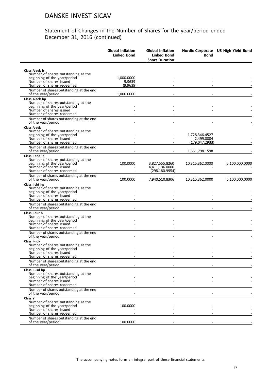|                                                                                                                                                   | <b>Global Inflation</b><br><b>Linked Bond</b> | <b>Global Inflation</b><br><b>Linked Bond</b><br><b>Short Duration</b> | <b>Bond</b>                                    | Nordic Corporate US High Yield Bond |
|---------------------------------------------------------------------------------------------------------------------------------------------------|-----------------------------------------------|------------------------------------------------------------------------|------------------------------------------------|-------------------------------------|
| Class A-sek h                                                                                                                                     |                                               |                                                                        |                                                |                                     |
| Number of shares outstanding at the<br>beginning of the year/period<br>Number of shares issued<br>Number of shares redeemed                       | 1,000.0000<br>9.9639<br>(9.9639)              |                                                                        |                                                |                                     |
| Number of shares outstanding at the end<br>of the year/period                                                                                     | 1,000.0000                                    |                                                                        |                                                |                                     |
| Class A-sek hp<br>Number of shares outstanding at the<br>beginning of the year/period<br>Number of shares issued<br>Number of shares redeemed     |                                               |                                                                        |                                                |                                     |
| Number of shares outstanding at the end<br>of the year/period                                                                                     |                                               |                                                                        |                                                |                                     |
| <b>Class A-sek</b><br>Number of shares outstanding at the<br>beginning of the year/period<br>Number of shares issued<br>Number of shares redeemed |                                               |                                                                        | 1,728,346.4527<br>2.499.0004<br>(179,047.2933) |                                     |
| Number of shares outstanding at the end<br>of the year/period                                                                                     |                                               |                                                                        | 1,551,798.1598                                 |                                     |
| Class I and Ip<br>Number of shares outstanding at the<br>beginning of the year/period<br>Number of shares issued<br>Number of shares redeemed     | 100.0000                                      | 3,827,555.8260<br>4,411,136.0000<br>(298, 180.9954)                    | 10,315,362.0000                                | 5,100,000.0000                      |
| Number of shares outstanding at the end<br>of the year/period                                                                                     | 100.0000                                      | 7,940,510.8306                                                         | 10,315,362.0000                                | 5,100,000.0000                      |
| Class I-chf hp<br>Number of shares outstanding at the<br>beginning of the year/period<br>Number of shares issued<br>Number of shares redeemed     |                                               |                                                                        |                                                |                                     |
| Number of shares outstanding at the end<br>of the year/period                                                                                     |                                               |                                                                        |                                                |                                     |
| Class I-eur h<br>Number of shares outstanding at the<br>beginning of the year/period<br>Number of shares issued<br>Number of shares redeemed      |                                               |                                                                        |                                                |                                     |
| Number of shares outstanding at the end<br>of the year/period                                                                                     |                                               |                                                                        |                                                |                                     |
| Class I-nok<br>Number of shares outstanding at the<br>beginning of the year/period<br>Number of shares issued<br>Number of shares redeemed        |                                               |                                                                        |                                                |                                     |
| Number of shares outstanding at the end<br>of the year/period                                                                                     |                                               |                                                                        |                                                |                                     |
| Class I-usd hp<br>Number of shares outstanding at the<br>beginning of the year/period<br>Number of shares issued<br>Number of shares redeemed     |                                               |                                                                        |                                                |                                     |
| Number of shares outstanding at the end<br>of the year/period                                                                                     |                                               |                                                                        |                                                |                                     |
| Class Y<br>Number of shares outstanding at the<br>beginning of the year/period<br>Number of shares issued                                         | 100.0000                                      |                                                                        |                                                |                                     |
| Number of shares redeemed<br>Number of shares outstanding at the end<br>of the year/period                                                        | 100.0000                                      |                                                                        |                                                |                                     |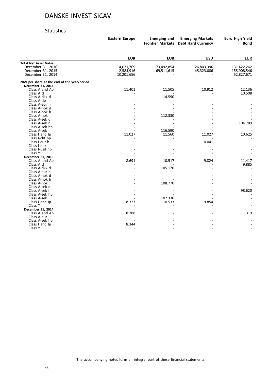#### Statistics

|                                             | <b>Eastern Europe</b> | <b>Emerging and</b> | <b>Emerging Markets</b><br>Frontier Markets Debt Hard Currency | Euro High Yield<br><b>Bond</b> |
|---------------------------------------------|-----------------------|---------------------|----------------------------------------------------------------|--------------------------------|
|                                             |                       |                     |                                                                |                                |
|                                             | <b>EUR</b>            | <b>EUR</b>          | <b>USD</b>                                                     | <b>EUR</b>                     |
| <b>Total Net Asset Value</b>                |                       |                     |                                                                |                                |
| December 31, 2016                           | 4,021,769             | 73,492,854          | 26,803,396                                                     | 131,422,262                    |
| December 31, 2015                           | 2,584,916             | 69,511,615          | 45,323,086                                                     | 155,908,546                    |
| December 31, 2014                           | 10,201,656            |                     |                                                                | 52,827,671                     |
| NAV per share at the end of the year/period |                       |                     |                                                                |                                |
| December 31, 2016                           |                       |                     |                                                                |                                |
| Class A and Ap                              | 11.401                | 11.505              | 10.912                                                         | 12.136                         |
| Class A d                                   |                       |                     |                                                                | 10.508                         |
| Class A-dkk d                               |                       | 114.590             |                                                                |                                |
| Class A-dp                                  |                       |                     |                                                                |                                |
| Class A-eur h<br>Class A-nok d              |                       |                     |                                                                |                                |
| Class A-nok h                               |                       |                     |                                                                |                                |
| Class A-nok                                 |                       | 112.330             |                                                                |                                |
| Class A-sek d                               |                       |                     |                                                                |                                |
| Class A-sek h                               |                       |                     |                                                                | 104.789                        |
| Class A-sek hp                              |                       |                     |                                                                |                                |
| Class A-sek                                 |                       | 116.590             |                                                                |                                |
| Class I and Ip                              | 11.027                | 11.560              | 11.027                                                         | 10.625                         |
| Class I-chf hp                              |                       |                     |                                                                |                                |
| Class I-eur h                               |                       |                     | 10.041                                                         |                                |
| Class I-nok                                 |                       |                     |                                                                |                                |
| Class I-usd hp                              |                       |                     |                                                                |                                |
| Class Y                                     |                       |                     |                                                                |                                |
| December 31, 2015                           |                       |                     |                                                                |                                |
| Class A and Ap                              | 8.691                 | 10.517              | 9.824                                                          | 11.417                         |
| Class A d                                   |                       |                     |                                                                | 9.885                          |
| Class A-dkk d                               |                       | 105.170             |                                                                | $\overline{\phantom{a}}$       |
| Class A-eur h                               |                       |                     |                                                                |                                |
| Class A-nok d                               |                       |                     |                                                                |                                |
| Class A-nok h                               |                       |                     |                                                                |                                |
| Class A-nok                                 |                       | 108.770             |                                                                |                                |
| Class A-sek d                               |                       |                     |                                                                |                                |
| Class A-sek h                               |                       |                     |                                                                | 98.620                         |
| Class A-sek hp                              |                       |                     |                                                                |                                |
| Class A-sek                                 |                       | 102.330             |                                                                |                                |
| Class I and Ip                              | 8.327                 | 10.533              | 9.854                                                          |                                |
| Class Y                                     |                       |                     |                                                                |                                |
| December 31, 2014                           |                       |                     |                                                                |                                |
| Class A and Ap                              | 8.788                 |                     |                                                                | 11.319                         |
| Class A-eur                                 |                       |                     |                                                                |                                |
| Class A-sek hp                              |                       |                     |                                                                |                                |
| Class I and Ip                              | 8.344                 |                     |                                                                |                                |
| Class Y                                     |                       |                     |                                                                |                                |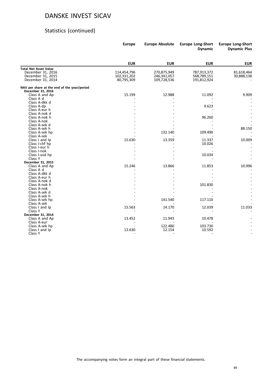### Statistics (continued)

|                                             | <b>Europe</b> | <b>Europe Absolute</b> | <b>Europe Long-Short</b><br><b>Dynamic</b> | <b>Europe Long-Short</b><br><b>Dynamic Plus</b> |
|---------------------------------------------|---------------|------------------------|--------------------------------------------|-------------------------------------------------|
|                                             |               |                        |                                            |                                                 |
|                                             | <b>EUR</b>    | <b>EUR</b>             | <b>EUR</b>                                 | <b>EUR</b>                                      |
| <b>Total Net Asset Value</b>                |               |                        |                                            |                                                 |
| December 31, 2016                           | 114,454,796   | 270,875,949            | 787,913,372                                | 81,618,464                                      |
| December 31, 2015                           | 102,331,202   | 246,341,057            | 568,789,151                                | 30,888,138                                      |
| December 31, 2014                           | 80,795,309    | 109,728,536            | 191,812,924                                |                                                 |
| NAV per share at the end of the year/period |               |                        |                                            |                                                 |
| December 31, 2016                           |               |                        |                                            |                                                 |
| Class A and Ap                              | 15.199        | 12.988                 | 11.092                                     | 9.909                                           |
| Class A d                                   |               |                        |                                            |                                                 |
| Class A-dkk d                               |               |                        |                                            |                                                 |
| Class A-dp                                  |               |                        | 9.623                                      |                                                 |
| Class A-eur h                               |               |                        |                                            |                                                 |
| Class A-nok d                               |               |                        |                                            |                                                 |
| Class A-nok h                               |               |                        | 96.260                                     |                                                 |
| Class A-nok                                 |               |                        |                                            |                                                 |
| Class A-sek d                               |               |                        |                                            |                                                 |
| Class A-sek h                               |               |                        |                                            | 88.150                                          |
| Class A-sek hp                              |               | 132.140                | 109.490                                    |                                                 |
| Class A-sek                                 |               |                        |                                            |                                                 |
| Class I and Ip                              | 15.630        | 13.359                 | 11.337                                     | 10.009                                          |
| Class I-chf hp                              |               |                        | 10.026                                     |                                                 |
| Class I-eur h                               |               |                        |                                            |                                                 |
| Class I-nok                                 |               |                        |                                            |                                                 |
| Class I-usd hp                              |               |                        | 10.034                                     |                                                 |
| Class Y                                     |               |                        |                                            |                                                 |
| December 31, 2015                           |               |                        |                                            |                                                 |
| Class A and Ap                              | 15.246        | 13.866                 | 11.853                                     | 10.996                                          |
| Class A d                                   |               |                        |                                            |                                                 |
| Class A-dkk d                               |               |                        |                                            |                                                 |
| Class A-eur h                               |               |                        |                                            |                                                 |
| Class A-nok d                               |               |                        |                                            |                                                 |
| Class A-nok h                               |               |                        | 101.830                                    |                                                 |
| Class A-nok                                 |               |                        |                                            |                                                 |
| Class A-sek d                               |               |                        |                                            |                                                 |
| Class A-sek h                               |               |                        |                                            |                                                 |
| Class A-sek hp                              |               | 141.540                | 117.110                                    |                                                 |
| Class A-sek                                 |               |                        |                                            |                                                 |
| Class I and Ip                              | 15.563        | 14.170                 | 12.039                                     | 11.033                                          |
| Class Y                                     |               |                        |                                            |                                                 |
| December 31, 2014                           |               |                        |                                            |                                                 |
| Class A and Ap                              | 13.452        | 11.943                 | 10.478                                     |                                                 |
| Class A-eur                                 |               |                        |                                            |                                                 |
| Class A-sek hp                              |               | 122.480                | 103.730                                    |                                                 |
| Class I and Ip                              | 13.630        | 12.154                 | 10.592                                     |                                                 |
| Class Y                                     |               |                        |                                            |                                                 |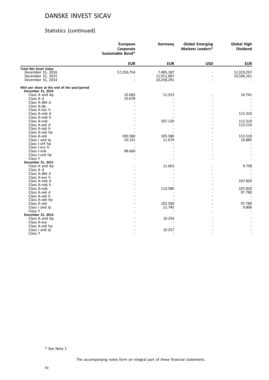### Statistics (continued)

|                                                                  | European<br>Corporate<br>Sustainable Bond* | Germany    | <b>Global Emerging</b><br>Markets Leaders* | <b>Global High</b><br><b>Dividend</b> |
|------------------------------------------------------------------|--------------------------------------------|------------|--------------------------------------------|---------------------------------------|
|                                                                  | <b>EUR</b>                                 | <b>EUR</b> | <b>USD</b>                                 | <b>EUR</b>                            |
| <b>Total Net Asset Value</b>                                     |                                            |            |                                            |                                       |
| December 31, 2016                                                | 57,250,754                                 | 7,485,187  |                                            | 12,319,297                            |
| December 31, 2015                                                |                                            | 11,911,687 |                                            | 10,506,161                            |
| December 31, 2014                                                |                                            | 10,258,291 |                                            |                                       |
| NAV per share at the end of the year/period<br>December 31, 2016 |                                            |            |                                            |                                       |
| Class A and Ap                                                   | 10.083                                     | 11.523     |                                            | 10.741                                |
| Class A d                                                        | 10.078                                     |            |                                            |                                       |
| Class A-dkk d                                                    |                                            |            |                                            |                                       |
| Class A-dp                                                       |                                            |            |                                            |                                       |
| Class A-eur h                                                    |                                            |            |                                            |                                       |
| Class A-nok d                                                    |                                            |            |                                            | 112.310                               |
| Class A-nok h                                                    |                                            |            |                                            |                                       |
| Class A-nok                                                      |                                            | 107.120    |                                            | 112.310                               |
| Class A-sek d                                                    |                                            |            |                                            | 113.510                               |
| Class A-sek h                                                    |                                            |            |                                            |                                       |
| Class A-sek hp                                                   |                                            |            |                                            |                                       |
| Class A-sek                                                      | 100.580                                    | 105.580    |                                            | 113.510                               |
| Class I and Ip                                                   | 10.131                                     | 11.679     |                                            | 10.885                                |
| Class I-chf hp                                                   |                                            |            |                                            |                                       |
| Class I-eur h                                                    |                                            |            |                                            |                                       |
| Class I-nok                                                      | 98.660                                     |            |                                            |                                       |
| Class I-usd hp                                                   |                                            |            |                                            |                                       |
| Class Y                                                          |                                            |            |                                            |                                       |
| December 31, 2015                                                |                                            |            |                                            |                                       |
| Class A and Ap                                                   |                                            | 11.663     |                                            | 9.758                                 |
| Class A d                                                        |                                            |            |                                            |                                       |
| Class A-dkk d                                                    |                                            |            |                                            |                                       |
| Class A-eur h<br>Class A-nok d                                   |                                            |            |                                            | 107.820                               |
| Class A-nok h                                                    |                                            |            |                                            |                                       |
| Class A-nok                                                      |                                            | 113.580    |                                            | 107.820                               |
| Class A-sek d                                                    |                                            |            |                                            | 97.780                                |
| Class A-sek h                                                    |                                            |            |                                            |                                       |
| Class A-sek hp                                                   |                                            |            |                                            |                                       |
| Class A-sek                                                      |                                            | 102.560    |                                            | 97.780                                |
| Class I and Ip                                                   |                                            | 11.745     |                                            | 9.806                                 |
| Class Y                                                          |                                            |            |                                            |                                       |
| December 31, 2014                                                |                                            |            |                                            |                                       |
| Class A and Ap                                                   |                                            | 10.254     |                                            |                                       |
| Class A-eur                                                      |                                            |            |                                            |                                       |
| Class A-sek hp                                                   |                                            |            |                                            |                                       |
| Class I and Ip                                                   |                                            | 10.257     |                                            |                                       |
| Class Y                                                          |                                            |            |                                            |                                       |
|                                                                  |                                            |            |                                            |                                       |

\* See Note 1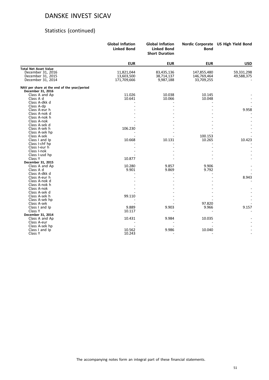# Statistics (continued)

|                                             | <b>Global Inflation</b><br><b>Linked Bond</b> | <b>Global Inflation</b><br><b>Linked Bond</b><br><b>Short Duration</b> | <b>Bond</b> | Nordic Corporate US High Yield Bond |
|---------------------------------------------|-----------------------------------------------|------------------------------------------------------------------------|-------------|-------------------------------------|
|                                             | <b>EUR</b>                                    | <b>EUR</b>                                                             | <b>EUR</b>  | <b>USD</b>                          |
| <b>Total Net Asset Value</b>                |                                               |                                                                        |             |                                     |
| December 31, 2016                           | 11,821,044                                    | 83,435,136                                                             | 147,855,480 | 59,331,298                          |
| December 31, 2015                           | 13,603,500                                    | 38,714,137                                                             | 146,769,464 | 49,588,375                          |
| December 31, 2014                           | 171,709,666                                   | 9,987,188                                                              | 33,709,255  |                                     |
| NAV per share at the end of the year/period |                                               |                                                                        |             |                                     |
| December 31, 2016                           |                                               |                                                                        |             |                                     |
| Class A and Ap                              | 11.026                                        | 10.038                                                                 | 10.145      |                                     |
| Class A d                                   | 10.641                                        | 10.066                                                                 | 10.048      |                                     |
| Class A-dkk d                               |                                               |                                                                        |             |                                     |
| Class A-dp                                  |                                               |                                                                        |             |                                     |
| Class A-eur h                               |                                               |                                                                        |             | 9.958                               |
| Class A-nok d                               |                                               |                                                                        |             |                                     |
| Class A-nok h                               |                                               |                                                                        |             |                                     |
| Class A-nok                                 |                                               |                                                                        |             |                                     |
| Class A-sek d                               |                                               |                                                                        |             |                                     |
| Class A-sek h                               | 106.230                                       |                                                                        |             |                                     |
| Class A-sek hp                              |                                               |                                                                        |             |                                     |
| Class A-sek                                 |                                               |                                                                        | 100.153     |                                     |
| Class I and Ip                              | 10.668                                        | 10.131                                                                 | 10.265      | 10.423                              |
| Class I-chf hp                              |                                               |                                                                        |             |                                     |
| Class I-eur h                               |                                               |                                                                        |             |                                     |
| Class I-nok                                 |                                               |                                                                        |             |                                     |
| Class I-usd hp                              |                                               |                                                                        |             |                                     |
| Class Y                                     | 10.877                                        |                                                                        |             |                                     |
| December 31, 2015                           |                                               |                                                                        |             |                                     |
| Class A and Ap                              | 10.280                                        | 9.857                                                                  | 9.906       |                                     |
| Class A d                                   | 9.901                                         | 9.869                                                                  | 9.792       |                                     |
| Class A-dkk d                               |                                               |                                                                        |             |                                     |
| Class A-eur h                               |                                               |                                                                        |             | 8.943                               |
| Class A-nok d                               |                                               |                                                                        |             |                                     |
| Class A-nok h                               |                                               |                                                                        |             |                                     |
| Class A-nok                                 |                                               |                                                                        |             |                                     |
| Class A-sek d                               |                                               |                                                                        |             |                                     |
| Class A-sek h                               | 99.110                                        |                                                                        |             |                                     |
| Class A-sek hp                              |                                               |                                                                        | 97.820      |                                     |
| Class A-sek                                 | 9.889                                         | 9.903                                                                  | 9.966       | 9.157                               |
| Class I and Ip<br>Class Y                   | 10.117                                        |                                                                        |             |                                     |
|                                             |                                               |                                                                        |             |                                     |
| December 31, 2014                           | 10.431                                        | 9.984                                                                  | 10.035      |                                     |
| Class A and Ap                              |                                               |                                                                        |             |                                     |
| Class A-eur                                 |                                               |                                                                        |             |                                     |
| Class A-sek hp<br>Class I and Ip            | 10.562                                        | 9.986                                                                  | 10.040      |                                     |
| Class Y                                     | 10.243                                        |                                                                        |             |                                     |
|                                             |                                               |                                                                        |             |                                     |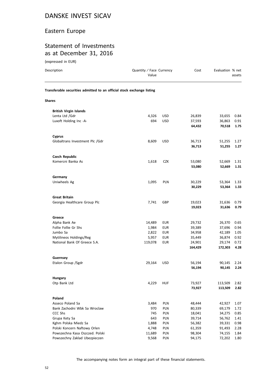### Eastern Europe

### Statement of Investments as at December 31, 2016

| Description                                                            | Quantity / Face Currency<br>Value |            | Cost    | Evaluation % net | assets |
|------------------------------------------------------------------------|-----------------------------------|------------|---------|------------------|--------|
| Transferable securities admitted to an official stock exchange listing |                                   |            |         |                  |        |
| <b>Shares</b>                                                          |                                   |            |         |                  |        |
| <b>British Virgin Islands</b>                                          |                                   |            |         |                  |        |
| Lenta Ltd /Gdr                                                         | 4,326                             | <b>USD</b> | 26,839  | 33,655           | 0.84   |
| Luxoft Holding Inc -A-                                                 | 694                               | <b>USD</b> | 37,593  | 36,863           | 0.91   |
|                                                                        |                                   |            | 64,432  | 70,518           | 1.75   |
| <b>Cyprus</b>                                                          |                                   |            |         |                  |        |
| Globaltrans Investment Plc /Gdr                                        | 8,609                             | <b>USD</b> | 36,713  | 51,255           | 1.27   |
|                                                                        |                                   |            | 36,713  | 51,255           | 1.27   |
| <b>Czech Republic</b>                                                  |                                   |            |         |                  |        |
| Komercni Banka As                                                      | 1,618                             | <b>CZK</b> | 53,080  | 52,669           | 1.31   |
|                                                                        |                                   |            | 53,080  | 52,669           | 1.31   |
| Germany                                                                |                                   |            |         |                  |        |
| Uniwheels Ag                                                           | 1,095                             | <b>PLN</b> | 30,229  | 53,364           | 1.33   |
|                                                                        |                                   |            | 30,229  | 53,364           | 1.33   |
| <b>Great Britain</b>                                                   |                                   |            |         |                  |        |
| Georgia Healthcare Group Plc                                           | 7,741                             | GBP        | 19,023  | 31,636           | 0.79   |
|                                                                        |                                   |            | 19,023  | 31,636           | 0.79   |
| Greece                                                                 |                                   |            |         |                  |        |
| Alpha Bank Ae                                                          | 14,489                            | <b>EUR</b> | 29,732  | 26,370           | 0.65   |
| Follie Follie Gr Shs                                                   | 1,984                             | <b>EUR</b> | 39,389  | 37,696           | 0.94   |
| Jumbo Sa                                                               | 2,822                             | <b>EUR</b> | 34,958  | 42,189           | 1.05   |
| Mytilineos Holdings/Reg                                                | 5,957                             | <b>EUR</b> | 35,449  | 36,874           | 0.92   |
| National Bank Of Greece S.A.                                           | 119,078                           | <b>EUR</b> | 24,901  | 29,174           | 0.72   |
|                                                                        |                                   |            | 164,429 | 172,303          | 4.28   |
| Guernsey                                                               |                                   |            |         |                  |        |
| Etalon Group /Sgdr                                                     | 29,164                            | <b>USD</b> | 56,194  | 90,145           | 2.24   |
|                                                                        |                                   |            | 56,194  | 90,145           | 2.24   |
| Hungary                                                                |                                   |            |         |                  |        |
| Otp Bank Ltd                                                           | 4,229                             | <b>HUF</b> | 73,927  | 113,509          | 2.82   |
|                                                                        |                                   |            | 73,927  | 113,509          | 2.82   |
| Poland                                                                 |                                   |            |         |                  |        |
| Asseco Poland Sa                                                       | 3,484                             | PLN        | 48,444  | 42,927           | 1.07   |
| Bank Zachodni Wbk Sa Wroclaw                                           | 970                               | PLN        | 80,339  | 69,179           | 1.72   |
| CCC Shs                                                                | 745                               | PLN        | 18,041  | 34,275           | 0.85   |
| Grupa Kety Sa                                                          | 643                               | PLN        | 39,714  | 56,762           | 1.41   |
| Kghm Polska Miedz Sa                                                   | 1,888                             | PLN        | 56,382  | 39,331           | 0.98   |
| Polski Koncern Naftowy Orlen                                           | 4,748                             | PLN        | 61,359  | 91,493           | 2.28   |
| Powszechna Kasa Oszczed. Polski                                        | 11,689                            | PLN        | 98,304  | 74,155           | 1.84   |
| Powszechny Zaklad Ubezpieczen                                          | 9,568                             | PLN        | 94,175  | 72,202           | 1.80   |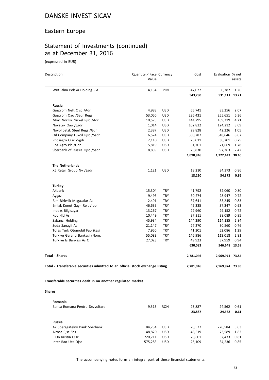#### Eastern Europe

# Statement of Investments (continued) as at December 31, 2016

(expressed in EUR)

| Description                                                                    | Quantity / Face Currency<br>Value |            | Cost              | Evaluation % net        | assets       |
|--------------------------------------------------------------------------------|-----------------------------------|------------|-------------------|-------------------------|--------------|
| Wirtualna Polska Holding S.A.                                                  | 4,154                             | PLN        | 47,022<br>543,780 | 50,787<br>531,111 13.21 | 1.26         |
|                                                                                |                                   |            |                   |                         |              |
| Russia                                                                         |                                   |            |                   |                         |              |
| Gazprom Neft Ojsc /Adr                                                         | 4,988                             | <b>USD</b> | 65,741            | 83,256                  | 2.07         |
| Gazprom Oao /Sadr Regs                                                         | 53,050                            | <b>USD</b> | 286,431           | 255,651                 | 6.36         |
| Mmc Norilsk Nickel Pjsc /Adr                                                   | 10,575                            | <b>USD</b> | 144,795           | 169,319                 | 4.21         |
| Novatek Oao /Sgdr                                                              | 1,014                             | <b>USD</b> | 102,822           | 124,212                 | 3.09         |
| Novolipetsk Steel Regs /Gdr                                                    | 2,387                             | <b>USD</b> | 29,828            | 42,226                  | 1.05         |
| Oil Company Lukoil Pjsc /Sadr                                                  | 6,524                             | <b>USD</b> | 300,787           | 348,646                 | 8.67         |
| Phosagro Ojsc /Sgdr                                                            | 2,110                             | USD        | 25,011            | 30,201                  | 0.75         |
| Ros Agro Plc /Gdr                                                              | 5,819                             | USD        | 61,701            | 71,669                  | 1.78         |
| Sberbank of Russia Ojsc /Sadr                                                  | 8,839                             | USD        | 73,830            | 97,263                  | 2.42         |
|                                                                                |                                   |            | 1,090,946         | 1,222,443 30.40         |              |
| <b>The Netherlands</b>                                                         |                                   |            |                   |                         |              |
| X5 Retail Group Nv /Sgdr                                                       | 1,121                             | <b>USD</b> | 18,210            | 34,373                  | 0.86         |
|                                                                                |                                   |            | 18,210            | 34,373                  | 0.86         |
|                                                                                |                                   |            |                   |                         |              |
| <b>Turkey</b>                                                                  |                                   |            |                   |                         |              |
| Akbank                                                                         | 15,304                            | TRY        | 41,792            | 32,060                  | 0.80         |
| Aygaz                                                                          | 9,493                             | TRY        | 30,274            | 28,947                  | 0.72         |
| Bim Birlesik Magazalar As                                                      | 2,491                             | TRY        | 37,641            | 33,245                  | 0.83         |
| Emlak Konut Gayr. Reit /Ipo                                                    | 46,639                            | TRY        | 45,335            | 37,347                  | 0.93         |
| Indeks Bilgisayar                                                              | 13,267                            | TRY        | 27,960            | 29,152                  | 0.72         |
| Koc Hld As                                                                     | 10,449                            | TRY        | 37,311            | 38,089                  | 0.95         |
| Sabanci Holding                                                                | 45,934                            | TRY        | 144,290           | 114,185                 | 2.84         |
| Soda Sanayii As                                                                | 21,147                            | TRY        | 27,270            | 30,560                  | 0.76         |
| Tofas Turk Otomobil Fabrikasi                                                  | 7,950                             | TRY        | 41,301            | 52,086                  | 1.29         |
| Turkiye Garanti Bankasi /Nom.                                                  | 55,083                            | TRY        | 146,986           | 113,018                 | 2.81         |
| Turkiye Is Bankasi As C                                                        | 27,023                            | TRY        | 49,923            | 37,959                  | 0.94         |
|                                                                                |                                   |            | 630,083           | 546,648 13.59           |              |
| <b>Total - Shares</b>                                                          |                                   |            | 2,781,046         | 2,969,974 73.85         |              |
| Total - Transferable securities admitted to an official stock exchange listing |                                   |            | 2,781,046         | 2,969,974 73.85         |              |
| Transferable securities dealt in on another regulated market                   |                                   |            |                   |                         |              |
| <b>Shares</b>                                                                  |                                   |            |                   |                         |              |
|                                                                                |                                   |            |                   |                         |              |
| <b>Romania</b><br>Banca Romana Pentru Dezvoltare                               |                                   |            | 23,887            |                         |              |
|                                                                                | 9,513                             | <b>RON</b> | 23,887            | 24,562<br>24,562        | 0.61<br>0.61 |
|                                                                                |                                   |            |                   |                         |              |
| Russia                                                                         |                                   |            |                   |                         |              |
| Ak Sberegatelny Bank Sberbank                                                  | 84,734                            | USD        | 78,577            | 226,584                 | 5.63         |
| Alrosa Cjsc Shs                                                                | 48,820                            | USD        | 46,519            | 73,589                  | 1.83         |

The accompanying notes form an integral part of these financial statements.

E.On Russia Ojsc 720,711 USD 28,601 32,433 0.81 Inter Rao Ues Ojsc 575,283 USD 25,109 34,236 0.85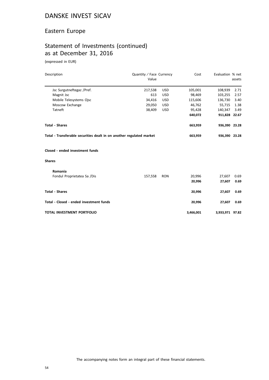### Eastern Europe

# Statement of Investments (continued) as at December 31, 2016

| Description                                                          | Quantity / Face Currency<br>Value |            | Cost      | Evaluation % net | assets |
|----------------------------------------------------------------------|-----------------------------------|------------|-----------|------------------|--------|
| Jsc Surgutneftegaz /Pref.                                            | 217,538                           | <b>USD</b> | 105,001   | 108,939          | 2.71   |
| Magnit Jsc                                                           | 613                               | <b>USD</b> | 98,469    | 103,255          | 2.57   |
| Mobile Telesystems Ojsc                                              | 34,416                            | <b>USD</b> | 115,606   | 136,730          | 3.40   |
| Moscow Exchange                                                      | 29,050                            | <b>USD</b> | 46,762    | 55,715           | 1.38   |
| Tatneft                                                              | 38,409                            | <b>USD</b> | 95,428    | 140,347          | 3.49   |
|                                                                      |                                   |            | 640,072   | 911,828 22.67    |        |
| <b>Total - Shares</b>                                                |                                   |            | 663,959   | 936,390 23.28    |        |
| Total - Transferable securities dealt in on another regulated market |                                   |            | 663,959   | 936,390 23.28    |        |
| Closed - ended investment funds                                      |                                   |            |           |                  |        |
| <b>Shares</b>                                                        |                                   |            |           |                  |        |
| Romania                                                              |                                   |            |           |                  |        |
| Fondul Proprietatea Sa /Dis                                          | 157,558                           | <b>RON</b> | 20,996    | 27,607           | 0.69   |
|                                                                      |                                   |            | 20,996    | 27,607           | 0.69   |
| <b>Total - Shares</b>                                                |                                   |            | 20,996    | 27,607           | 0.69   |
| Total - Closed - ended investment funds                              |                                   |            | 20,996    | 27,607           | 0.69   |
| TOTAL INVESTMENT PORTFOLIO                                           |                                   |            | 3,466,001 | 3,933,971 97.82  |        |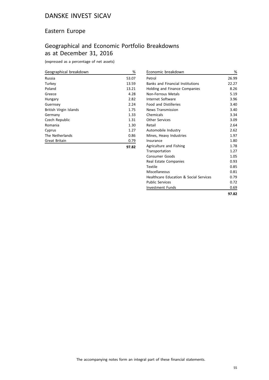### Eastern Europe

# Geographical and Economic Portfolio Breakdowns as at December 31, 2016

(expressed as a percentage of net assets)

| Geographical breakdown | %     |
|------------------------|-------|
| Russia                 | 53.07 |
| Turkey                 | 13.59 |
| Poland                 | 13.21 |
| Greece                 | 4.28  |
| Hungary                | 2.82  |
| Guernsey               | 2.24  |
| British Virgin Islands | 1.75  |
| Germany                | 1.33  |
| Czech Republic         | 1.31  |
| Romania                | 1.30  |
| Cyprus                 | 1.27  |
| The Netherlands        | 0.86  |
| <b>Great Britain</b>   | 0.79  |
|                        |       |

| Economic breakdown                                | %     |
|---------------------------------------------------|-------|
| Petrol                                            | 26.99 |
| <b>Banks and Financial Institutions</b>           | 22.27 |
| Holding and Finance Companies                     | 8.26  |
| Non-Ferrous Metals                                | 5.19  |
| Internet Software                                 | 3.96  |
| <b>Food and Distilleries</b>                      | 3.40  |
| <b>News Transmission</b>                          | 3.40  |
| Chemicals                                         | 3.34  |
| <b>Other Services</b>                             | 3.09  |
| Retail                                            | 2.64  |
| Automobile Industry                               | 2.62  |
| Mines, Heavy Industries                           | 1.97  |
| Insurance                                         | 1.80  |
| Agriculture and Fishing                           | 1.78  |
| Transportation                                    | 1.27  |
| <b>Consumer Goods</b>                             | 1.05  |
| Real Estate Companies                             | 0.93  |
| Textile                                           | 0.85  |
| Miscellaneous                                     | 0.81  |
| <b>Healthcare Education &amp; Social Services</b> | 0.79  |
| <b>Public Services</b>                            | 0.72  |
| Investment Funds                                  | 0.69  |
|                                                   | 97.82 |

**97.82**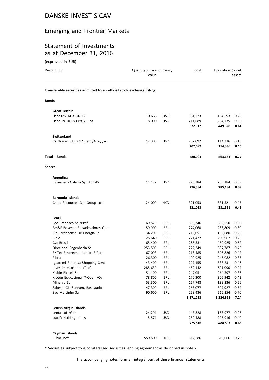### Emerging and Frontier Markets

### Statement of Investments as at December 31, 2016

(expressed in EUR)

| Description                                                            | Quantity / Face Currency<br>Value |                          | Cost               | Evaluation % net   | assets       |
|------------------------------------------------------------------------|-----------------------------------|--------------------------|--------------------|--------------------|--------------|
| Transferable securities admitted to an official stock exchange listing |                                   |                          |                    |                    |              |
| Bonds                                                                  |                                   |                          |                    |                    |              |
| <b>Great Britain</b>                                                   |                                   |                          |                    |                    |              |
| Hsbc 0% 14-31.07.17                                                    | 10,666                            | <b>USD</b>               | 161,223            | 184,593            | 0.25         |
| Hsbc 19.10.18 Cert /Bupa                                               | 8,000                             | <b>USD</b>               | 211,689            | 264,735            | 0.36         |
|                                                                        |                                   |                          | 372,912            | 449,328            | 0.61         |
| <b>Switzerland</b>                                                     |                                   |                          |                    |                    |              |
| Cs Nassau 31.07.17 Cert / Altayyar                                     | 12,300                            | <b>USD</b>               | 207,092            | 114,336            | 0.16         |
|                                                                        |                                   |                          | 207,092            | 114,336            | 0.16         |
| Total - Bonds                                                          |                                   |                          | 580,004            | 563,664            | 0.77         |
| <b>Shares</b>                                                          |                                   |                          |                    |                    |              |
| Argentina                                                              |                                   |                          |                    |                    |              |
| Financiero Galacia Sp. Adr -B-                                         | 11,172                            | <b>USD</b>               | 276,384            | 285,184            | 0.39         |
|                                                                        |                                   |                          | 276,384            | 285,184            | 0.39         |
| <b>Bermuda Islands</b>                                                 |                                   |                          |                    |                    |              |
| China Resources Gas Group Ltd                                          | 124,000                           | HKD                      | 321,053            | 331,521            | 0.45         |
|                                                                        |                                   |                          | 321,053            | 331,521            | 0.45         |
| Brazil                                                                 |                                   |                          |                    |                    |              |
| Bco Bradesco Sa /Pref.                                                 | 69,570                            | BRL                      | 386,746            | 589,550            | 0.80         |
| Bm&F Bovespa Bolsadevalores Opr                                        | 59,900                            | BRL                      | 274,060            | 288,809            | 0.39         |
| Cia Paranaense De EnergiaCia                                           | 34,200                            | BRL                      | 215,051            | 190,680            | 0.26         |
| Cielo                                                                  | 25,640                            | BRL                      | 221,477            | 208,962            | 0.28         |
| Cvc Brasil                                                             | 65,400                            | <b>BRL</b>               | 285,331            | 452,925            | 0.62         |
| Direcional Engenharia Sa                                               | 253,500                           | BRL                      | 222,249            | 337,787            | 0.46         |
| Ez Tec Empreendimentos E Par                                           | 67,093                            | <b>BRL</b>               | 213,485            | 306,826            | 0.42         |
| Fibria                                                                 | 26,300                            | BRL                      | 199,925            | 245,082            | 0.33         |
| Iguatemi Empresa Shopping Cent                                         | 43,400                            | BRL                      | 297,155            | 338,231            | 0.46         |
| Investimentos Itau /Pref.<br>Klabin Riocell Sa                         | 285,630                           | <b>BRL</b>               | 459,142            | 691,090            | 0.94         |
|                                                                        | 51,100                            | BRL                      | 247,051            | 264,597            | 0.36         |
| Kroton Educacional 7-Open / Cv<br>Minerva Sa                           | 78,800<br>53,300                  | <b>BRL</b><br><b>BRL</b> | 170,300<br>157,748 | 306,942<br>189,236 | 0.42<br>0.26 |
| Sabesp. Cia Saneam. Basestado                                          | 47,300                            | <b>BRL</b>               | 263,077            | 397,927            | 0.54         |
| Sao Martinho Sa                                                        | 90,600                            | <b>BRL</b>               | 258,436            | 516,254            | 0.70         |
|                                                                        |                                   |                          | 3,871,233          | 5,324,898          | 7.24         |
| <b>British Virgin Islands</b>                                          |                                   |                          |                    |                    |              |
| Lenta Ltd /Gdr                                                         | 24,291                            | <b>USD</b>               | 143,328            | 188,977            | 0.26         |
| Luxoft Holding Inc -A-                                                 | 5,571                             | <b>USD</b>               | 282,488            | 295,916            | 0.40         |
|                                                                        |                                   |                          | 425,816            | 484,893            | 0.66         |
| Cayman Islands                                                         |                                   |                          |                    |                    |              |
| 3Sbio Inc*                                                             | 559,500                           | HKD                      | 512,586            | 518,060            | 0.70         |
|                                                                        |                                   |                          |                    |                    |              |

\* Securities subject to a collateralized securities lending agreement as described in note 7.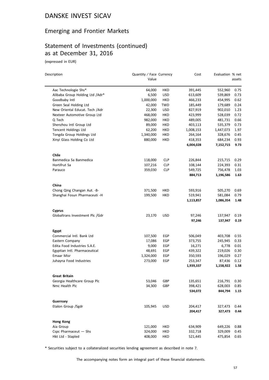### Emerging and Frontier Markets

# Statement of Investments (continued) as at December 31, 2016

(expressed in EUR)

| Description                     | Quantity / Face Currency<br>Value |            | Cost      | Evaluation % net | assets |
|---------------------------------|-----------------------------------|------------|-----------|------------------|--------|
|                                 |                                   |            |           |                  |        |
| Aac Technologie Shs*            | 64,000                            | HKD        | 391,445   | 552,960          | 0.75   |
| Alibaba Group Holding Ltd /Adr* | 6,500                             | <b>USD</b> | 613,609   | 539,869          | 0.73   |
| Goodbaby Intl                   | 1,000,000                         | <b>HKD</b> | 466,233   | 454,995          | 0.62   |
| Green Seal Holding Ltd          | 42,000                            | TWD        | 185,449   | 179,689          | 0.24   |
| New Oriental Educat. Tech /Adr  | 22,300                            | <b>USD</b> | 827,919   | 902,010          | 1.23   |
| Nexteer Automotive Group Ltd    | 468,000                           | HKD        | 423,999   | 528,039          | 0.72   |
| Q Tech                          | 982,000                           | HKD        | 489,005   | 481,731          | 0.66   |
| Shenzhou Intl Group Ltd         | 89,000                            | HKD        | 403,113   | 535,379          | 0.73   |
| Tencent Holdings Ltd            | 62,200                            | HKD        | 1,008,153 | 1,447,073        | 1.97   |
| Tongda Group Holdings Ltd       | 1,340,000                         | HKD        | 264,164   | 328,676          | 0.45   |
| Xinyi Glass Holding Co Ltd      | 880,000                           | HKD        | 418,353   | 684,234          | 0.93   |
|                                 |                                   |            | 6,004,028 | 7,152,715        | 9.73   |
| <b>Chile</b>                    |                                   |            |           |                  |        |
| Banmedica Sa Banmedica          | 118,000                           | <b>CLP</b> | 226,844   | 215,715          | 0.29   |
| Hortifrut Sa                    | 107,216                           | <b>CLP</b> | 108,144   | 224,393          | 0.31   |
| Parauco                         | 359,030                           | <b>CLP</b> | 549,725   | 756,478          | 1.03   |
|                                 |                                   |            | 884,713   | 1,196,586        | 1.63   |
| China                           |                                   |            |           |                  |        |
| Chong Qing Changan Aut. - B-    | 371,500                           | HKD        | 593,916   | 505,270          | 0.69   |
| Shanghai Fosun Pharmaceuti -H   | 199,500                           | HKD        | 519,941   | 581,084          | 0.79   |
|                                 |                                   |            | 1,113,857 | 1,086,354        | 1.48   |
| Cyprus                          |                                   |            |           |                  |        |
| Globaltrans Investment Plc /Gdr | 23,170                            | <b>USD</b> | 97,246    | 137,947          | 0.19   |
|                                 |                                   |            | 97,246    | 137,947          | 0.19   |
| Egypt                           |                                   |            |           |                  |        |
| Commercial Intl. Bank Ltd       | 107,500                           | EGP        | 506,049   | 403,708          | 0.55   |
| Eastern Company                 | 17,086                            | EGP        | 373,755   | 245,945          | 0.33   |
| Edita Food Industries S.A.E.    | 9,000                             | EGP        | 16,271    | 6,778            | 0.01   |
| Egyptian Intl. Pharmaceutical   | 48,691                            | EGP        | 439,322   | 219,026          | 0.30   |
| Emaar Misr                      | 1,324,000                         | EGP        | 350,593   | 196,029          | 0.27   |
| Juhayna Food Industries         | 273,000                           | EGP        | 253,347   | 87,436           | 0.12   |
|                                 |                                   |            | 1,939,337 | 1,158,922        | 1.58   |
| <b>Great Britain</b>            |                                   |            |           |                  |        |
| Georgia Healthcare Group Plc    | 53,046                            | GBP        | 135,651   | 216,791          | 0.30   |
| Nmc Health Plc                  | 34,300                            | GBP        | 398,421   | 628,003          | 0.85   |
|                                 |                                   |            | 534,072   | 844,794          | 1.15   |
| Guernsey                        |                                   |            |           |                  |        |
| Etalon Group /Sgdr              | 105,945                           | <b>USD</b> | 204,417   | 327,473          | 0.44   |
|                                 |                                   |            | 204,417   | 327,473          | 0.44   |
| Hong Kong                       |                                   |            |           |                  |        |
| Aia Group                       | 121,000                           | HKD        | 634,909   | 649,226          | 0.88   |
| Cspc Pharmaceut - Shs           | 324,000                           | HKD        | 332,718   | 329,009          | 0.45   |
| Hkt Ltd - Stapled               | 408,000                           | HKD        | 521,445   | 475,854          | 0.65   |

\* Securities subject to a collateralized securities lending agreement as described in note 7.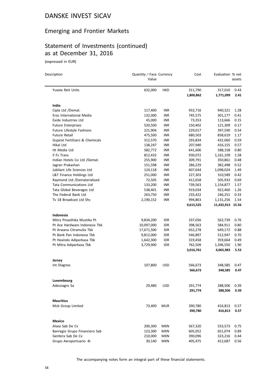### Emerging and Frontier Markets

# Statement of Investments (continued) as at December 31, 2016

(expressed in EUR)

| Description                     | Quantity / Face Currency<br>Value |            | Cost      | Evaluation % net | assets |
|---------------------------------|-----------------------------------|------------|-----------|------------------|--------|
| Yuexie Reit Units               | 632,000                           | HKD        | 311,790   | 317,010          | 0.43   |
|                                 |                                   |            | 1,800,862 | 1,771,099        | 2.41   |
| India                           |                                   |            |           |                  |        |
| Cipla Ltd /Demat.               | 117,400                           | INR        | 932,716   | 940,321          | 1.28   |
| Eros International Media        | 132,000                           | <b>INR</b> | 745,575   | 301,177          | 0.41   |
| Exide Industries Ltd            | 45,000                            | <b>INR</b> | 73,353    | 113,666          | 0.15   |
| <b>Future Enterprises</b>       | 520,500                           | INR        | 150,402   | 121,309          | 0.17   |
| Future Lifestyle Fashions       | 221,904                           | <b>INR</b> | 229,017   | 397,590          | 0.54   |
| <b>Future Retail</b>            | 475,500                           | <b>INR</b> | 680,503   | 858,619          | 1.17   |
| Gujarat Fertilizers & Chemicals | 312,570                           | <b>INR</b> | 293,834   | 432,060          | 0.59   |
| Hikal Ltd                       | 138,247                           | <b>INR</b> | 207,940   | 416,155          | 0.57   |
| Ht Media Ltd                    | 582,772                           | <b>INR</b> | 641,606   | 588,158          | 0.80   |
| Il Fs Trans                     | 812,432                           | INR        | 930,072   | 1,161,109        | 1.58   |
| Indian Hotels Co Ltd /Demat.    | 255,900                           | INR        | 309,791   | 350,861          | 0.48   |
| Jagran Prakashan                | 151,598                           | <b>INR</b> | 286,229   | 382,498          | 0.52   |
| Jubilant Life Sciences Ltd      | 124,118                           | INR        | 607,644   | 1,098,024        | 1.49   |
| L&T Finance Holdings Ltd        | 251,000                           | <b>INR</b> | 227,303   | 310,589          | 0.42   |
| Raymond Ltd /Dematerialised     | 72,505                            | <b>INR</b> | 412,658   | 505,933          | 0.69   |
| <b>Tata Communications Ltd</b>  | 133,200                           | INR.       | 739,563   | 1,154,877        | 1.57   |
| Tata Global Beverages Ltd       | 538,401                           | INR        | 919,034   | 922,460          | 1.26   |
| The Federal Bank Ltd            | 263,750                           | <b>INR</b> | 233,422   | 246,251          | 0.33   |
| Tv 18 Broadcast Ltd Shs         | 2,190,152                         | INR        | 994,863   | 1,131,256        | 1.54   |
|                                 |                                   |            | 9,615,525 | 11,432,913 15.56 |        |
| Indonesia                       |                                   |            |           |                  |        |
| Mitra Pinasthika Mustika Pt     | 9,834,200                         | IDR        | 337,056   | 562,739          | 0.76   |
| Pt Ace Hardware Indonesia Tbk   | 10,097,000                        | <b>IDR</b> | 398,563   | 584,911          | 0.80   |
| Pt Arwana Citramulia Tbk        | 17,671,500                        | <b>IDR</b> | 652,278   | 649,172          | 0.88   |
| Pt Bank Pan Indonesia Tbk       | 9,812,000                         | IDR        | 546,897   | 512,947          | 0.70   |
| Pt Hexindo Adiperkasa Tbk       | 1,642,300                         | <b>IDR</b> | 319,458   | 359,664          | 0.49   |
| Pt Mitra Adiperkasa Tbk         | 3,729,900                         | <b>IDR</b> | 762,509   | 1,396,550        | 1.90   |
|                                 |                                   |            | 3,016,761 | 4,065,983        | 5.53   |
| Jersey                          |                                   |            |           |                  |        |
| Int Diagnos                     | 107,800                           | <b>USD</b> | 566,673   | 348,585          | 0.47   |
|                                 |                                   |            | 566,673   | 348,585          | 0.47   |
| Luxembourg                      |                                   |            |           |                  |        |
| Adecoagro Sa                    | 29,480                            | <b>USD</b> | 291,774   | 288,506          | 0.39   |
|                                 |                                   |            | 291,774   | 288,506          | 0.39   |
| <b>Mauritius</b>                |                                   |            |           |                  |        |
| Mcb Group Limited               | 73,400                            | <b>MUR</b> | 390,780   | 416,813          | 0.57   |
|                                 |                                   |            | 390,780   | 416,813          | 0.57   |
| Mexico                          |                                   |            |           |                  |        |
| Alsea Sab De Cv                 | 200,300                           | MXN        | 567,320   | 553,573          | 0.75   |
| Banregio Grupo Financiero Sab   | 123,300                           | MXN        | 605,052   | 651,074          | 0.89   |
| Gentera Sab De Cv               | 210,000                           | MXN        | 390,096   | 323,216          | 0.44   |
| Grupo Aeroportuario -B-         | 30,140                            | MXN        | 405,475   | 412,687          | 0.56   |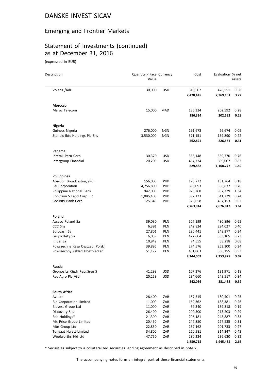### Emerging and Frontier Markets

# Statement of Investments (continued) as at December 31, 2016

(expressed in EUR)

| Description                     | Quantity / Face Currency<br>Value |            | Cost                 | Evaluation % net     | assets       |
|---------------------------------|-----------------------------------|------------|----------------------|----------------------|--------------|
| Volaris / Adr                   | 30,000                            | <b>USD</b> | 510,502<br>2,478,445 | 428,551<br>2,369,101 | 0.58<br>3.22 |
| Morocco                         |                                   |            |                      |                      |              |
| Maroc Telecom                   | 15,000                            | MAD        | 186,324<br>186,324   | 202,592<br>202,592   | 0.28<br>0.28 |
| <b>Nigeria</b>                  |                                   |            |                      |                      |              |
| Guiness Nigeria                 | 276,000                           | <b>NGN</b> | 191,673              | 66,674               | 0.09         |
| Stanbic Ibtc Holdings Plc Shs   | 3,530,000                         | <b>NGN</b> | 371,151              | 159,890              | 0.22         |
|                                 |                                   |            | 562,824              | 226,564              | 0.31         |
| Panama                          |                                   |            |                      |                      |              |
| Inretail Peru Corp              | 30,370                            | USD        | 365,148              | 559,770              | 0.76         |
| Intergroup Financial            | 20,200                            | <b>USD</b> | 464,734              | 609,007              | 0.83         |
|                                 |                                   |            | 829,882              | 1,168,777            | 1.59         |
| <b>Philippines</b>              |                                   |            |                      |                      |              |
| Abs-Cbn Broadcasting /Pdr       | 156,000                           | <b>PHP</b> | 176,772              | 131,764              | 0.18         |
| Eei Corporation                 | 4,756,800                         | <b>PHP</b> | 690,093              | 558,837              | 0.76         |
| Philippine National Bank        | 942,000                           | <b>PHP</b> | 975,268              | 987,329              | 1.34         |
| Robinson S Land Corp Rlc        | 1,085,400                         | PHP        | 592,123              | 541,729              | 0.74         |
| Security Bank Corp              | 125,340                           | <b>PHP</b> | 329,658<br>2,763,914 | 457,153<br>2,676,812 | 0.62<br>3.64 |
| Poland                          |                                   |            |                      |                      |              |
| Asseco Poland Sa                | 39,030                            | <b>PLN</b> | 507,199              | 480,896              | 0.65         |
| CCC Shs                         | 6,391                             | PLN        | 242,824              | 294,027              | 0.40         |
| Eurocash Sa                     | 27,801                            | <b>PLN</b> | 290,441              | 248,377              | 0.34         |
| Grupa Kety Sa                   | 6,039                             | PLN        | 422,604              | 533,105              | 0.73         |
| Impel Sa                        | 10,942                            | PLN        | 74,555               | 58,218               | 0.08         |
| Powszechna Kasa Oszczed. Polski | 39,896                            | <b>PLN</b> | 274,576              | 253,100              | 0.34         |
| Powszechny Zaklad Ubezpieczen   | 51,172                            | <b>PLN</b> | 431,863              | 386,155              | 0.53         |
|                                 |                                   |            | 2,244,062            | 2,253,878            | 3.07         |
| Russia                          |                                   |            |                      |                      |              |
| Groupe Lsr/Sgdr Repr.Sreg S     | 41,298                            | USD        | 107,376              | 131,971              | 0.18         |
| Ros Agro Plc /Gdr               | 20,259                            | USD        | 234,660              | 249,517              | 0.34         |
|                                 |                                   |            | 342,036              | 381,488              | 0.52         |
| South Africa                    |                                   |            |                      |                      |              |
| Avi Ltd                         | 28,400                            | ZAR        | 157,515              | 180,401              | 0.25         |
| <b>Bid Corporation Limited</b>  | 11,000                            | ZAR        | 162,362              | 188,381              | 0.26         |
| <b>Bidvest Group Ltd</b>        | 11,000                            | ZAR        | 69,340               | 139,318              | 0.19         |
| Discovery Shs                   | 26,400                            | ZAR        | 209,500              | 213,203              | 0.29         |
| Eoh Holdings*                   | 21,300                            | ZAR        | 205,181              | 243,887              | 0.33         |
| Mr. Price Group Limited         | 20,450                            | ZAR        | 247,850              | 227,535              | 0.31         |
| Mtn Group Ltd                   | 22,850                            | ZAR        | 267,162              | 201,733              | 0.27         |
| Tongaat Hulett Limited          | 34,800                            | ZAR        | 260,581              | 314,347              | 0.43         |
| Woolworths Hld Ltd              | 47,750                            | ZAR        | 280,224              | 236,630              | 0.32         |
|                                 |                                   |            | 1,859,715            | 1,945,435            | 2.65         |

\* Securities subject to a collateralized securities lending agreement as described in note 7.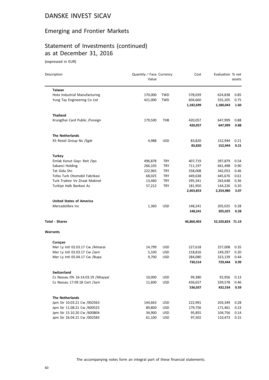### Emerging and Frontier Markets

# Statement of Investments (continued) as at December 31, 2016

| Description                         | Quantity / Face Currency<br>Value |            | Cost       | Evaluation % net | assets |
|-------------------------------------|-----------------------------------|------------|------------|------------------|--------|
| <b>Taiwan</b>                       |                                   |            |            |                  |        |
| Hota Industrial Manufacturing       | 170,000                           | TWD        | 578,039    | 624,838          | 0.85   |
| Yung Tay Engineering Co Ltd         | 421,000                           | TWD        | 604,660    | 555,205          | 0.75   |
|                                     |                                   |            | 1,182,699  | 1,180,043        | 1.60   |
| <b>Thailand</b>                     |                                   |            |            |                  |        |
| Krungthai Card Public / Foreign     | 179,500                           | THB        | 420,057    | 647,999          | 0.88   |
|                                     |                                   |            | 420,057    | 647,999          | 0.88   |
| <b>The Netherlands</b>              |                                   |            |            |                  |        |
| X5 Retail Group Nv /Sgdr            | 4,988                             | <b>USD</b> | 83,820     | 152,944          | 0.21   |
|                                     |                                   |            | 83,820     | 152,944          | 0.21   |
| <b>Turkey</b>                       |                                   |            |            |                  |        |
| Emlak Konut Gayr. Reit /Ipo         | 496,878                           | TRY        | 407,719    | 397,879          | 0.54   |
| Sabanci Holding                     | 266,105                           | <b>TRY</b> | 711,197    | 661,498          | 0.90   |
| Tat Gida Shs                        | 222,965                           | TRY        | 358,008    | 342,053          | 0.46   |
| Tofas Turk Otomobil Fabrikasi       | 68,025                            | TRY        | 449,638    | 445,676          | 0.61   |
| Turk Traktor Ve Ziraat Makinel      | 13,460                            | <b>TRY</b> | 295,341    | 263,648          | 0.36   |
| Turkiye Halk Bankasi As             | 57,212                            | TRY        | 181,950    | 144,226          | 0.20   |
|                                     |                                   |            | 2,403,853  | 2,254,980        | 3.07   |
| <b>United States of America</b>     |                                   |            |            |                  |        |
| Mercadolibre Inc                    | 1,360                             | <b>USD</b> | 148,241    | 205,025          | 0.28   |
|                                     |                                   |            | 148,241    | 205,025          | 0.28   |
| <b>Total - Shares</b>               |                                   |            | 46,860,403 | 52,320,824 71.19 |        |
| <b>Warrants</b>                     |                                   |            |            |                  |        |
| Curaçao                             |                                   |            |            |                  |        |
| Mer Ly Intl 02.03.17 Cw /Almarai    | 14,799                            | <b>USD</b> | 227,618    | 257,008          | 0.35   |
| Mer Ly Intl 02.03.17 Cw /Jarir      | 5,100                             | <b>USD</b> | 218,816    | 149,297          | 0.20   |
| Mer Ly Intl 05.04.17 Cw /Bupa       | 9,700                             | <b>USD</b> | 284,080    | 323,139          | 0.44   |
|                                     |                                   |            | 730,514    | 729,444          | 0.99   |
| Switzerland                         |                                   |            |            |                  |        |
| Cs Nassau 0% 16-14.03.19 / Altayyar | 10,000                            | USD        | 99,380     | 92,956           | 0.13   |
| Cs Nassau 17.09.18 Cert /Jarir      | 11,600                            | USD        | 436,657    | 339,578          | 0.46   |
|                                     |                                   |            | 536,037    | 432,534          | 0.59   |
| <b>The Netherlands</b>              |                                   |            |            |                  |        |
| Jpm Str 10.03.21 Cw /002563         | 144,663                           | <b>USD</b> | 222,991    | 203,349          | 0.28   |
| Jpm Str 11.08.21 Cw /600525         | 89,800                            | <b>USD</b> | 179,756    | 171,461          | 0.23   |
| Jpm Str 15.10.20 Cw /600804         | 34,900                            | <b>USD</b> | 95,855     | 104,756          | 0.14   |
| Jpm Str 26.04.21 Cw /002583         | 61,100                            | USD        | 97,502     | 110,473          | 0.15   |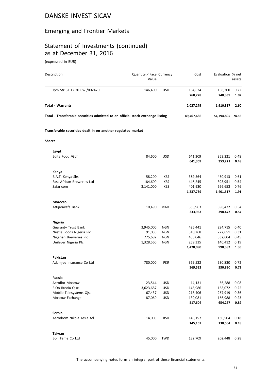# Emerging and Frontier Markets

# Statement of Investments (continued) as at December 31, 2016

| Description                                                                    | Quantity / Face Currency<br>Value |            | Cost               | Evaluation % net   | assets       |
|--------------------------------------------------------------------------------|-----------------------------------|------------|--------------------|--------------------|--------------|
| Jpm Str 31.12.20 Cw /002470                                                    | 146,400                           | <b>USD</b> | 164,624<br>760,728 | 158,300<br>748,339 | 0.22<br>1.02 |
| <b>Total - Warrants</b>                                                        |                                   |            | 2,027,279          | 1,910,317          | 2.60         |
| Total - Transferable securities admitted to an official stock exchange listing |                                   |            | 49,467,686         | 54,794,805 74.56   |              |
| Transferable securities dealt in on another regulated market                   |                                   |            |                    |                    |              |
| <b>Shares</b>                                                                  |                                   |            |                    |                    |              |
| Egypt                                                                          |                                   |            |                    |                    |              |
| Edita Food /Gdr                                                                | 84,600                            | <b>USD</b> | 641,309<br>641,309 | 353,221<br>353,221 | 0.48<br>0.48 |
| Kenya                                                                          |                                   |            |                    |                    |              |
| B.A.T. Kenya-Shs                                                               | 58,200                            | <b>KES</b> | 389,564            | 450,913            | 0.61         |
| East African Breweries Ltd                                                     | 184,600                           | KES        | 446,245            | 393,951            | 0.54         |
| Safaricom                                                                      | 3,141,000                         | <b>KES</b> | 401,930            | 556,653            | 0.76         |
|                                                                                |                                   |            | 1,237,739          | 1,401,517          | 1.91         |
| Morocco                                                                        |                                   |            |                    |                    |              |
| Attijariwafa Bank                                                              | 10,490                            | MAD        | 333,963            | 398,472            | 0.54         |
|                                                                                |                                   |            | 333,963            | 398,472            | 0.54         |
| <b>Nigeria</b>                                                                 |                                   |            |                    |                    |              |
| <b>Guaranty Trust Bank</b>                                                     | 3,945,000                         | <b>NGN</b> | 425,441            | 294,715            | 0.40         |
| Nestle Foods Nigeria Plc                                                       | 91,030                            | <b>NGN</b> | 310,268            | 222,651            | 0.31         |
| Nigerian Breweries Plc                                                         | 775,682                           | <b>NGN</b> | 483,046            | 332,604            | 0.45         |
| Unilever Nigeria Plc                                                           | 1,328,560                         | <b>NGN</b> | 259,335            | 140,412            | 0.19         |
|                                                                                |                                   |            | 1,478,090          | 990,382            | 1.35         |
| Pakistan                                                                       |                                   |            |                    |                    |              |
| Adamjee Insurance Co Ltd                                                       | 780,000                           | <b>PKR</b> | 369,532            | 530,830            | 0.72         |
|                                                                                |                                   |            | 369,532            | 530,830            | 0.72         |
| Russia                                                                         |                                   |            |                    |                    |              |
| Aeroflot Moscow                                                                | 23,544                            | <b>USD</b> | 14,131             | 56,288             | 0.08         |
| E.On Russia Ojsc                                                               | 3,623,687                         | <b>USD</b> | 145,986            | 163,072            | 0.22         |
| Mobile Telesystems Ojsc                                                        | 67,437                            | <b>USD</b> | 218,406            | 267,919            | 0.36         |
| Moscow Exchange                                                                | 87,069                            | <b>USD</b> | 139,081<br>517,604 | 166,988<br>654,267 | 0.23<br>0.89 |
|                                                                                |                                   |            |                    |                    |              |
| Serbia                                                                         |                                   |            |                    |                    |              |
| Aerodrom Nikola Tesla Ad                                                       | 14,008                            | <b>RSD</b> | 145,157            | 130,504            | 0.18         |
|                                                                                |                                   |            | 145,157            | 130,504            | 0.18         |
| <b>Taiwan</b>                                                                  |                                   |            |                    |                    |              |
| Bon Fame Co Ltd                                                                | 45,000                            | <b>TWD</b> | 182,709            | 202,448            | 0.28         |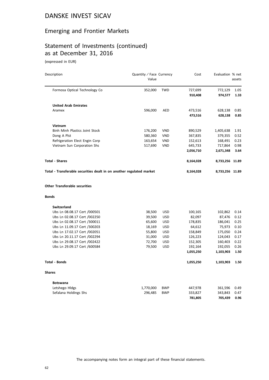### Emerging and Frontier Markets

# Statement of Investments (continued) as at December 31, 2016

|              | Description                                                          | Quantity / Face Currency<br>Value |            | Cost      | Evaluation % net | assets |
|--------------|----------------------------------------------------------------------|-----------------------------------|------------|-----------|------------------|--------|
|              | Formosa Optical Technology Co                                        | 352,000                           | <b>TWD</b> | 727,699   | 772,129          | 1.05   |
|              |                                                                      |                                   |            | 910,408   | 974,577          | 1.33   |
|              | <b>United Arab Emirates</b>                                          |                                   |            |           |                  |        |
|              | Aramex                                                               | 596,000                           | <b>AED</b> | 473,516   | 628,138          | 0.85   |
|              |                                                                      |                                   |            | 473,516   | 628,138          | 0.85   |
|              | Vietnam                                                              |                                   |            |           |                  |        |
|              | Binh Minh Plastics Joint Stock                                       | 176,200                           | <b>VND</b> | 890,529   | 1,405,638        | 1.91   |
|              | Dong A Plst                                                          | 580,360                           | VND        | 367,835   | 379,355          | 0.52   |
|              | Refrigeration Elect Engin Corp                                       | 163,654                           | <b>VND</b> | 152,613   | 168,491          | 0.23   |
|              | Vietnam Sun Corporation Shs                                          | 517,690                           | <b>VND</b> | 645,733   | 717,864          | 0.98   |
|              |                                                                      |                                   |            | 2,056,710 | 2,671,348        | 3.64   |
|              | <b>Total - Shares</b>                                                |                                   |            | 8,164,028 | 8,733,256 11.89  |        |
|              | Total - Transferable securities dealt in on another regulated market |                                   |            | 8,164,028 | 8,733,256 11.89  |        |
| <b>Bonds</b> | <b>Other Transferable securities</b>                                 |                                   |            |           |                  |        |
|              |                                                                      |                                   |            |           |                  |        |
|              | Switzerland                                                          |                                   |            |           |                  |        |
|              | Ubs Ln 08.08.17 Cert /000501                                         | 38,500                            | <b>USD</b> | 100,165   | 102,862          | 0.14   |
|              | Ubs Ln 02.08.17 Cert /002250                                         | 39,500                            | <b>USD</b> | 82,097    | 87,476           | 0.12   |
|              | Ubs Ln 02.08.17 Cert /300011                                         | 65,600                            | <b>USD</b> | 178,835   | 186,041          | 0.25   |
|              | Ubs Ln 11.09.17 Cert /300203                                         | 18,169                            | <b>USD</b> | 64,612    | 75,973           | 0.10   |
|              | Ubs Ln 17.02.17 Cert /002051                                         | 55,800                            | <b>USD</b> | 158,849   | 175,050          | 0.24   |
|              | Ubs Ln 20.11.17 Cert /002294                                         | 31,000                            | <b>USD</b> | 126,223   | 124,043          | 0.17   |
|              | Ubs Ln 29.08.17 Cert /002422                                         | 72,700                            | <b>USD</b> | 152,305   | 160,403          | 0.22   |
|              | Ubs Ln 29.09.17 Cert /600584                                         | 79,500                            | <b>USD</b> | 192,164   | 192,055          | 0.26   |
|              |                                                                      |                                   |            | 1,055,250 | 1,103,903        | 1.50   |
|              | Total - Bonds                                                        |                                   |            | 1,055,250 | 1,103,903        | 1.50   |
| Shares       |                                                                      |                                   |            |           |                  |        |
|              | <b>Botswana</b>                                                      |                                   |            |           |                  |        |
|              | Letshego Hldgs                                                       | 1,770,000                         | <b>BWP</b> | 447,978   | 361,596          | 0.49   |
|              | Sefalana Holdings Shs                                                | 296,485                           | <b>BWP</b> | 333,827   | 343,843          | 0.47   |
|              |                                                                      |                                   |            | 781,805   | 705,439          | 0.96   |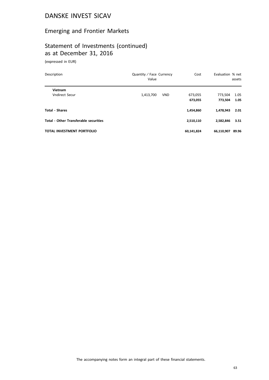### Emerging and Frontier Markets

# Statement of Investments (continued) as at December 31, 2016

| Description                                  | Quantity / Face Currency<br>Value | Cost       | Evaluation % net | assets |  |
|----------------------------------------------|-----------------------------------|------------|------------------|--------|--|
| Vietnam                                      |                                   |            |                  |        |  |
| <b>Vndirect Secur</b>                        | <b>VND</b><br>1,413,700           | 673.055    | 773,504          | 1.05   |  |
|                                              |                                   | 673,055    | 773.504          | 1.05   |  |
| <b>Total - Shares</b>                        |                                   | 1,454,860  | 1,478,943        | 2.01   |  |
| <b>Total - Other Transferable securities</b> |                                   | 2,510,110  | 2.582.846        | 3.51   |  |
| <b>TOTAL INVESTMENT PORTFOLIO</b>            |                                   | 60,141,824 | 66,110,907       | 89.96  |  |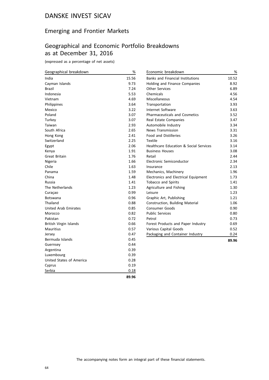### Emerging and Frontier Markets

# Geographical and Economic Portfolio Breakdowns as at December 31, 2016

(expressed as a percentage of net assets)

| Geographical breakdown      | $\%$  | Economic breakdown                                | %     |
|-----------------------------|-------|---------------------------------------------------|-------|
| India                       | 15.56 | <b>Banks and Financial Institutions</b>           | 10.52 |
| Cayman Islands              | 9.73  | Holding and Finance Companies                     | 8.92  |
| <b>Brazil</b>               | 7.24  | <b>Other Services</b>                             | 6.89  |
| Indonesia                   | 5.53  | Chemicals                                         | 4.56  |
| Vietnam                     | 4.69  | Miscellaneous                                     | 4.54  |
| Philippines                 | 3.64  | Transportation                                    | 3.93  |
| Mexico                      | 3.22  | Internet Software                                 | 3.63  |
| Poland                      | 3.07  | <b>Pharmaceuticals and Cosmetics</b>              | 3.52  |
| Turkey                      | 3.07  | Real Estate Companies                             | 3.47  |
| Taiwan                      | 2.93  | Automobile Industry                               | 3.34  |
| South Africa                | 2.65  | <b>News Transmission</b>                          | 3.31  |
| Hong Kong                   | 2.41  | <b>Food and Distilleries</b>                      | 3.26  |
| Switzerland                 | 2.25  | Textile                                           | 3.16  |
| Egypt                       | 2.06  | <b>Healthcare Education &amp; Social Services</b> | 3.14  |
| Kenya                       | 1.91  | <b>Business Houses</b>                            | 3.08  |
| Great Britain               | 1.76  | Retail                                            | 2.44  |
| Nigeria                     | 1.66  | Electronic Semiconductor                          | 2.34  |
| Chile                       | 1.63  | Insurance                                         | 2.13  |
| Panama                      | 1.59  | Mechanics, Machinery                              | 1.96  |
| China                       | 1.48  | Electronics and Electrical Equipment              | 1.73  |
| Russia                      | 1.41  | <b>Tobacco and Spirits</b>                        | 1.41  |
| The Netherlands             | 1.23  | Agriculture and Fishing                           | 1.30  |
| Curaçao                     | 0.99  | Leisure                                           | 1.23  |
| Botswana                    | 0.96  | Graphic Art, Publishing                           | 1.21  |
| Thailand                    | 0.88  | Construction, Building Material                   | 1.06  |
| <b>United Arab Emirates</b> | 0.85  | Consumer Goods                                    | 0.90  |
| Morocco                     | 0.82  | <b>Public Services</b>                            | 0.80  |
| Pakistan                    | 0.72  | Petrol                                            | 0.73  |
| British Virgin Islands      | 0.66  | Forest Products and Paper Industry                | 0.69  |
| Mauritius                   | 0.57  | Various Capital Goods                             | 0.52  |
| Jersey                      | 0.47  | Packaging and Container Industry                  | 0.24  |
| Bermuda Islands             | 0.45  |                                                   | 89.96 |
| Guernsey                    | 0.44  |                                                   |       |
| Argentina                   | 0.39  |                                                   |       |
| Luxembourg                  | 0.39  |                                                   |       |
| United States of America    | 0.28  |                                                   |       |
| Cyprus                      | 0.19  |                                                   |       |
| Serbia                      | 0.18  |                                                   |       |

**89.96**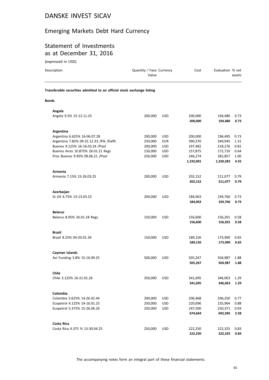### Emerging Markets Debt Hard Currency

#### Statement of Investments as at December 31, 2016

(expressed in USD)

| Description                                                            | Quantity / Face Currency<br>Value |            | Cost               | Evaluation % net   | assets       |
|------------------------------------------------------------------------|-----------------------------------|------------|--------------------|--------------------|--------------|
| Transferable securities admitted to an official stock exchange listing |                                   |            |                    |                    |              |
| <b>Bonds</b>                                                           |                                   |            |                    |                    |              |
| Angola                                                                 |                                   |            |                    |                    |              |
| Angola 9.5% 15-12.11.25                                                | 200,000                           | <b>USD</b> | 200,000<br>200,000 | 194,480<br>194,480 | 0.73<br>0.73 |
| Argentina                                                              |                                   |            |                    |                    |              |
| Argentina 6.625% 16-06.07.28                                           | 200,000                           | <b>USD</b> | 200,000            | 196,495            | 0.73         |
| Argentina 7.82% 09-31.12.33 / Pik / Deflt                              | 250,000                           | <b>EUR</b> | 390,370            | 349,945            | 1.31         |
| Buenos 9.125% 16-16.03.24 /Pool                                        | 200,000                           | <b>USD</b> | 197,482            | 218,276            | 0.81         |
| Buenos Aires 10.875% 26.01.21 Regs                                     | 150,000                           | <b>USD</b> | 157,875            | 172,710            | 0.64         |
| Prov Buenos 9.95% 09.06.21 / Pool                                      | 250,000                           | <b>USD</b> | 246,274            | 282,857            | 1.06         |
|                                                                        |                                   |            | 1,192,001          | 1,220,283          | 4.55         |
| Armenia                                                                |                                   |            |                    |                    |              |
| Armenia 7.15% 15-26.03.25                                              | 200,000                           | <b>USD</b> | 202,152            | 211,077            | 0.79         |
|                                                                        |                                   |            | 202,152            | 211,077            | 0.79         |
| Azerbaijan                                                             |                                   |            |                    |                    |              |
| St Oil 4.75% 13-13.03.23                                               | 200,000                           | <b>USD</b> | 184,063            | 194,766            | 0.73         |
|                                                                        |                                   |            | 184,063            | 194,766            | 0.73         |
|                                                                        |                                   |            |                    |                    |              |
| <b>Belarus</b>                                                         |                                   |            |                    |                    |              |
| Belarus 8.95% 26.01.18 Regs                                            | 150,000                           | <b>USD</b> | 156,600<br>156,600 | 156,201<br>156,201 | 0.58<br>0.58 |
|                                                                        |                                   |            |                    |                    |              |
| <b>Brazil</b>                                                          |                                   |            |                    |                    |              |
| Brazil 8.25% 04-20.01.34                                               | 150,000                           | <b>USD</b> | 189,156            | 173,490            | 0.65         |
|                                                                        |                                   |            | 189,156            | 173,490            | 0.65         |
| Cayman Islands                                                         |                                   |            |                    |                    |              |
| Avi Funding 3.8% 15-16.09.25                                           | 500,000                           | <b>USD</b> | 505,267            | 504,987            | 1.88         |
|                                                                        |                                   |            | 505,267            | 504,987            | 1.88         |
| Chile                                                                  |                                   |            |                    |                    |              |
| Chile 3.125% 16-21.01.26                                               | 350,000                           | <b>USD</b> | 341,695            | 346,063            | 1.29         |
|                                                                        |                                   |            | 341,695            | 346,063            | 1.29         |
|                                                                        |                                   |            |                    |                    |              |

**Colombia** Colombia 5.625% 14-26.02.44 200,000 USD 206,468 206,250 0.77 Ecopetrol 4.125% 14-16.01.25 250,000 USD 220,696 235,964 0.88 Ecopetrol 5.375% 15-26.06.26 **674,664 692,585 2.58 Costa Rica** Costa Rica 4.375 % 13-30.04.25 250,000 USD 222,250 222,325 0.83 **222,250 222,325 0.83**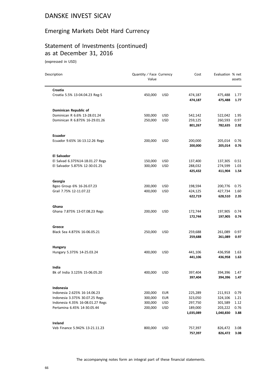## Emerging Markets Debt Hard Currency

# Statement of Investments (continued) as at December 31, 2016

(expressed in USD)

| Description                      | Quantity / Face Currency<br>Value |            | Cost               | Evaluation % net   | assets       |
|----------------------------------|-----------------------------------|------------|--------------------|--------------------|--------------|
| Croatia                          |                                   |            |                    |                    |              |
| Croatia 5.5% 13-04.04.23 Reg-S   | 450,000                           | <b>USD</b> | 474,187<br>474,187 | 475,488<br>475,488 | 1.77<br>1.77 |
| Dominican Republic of            |                                   |            |                    |                    |              |
| Dominican R 6.6% 13-28.01.24     | 500,000                           | USD        | 542,142            | 522,042            | 1.95         |
| Dominican R 6.875% 16-29.01.26   | 250,000                           | <b>USD</b> | 259,125            | 260,593            | 0.97         |
|                                  |                                   |            | 801,267            | 782,635            | 2.92         |
| <b>Ecuador</b>                   |                                   |            |                    |                    |              |
| Ecuador 9.65% 16-13.12.26 Regs   | 200,000                           | <b>USD</b> | 200,000            | 205,014            | 0.76         |
|                                  |                                   |            | 200,000            | 205,014            | 0.76         |
| El Salvador                      |                                   |            |                    |                    |              |
| El Salvad 6.375%14-18.01.27 Regs | 150,000                           | <b>USD</b> | 137,400            | 137,305            | 0.51         |
| El Salvador 5.875% 12-30.01.25   | 300,000                           | <b>USD</b> | 288,032            | 274,599            | 1.03         |
|                                  |                                   |            | 425,432            | 411,904            | 1.54         |
| Georgia                          |                                   |            |                    |                    |              |
| Bgeo Group 6% 16-26.07.23        | 200,000                           | <b>USD</b> | 198,594            | 200,776            | 0.75         |
| Grail 7.75% 12-11.07.22          | 400,000                           | <b>USD</b> | 424,125            | 427,734            | 1.60         |
|                                  |                                   |            | 622,719            | 628,510            | 2.35         |
| Ghana                            |                                   |            |                    |                    |              |
| Ghana 7.875% 13-07.08.23 Regs    | 200,000                           | <b>USD</b> | 172,744            | 197,905            | 0.74         |
|                                  |                                   |            | 172,744            | 197,905            | 0.74         |
| Greece                           |                                   |            |                    |                    |              |
| Black Sea 4.875% 16-06.05.21     | 250,000                           | <b>USD</b> | 259,688            | 261,089            | 0.97         |
|                                  |                                   |            | 259,688            | 261,089            | 0.97         |
| <b>Hungary</b>                   |                                   |            |                    |                    |              |
| Hungary 5.375% 14-25.03.24       | 400,000                           | <b>USD</b> | 441,106            | 436,958            | 1.63         |
|                                  |                                   |            | 441,106            | 436,958            | 1.63         |
| India                            |                                   |            |                    |                    |              |
| Bk of India 3.125% 15-06.05.20   | 400,000                           | USD        | 397,404            | 394,396            | 1.47         |
|                                  |                                   |            | 397,404            | 394,396            | 1.47         |
| Indonesia                        |                                   |            |                    |                    |              |
| Indonesia 2.625% 16-14.06.23     | 200,000                           | <b>EUR</b> | 225,289            | 211,913            | 0.79         |
| Indonesia 3.375% 30.07.25 Regs   | 300,000                           | <b>EUR</b> | 323,050            | 324,106            | 1.21         |
| Indonesia 4.35% 16-08.01.27 Regs | 300,000                           | <b>USD</b> | 297,750            | 301,589            | 1.12         |
| Pertamina 6.45% 14-30.05.44      | 200,000                           | <b>USD</b> | 189,000            | 203,222            | 0.76         |
|                                  |                                   |            | 1,035,089          | 1,040,830          | 3.88         |
| <b>Ireland</b>                   |                                   |            |                    |                    |              |
| Veb Finance 5.942% 13-21.11.23   | 800,000                           | USD        | 757,397            | 826,472            | 3.08         |
|                                  |                                   |            | 757,397            | 826,472            | 3.08         |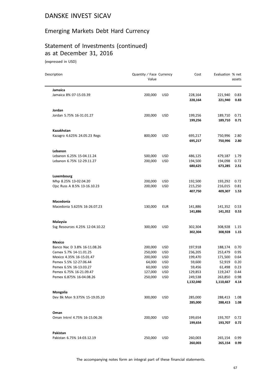## Emerging Markets Debt Hard Currency

# Statement of Investments (continued) as at December 31, 2016

(expressed in USD)

| Description                                      |                                 | Quantity / Face Currency<br>Value |                          | Cost             | Evaluation % net | assets       |
|--------------------------------------------------|---------------------------------|-----------------------------------|--------------------------|------------------|------------------|--------------|
| Jamaica                                          |                                 |                                   |                          |                  |                  |              |
| Jamaica 8% 07-15.03.39                           |                                 | 200,000                           | <b>USD</b>               | 228,164          | 221,940          | 0.83         |
|                                                  |                                 |                                   |                          | 228,164          | 221,940          | 0.83         |
| Jordan                                           |                                 |                                   |                          |                  |                  |              |
| Jordan 5.75% 16-31.01.27                         |                                 | 200,000                           | <b>USD</b>               | 199,256          | 189,710          | 0.71         |
|                                                  |                                 |                                   |                          | 199,256          | 189,710          | 0.71         |
| Kazakhstan                                       |                                 |                                   |                          |                  |                  |              |
|                                                  | Kazagro 4.625% 24.05.23 Regs    | 800,000                           | <b>USD</b>               | 695,217          | 750,996          | 2.80         |
|                                                  |                                 |                                   |                          | 695,217          | 750,996          | 2.80         |
| Lebanon                                          |                                 |                                   |                          |                  |                  |              |
| Lebanon 6.25% 15-04.11.24                        |                                 | 500,000                           | <b>USD</b>               | 486,125          | 479,187          | 1.79         |
| Lebanon 6.75% 12-29.11.27                        |                                 | 200,000                           | <b>USD</b>               | 194,500          | 194,098          | 0.72         |
|                                                  |                                 |                                   |                          | 680,625          | 673,285          | 2.51         |
| Luxembourg                                       |                                 |                                   |                          |                  |                  |              |
| Mhp 8.25% 13-02.04.20                            |                                 | 200,000                           | <b>USD</b>               | 192,500          | 193,292          | 0.72         |
| Ojsc Russ A 8.5% 13-16.10.23                     |                                 | 200,000                           | <b>USD</b>               | 215,250          | 216,015          | 0.81         |
|                                                  |                                 |                                   |                          | 407,750          | 409,307          | 1.53         |
| Macedonia                                        |                                 |                                   |                          |                  |                  |              |
|                                                  | Macedonia 5.625% 16-26.07.23    | 130,000                           | <b>EUR</b>               | 141,886          | 141,352          | 0.53         |
|                                                  |                                 |                                   |                          | 141,886          | 141,352          | 0.53         |
| Malaysia                                         |                                 |                                   |                          |                  |                  |              |
|                                                  | Ssg Resources 4.25% 12-04.10.22 | 300,000                           | <b>USD</b>               | 302,304          | 308,928          | 1.15         |
|                                                  |                                 |                                   |                          | 302,304          | 308,928          | 1.15         |
| Mexico                                           |                                 |                                   |                          |                  |                  |              |
|                                                  | Banco Nac D 3.8% 16-11.08.26    | 200,000                           | USD                      | 197,918          | 188,174          | 0.70         |
| Cemex 5.7% 14-11.01.25                           |                                 | 250,000                           | <b>USD</b>               | 236,205          | 253,479          | 0.95         |
| Mexico 4.35% 16-15.01.47                         |                                 | 200,000                           | <b>USD</b>               | 199,470          | 171,500          | 0.64         |
| Pemex 5.5% 12-27.06.44<br>Pemex 6.5% 16-13.03.27 |                                 | 64,000<br>60,000                  | <b>USD</b><br><b>USD</b> | 59,600<br>59,456 | 52,919<br>61,498 | 0.20<br>0.23 |
| Pemex 6.75% 16-21.09.47                          |                                 | 127,000                           | <b>USD</b>               | 129,853          | 119,247          | 0.44         |
| Pemex 6.875% 16-04.08.26                         |                                 | 250,000                           | <b>USD</b>               | 249,538          | 263,850          | 0.98         |
|                                                  |                                 |                                   |                          | 1,132,040        | 1,110,667        | 4.14         |
| Mongolia                                         |                                 |                                   |                          |                  |                  |              |
|                                                  | Dev Bk Mon 9.375% 15-19.05.20   | 300,000                           | <b>USD</b>               | 285,000          | 288,413          | 1.08         |
|                                                  |                                 |                                   |                          | 285,000          | 288,413          | 1.08         |
| Oman                                             |                                 |                                   |                          |                  |                  |              |
|                                                  | Oman Intrnl 4.75% 16-15.06.26   | 200,000                           | <b>USD</b>               | 199,654          | 193,707          | 0.72         |
|                                                  |                                 |                                   |                          | 199,654          | 193,707          | 0.72         |
| Pakistan                                         |                                 |                                   |                          |                  |                  |              |
| Pakistan 6.75% 14-03.12.19                       |                                 | 250,000                           | <b>USD</b>               | 260,003          | 265,154          | 0.99         |
|                                                  |                                 |                                   |                          | 260,003          | 265,154          | 0.99         |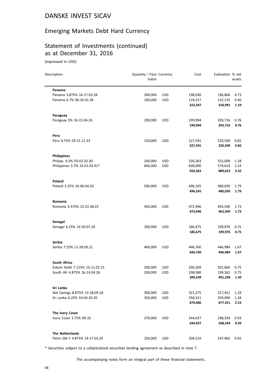# Emerging Markets Debt Hard Currency

# Statement of Investments (continued) as at December 31, 2016

(expressed in USD)

| Description                    | Quantity / Face Currency<br>Value |            | Cost    | Evaluation % net | assets |
|--------------------------------|-----------------------------------|------------|---------|------------------|--------|
| Panama                         |                                   |            |         |                  |        |
| Panama 3.875% 16-17.03.28      | 200,000                           | <b>USD</b> | 198,030 | 196,866          | 0.73   |
| Panama 6.7% 06-26.01.36        | 100,000                           | <b>USD</b> | 124,317 | 122,125          | 0.46   |
|                                |                                   |            | 322,347 | 318,991          | 1.19   |
| Paraguay                       |                                   |            |         |                  |        |
| Paraguay 5% 16-15.04.26        | 200,000                           | <b>USD</b> | 199,994 | 203,716          | 0.76   |
|                                |                                   |            | 199,994 | 203,716          | 0.76   |
| Peru                           |                                   |            |         |                  |        |
| Peru 8.75% 03-21.11.33         | 150,000                           | <b>USD</b> | 227,591 | 220,500          | 0.82   |
|                                |                                   |            | 227,591 | 220,500          | 0.82   |
| <b>Philippines</b>             |                                   |            |         |                  |        |
| Philipp. 9.5% 05-02.02.30      | 200,000                           | <b>USD</b> | 326,363 | 315,009          | 1.18   |
| Philippines 3.7% 16-01.03.41*  | 600,000                           | <b>USD</b> | 600,000 | 574,614          | 2.14   |
|                                |                                   |            | 926,363 | 889,623          | 3.32   |
| Poland                         |                                   |            |         |                  |        |
| Poland 3.25% 16-06.04.26       | 500,000                           | <b>USD</b> | 496,245 | 480,030          | 1.79   |
|                                |                                   |            | 496,245 | 480,030          | 1.79   |
| <b>Romania</b>                 |                                   |            |         |                  |        |
| Romania 4.375% 13-22.08.23     | 450,000                           | <b>USD</b> | 472,946 | 463,500          | 1.73   |
|                                |                                   |            | 472,946 | 463,500          | 1.73   |
| Senegal                        |                                   |            |         |                  |        |
| Senegal 6.25% 14-30.07.24      | 200,000                           | <b>USD</b> | 186,675 | 199,976          | 0.75   |
|                                |                                   |            | 186,675 | 199,976          | 0.75   |
| <b>Serbia</b>                  |                                   |            |         |                  |        |
| Serbia 7.25% 11-28.09.21       | 400,000                           | <b>USD</b> | 446,760 | 446,984          | 1.67   |
|                                |                                   |            | 446,760 | 446,984          | 1.67   |
| South Africa                   |                                   |            |         |                  |        |
| Eskom Holdi 7.125% 15-11.02.25 | 200,000                           | <b>USD</b> | 200,269 | 201,666          | 0.75   |
| South Afr 4.875% 16-14.04.26   | 200,000                           | <b>USD</b> | 198,980 | 199,562          | 0.75   |
|                                |                                   |            | 399,249 | 401,228          | 1.50   |
| Sri Lanka                      |                                   |            |         |                  |        |
| Nat Savings 8.875% 13-18.09.18 | 300,000                           | <b>USD</b> | 321,375 | 317,451          | 1.19   |
| Sri Lanka 6.25% 10-04.10.20    | 350,000                           | <b>USD</b> | 358,311 | 359,900          | 1.34   |
|                                |                                   |            | 679,686 | 677,351          | 2.53   |
| The Ivory Coast                |                                   |            |         |                  |        |
| Ivory Coast 3.75% 09-32        | 270,000                           | <b>USD</b> | 244,427 | 248,334          | 0.93   |
|                                |                                   |            | 244,427 | 248,334          | 0.93   |
| <b>The Netherlands</b>         |                                   |            |         |                  |        |
| Petro Gbl F 4.875% 14-17.03.20 | 250,000                           | <b>USD</b> | 204,219 | 247,465          | 0.92   |

\* Securities subject to a collateralized securities lending agreement as described in note 7.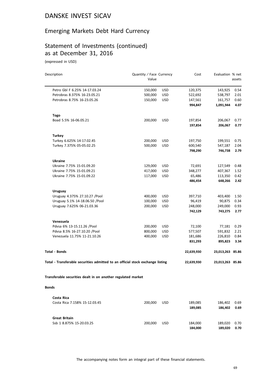## Emerging Markets Debt Hard Currency

# Statement of Investments (continued) as at December 31, 2016

(expressed in USD)

| Description                                                                    | Quantity / Face Currency<br>Value |            | Cost               | Evaluation % net   | assets       |
|--------------------------------------------------------------------------------|-----------------------------------|------------|--------------------|--------------------|--------------|
|                                                                                |                                   |            |                    |                    |              |
| Petro Gbl F 6.25% 14-17.03.24                                                  | 150,000                           | <b>USD</b> | 120,375            | 143,925            | 0.54         |
| Petrobras 8.375% 16-23.05.21                                                   | 500,000                           | <b>USD</b> | 522,692            | 538,797            | 2.01         |
| Petrobras 8.75% 16-23.05.26                                                    | 150,000                           | <b>USD</b> | 147,561            | 161,757            | 0.60         |
|                                                                                |                                   |            | 994,847            | 1,091,944          | 4.07         |
| <b>Togo</b>                                                                    |                                   |            |                    |                    |              |
| Boad 5.5% 16-06.05.21                                                          | 200,000                           | <b>USD</b> | 197,854            | 206,067            | 0.77         |
|                                                                                |                                   |            | 197,854            | 206,067            | 0.77         |
| Turkey                                                                         |                                   |            |                    |                    |              |
| Turkey 6.625% 14-17.02.45                                                      | 200,000                           | USD        | 197,750            | 199,551            | 0.75         |
| Turkey 7.375% 05-05.02.25                                                      | 500,000                           | <b>USD</b> | 600,540            | 547,187            | 2.04         |
|                                                                                |                                   |            | 798,290            | 746,738            | 2.79         |
| Ukraine                                                                        |                                   |            |                    |                    |              |
| Ukraine 7.75% 15-01.09.20                                                      | 129,000                           | <b>USD</b> | 72,691             | 127,549            | 0.48         |
| Ukraine 7.75% 15-01.09.21                                                      | 417,000                           | <b>USD</b> | 348,277            | 407,367            | 1.52         |
| Ukraine 7.75% 15-01.09.22                                                      | 117,000                           | <b>USD</b> | 65,486             | 113,350            | 0.42         |
|                                                                                |                                   |            | 486,454            | 648,266            | 2.42         |
| <b>Uruguay</b>                                                                 |                                   |            |                    |                    |              |
| Uruguay 4.375% 27.10.27 / Pool                                                 | 400,000                           | <b>USD</b> | 397,710            | 403,400            | 1.50         |
| Uruguay 5.1% 14-18.06.50 / Pool                                                | 100,000                           | <b>USD</b> | 96,419             | 90,875             | 0.34         |
| Uruguay 7.625% 06-21.03.36                                                     | 200,000                           | <b>USD</b> | 248,000            | 249,000            | 0.93         |
|                                                                                |                                   |            | 742,129            | 743,275            | 2.77         |
| Venezuela                                                                      |                                   |            |                    |                    |              |
| Pdvsa 6% 13-15.11.26 /Pool                                                     | 200,000                           | USD        | 72,100             | 77,181             | 0.29         |
| Pdvsa 8.5% 16-27.10.20 /Pool                                                   | 800,000                           | <b>USD</b> | 577,507            | 591,832            | 2.21         |
| Venezuela 11.75% 11-21.10.26                                                   | 400,000                           | <b>USD</b> | 181,686            | 226,810            | 0.84         |
|                                                                                |                                   |            | 831,293            | 895,823            | 3.34         |
| <b>Total - Bonds</b>                                                           |                                   |            | 22,639,930         | 23,013,263 85.86   |              |
| Total - Transferable securities admitted to an official stock exchange listing |                                   |            | 22,639,930         | 23,013,263 85.86   |              |
| Transferable securities dealt in on another regulated market                   |                                   |            |                    |                    |              |
| <b>Bonds</b>                                                                   |                                   |            |                    |                    |              |
|                                                                                |                                   |            |                    |                    |              |
| Costa Rica                                                                     |                                   |            |                    |                    |              |
| Costa Rica 7.158% 15-12.03.45                                                  | 200,000                           | <b>USD</b> | 189,085<br>189,085 | 186,402<br>186,402 | 0.69<br>0.69 |
| <b>Great Britain</b>                                                           |                                   |            |                    |                    |              |
| Ssb 1 8.875% 15-20.03.25                                                       | 200,000                           | <b>USD</b> | 184,000            | 189,020            | 0.70         |
|                                                                                |                                   |            |                    |                    |              |

**184,000 189,020 0.70**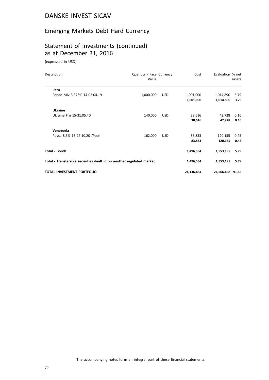## Emerging Markets Debt Hard Currency

# Statement of Investments (continued) as at December 31, 2016

(expressed in USD)

| Description                       | Quantity / Face Currency<br>Value                                    |            | Cost       | Evaluation % net | assets |
|-----------------------------------|----------------------------------------------------------------------|------------|------------|------------------|--------|
| Peru                              |                                                                      |            |            |                  |        |
| Fondo Miv 3.375% 14-02.04.19      | 1,000,000                                                            | <b>USD</b> | 1,001,000  | 1,014,890        | 3.79   |
|                                   |                                                                      |            | 1,001,000  | 1,014,890        | 3.79   |
| <b>Ukraine</b>                    |                                                                      |            |            |                  |        |
| Ukraine Frn 15-31.05.40           | 140,000                                                              | <b>USD</b> | 38,616     | 42,728           | 0.16   |
|                                   |                                                                      |            | 38,616     | 42,728           | 0.16   |
| Venezuela                         |                                                                      |            |            |                  |        |
| Pdvsa 8.5% 16-27.10.20 / Pool     | 162,000                                                              | <b>USD</b> | 83,833     | 120,155          | 0.45   |
|                                   |                                                                      |            | 83,833     | 120,155          | 0.45   |
| <b>Total - Bonds</b>              |                                                                      |            | 1,496,534  | 1,553,195        | 5.79   |
|                                   | Total - Transferable securities dealt in on another regulated market |            |            | 1,553,195        | 5.79   |
| <b>TOTAL INVESTMENT PORTFOLIO</b> |                                                                      |            | 24,136,464 | 24,566,458 91.65 |        |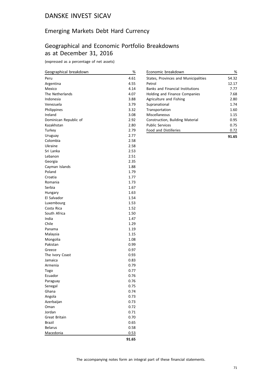## Emerging Markets Debt Hard Currency

### Geographical and Economic Portfolio Breakdowns as at December 31, 2016

(expressed as a percentage of net assets)

| Geographical breakdown | %     |
|------------------------|-------|
| Peru                   | 4.61  |
| Argentina              | 4.55  |
| Mexico                 | 4.14  |
| The Netherlands        | 4.07  |
| Indonesia              | 3.88  |
| Venezuela              | 3.79  |
| Philippines            | 3.32  |
| Ireland                | 3.08  |
| Dominican Republic of  | 2.92  |
| Kazakhstan             | 2.80  |
| Turkey                 | 2.79  |
| Uruguay                | 2.77  |
| Colombia               | 2.58  |
| Ukraine                | 2.58  |
| Sri Lanka              | 2.53  |
| Lebanon                | 2.51  |
| Georgia                | 2.35  |
| Cayman Islands         | 1.88  |
| Poland                 | 1.79  |
| Croatia                | 1.77  |
| Romania                | 1.73  |
| Serbia                 | 1.67  |
| Hungary                | 1.63  |
| El Salvador            | 1.54  |
| Luxembourg             | 1.53  |
| Costa Rica             | 1.52  |
| South Africa           | 1.50  |
| India                  | 1.47  |
| Chile                  | 1.29  |
| Panama                 | 1.19  |
| Malaysia               | 1.15  |
| Mongolia               | 1.08  |
| Pakistan               | 0.99  |
| Greece                 | 0.97  |
| The Ivory Coast        | 0.93  |
| Jamaica                | 0.83  |
| Armenia                | 0.79  |
| Togo                   | 0.77  |
| Ecuador                | 0.76  |
| Paraguay               | 0.76  |
| Senegal                | 0.75  |
| Ghana                  | 0.74  |
| Angola                 | 0.73  |
| Azerbaijan             | 0.73  |
| Oman                   | 0.72  |
| Jordan                 | 0.71  |
| Great Britain          | 0.70  |
| <b>Brazil</b>          | 0.65  |
| <b>Belarus</b>         | 0.58  |
| Macedonia              | 0.53  |
|                        | 91.65 |

| Economic breakdown                      | %     |
|-----------------------------------------|-------|
| States, Provinces and Municipalities    | 54.32 |
| Petrol                                  | 12.17 |
| <b>Banks and Financial Institutions</b> | 7.77  |
| Holding and Finance Companies           | 7.68  |
| Agriculture and Fishing                 | 2.80  |
| Supranational                           | 1.74  |
| Transportation                          | 1.60  |
| Miscellaneous                           | 1.15  |
| Construction, Building Material         | 0.95  |
| <b>Public Services</b>                  | 0.75  |
| <b>Food and Distilleries</b>            | 0.72  |
|                                         | 91.65 |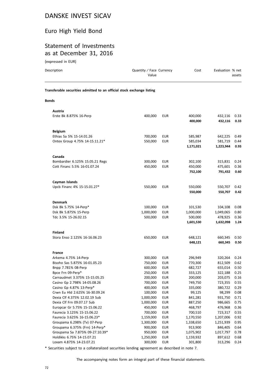#### Euro High Yield Bond

#### Statement of Investments as at December 31, 2016

| (expressed in EUR)                                                     |                                   |                          |                                 |                                 |                      |  |
|------------------------------------------------------------------------|-----------------------------------|--------------------------|---------------------------------|---------------------------------|----------------------|--|
| Description                                                            | Quantity / Face Currency<br>Value |                          | Cost                            | Evaluation % net                | assets               |  |
| Transferable securities admitted to an official stock exchange listing |                                   |                          |                                 |                                 |                      |  |
| <b>Bonds</b>                                                           |                                   |                          |                                 |                                 |                      |  |
| Austria                                                                |                                   |                          |                                 |                                 |                      |  |
| Erste Bk 8.875% 16-Perp                                                | 400,000                           | <b>EUR</b>               | 400,000<br>400,000              | 432,116<br>432,116              | 0.33<br>0.33         |  |
| <b>Belgium</b>                                                         |                                   |                          |                                 |                                 |                      |  |
| Ethias Sa 5% 15-14.01.26<br>Ontex Group 4.75% 14-15.11.21*             | 700,000<br>550,000                | <b>EUR</b><br><b>EUR</b> | 585,987<br>585,034<br>1,171,021 | 642,225<br>581,719<br>1,223,944 | 0.49<br>0.44<br>0.93 |  |
| Canada                                                                 |                                   |                          |                                 |                                 |                      |  |
| Bombardier 6.125% 15.05.21 Regs<br>Cott Financ 5.5% 16-01.07.24        | 300,000<br>450,000                | <b>EUR</b><br><b>EUR</b> | 302,100<br>450,000<br>752,100   | 315,831<br>475,601<br>791,432   | 0.24<br>0.36<br>0.60 |  |
|                                                                        |                                   |                          |                                 |                                 |                      |  |
| Cayman Islands<br>Upcb Financ 4% 15-15.01.27*                          | 550,000                           | <b>EUR</b>               | 550,000<br>550,000              | 550,707<br>550,707              | 0.42<br>0.42         |  |
| <b>Denmark</b>                                                         |                                   |                          |                                 |                                 |                      |  |
| Dsk Bk 5.75% 14-Perp*                                                  | 100,000                           | <b>EUR</b>               | 101,530                         | 104,108                         | 0.08                 |  |
| Dsk Bk 5.875% 15-Perp                                                  | 1,000,000                         | <b>EUR</b>               | 1,000,000                       | 1,049,065                       | 0.80                 |  |
| Tdc 3.5% 15-26.02.15                                                   | 500,000                           | <b>EUR</b>               | 500,000<br>1,601,530            | 478,925<br>1,632,098            | 0.36<br>1.24         |  |
| <b>Finland</b>                                                         |                                   |                          |                                 |                                 |                      |  |
| Stora Enso 2.125% 16-16.06.23                                          | 650,000                           | EUR                      | 648,121<br>648,121              | 660,345<br>660,345              | 0.50<br>0.50         |  |
| <b>France</b>                                                          |                                   |                          |                                 |                                 |                      |  |
| Arkema 4.75% 14-Perp                                                   | 300,000                           | EUR                      | 296,949                         | 320,264                         | 0.24                 |  |
| Bisoho Sas 5.875% 16-01.05.23                                          | 750,000                           | <b>EUR</b>               | 770,300                         | 812,509                         | 0.62                 |  |
| Bnpp 7.781% 08-Perp                                                    | 600,000                           | <b>EUR</b>               | 682,727                         | 655,014                         | 0.50                 |  |
| Bpce Frn 09-Perp*                                                      | 250,000                           | <b>EUR</b>               | 333,125                         | 322,188                         | 0.25                 |  |
| Carnaudmet 3.375% 15-15.05.25                                          | 200,000                           | <b>EUR</b>               | 200,000                         | 203,075                         | 0.16                 |  |
| Casino Gp 2.798% 14-05.08.26                                           | 700,000                           | <b>EUR</b>               | 749,750                         | 723,355                         | 0.55                 |  |
| Casino Gp 4.87% 13-Perp*                                               | 400,000                           | <b>EUR</b>               | 335,000                         | 380,722                         | 0.29                 |  |
| Crwn Eu Hld 2.625% 16-30.09.24                                         | 100,000                           | <b>EUR</b>               | 99,125                          | 98,299                          | 0.08                 |  |
| Dexia Clf 4.375% 12.02.19 Sub                                          | 1,000,000                         | <b>EUR</b>               | 841,281                         | 931,750                         | 0.71                 |  |
| Dexia Clf Frn 09.07.17 Sub                                             | 1,000,000                         | <b>EUR</b>               | 887,250                         | 986,665                         | 0.75                 |  |
| Europcar Gr 5.75% 15-15.06.22                                          | 450,000                           | <b>EUR</b>               | 468,797                         | 476,968                         | 0.36                 |  |

\* Securities subject to a collateralized securities lending agreement as described in note 7.

Groupama Sa 7.875% 09-27.10.39\* 950,000 EUR 1,075,902 1,017,797 0.78

Faurecia 3.125% 15-15.06.22 700,000 EUR 700,510 723,317 0.55 Faurecia 3.625% 16-15.06.23\* 1,159,000 EUR 1,170,550 1,207,006 0.92 Groupama 6.298% (Tv) 07-Perp 1,300,000 EUR 1,338,650 1,251,939 0.95<br>Groupama 6.375% (Frn) 14-Perp\* 900,000 EUR 913,900 846,405 0.64 Groupama 6.375% (Frn) 14-Perp\* 900,000 EUR 913,900 846,405 0.64

Holdikks 6.75% 14-15.07.21 1,250,000 EUR 1,159,932 897,612 0.68 Loxam 4.875% 14-23.07.21 300,000 EUR 301,800 313,296 0.24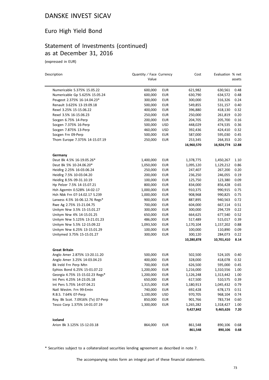# Euro High Yield Bond

# Statement of Investments (continued) as at December 31, 2016

(expressed in EUR)

| Description                        | Quantity / Face Currency<br>Value |            | Cost       | Evaluation % net | assets |
|------------------------------------|-----------------------------------|------------|------------|------------------|--------|
| Numericable 5.375% 15.05.22        | 600,000                           | EUR        | 621,982    | 630,561          | 0.48   |
| Numericable Gp 5.625% 15.05.24     | 600,000                           | <b>EUR</b> | 630,790    | 634,572          | 0.48   |
| Peugeot 2.375% 16-14.04.23*        | 300,000                           | <b>EUR</b> | 300,000    | 316,326          | 0.24   |
| Renault 3.625% 13-19.09.18         | 500,000                           | <b>EUR</b> | 549,855    | 531,157          | 0.40   |
| Rexel 3.25% 15-15.06.22            | 400,000                           | <b>EUR</b> | 396,880    | 418,130          | 0.32   |
| Rexel 3.5% 16-15.06.23             | 250,000                           | <b>EUR</b> | 250,000    | 261,819          | 0.20   |
| Socgen 6.75% 14-Perp               | 200,000                           | EUR        | 204,705    | 205,700          | 0.16   |
| Socgen 7.375% 16-Perp              | 500,000                           | <b>USD</b> | 448,029    | 474,535          | 0.36   |
| Socgen 7.875% 13-Perp              | 460,000                           | USD        | 392,436    | 424,410          | 0.32   |
| Socgen Frn 09-Perp                 | 500,000                           | <b>EUR</b> | 587,000    | 595,030          | 0.45   |
| Thom Europe 7.375% 14-15.07.19     | 250,000                           | <b>EUR</b> | 253,345    | 264,353          | 0.20   |
|                                    |                                   |            | 16,960,570 | 16,924,774 12.88 |        |
| Germany                            |                                   |            |            |                  |        |
| Deut Bk 4.5% 16-19.05.26*          | 1,400,000                         | EUR        | 1,378,775  | 1,450,267        | 1.10   |
| Deut Bk 5% 10-24.06.20*            | 1,050,000                         | <b>EUR</b> | 1,095,120  | 1,129,212        | 0.86   |
| Heidlrg 2.25% 16-03.06.24          | 250,000                           | EUR        | 247,407    | 267,200          | 0.20   |
| Heidlrg 7.5% 10-03.04.20           | 200,000                           | <b>EUR</b> | 236,250    | 246,055          | 0.19   |
| Heidlrg 8.5% 09-31.10.19           | 100,000                           | EUR        | 125,750    | 123,380          | 0.09   |
| Hp Pelzer 7.5% 14-15.07.21         | 800,000                           | <b>EUR</b> | 834,000    | 856,428          | 0.65   |
| Hsh Agemtn 0.528% 14-02-17         | 1,000,000                         | <b>EUR</b> | 910,375    | 990,915          | 0.75   |
| Hsh Nbk Frn 07-14.02.17 S.239      | 1,000,000                         | <b>EUR</b> | 908,968    | 990,825          | 0.75   |
| Lanxess 4.5% 16-06.12.76 Regs*     | 900,000                           | <b>EUR</b> | 887,895    | 940,563          | 0.72   |
| Rwe Ag 2.75% 15-21.04.75           | 700,000                           | <b>EUR</b> | 604,000    | 667,114          | 0.51   |
| Unitym Nrw 3.5% 15-15.01.27        | 300,000                           | <b>EUR</b> | 300,000    | 294,729          | 0.22   |
| Unitym Nrw 4% 14-15.01.25          | 650,000                           | <b>EUR</b> | 664,625    | 677,540          | 0.52   |
| Unitym Nrw 5.125% 13-21.01.23      | 486,000                           | <b>EUR</b> | 517,489    | 515,017          | 0.39   |
| Unitym Nrw 5.5% 12-15.09.22        | 1,093,500                         | <b>EUR</b> | 1,170,104  | 1,157,202        | 0.88   |
| Unitym Nrw 6.25% 13-15.01.29       | 100,000                           | <b>EUR</b> | 100,000    | 110,890          | 0.09   |
| Unitymed 3.75% 15-15.01.27         | 300,000                           | <b>EUR</b> | 300,120    | 284,073          | 0.22   |
|                                    |                                   |            | 10,280,878 | 10,701,410       | 8.14   |
| <b>Great Britain</b>               |                                   |            |            |                  |        |
| Anglo Amer 2.875% 13-20.11.20      | 500,000                           | EUR        | 502,500    | 524,105          | 0.40   |
| Anglo Amer 3.25% 14-03.04.23       | 400,000                           | <b>EUR</b> | 328,000    | 418,078          | 0.32   |
| Bk Ireld Frn Perp Mtn              | 700,000                           | <b>EUR</b> | 626,500    | 595,000          | 0.45   |
| Ephios Bond 6.25% 15-01.07.22      | 1,200,000                         | <b>EUR</b> | 1,216,000  | 1,310,556        | 1.00   |
| Georgia 4.75% 15-15.02.23 Regs*    | 1,200,000                         | <b>EUR</b> | 1,126,248  | 1,313,442        | 1.00   |
| Int Pers 4.25% 14-23.05.18         | 650,000                           | EUR        | 617,500    | 510,575          | 0.39   |
| Int Pers 5.75% 14-07.04.21         | 1,315,000                         | <b>EUR</b> | 1,180,913  | 1,045,432        | 0.79   |
| Natl Westm. Frn 99-Emtn            | 740,000                           | <b>EUR</b> | 692,428    | 678,173          | 0.51   |
| R.B.S. 7.64% 07-Perp               | 1,100,000                         | <b>USD</b> | 970,705    | 968,104          | 0.74   |
| Roy. Bk Scot. 7.0916% (Tv) 07-Perp | 850,000                           | <b>EUR</b> | 901,766    | 783,734          | 0.60   |
| Tesco Corp 1.375% 14-01.07.19      | 1,300,000                         | <b>EUR</b> | 1,265,282  | 1,318,427        | 1.00   |
|                                    |                                   |            | 9,427,842  | 9,465,626        | 7.20   |
| Iceland                            |                                   |            |            |                  |        |
| Arion Bk 3.125% 15-12.03.18        | 864,000                           | EUR        | 861,548    | 890,106          | 0.68   |
|                                    |                                   |            | 861,548    | 890,106          | 0.68   |

\* Securities subject to a collateralized securities lending agreement as described in note 7.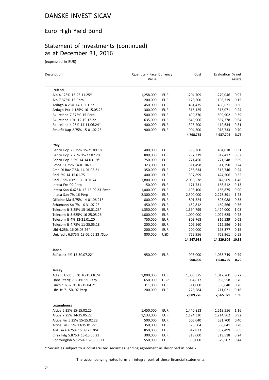#### Euro High Yield Bond

#### Statement of Investments (continued) as at December 31, 2016

(expressed in EUR)

| Description                           | Quantity / Face Currency<br>Value |            | Cost       | Evaluation % net | assets |
|---------------------------------------|-----------------------------------|------------|------------|------------------|--------|
| Ireland                               |                                   |            |            |                  |        |
| Aib 4.125% 15-26.11.25*               | 1,258,000                         | <b>EUR</b> | 1,204,709  | 1,279,046        | 0.97   |
| Aib 7.375% 15-Perp                    | 200,000                           | <b>EUR</b> | 178,500    | 198,319          | 0.15   |
| Ardagh 4.25% 14-15.01.22              | 450,000                           | <b>EUR</b> | 461,475    | 466,621          | 0.36   |
| Ardagh Pck 4.125% 16-15.05.23         | 300,000                           | <b>EUR</b> | 316,125    | 315,071          | 0.24   |
| Bk Ireland 7.375% 15-Perp             | 500,000                           | <b>EUR</b> | 499,370    | 509,902          | 0.39   |
| Bk Ireland 10% 12-19.12.22            | 635,000                           | <b>EUR</b> | 840,906    | 837,378          | 0.64   |
| Bk Ireland 4.25% 14-11.06.24*         | 400,000                           | <b>EUR</b> | 393,200    | 412,634          | 0.31   |
| Smurfit Kap 2.75% 15-01.02.25         | 900,000                           | <b>EUR</b> | 904,500    | 918,733          | 0.70   |
|                                       |                                   |            | 4,798,785  | 4,937,704        | 3.76   |
|                                       |                                   |            |            |                  |        |
| Italy<br>Banco Pop 2.625% 15-21.09.18 | 400,000                           | <b>EUR</b> | 399,260    | 404,018          | 0.31   |
| Banco Pop 2.75% 15-27.07.20           | 800,000                           | <b>EUR</b> | 797,319    | 812,412          | 0.62   |
| Banco Pop 3.5% 14-14.03.19*           | 750,000                           | <b>EUR</b> | 771,450    | 771,548          | 0.59   |
| Bmps 3.625% 14-01.04.19               | 323,000                           | <b>EUR</b> | 311,498    | 311,290          | 0.24   |
| Cmc Di Rav 7.5% 14-01.08.21           | 350,000                           | <b>EUR</b> | 256,634    | 315,746          | 0.24   |
| Enel 5% 14-15.01.75                   | 400,000                           | <b>EUR</b> | 397,899    | 424,506          | 0.32   |
| Enel 6.5% (Frn) 13-10.01.74           | 1,800,000                         | <b>EUR</b> | 2,036,678  | 1,942,569        | 1.48   |
| Intesa Frn 09-Perp                    | 150,000                           | <b>EUR</b> | 171,731    | 168,512          | 0.13   |
| Intesa San 6.625% 13-13.09.23 Emtn    | 1,000,000                         | <b>EUR</b> | 1,193,100  | 1,186,875        | 0.90   |
| Intesa San 7% 16-Perp                 | 2,300,000                         | <b>EUR</b> | 2,300,000  | 2,278,391        | 1.73   |
| Officine Ma 5.75% 14-01.06.21*        | 800,000                           | <b>EUR</b> | 801,524    | 695,088          | 0.53   |
| Schumann Sp 7% 16-31.07.23            | 450,000                           | <b>EUR</b> | 452,812    | 469,566          | 0.36   |
| Telecom It 3.25% 15-16.01.23*         | 1,350,000                         | <b>EUR</b> | 1,394,799  | 1,424,000        | 1.08   |
| Telecom It 3.625% 16-25.05.26         | 1,000,000                         | <b>EUR</b> | 1,000,000  | 1,027,625        | 0.78   |
| Telecom It 4% 12-21.01.20             | 750,000                           | <b>EUR</b> | 803,768    | 816,529          | 0.62   |
| Telecom It 4.75% 11-25.05.18          | 200,000                           | <b>EUR</b> | 206,560    | 212,596          | 0.16   |
| Ubi 4.25% 16-05.05.26*                | 200,000                           | <b>EUR</b> | 200,000    | 198,377          | 0.15   |
| Unicredit 6.375% 13-02.05.23 /Sub     | 800,000                           | <b>USD</b> | 752,956    | 769,961          | 0.59   |
|                                       |                                   |            | 14,247,988 | 14,229,609       | 10.83  |
| Japan                                 |                                   |            |            |                  |        |
| Softbank 4% 15-30.07.22*              | 950,000                           | <b>EUR</b> | 908,000    | 1,038,749        | 0.79   |
|                                       |                                   |            | 908,000    | 1,038,749        | 0.79   |
| Jersey                                |                                   |            |            |                  |        |
| Adient Glob 3.5% 16-15.08.24          | 1,000,000                         | EUR        | 1,005,375  | 1,017,760        | 0.77   |
| Hbos Sterlg 7.881% 99 Perp            | 650,000                           | GBP        | 1,064,817  | 998,558          | 0.76   |
| Lincoln 6.875% 16-15.04.21            | 311,000                           | EUR        | 311,000    | 338,640          | 0.26   |
| Ubs Je 7.15% 07-Perp                  | 200,000                           | <b>EUR</b> | 228,584    | 211,021          | 0.16   |
|                                       |                                   |            | 2,609,776  | 2,565,979        | 1.95   |
| Luxembourg                            |                                   |            |            |                  |        |
| Altice 6.25% 15-15.02.25              | 1,450,000                         | EUR        | 1,440,813  | 1,519,556        | 1.16   |
| Altice 7.25% 14-15.05.22              | 1,133,000                         | <b>EUR</b> | 1,124,330  | 1,214,502        | 0.92   |
| Altice Fin 5.25% 15-15.02.23          | 500,000                           | <b>EUR</b> | 505,040    | 531,700          | 0.40   |
| Altice Fin 6.5% 13-15.01.22           | 350,000                           | <b>EUR</b> | 373,504    | 368,841          | 0.28   |
| Ard Fin 6.625% 15.09.23 /Pik          | 850,000                           | <b>EUR</b> | 817,833    | 852,499          | 0.65   |
| Cirsa Fdg 5.875% 15-15.05.23          | 300,000                           | EUR        | 318,000    | 319,518          | 0.24   |
| Contourglob 5.125% 16-15.06.21        | 550,000                           | <b>EUR</b> | 550,000    | 579,502          | 0.44   |

\* Securities subject to a collateralized securities lending agreement as described in note 7.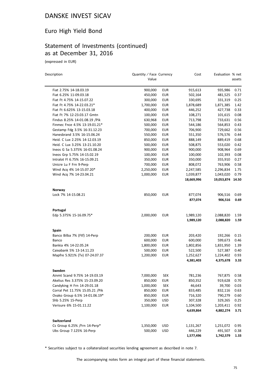# Euro High Yield Bond

# Statement of Investments (continued) as at December 31, 2016

(expressed in EUR)

| Description                      | Quantity / Face Currency<br>Value |            | Cost                   | Evaluation % net       | assets       |
|----------------------------------|-----------------------------------|------------|------------------------|------------------------|--------------|
| Fiat 2.75% 14-18.03.19           | 900,000                           | EUR        | 915,613                | 935,986                | 0.71         |
| Fiat 6.25% 11-09.03.18           | 450,000                           | <b>EUR</b> | 502,164                | 481,525                | 0.37         |
| Fiat Ft 4.75% 14-15.07.22        | 300,000                           | <b>EUR</b> | 330,695                | 331,319                | 0.25         |
| Fiat Ft 4.75% 14-22.03.21*       | 1,700,000                         | <b>EUR</b> | 1,878,689              | 1,871,385              | 1.42         |
| Fiat Ft 6.625% 13-15.03.18       | 400,000                           | <b>EUR</b> | 446,252                | 427,738                | 0.33         |
| Fiat Ft 7% 12-23.03.17 Gmtn      | 100,000                           | <b>EUR</b> | 108,271                | 101,615                | 0.08         |
| Findus 8.25% 14-01.08.19 / Pik   | 630,968                           | <b>EUR</b> | 713,798                | 733,631                | 0.56         |
| Finmec Fnce 4.5% 13-19.01.21*    | 500,000                           | <b>EUR</b> | 544,186                | 564,853                | 0.43         |
| Gestamp Fdg 3.5% 16-31.12.23     | 700,000                           | <b>EUR</b> | 706,900                | 729,662                | 0.56         |
| Hanesbrand 3.5% 16-15.06.24      | 550,000                           | <b>EUR</b> | 551,350                | 576,576                | 0.44         |
| Heid. C Lux 2.25% 14-12.03.19    | 850,000                           | <b>EUR</b> | 888,149                | 889,419                | 0.68         |
| Heid. C Lux 3.25% 13-21.10.20    | 500,000                           | <b>EUR</b> | 508,875                | 553,020                | 0.42         |
| Ineos G Sa 5.375% 16-01.08.24    | 900,000                           | <b>EUR</b> | 900,000                | 908,964                | 0.69         |
| Ineos Grp 5.75% 14-15.02.19      | 100,000                           | <b>EUR</b> | 100,000                | 102,393                | 0.08         |
| Intralot Fl 6.75% 16-15.09.21    | 350,000                           | <b>EUR</b> | 350,000                | 355,910                | 0.27         |
| Unicre Lu F Frn 9-Perp           | 700,000                           | <b>EUR</b> | 808,072                | 763,906                | 0.58         |
| Wind Acq 4% 14-15.07.20*         | 2,250,000                         | <b>EUR</b> | 2,247,585              | 2,296,834              | 1.75         |
| Wind Acq 7% 14-23.04.21          | 1,000,000                         | <b>EUR</b> | 1,039,877              | 1,043,020              | 0.79         |
|                                  |                                   |            | 18,669,996             | 19,053,874 14.50       |              |
| Norway                           |                                   |            |                        |                        |              |
| Lock 7% 14-15.08.21              | 850,000                           | <b>EUR</b> | 877,074                | 906,516                | 0.69         |
|                                  |                                   |            | 877,074                | 906,516                | 0.69         |
| Portugal                         |                                   |            |                        |                        |              |
| Edp 5.375% 15-16.09.75*          | 2,000,000                         | <b>EUR</b> | 1,989,120              | 2,088,820              | 1.59         |
|                                  |                                   |            | 1,989,120              | 2,088,820              | 1.59         |
| Spain                            |                                   |            |                        |                        |              |
| Banco Bilba 7% (Ftf) 14-Perp     | 200,000                           | <b>EUR</b> | 203,420                | 192,266                | 0.15         |
| Banco                            | 600,000                           | <b>EUR</b> | 600,000                | 599,673                | 0.46         |
| Bankia 4% 14-22.05.24            | 1,800,000                         | <b>EUR</b> | 1,802,856              | 1,831,950              | 1.39         |
| Caixabank 5% 13-14.11.23         | 500,000                           | <b>EUR</b> | 522,500                | 527,387                | 0.40         |
| Mapfre 5.921% (Tv) 07-24.07.37   | 1,200,000                         | <b>EUR</b> | 1,252,627<br>4,381,403 | 1,224,402<br>4,375,678 | 0.93<br>3.33 |
|                                  |                                   |            |                        |                        |              |
| Sweden                           |                                   |            |                        |                        |              |
| Ainmt Scand 9.75% 14-19.03.19    | 7,000,000                         | SEK        | 781,236                | 767,875                | 0.58         |
| Akelius Res 3.375% 15-23.09.20   | 850,000                           | EUR        | 850,352                | 919,628                | 0.70         |
| Candyking H Frn 14-29.01.18      | 1,000,000                         | <b>SEK</b> | 46,643                 | 39,700                 | 0.03         |
| Corral Pet 11.75% 15.05.21 / Pik | 850,000                           | <b>EUR</b> | 833,485                | 832,116                | 0.63         |
| Ovako Group 6.5% 14-01.06.19*    | 850,000                           | <b>EUR</b> | 716,320                | 790,279                | 0.60         |
| Shb 5.25% 15-Perp                | 350,000                           | <b>USD</b> | 307,328                | 329,265                | 0.25         |
| Verisure 6% 15-01.11.22          | 1,100,000                         | <b>EUR</b> | 1,104,500              | 1,203,411              | 0.92         |
|                                  |                                   |            | 4,639,864              | 4,882,274              | 3.71         |
| Switzerland                      |                                   |            |                        |                        |              |
| Cs Group 6.25% /Frn 14-Perp*     | 1,350,000                         | <b>USD</b> | 1,131,267              | 1,251,072              | 0.95         |
| Ubs Group 7.125% 16-Perp         | 500,000                           | <b>USD</b> | 446,229                | 491,507                | 0.38         |
|                                  |                                   |            | 1,577,496              | 1,742,579              | 1.33         |

\* Securities subject to a collateralized securities lending agreement as described in note 7.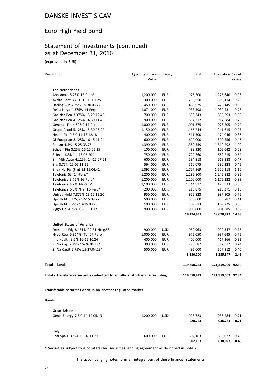#### Euro High Yield Bond

#### Statement of Investments (continued) as at December 31, 2016

(expressed in EUR)

| Description                                                                    | Quantity / Face Currency<br>Value |            | Cost        | Evaluation % net  | assets |
|--------------------------------------------------------------------------------|-----------------------------------|------------|-------------|-------------------|--------|
|                                                                                |                                   |            |             |                   |        |
| <b>The Netherlands</b>                                                         |                                   |            |             |                   |        |
| Abn Amro 5.75% 15-Perp*                                                        | 1,200,000                         | <b>EUR</b> | 1,175,500   | 1,226,640         | 0.93   |
| Axalta Coat 3.75% 16-15.01.25                                                  | 300,000                           | <b>EUR</b> | 299,250     | 303,114           | 0.23   |
| Darling Glb 4.75% 15-30.05.22                                                  | 450,000                           | <b>EUR</b> | 465,975     | 478,145           | 0.36   |
| Delta Lloyd 4.375% 14-Perp                                                     | 1,071,000                         | <b>EUR</b> | 933,598     | 1,030,431         | 0.78   |
| Gas Nat Fen 3.375% 15-29.12.49                                                 | 700,000                           | <b>EUR</b> | 693,343     | 656,593           | 0.50   |
| Gas Nat Fen 4.125% 14-30.11.49                                                 | 900,000                           | <b>EUR</b> | 884,217     | 917,284           | 0.70   |
| Generali Fin 4.596% 14-Perp                                                    | 1,000,000                         | <b>EUR</b> | 1,001,375   | 978,205           | 0.74   |
| Grupo Antol 5.125% 15-30.06.22                                                 | 1,150,000                         | <b>EUR</b> | 1,165,244   | 1,241,615         | 0.95   |
| Heidel Fin 9.5% 11-15.12.18                                                    | 400,000                           | <b>EUR</b> | 511,500     | 474,046           | 0.36   |
| Oi European 3.125% 16-15.11.24                                                 | 600,000                           | <b>EUR</b> | 600,000     | 599,556           | 0.46   |
| Repsm 4.5% 15-25.03.75                                                         | 1,390,000                         | <b>EUR</b> | 1,389,559   | 1,312,292         | 1.00   |
| Schaeff Fin 3.25% 15-15.05.25                                                  | 100,000                           | <b>EUR</b> | 98,920      | 106,642           | 0.08   |
| Selecta 6.5% 14-15.06.20*                                                      | 750,000                           | <b>EUR</b> | 722,760     | 682,215           | 0.52   |
| Sm Mth Auto 4.125% 14-15.07.21                                                 | 600,000                           | <b>EUR</b> | 594,818     | 618,888           | 0.47   |
| Sns 3.75% 15-05.11.25                                                          | 564,000                           | <b>EUR</b> | 560,075     | 590,328           | 0.45   |
| Srlev Nv 9% (Frn) 11-15.04.41                                                  | 1,395,000                         | <b>EUR</b> | 1,727,969   | 1,520,118         | 1.16   |
| Telefonic 5% 14-Perp*                                                          | 1,200,000                         | <b>EUR</b> | 1,285,800   | 1,245,882         | 0.95   |
| Telefonica 3.75% 16-Perp*                                                      | 1,200,000                         | <b>EUR</b> | 1,200,000   | 1,175,322         | 0.89   |
| Telefonica 4.2% 14-Perp*                                                       | 1,100,000                         | <b>EUR</b> | 1,144,917   | 1,125,333         | 0.86   |
| Telefonica 6.5% /Frn 13-Perp*                                                  | 200,000                           | <b>EUR</b> | 218,875     | 213,371           | 0.16   |
| Univeg Hold 7.875% 13-15.11.20                                                 | 950,000                           | <b>EUR</b> | 952,823     | 987,905           | 0.75   |
| Upc Hold 6.375% 12-15.09.22                                                    | 500,000                           | <b>EUR</b> | 538,600     | 533,787           | 0.41   |
| Upc Hold 6.75% 13-15.03.23                                                     | 100,000                           | <b>EUR</b> | 109,813     | 109,225           | 0.08   |
| Ziggo Fin 4.25% 16-15.01.27                                                    | 900,000                           | <b>EUR</b> | 900,000     | 901,885           | 0.69   |
|                                                                                |                                   |            | 19,174,931  | 19,028,822 14.48  |        |
| <b>United States of America</b>                                                |                                   |            |             |                   |        |
| Dresdner Fdg 8.151% 99-31 / Reg. S*                                            | 900,000                           | <b>USD</b> | 959,963     | 990,347           | 0.75   |
| Hypo Real 5.864% (Tv) 07-Perp                                                  | 1,000,000                         | <b>EUR</b> | 975,650     | 987,645           | 0.75   |
| Ims Health 3.5% 16-15.10.24                                                    | 400,000                           | <b>EUR</b> | 400,000     | 417,266           | 0.32   |
| Zf Na Cap 2.25% 15-26.04.19*                                                   | 300,000                           | <b>EUR</b> | 298,587     | 312,677           | 0.24   |
| Zf Na Capit 2.75% 15-27.04.23*                                                 | 500,000                           | <b>EUR</b> | 496,000     | 527,912           | 0.40   |
|                                                                                |                                   |            | 3,130,200   | 3,235,847         | 2.46   |
| Total - Bonds                                                                  |                                   |            | 119,658,243 | 121,359,009 92.34 |        |
| Total - Transferable securities admitted to an official stock exchange listing |                                   |            | 119,658,243 | 121,359,009 92.34 |        |
| Transferable securities dealt in on another regulated market                   |                                   |            |             |                   |        |
|                                                                                |                                   |            |             |                   |        |
| <b>Bonds</b>                                                                   |                                   |            |             |                   |        |
| <b>Great Britain</b>                                                           |                                   |            |             |                   |        |
| Genel Energy 7.5% 14-14.05.19                                                  | 1,200,000                         | <b>USD</b> | 928,723     | 936,284           | 0.71   |
|                                                                                |                                   |            | 928,723     | 936,284           | 0.71   |
| Italy                                                                          |                                   |            |             |                   |        |
| Snai Spa 6.375% 16-07.11.21                                                    | 600,000                           | EUR        | 602,163     | 630,027           | 0.48   |
|                                                                                |                                   |            | 602,163     | 630,027           | 0.48   |

\* Securities subject to a collateralized securities lending agreement as described in note 7.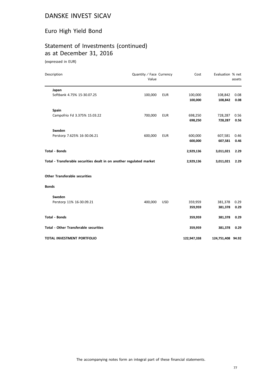# Euro High Yield Bond

# Statement of Investments (continued) as at December 31, 2016

(expressed in EUR)

| Description                                                          | Quantity / Face Currency<br>Value |            | Cost               | Evaluation % net   | assets       |
|----------------------------------------------------------------------|-----------------------------------|------------|--------------------|--------------------|--------------|
| Japan<br>Softbank 4.75% 15-30.07.25                                  | 100,000                           | <b>EUR</b> | 100,000<br>100,000 | 108,842<br>108,842 | 0.08<br>0.08 |
| Spain<br>Campofrio Fd 3.375% 15.03.22                                | 700,000                           | <b>EUR</b> | 698,250<br>698,250 | 728,287<br>728,287 | 0.56<br>0.56 |
| Sweden<br>Perstorp 7.625% 16-30.06.21                                | 600,000                           | <b>EUR</b> | 600,000<br>600,000 | 607,581<br>607,581 | 0.46<br>0.46 |
| <b>Total - Bonds</b>                                                 |                                   |            | 2,929,136          | 3,011,021          | 2.29         |
| Total - Transferable securities dealt in on another regulated market |                                   |            | 2,929,136          | 3,011,021          | 2.29         |
| <b>Other Transferable securities</b>                                 |                                   |            |                    |                    |              |
| <b>Bonds</b>                                                         |                                   |            |                    |                    |              |
| Sweden<br>Perstorp 11% 16-30.09.21                                   | 400,000                           | <b>USD</b> | 359,959<br>359,959 | 381,378<br>381,378 | 0.29<br>0.29 |
| <b>Total - Bonds</b>                                                 |                                   |            | 359,959            | 381,378            | 0.29         |
| <b>Total - Other Transferable securities</b>                         |                                   |            | 359,959            | 381,378            | 0.29         |
| TOTAL INVESTMENT PORTFOLIO                                           |                                   |            | 122,947,338        | 124,751,408 94.92  |              |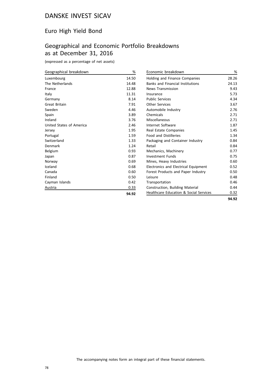#### Euro High Yield Bond

# Geographical and Economic Portfolio Breakdowns as at December 31, 2016

(expressed as a percentage of net assets)

| Geographical breakdown   | %     |
|--------------------------|-------|
| Luxembourg               | 14.50 |
| The Netherlands          | 14.48 |
| France                   | 12.88 |
| Italy                    | 11.31 |
| Germany                  | 8.14  |
| <b>Great Britain</b>     | 7.91  |
| Sweden                   | 4.46  |
| Spain                    | 3.89  |
| Ireland                  | 3.76  |
| United States of America | 2.46  |
| Jersey                   | 1.95  |
| Portugal                 | 1.59  |
| Switzerland              | 1.33  |
| Denmark                  | 1.24  |
| Belgium                  | 0.93  |
| Japan                    | 0.87  |
| Norway                   | 0.69  |
| Iceland                  | 0.68  |
| Canada                   | 0.60  |
| Finland                  | 0.50  |
| Cayman Islands           | 0.42  |
| Austria                  | 0.33  |
|                          | 94.92 |

| Economic breakdown                                | %     |
|---------------------------------------------------|-------|
| <b>Holding and Finance Companies</b>              | 28.26 |
| <b>Banks and Financial Institutions</b>           | 24.13 |
| <b>News Transmission</b>                          | 9.43  |
| Insurance                                         | 5.73  |
| <b>Public Services</b>                            | 4.34  |
| Other Services                                    | 3.67  |
| Automobile Industry                               | 2.76  |
| Chemicals                                         | 2.71  |
| Miscellaneous                                     | 2.71  |
| Internet Software                                 | 1.87  |
| Real Estate Companies                             | 1.45  |
| <b>Food and Distilleries</b>                      | 1.34  |
| Packaging and Container Industry                  | 0.84  |
| Retail                                            | 0.84  |
| Mechanics, Machinery                              | 0.77  |
| Investment Funds                                  | 0.75  |
| Mines, Heavy Industries                           | 0.60  |
| <b>Electronics and Electrical Equipment</b>       | 0.52  |
| Forest Products and Paper Industry                | 0.50  |
| Leisure                                           | 0.48  |
| Transportation                                    | 0.46  |
| Construction, Building Material                   | 0.44  |
| <b>Healthcare Education &amp; Social Services</b> | 0.32  |

**94.92**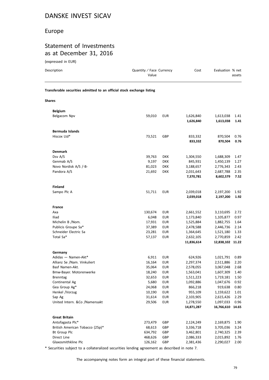#### Europe

#### Statement of Investments as at December 31, 2016

(expressed in EUR)

| Description                                                            | Quantity / Face Currency<br>Value |            | Cost                    | Evaluation % net              | assets       |
|------------------------------------------------------------------------|-----------------------------------|------------|-------------------------|-------------------------------|--------------|
| Transferable securities admitted to an official stock exchange listing |                                   |            |                         |                               |              |
| <b>Shares</b>                                                          |                                   |            |                         |                               |              |
| <b>Belgium</b>                                                         |                                   |            |                         |                               |              |
| Belgacom Npv                                                           | 59,010                            | <b>EUR</b> | 1,626,840<br>1,626,840  | 1,613,038<br>1,613,038        | 1.41<br>1.41 |
|                                                                        |                                   |            |                         |                               |              |
| Bermuda Islands                                                        |                                   |            |                         |                               |              |
| Hiscox Ltd*                                                            | 73,521                            | GBP        | 833,332                 | 870,504                       | 0.76         |
|                                                                        |                                   |            | 833,332                 | 870,504                       | 0.76         |
| <b>Denmark</b>                                                         |                                   |            |                         |                               |              |
| Dsv A/S                                                                | 39,763                            | <b>DKK</b> | 1,304,550               | 1,688,309                     | 1.47         |
| Genmab A/S                                                             | 9,197                             | <b>DKK</b> | 845,931                 | 1,450,139                     | 1.27         |
| Novo Nordisk A/S /-B-                                                  | 81,023                            | <b>DKK</b> | 3,188,657               | 2,776,343                     | 2.43         |
| Pandora A/S                                                            | 21,692                            | <b>DKK</b> | 2,031,643               | 2,687,788                     | 2.35         |
|                                                                        |                                   |            | 7,370,781               | 8,602,579                     | 7.52         |
| <b>Finland</b>                                                         |                                   |            |                         |                               |              |
| Sampo Plc A                                                            | 51,711                            | <b>EUR</b> | 2,039,018               | 2,197,200                     | 1.92         |
|                                                                        |                                   |            | 2,039,018               | 2,197,200                     | 1.92         |
| <b>France</b>                                                          |                                   |            |                         |                               |              |
| Axa                                                                    | 130,674                           | <b>EUR</b> | 2,661,552               | 3,110,695                     | 2.72         |
| Iliad                                                                  | 6,048                             | <b>EUR</b> | 1,173,840               | 1,105,877                     | 0.97         |
| Michelin B /Nom.                                                       | 17,931                            | <b>EUR</b> | 1,525,884               | 1,882,755                     | 1.64         |
| Publicis Groupe Sa*                                                    | 37,389                            | EUR        | 2,478,588               | 2,446,736                     | 2.14         |
| Schneider Electric Sa                                                  | 23,281                            | EUR        | 1,364,645               | 1,521,180                     | 1.33         |
| Total Sa*                                                              | 57,137                            | EUR        | 2,632,105<br>11,836,614 | 2,770,859<br>12,838,102 11.22 | 2.42         |
|                                                                        |                                   |            |                         |                               |              |
| Germany<br>Adidas - Namen-Akt*                                         | 6,911                             | EUR        | 624,926                 | 1,021,791                     | 0.89         |
| Allianz Se /Nam. Vinkuliert                                            | 16,164                            | <b>EUR</b> | 2,297,374               | 2,511,886                     | 2.20         |
| Basf Namen-Akt.                                                        | 35,064                            | <b>EUR</b> | 2,578,055               | 3,067,048                     | 2.68         |
| Bmw-Bayer. Motorenwerke                                                | 18,240                            | <b>EUR</b> | 1,563,041               | 1,607,309                     | 1.40         |
| <b>Brenntag</b>                                                        | 32,653                            | <b>EUR</b> | 1,511,223               | 1,719,181                     | 1.50         |
| Continental Ag                                                         | 5,680                             | <b>EUR</b> | 1,092,886               | 1,047,676                     | 0.92         |
| Gea Group Ag*                                                          | 24,068                            | <b>EUR</b> | 866,218                 | 919,638                       | 0.80         |
| Henkel /Vorzug                                                         | 10,190                            | <b>EUR</b> | 955,109                 | 1,159,622                     | 1.01         |
| Sap Ag                                                                 | 31,614                            | <b>EUR</b> | 2,103,905               | 2,615,426                     | 2.29         |
| United Intern. &Co /Namensakt                                          | 29,506                            | <b>EUR</b> | 1,278,550               | 1,097,033                     | 0.96         |
|                                                                        |                                   |            | 14,871,287              | 16,766,610 14.65              |              |
| <b>Great Britain</b>                                                   |                                   |            |                         |                               |              |
| Antofagasta Plc*                                                       | 273,479                           | GBP        | 2,124,249               | 2,169,875                     | 1.90         |
| British American Tobacco (25p)*                                        | 68,613                            | GBP        | 3,336,718               | 3,705,036                     | 3.24         |
| Bt Group Plc                                                           | 634,792                           | GBP        | 3,462,801               | 2,740,325                     | 2.39         |
| Direct Line                                                            | 468,626                           | GBP        | 2,086,333               | 2,015,892                     | 1.76         |
| Glaxosmithkline Plc                                                    | 126,162                           | GBP        | 2,381,436               | 2,290,027                     | 2.00         |

\* Securities subject to a collateralized securities lending agreement as described in note 7.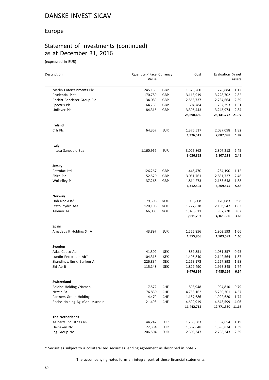#### Europe

## Statement of Investments (continued) as at December 31, 2016

(expressed in EUR)

| Description                    | Quantity / Face Currency<br>Value |            | Cost       | Evaluation % net | assets |
|--------------------------------|-----------------------------------|------------|------------|------------------|--------|
|                                |                                   |            |            |                  |        |
| Merlin Entertainments Plc      | 245,185                           | GBP        | 1,323,260  | 1,278,884        | 1.12   |
| Prudential Plc*                | 170,789                           | GBP        | 3,113,919  | 3,228,702        | 2.82   |
| Reckitt Benckiser Group Plc    | 34,080                            | GBP        | 2,868,737  | 2,734,664        | 2.39   |
| Spectris Plc                   | 64,759                            | GBP        | 1,604,784  | 1,732,393        | 1.51   |
| Unilever Plc                   | 84,315                            | GBP        | 3,396,443  | 3,245,974        | 2.84   |
|                                |                                   |            | 25,698,680 | 25,141,772 21.97 |        |
| Ireland                        |                                   |            |            |                  |        |
| Crh Plc                        | 64,357                            | <b>EUR</b> | 1,376,517  | 2,087,098        | 1.82   |
|                                |                                   |            | 1,376,517  | 2,087,098        | 1.82   |
| Italy                          |                                   |            |            |                  |        |
| Intesa Sanpaolo Spa            | 1,160,967                         | <b>EUR</b> | 3,026,862  | 2,807,218        | 2.45   |
|                                |                                   |            | 3,026,862  | 2,807,218        | 2.45   |
| Jersey                         |                                   |            |            |                  |        |
| Petrofac Ltd                   | 126,267                           | GBP        | 1,446,470  | 1,284,190        | 1.12   |
| Shire Plc                      | 52,520                            | GBP        | 3,051,761  | 2,831,737        | 2.48   |
| <b>Wolselley Plc</b>           | 37,268                            | GBP        | 1,814,273  | 2,153,648        | 1.88   |
|                                |                                   |            | 6,312,504  | 6,269,575        | 5.48   |
| Norway                         |                                   |            |            |                  |        |
| Dnb Nor Asa*                   | 79,306                            | <b>NOK</b> | 1,056,808  | 1,120,083        | 0.98   |
| Statoilhydro Asa               | 120,106                           | <b>NOK</b> | 1,777,878  | 2,103,547        | 1.83   |
| <b>Telenor As</b>              | 66,085                            | <b>NOK</b> | 1,076,611  | 937,720          | 0.82   |
|                                |                                   |            | 3,911,297  | 4,161,350        | 3.63   |
| Spain                          |                                   |            |            |                  |        |
| Amadeus It Holding Sr. A       | 43,897                            | <b>EUR</b> | 1,555,856  | 1,903,593        | 1.66   |
|                                |                                   |            | 1,555,856  | 1,903,593        | 1.66   |
| Sweden                         |                                   |            |            |                  |        |
| Atlas Copco Ab                 | 41,502                            | <b>SEK</b> | 889,851    | 1,081,357        | 0.95   |
| Lundin Petroleum Ab*           | 104,315                           | <b>SEK</b> | 1,495,840  | 2,142,564        | 1.87   |
| Skandinav. Ensk. Banken A      | 226,834                           | <b>SEK</b> | 2,263,173  | 2,267,898        | 1.98   |
| Skf Ab B                       | 115,148                           | <b>SEK</b> | 1,827,490  | 1,993,345        | 1.74   |
|                                |                                   |            | 6,476,354  | 7,485,164        | 6.54   |
| <b>Switzerland</b>             |                                   |            |            |                  |        |
| Baloise Holding /Namen         | 7,572                             | CHF        | 808,948    | 904,810          | 0.79   |
| Nestle Sa                      | 76,830                            | CHF        | 4,753,162  | 5,230,301        | 4.57   |
| Partners Group Holding         | 4,470                             | CHF        | 1,187,686  | 1,992,620        | 1.74   |
| Roche Holding Ag /Genussschein | 21,498                            | CHF        | 4,692,919  | 4,643,599        | 4.06   |
|                                |                                   |            | 11,442,715 | 12,771,330       | 11.16  |
| <b>The Netherlands</b>         |                                   |            |            |                  |        |
| Aalberts Industries Nv         | 44,242                            | <b>EUR</b> | 1,266,583  | 1,362,654        | 1.19   |
| Heineken Nv                    | 22,384                            | <b>EUR</b> | 1,562,848  | 1,596,874        | 1.39   |
| Ing Group Nv                   | 206,504                           | <b>EUR</b> | 2,305,347  | 2,738,243        | 2.39   |

\* Securities subject to a collateralized securities lending agreement as described in note 7.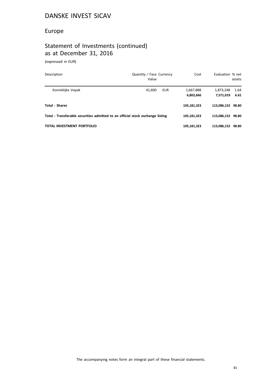#### Europe

# Statement of Investments (continued) as at December 31, 2016

(expressed in EUR)

| Description                                                                    | Quantity / Face Currency<br>Value | Cost                   | Evaluation % net       | assets       |
|--------------------------------------------------------------------------------|-----------------------------------|------------------------|------------------------|--------------|
| Koninklijke Vopak                                                              | 41.600<br>EUR                     | 1,667,888<br>6,802,666 | 1,873,248<br>7.571.019 | 1.64<br>6.61 |
| Total - Shares                                                                 |                                   | 105,181,323            | 113.086.152 98.80      |              |
| Total - Transferable securities admitted to an official stock exchange listing |                                   | 105,181,323            | 113,086,152 98.80      |              |
| TOTAL INVESTMENT PORTFOLIO                                                     |                                   | 105,181,323            | 113,086,152 98.80      |              |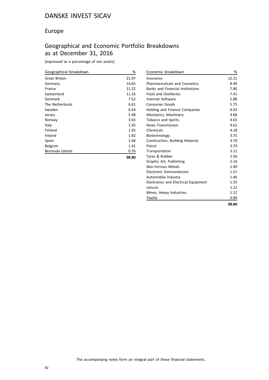#### Europe

## Geographical and Economic Portfolio Breakdowns as at December 31, 2016

| Geographical breakdown | %     |
|------------------------|-------|
| Great Britain          | 21.97 |
| Germany                | 14.65 |
| France                 | 11.22 |
| Switzerland            | 11.16 |
| Denmark                | 7.52  |
| The Netherlands        | 6.61  |
| Sweden                 | 6.54  |
| Jersey                 | 5.48  |
| Norway                 | 3.63  |
| Italy                  | 2.45  |
| Finland                | 1.92  |
| Ireland                | 1.82  |
| Spain                  | 1.66  |
| Belgium                | 1.41  |
| Bermuda Islands        | 0.76  |
|                        | 98.80 |

| Economic breakdown                      | %     |
|-----------------------------------------|-------|
| Insurance                               | 12.21 |
| <b>Pharmaceuticals and Cosmetics</b>    | 8.49  |
| <b>Banks and Financial Institutions</b> | 7.80  |
| <b>Food and Distilleries</b>            | 7.41  |
| Internet Software                       | 5.88  |
| <b>Consumer Goods</b>                   | 5.75  |
| Holding and Finance Companies           | 4.92  |
| Mechanics, Machinery                    | 4.68  |
| <b>Tobacco and Spirits</b>              | 4.63  |
| <b>News Transmission</b>                | 4.62  |
| Chemicals                               | 4.18  |
| Biotechnology                           | 3.75  |
| Construction, Building Material         | 3.70  |
| Petrol                                  | 3.70  |
| Transportation                          | 3.11  |
| Tyres & Rubber                          | 2.56  |
| Graphic Art, Publishing                 | 2.14  |
| Non-Ferrous Metals                      | 1.90  |
| Electronic Semiconductor                | 1.51  |
| Automobile Industry                     | 1.40  |
| Electronics and Electrical Equipment    | 1.33  |
| Leisure                                 | 1.12  |
| Mines, Heavy Industries                 | 1.12  |
| <b>Textile</b>                          | 0.89  |
|                                         | 98.80 |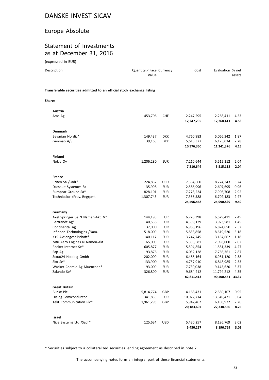#### Europe Absolute

#### Statement of Investments as at December 31, 2016

| (expressed in EUR)                                                     |                                   |                          |                          |                          |              |
|------------------------------------------------------------------------|-----------------------------------|--------------------------|--------------------------|--------------------------|--------------|
| Description                                                            | Quantity / Face Currency<br>Value |                          | Cost                     | Evaluation % net         | assets       |
| Transferable securities admitted to an official stock exchange listing |                                   |                          |                          |                          |              |
| <b>Shares</b>                                                          |                                   |                          |                          |                          |              |
| Austria                                                                |                                   |                          |                          |                          |              |
| Ams Ag                                                                 | 453,796                           | <b>CHF</b>               | 12,247,295<br>12,247,295 | 12,268,411<br>12,268,411 | 4.53<br>4.53 |
| <b>Denmark</b>                                                         |                                   |                          |                          |                          |              |
| Bavarian Nordic*                                                       | 149,437                           | <b>DKK</b>               | 4,760,983                | 5,066,342                | 1.87         |
| Genmab A/S                                                             | 39,163                            | <b>DKK</b>               | 5,615,377                | 6,175,034                | 2.28         |
|                                                                        |                                   |                          | 10,376,360               | 11,241,376               | 4.15         |
| <b>Finland</b>                                                         |                                   |                          |                          |                          |              |
| Nokia Oy                                                               | 1,206,280                         | EUR                      | 7,210,644                | 5,515,112                | 2.04         |
|                                                                        |                                   |                          | 7,210,644                | 5,515,112                | 2.04         |
| France                                                                 |                                   |                          |                          |                          |              |
| Criteo Sa /Sadr*                                                       | 224,852                           | <b>USD</b>               | 7,364,660                | 8,774,243                | 3.24         |
| Dassault Systemes Sa                                                   | 35,998                            | <b>EUR</b>               | 2,586,996                | 2,607,695                | 0.96         |
| Europcar Groupe Sa*                                                    | 828,101                           | <b>EUR</b>               | 7,278,224                | 7,906,708                | 2.92         |
| Technicolor /Prov. Regrpmt                                             | 1,307,743                         | <b>EUR</b>               | 7,366,588                | 6,702,183                | 2.47         |
|                                                                        |                                   |                          | 24,596,468               | 25,990,829               | 9.59         |
| Germany                                                                |                                   |                          |                          |                          |              |
| Axel Springer Se N Namen-Akt. V*                                       | 144,196                           | <b>EUR</b>               | 6,726,398                | 6,629,411                | 2.45         |
| Bertrandt Ag*                                                          | 40,558                            | <b>EUR</b>               | 4,359,129                | 3,923,581                | 1.45         |
| Continental Ag                                                         | 37,000                            | <b>EUR</b>               | 6,986,196                | 6,824,650                | 2.52         |
| Infineon Technologies /Nam.                                            | 518,000                           | <b>EUR</b>               | 5,883,858                | 8,619,520                | 3.18         |
| K+S Aktiengesellschaft*                                                | 140,117                           | <b>EUR</b>               | 3,247,745                | 3,187,662                | 1.18         |
| Mtu Aero Engines N Namen-Akt                                           | 65,000                            | <b>EUR</b>               | 5,303,581                | 7,098,000                | 2.62         |
| Rocket Internet Se*                                                    | 605,877                           | <b>EUR</b>               | 15,594,854               | 11,581,339               | 4.27         |
| Sap Ag                                                                 | 93,876                            | <b>EUR</b>               | 6,052,128                | 7,766,361                | 2.87         |
| Scout24 Holding Gmbh                                                   | 202,000                           | <b>EUR</b>               | 6,485,164                | 6,981,120                | 2.58         |
| Sixt Se*                                                               | 133,900                           | <b>EUR</b>               | 4,757,910                | 6,848,985                | 2.53         |
| Wacker Chemie Ag Muenchen*<br>Zalando Se*                              | 93,000<br>326,800                 | <b>EUR</b><br><b>EUR</b> | 7,730,038<br>9,684,412   | 9,145,620<br>11,794,212  | 3.37<br>4.35 |
|                                                                        |                                   |                          | 82,811,413               | 90,400,461 33.37         |              |
| <b>Great Britain</b>                                                   |                                   |                          |                          |                          |              |
| <b>Blinkx Plc</b>                                                      | 5,814,774                         | GBP                      | 4,168,431                | 2,580,107                | 0.95         |
| Dialog Semiconductor                                                   | 341,835                           | EUR                      | 10,072,714               | 13,649,471               | 5.04         |
| Telit Communication Plc*                                               | 1,961,293                         | GBP                      | 5,942,462                | 6,108,972                | 2.26         |
|                                                                        |                                   |                          | 20,183,607               | 22,338,550               | 8.25         |
| Israel                                                                 |                                   |                          |                          |                          |              |
| Nice Systems Ltd /Sadr*                                                | 125,634                           | USD                      | 5,430,257                | 8,196,769                | 3.02         |
|                                                                        |                                   |                          |                          |                          |              |

\* Securities subject to a collateralized securities lending agreement as described in note 7.

**5,430,257 8,196,769 3.02**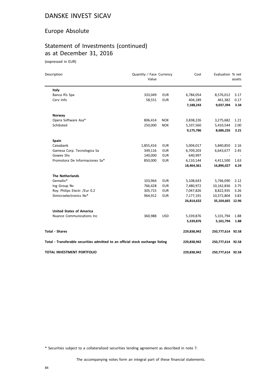#### Europe Absolute

# Statement of Investments (continued) as at December 31, 2016

(expressed in EUR)

| Description                                                                    | Quantity / Face Currency<br>Value |            | Cost        | Evaluation % net  | assets |
|--------------------------------------------------------------------------------|-----------------------------------|------------|-------------|-------------------|--------|
| Italy                                                                          |                                   |            |             |                   |        |
| Banca Ifis Spa                                                                 | 333,049                           | <b>EUR</b> | 6,784,054   | 8,576,012         | 3.17   |
| Cerv Info                                                                      | 58,551                            | <b>EUR</b> | 404,189     | 461,382           | 0.17   |
|                                                                                |                                   |            | 7,188,243   | 9,037,394         | 3.34   |
| Norway                                                                         |                                   |            |             |                   |        |
| Opera Software Asa*                                                            | 806,414                           | <b>NOK</b> | 3,838,226   | 3,275,682         | 1.21   |
| Schibsted                                                                      | 250,000                           | <b>NOK</b> | 5,337,560   | 5,410,544         | 2.00   |
|                                                                                |                                   |            | 9,175,786   | 8,686,226         | 3.21   |
| Spain                                                                          |                                   |            |             |                   |        |
| Caixabank                                                                      | 1,855,416                         | <b>EUR</b> | 5,004,017   | 5,840,850         | 2.16   |
| Gamesa Corp. Tecnologica Sa                                                    | 349,116                           | <b>EUR</b> | 6,709,203   | 6,643,677         | 2.45   |
| Gowex Shs                                                                      | 140,000                           | <b>EUR</b> | 640,997     |                   |        |
| Promotora De Informaciones Sa*                                                 | 850,000                           | <b>EUR</b> | 6,110,144   | 4,411,500         | 1.63   |
|                                                                                |                                   |            | 18,464,361  | 16,896,027        | 6.24   |
| <b>The Netherlands</b>                                                         |                                   |            |             |                   |        |
| Gemalto*                                                                       | 103,964                           | <b>EUR</b> | 5,108,643   | 5,746,090         | 2.12   |
| Ing Group Nv                                                                   | 766,428                           | <b>EUR</b> | 7,480,972   | 10,162,836        | 3.75   |
| Roy. Philips Electr. /Eur 0.2                                                  | 305,715                           | <b>EUR</b> | 7,047,826   | 8,822,935         | 3.26   |
| Stmicroelectronics Nv*                                                         | 964,912                           | <b>EUR</b> | 7,177,191   | 10,372,804        | 3.83   |
|                                                                                |                                   |            | 26,814,632  | 35,104,665 12.96  |        |
| <b>United States of America</b>                                                |                                   |            |             |                   |        |
| Nuance Communications Inc.                                                     | 360,988                           | <b>USD</b> | 5,339,876   | 5,101,794         | 1.88   |
|                                                                                |                                   |            | 5,339,876   | 5,101,794         | 1.88   |
| <b>Total - Shares</b>                                                          |                                   |            | 229,838,942 | 250,777,614 92.58 |        |
| Total - Transferable securities admitted to an official stock exchange listing |                                   |            | 229,838,942 | 250,777,614 92.58 |        |
| <b>TOTAL INVESTMENT PORTFOLIO</b>                                              |                                   |            | 229,838,942 | 250,777,614 92.58 |        |

\* Securities subject to a collateralized securities lending agreement as described in note 7.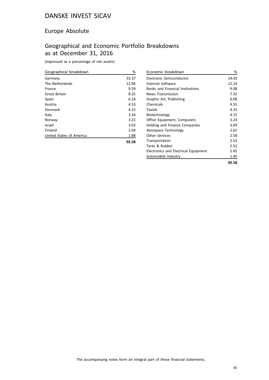#### Europe Absolute

## Geographical and Economic Portfolio Breakdowns as at December 31, 2016

(expressed as a percentage of net assets)

| Geographical breakdown   | %     |
|--------------------------|-------|
| Germany                  | 33.37 |
| The Netherlands          | 12.96 |
| France                   | 9.59  |
| Great Britain            | 8.25  |
| Spain                    | 6.24  |
| Austria                  | 4.53  |
| Denmark                  | 4.15  |
| Italy                    | 3.34  |
| Norway                   | 3.21  |
| Israel                   | 3.02  |
| Finland                  | 2.04  |
| United States of America | 1.88  |
|                          | 92.58 |

| Economic breakdown                      | %     |
|-----------------------------------------|-------|
| Electronic Semiconductor                | 24.43 |
| Internet Software                       | 12.14 |
| <b>Banks and Financial Institutions</b> | 9.08  |
| <b>News Transmission</b>                | 7.32  |
| Graphic Art, Publishing                 | 6.08  |
| Chemicals                               | 4.55  |
| Textile                                 | 4.35  |
| Biotechnology                           | 4.15  |
| Office Equipment, Computers             | 3.24  |
| Holding and Finance Companies           | 3.09  |
| Aerospace Technology                    | 2.62  |
| <b>Other Services</b>                   | 2.58  |
| Transportation                          | 2.53  |
| Tyres & Rubber                          | 2.52  |
| Electronics and Electrical Equipment    | 2.45  |
| Automobile Industry                     | 1.45  |
|                                         | 92.58 |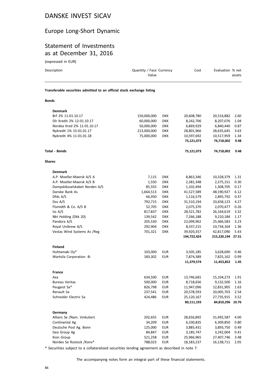#### Europe Long-Short Dynamic

#### Statement of Investments as at December 31, 2016

(expressed in EUR)

| $1$ CVDI COOCU III LOIV                                                |                                   |            |             |                   |        |
|------------------------------------------------------------------------|-----------------------------------|------------|-------------|-------------------|--------|
| Description                                                            | Quantity / Face Currency<br>Value |            | Cost        | Evaluation % net  | assets |
| Transferable securities admitted to an official stock exchange listing |                                   |            |             |                   |        |
| <b>Bonds</b>                                                           |                                   |            |             |                   |        |
|                                                                        |                                   |            |             |                   |        |
| <b>Denmark</b>                                                         |                                   |            |             |                   |        |
| Brf 2% 11-01.10.17                                                     | 150,000,000                       | <b>DKK</b> | 20,608,780  | 20,516,882        | 2.60   |
| Dlr Kredit 2% 12-01.10.17                                              | 60,000,000                        | <b>DKK</b> | 8,242,706   | 8,207,076         | 1.04   |
| Nordea Kred 2% 11-01.10.17                                             | 50,000,000                        | <b>DKK</b> | 6,869,929   | 6,840,440         | 0.87   |
| Nykredit 1% 15-01.01.17                                                | 213,000,000                       | <b>DKK</b> | 28,801,966  | 28,635,645        | 3.63   |
| Nykredit 4% 11-01.01.18                                                | 75,000,000                        | <b>DKK</b> | 10,597,692  | 10,517,959        | 1.34   |
|                                                                        |                                   |            | 75,121,073  | 74,718,002        | 9.48   |
| <b>Total - Bonds</b>                                                   |                                   |            | 75,121,073  | 74,718,002        | 9.48   |
| <b>Shares</b>                                                          |                                   |            |             |                   |        |
| <b>Denmark</b>                                                         |                                   |            |             |                   |        |
| A.P. Moeller-Maersk A/S A                                              | 7,115                             | <b>DKK</b> | 8,863,346   | 10,328,379        | 1.31   |
| A.P. Moeller-Maersk A/S B                                              | 1,550                             | <b>DKK</b> | 2,381,348   | 2,375,151         | 0.30   |
| Dampskibsselskabet Norden A/S                                          | 85,555                            | <b>DKK</b> | 1,102,494   | 1,308,705         | 0.17   |
| Danske Bank As                                                         | 1,664,513                         | <b>DKK</b> | 41,527,589  | 48,190,927        | 6.12   |
| Dfds A/S                                                               | 66,950                            | <b>DKK</b> | 1,116,579   | 2,895,792         | 0.37   |
| Dsv A/S                                                                | 792,715                           | <b>DKK</b> | 31,510,194  | 33,658,123        | 4.27   |
| Flsmidth & Co. A/S B                                                   | 52,705                            | <b>DKK</b> | 2,075,370   | 2,070,477         | 0.26   |
| Iss A/S                                                                | 817,837                           | <b>DKK</b> | 28,521,782  | 26,164,619        | 3.32   |
| Nkt Holding (Dkk 20)                                                   | 139,542                           | <b>DKK</b> | 7,266,188   | 9,210,184         | 1.17   |
| Pandora A/S                                                            | 205,530                           | <b>DKK</b> | 22,099,962  | 25,466,583        | 3.23   |
| Royal Unibrew A/S                                                      | 292,904                           | <b>DKK</b> | 8,337,215   | 10,734,164        | 1.36   |
| Vestas Wind Systems As /Reg                                            | 701,321                           | <b>DKK</b> | 39,920,357  | 42,817,090        | 5.43   |
|                                                                        |                                   |            | 194,722,424 | 215,220,194 27.31 |        |
| <b>Finland</b>                                                         |                                   |            |             |                   |        |
| Huhtamaki Oy*                                                          | 103,000                           | <b>EUR</b> | 3,505,185   | 3,628,690         | 0.46   |
| Wartsila Corporation -B-                                               | 183,302                           | <b>EUR</b> | 7,874,389   | 7,825,162         | 0.99   |
|                                                                        |                                   |            | 11,379,574  | 11,453,852        | 1.45   |
| <b>France</b>                                                          |                                   |            |             |                   |        |
| Axa                                                                    | 634,500                           | <b>EUR</b> | 13,746,681  | 15,104,273        | 1.91   |
| <b>Bureau Veritas</b>                                                  | 500,000                           | <b>EUR</b> | 8,718,656   | 9,132,500         | 1.16   |
| Peugeot Sa*                                                            | 826,798                           | <b>EUR</b> | 11,947,096  | 12,831,905        | 1.63   |
| Renault Sa                                                             | 237,541                           | <b>EUR</b> | 20,578,593  | 20,005,703        | 2.54   |
| Schneider Electric Sa                                                  | 424,486                           | <b>EUR</b> | 25,120,167  | 27,735,915        | 3.52   |
|                                                                        |                                   |            | 80,111,193  | 84,810,296 10.76  |        |
| Germany                                                                |                                   |            |             |                   |        |
| Allianz Se /Nam. Vinkuliert                                            | 202,655                           | <b>EUR</b> | 28,656,892  | 31,492,587        | 4.00   |
| Continental Ag                                                         | 34,209                            | <b>EUR</b> | 6,330,835   | 6,309,850         | 0.80   |
| Deutsche Post Ag. Bonn                                                 | 125,000                           | <b>EUR</b> | 3,885,431   | 3,893,750         | 0.49   |
| Gea Group Ag                                                           | 84,847                            | <b>EUR</b> | 3,185,747   | 3,242,004         | 0.41   |
| Kion Group                                                             | 521,258                           | <b>EUR</b> | 25,966,965  | 27,407,746        | 3.48   |

\* Securities subject to a collateralized securities lending agreement as described in note 7.

Nordex Se Rostock /Konv\* 788,023 EUR 18,183,237 16,138,711 2.05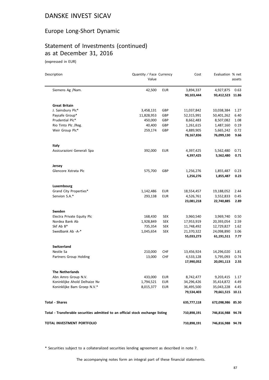#### Europe Long-Short Dynamic

# Statement of Investments (continued) as at December 31, 2016

(expressed in EUR)

| Description                                                                    | Quantity / Face Currency<br>Value |            | Cost        | Evaluation % net  | assets |
|--------------------------------------------------------------------------------|-----------------------------------|------------|-------------|-------------------|--------|
| Siemens Ag /Nam.                                                               | 42,500                            | <b>EUR</b> | 3,894,337   | 4,927,875         | 0.63   |
|                                                                                |                                   |            | 90,103,444  | 93,412,523 11.86  |        |
| <b>Great Britain</b>                                                           |                                   |            |             |                   |        |
| J. Sainsbury Plc*                                                              | 3,458,131                         | GBP        | 11,037,842  | 10,038,384        | 1.27   |
| Paysafe Group*                                                                 | 11,828,953                        | GBP        | 52,315,991  | 50,401,262        | 6.40   |
| Prudential Plc*                                                                | 450,000                           | GBP        | 8,662,483   | 8,507,082         | 1.08   |
| Rio Tinto Plc /Reg.                                                            | 40,400                            | GBP        | 1,261,615   | 1,487,160         | 0.19   |
| Weir Group Plc*                                                                | 259,174                           | GBP        | 4,889,905   | 5,665,242         | 0.72   |
|                                                                                |                                   |            | 78,167,836  | 76,099,130        | 9.66   |
| Italy                                                                          |                                   |            |             |                   |        |
| Assicurazioni Generali Spa                                                     | 392,000                           | <b>EUR</b> | 4,397,425   | 5,562,480         | 0.71   |
|                                                                                |                                   |            | 4,397,425   | 5,562,480         | 0.71   |
| Jersey                                                                         |                                   |            |             |                   |        |
| Glencore Xstrata Plc                                                           | 575,700                           | GBP        | 1,256,276   | 1,855,487         | 0.23   |
|                                                                                |                                   |            | 1,256,276   | 1,855,487         | 0.23   |
| Luxembourg                                                                     |                                   |            |             |                   |        |
| Grand City Properties*                                                         | 1,142,486                         | <b>EUR</b> | 18,554,457  | 19,188,052        | 2.44   |
| Senvion S.A.*                                                                  | 293,138                           | <b>EUR</b> | 4,526,761   | 3,552,833         | 0.45   |
|                                                                                |                                   |            | 23,081,218  | 22,740,885        | 2.89   |
| Sweden                                                                         |                                   |            |             |                   |        |
| Electra Private Equity Plc                                                     | 168,430                           | <b>SEK</b> | 3,960,540   | 3,969,740         | 0.50   |
| Nordea Bank Ab                                                                 | 1,928,849                         | <b>SEK</b> | 17,953,919  | 20,393,054        | 2.59   |
| Skf Ab B*                                                                      | 735,354                           | <b>SEK</b> | 11,748,492  | 12,729,827        | 1.62   |
| Swedbank Ab -A-*                                                               | 1,045,654                         | <b>SEK</b> | 21,370,322  | 24,098,890        | 3.06   |
|                                                                                |                                   |            | 55,033,273  | 61,191,511        | 7.77   |
| <b>Switzerland</b>                                                             |                                   |            |             |                   |        |
| Nestle Sa                                                                      | 210,000                           | <b>CHF</b> | 13,456,924  | 14,296,020        | 1.81   |
| Partners Group Holding                                                         | 13,000                            | <b>CHF</b> | 4,533,128   | 5,795,093         | 0.74   |
|                                                                                |                                   |            | 17,990,052  | 20,091,113        | 2.55   |
| <b>The Netherlands</b>                                                         |                                   |            |             |                   |        |
| Abn Amro Group N.V.                                                            | 433,000                           | <b>EUR</b> | 8,742,477   | 9,203,415         | 1.17   |
| Koninklijke Ahold Delhaize Nv                                                  | 1,794,521                         | <b>EUR</b> | 34,296,426  | 35,414,872        | 4.49   |
| Koninklijke Bam Groep N.V.*                                                    | 8,015,377                         | <b>EUR</b> | 36,495,500  | 35,043,228        | 4.45   |
|                                                                                |                                   |            | 79,534,403  | 79,661,515 10.11  |        |
| <b>Total - Shares</b>                                                          |                                   |            | 635,777,118 | 672,098,986 85.30 |        |
| Total - Transferable securities admitted to an official stock exchange listing |                                   |            | 710,898,191 | 746,816,988 94.78 |        |
| TOTAL INVESTMENT PORTFOLIO                                                     |                                   |            | 710,898,191 | 746,816,988 94.78 |        |

\* Securities subject to a collateralized securities lending agreement as described in note 7.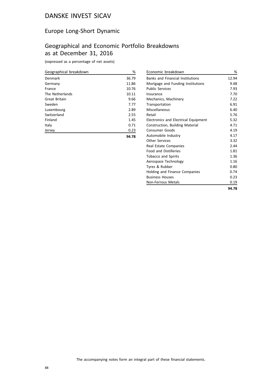#### Europe Long-Short Dynamic

# Geographical and Economic Portfolio Breakdowns as at December 31, 2016

| Geographical breakdown | %     |
|------------------------|-------|
| Denmark                | 36.79 |
| Germany                | 11.86 |
| France                 | 10.76 |
| The Netherlands        | 10.11 |
| Great Britain          | 9.66  |
| Sweden                 | 7.77  |
| Luxembourg             | 2.89  |
| Switzerland            | 2.55  |
| Finland                | 1.45  |
| Italy                  | 0.71  |
| Jersey                 | 0.23  |
|                        | 94.78 |

| Economic breakdown                          | %     |
|---------------------------------------------|-------|
| <b>Banks and Financial Institutions</b>     | 12.94 |
| Mortgage and Funding Institutions           | 9.48  |
| <b>Public Services</b>                      | 7.93  |
| Insurance                                   | 7.70  |
| Mechanics, Machinery                        | 7.22  |
| Transportation                              | 6.91  |
| Miscellaneous                               | 6.40  |
| Retail                                      | 5.76  |
| <b>Electronics and Electrical Equipment</b> | 5.32  |
| Construction, Building Material             | 4.71  |
| <b>Consumer Goods</b>                       | 4.19  |
| Automobile Industry                         | 4.17  |
| Other Services                              | 3.32  |
| Real Estate Companies                       | 2.44  |
| <b>Food and Distilleries</b>                | 1.81  |
| <b>Tobacco and Spirits</b>                  | 1.36  |
| Aerospace Technology                        | 1.16  |
| Tyres & Rubber                              | 0.80  |
| Holding and Finance Companies               | 0.74  |
| <b>Business Houses</b>                      | 0.23  |
| <b>Non-Ferrous Metals</b>                   | 0.19  |
|                                             | 94.78 |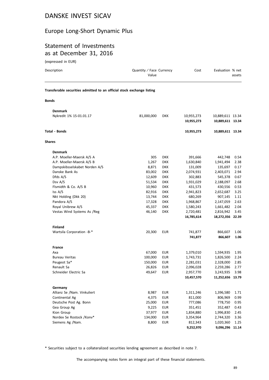#### Europe Long-Short Dynamic Plus

#### Statement of Investments as at December 31, 2016

(expressed in EUR)

| Description                                                            | Quantity / Face Currency<br>Value |            | Cost       | Evaluation % net | assets |
|------------------------------------------------------------------------|-----------------------------------|------------|------------|------------------|--------|
| Transferable securities admitted to an official stock exchange listing |                                   |            |            |                  |        |
| <b>Bonds</b>                                                           |                                   |            |            |                  |        |
| <b>Denmark</b>                                                         |                                   |            |            |                  |        |
| Nykredit 1% 15-01.01.17                                                | 81,000,000                        | <b>DKK</b> | 10,955,273 | 10,889,611 13.34 |        |
|                                                                        |                                   |            | 10,955,273 | 10,889,611 13.34 |        |
| Total - Bonds                                                          |                                   |            | 10,955,273 | 10,889,611 13.34 |        |
| Shares                                                                 |                                   |            |            |                  |        |
| <b>Denmark</b>                                                         |                                   |            |            |                  |        |
| A.P. Moeller-Maersk A/S A                                              | 305                               | <b>DKK</b> | 391,666    | 442,748          | 0.54   |
| A.P. Moeller-Maersk A/S B                                              | 1,267                             | <b>DKK</b> | 1,630,840  | 1,941,494        | 2.38   |
| Dampskibsselskabet Norden A/S                                          | 8,871                             | <b>DKK</b> | 131,009    | 135,697          | 0.17   |
| Danske Bank As                                                         | 83,002                            | <b>DKK</b> | 2,074,931  | 2,403,071        | 2.94   |
| Dfds A/S                                                               | 12,609                            | <b>DKK</b> | 302,883    | 545,378          | 0.67   |
| Dsv A/S                                                                | 51,534                            | <b>DKK</b> | 1,931,029  | 2,188,097        | 2.68   |
| Flsmidth & Co. A/S B                                                   | 10,960                            | <b>DKK</b> | 431,573    | 430,556          | 0.53   |
| Iss A/S                                                                | 82,916                            | <b>DKK</b> | 2,941,823  | 2,652,687        | 3.25   |
| Nkt Holding (Dkk 20)                                                   | 13,744                            | <b>DKK</b> | 680,269    | 907,145          | 1.11   |
| Pandora A/S                                                            | 17,328                            | <b>DKK</b> | 1,968,867  | 2,147,059        | 2.63   |
| Royal Unibrew A/S                                                      | 45,337                            | <b>DKK</b> | 1,580,243  | 1,661,482        | 2.04   |
| Vestas Wind Systems As /Reg                                            | 46,140                            | <b>DKK</b> | 2,720,481  | 2,816,942        | 3.45   |
|                                                                        |                                   |            | 16,785,614 | 18,272,356 22.39 |        |
| <b>Finland</b>                                                         |                                   |            |            |                  |        |
| Wartsila Corporation -B-*                                              | 20,300                            | <b>EUR</b> | 741,877    | 866,607          | 1.06   |
|                                                                        |                                   |            | 741,877    | 866,607          | 1.06   |
| <b>France</b>                                                          |                                   |            |            |                  |        |
| Axa                                                                    | 67,000                            | <b>EUR</b> | 1,379,010  | 1,594,935        | 1.95   |
| <b>Bureau Veritas</b>                                                  | 100,000                           | <b>EUR</b> | 1,743,731  | 1,826,500        | 2.24   |
| Peugeot Sa*                                                            | 150,000                           | <b>EUR</b> | 2,281,031  | 2,328,000        | 2.85   |
| Renault Sa                                                             | 26,826                            | <b>EUR</b> | 2,096,028  | 2,259,286        | 2.77   |
| Schneider Electric Sa                                                  | 49,647                            | EUR        | 2,957,770  | 3,243,935        | 3.98   |
|                                                                        |                                   |            | 10,457,570 | 11,252,656 13.79 |        |
| Germany                                                                |                                   |            |            |                  |        |
| Allianz Se /Nam. Vinkuliert                                            | 8,987                             | <b>EUR</b> | 1,311,246  | 1,396,580        | 1.71   |
| Continental Ag                                                         | 4,375                             | <b>EUR</b> | 811,000    | 806,969          | 0.99   |
| Deutsche Post Ag. Bonn                                                 | 25,000                            | <b>EUR</b> | 777,086    | 778,750          | 0.95   |
| Gea Group Ag                                                           | 9,225                             | <b>EUR</b> | 351,451    | 352,487          | 0.43   |
| Kion Group                                                             | 37,977                            | <b>EUR</b> | 1,834,880  | 1,996,830        | 2.45   |
| Nordex Se Rostock /Konv*                                               | 134,000                           | <b>EUR</b> | 3,354,964  | 2,744,320        | 3.36   |
| Siemens Ag /Nam.                                                       | 8,800                             | <b>EUR</b> | 812,343    | 1,020,360        | 1.25   |
|                                                                        |                                   |            | 9,252,970  | 9,096,296 11.14  |        |

\* Securities subject to a collateralized securities lending agreement as described in note 7.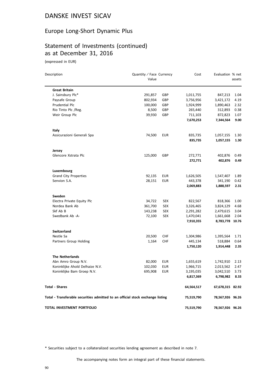#### Europe Long-Short Dynamic Plus

## Statement of Investments (continued) as at December 31, 2016

(expressed in EUR)

| Description                                                                    | Quantity / Face Currency<br>Value |            | Cost       | Evaluation % net | assets |
|--------------------------------------------------------------------------------|-----------------------------------|------------|------------|------------------|--------|
| <b>Great Britain</b>                                                           |                                   |            |            |                  |        |
| J. Sainsbury Plc*                                                              | 291,857                           | GBP        | 1,011,755  | 847,213          | 1.04   |
| Paysafe Group                                                                  | 802,934                           | GBP        | 3,756,956  | 3,421,172        | 4.19   |
| Prudential Plc                                                                 | 100,000                           | GBP        | 1,924,999  | 1,890,463        | 2.32   |
| Rio Tinto Plc /Reg.                                                            | 8,500                             | GBP        | 265,440    | 312,893          | 0.38   |
| Weir Group Plc                                                                 | 39,930                            | GBP        | 711,103    | 872,823          | 1.07   |
|                                                                                |                                   |            | 7,670,253  | 7,344,564        | 9.00   |
| Italy                                                                          |                                   |            |            |                  |        |
| Assicurazioni Generali Spa                                                     | 74,500                            | <b>EUR</b> | 835,735    | 1,057,155        | 1.30   |
|                                                                                |                                   |            | 835,735    | 1,057,155        | 1.30   |
| Jersey                                                                         |                                   |            |            |                  |        |
| Glencore Xstrata Plc                                                           | 125,000                           | GBP        | 272,771    | 402,876          | 0.49   |
|                                                                                |                                   |            | 272,771    | 402,876          | 0.49   |
| Luxembourg                                                                     |                                   |            |            |                  |        |
| <b>Grand City Properties</b>                                                   | 92,135                            | <b>EUR</b> | 1,626,505  | 1,547,407        | 1.89   |
| Senvion S.A.                                                                   | 28,151                            | <b>EUR</b> | 443,378    | 341,190          | 0.42   |
|                                                                                |                                   |            | 2,069,883  | 1,888,597        | 2.31   |
| Sweden                                                                         |                                   |            |            |                  |        |
| Electra Private Equity Plc                                                     | 34,722                            | SEK        | 822,567    | 818,366          | 1.00   |
| Nordea Bank Ab                                                                 | 361,700                           | SEK        | 3,326,465  | 3,824,129        | 4.68   |
| Skf Ab B                                                                       | 143,238                           | <b>SEK</b> | 2,291,282  | 2,479,615        | 3.04   |
| Swedbank Ab -A-                                                                | 72,100                            | <b>SEK</b> | 1,470,041  | 1,661,668        | 2.04   |
|                                                                                |                                   |            | 7,910,355  | 8,783,778 10.76  |        |
| <b>Switzerland</b>                                                             |                                   |            |            |                  |        |
| Nestle Sa                                                                      | 20,500                            | <b>CHF</b> | 1,304,986  | 1,395,564        | 1.71   |
| Partners Group Holding                                                         | 1,164                             | <b>CHF</b> | 445,134    | 518,884          | 0.64   |
|                                                                                |                                   |            | 1,750,120  | 1,914,448        | 2.35   |
| <b>The Netherlands</b>                                                         |                                   |            |            |                  |        |
| Abn Amro Group N.V.                                                            | 82,000                            | <b>EUR</b> | 1,655,619  | 1,742,910        | 2.13   |
| Koninklijke Ahold Delhaize N.V.                                                | 102,030                           | <b>EUR</b> | 1,966,715  | 2,013,562        | 2.47   |
| Koninklijke Bam Groep N.V.                                                     | 695,908                           | <b>EUR</b> | 3,195,035  | 3,042,510        | 3.73   |
|                                                                                |                                   |            | 6,817,369  | 6,798,982        | 8.33   |
| <b>Total - Shares</b>                                                          |                                   |            | 64,564,517 | 67,678,315 82.92 |        |
| Total - Transferable securities admitted to an official stock exchange listing |                                   |            | 75,519,790 | 78,567,926 96.26 |        |
| TOTAL INVESTMENT PORTFOLIO                                                     |                                   |            | 75,519,790 | 78,567,926 96.26 |        |

\* Securities subject to a collateralized securities lending agreement as described in note 7.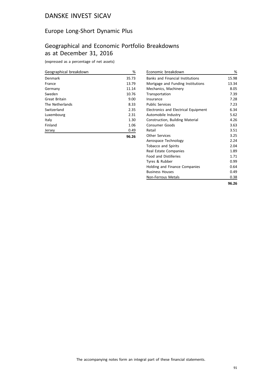#### Europe Long-Short Dynamic Plus

## Geographical and Economic Portfolio Breakdowns as at December 31, 2016

| Geographical breakdown | %     |
|------------------------|-------|
| Denmark                | 35.73 |
| France                 | 13.79 |
| Germany                | 11.14 |
| Sweden                 | 10.76 |
| Great Britain          | 9.00  |
| The Netherlands        | 8.33  |
| Switzerland            | 2.35  |
| Luxembourg             | 2.31  |
| Italy                  | 1.30  |
| Finland                | 1.06  |
| Jersey                 | 0.49  |
|                        | 96.26 |

| Economic breakdown                      | %     |
|-----------------------------------------|-------|
| <b>Banks and Financial Institutions</b> | 15.98 |
| Mortgage and Funding Institutions       | 13.34 |
| Mechanics, Machinery                    | 8.05  |
| Transportation                          | 7.39  |
| Insurance                               | 7.28  |
| <b>Public Services</b>                  | 7.23  |
| Electronics and Electrical Equipment    | 6.34  |
| Automobile Industry                     | 5.62  |
| Construction, Building Material         | 4.26  |
| <b>Consumer Goods</b>                   | 3.63  |
| Retail                                  | 3.51  |
| Other Services                          | 3.25  |
| Aerospace Technology                    | 2.24  |
| Tobacco and Spirits                     | 2.04  |
| Real Estate Companies                   | 1.89  |
| <b>Food and Distilleries</b>            | 1.71  |
| Tyres & Rubber                          | 0.99  |
| Holding and Finance Companies           | 0.64  |
| <b>Business Houses</b>                  | 0.49  |
| Non-Ferrous Metals                      | 0.38  |
|                                         | 96.26 |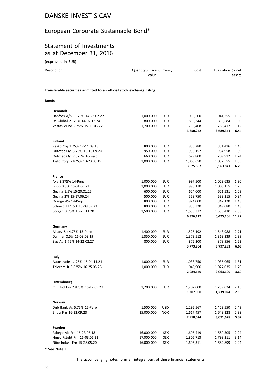# European Corporate Sustainable Bond\*

#### Statement of Investments as at December 31, 2016

(expressed in EUR)

| Description                                                            | Quantity / Face Currency<br>Value |            | Cost      | Evaluation % net | assets |
|------------------------------------------------------------------------|-----------------------------------|------------|-----------|------------------|--------|
| Transferable securities admitted to an official stock exchange listing |                                   |            |           |                  |        |
| <b>Bonds</b>                                                           |                                   |            |           |                  |        |
| <b>Denmark</b>                                                         |                                   |            |           |                  |        |
| Danfoss A/S 1.375% 14-23.02.22                                         | 1,000,000                         | <b>EUR</b> | 1,038,500 | 1,041,255        | 1.82   |
| Iss Global 2.125% 14-02.12.24                                          | 800,000                           | <b>EUR</b> | 858,344   | 858,684          | 1.50   |
| Vestas Wind 2.75% 15-11.03.22                                          | 1,700,000                         | <b>EUR</b> | 1,753,408 | 1,789,412        | 3.12   |
|                                                                        |                                   |            | 3,650,252 | 3,689,351        | 6.44   |
| Finland                                                                |                                   |            |           |                  |        |
| Kesko Oyj 2.75% 12-11.09.18                                            | 800,000                           | <b>EUR</b> | 835,280   | 831,416          | 1.45   |
| Outotec Oyj 3.75% 13-16.09.20                                          | 950,000                           | <b>EUR</b> | 950,157   | 964,958          | 1.69   |
| Outotec Oyj 7.375% 16-Perp                                             | 660,000                           | <b>EUR</b> | 679,800   | 709,912          | 1.24   |
| Tieto Corp 2.875% 13-23.05.19                                          | 1,000,000                         | <b>EUR</b> | 1,060,650 | 1,057,555        | 1.85   |
|                                                                        |                                   |            | 3,525,887 | 3,563,841        | 6.23   |
| <b>France</b>                                                          |                                   |            |           |                  |        |
| Axa 3.875% 14-Perp                                                     | 1,000,000                         | <b>EUR</b> | 997,500   | 1,029,635        | 1.80   |
| Bnpp 0.5% 16-01.06.22                                                  | 1,000,000                         | <b>EUR</b> | 998,170   | 1,003,155        | 1.75   |
| Gecina 1.5% 15-20.01.25                                                | 600,000                           | <b>EUR</b> | 624,000   | 621,531          | 1.09   |
| Gecina 2% 15-17.06.24                                                  | 500,000                           | <b>EUR</b> | 558,750   | 539,215          | 0.94   |
| Orange 4% 14-Perp                                                      | 800,000                           | <b>EUR</b> | 824,000   | 847,120          | 1.48   |
| Schneid El 1.5% 15-08.09.23                                            | 800,000                           | <b>EUR</b> | 858,320   | 849,080          | 1.48   |
| Socgen 0.75% 15-25.11.20                                               | 1,500,000                         | <b>EUR</b> | 1,535,372 | 1,535,430        | 2.68   |
|                                                                        |                                   |            | 6,396,112 | 6,425,166 11.22  |        |
| Germany                                                                |                                   |            |           |                  |        |
| Allianz Se 4.75% 13-Perp                                               | 1,400,000                         | EUR        | 1,525,192 | 1,548,988        | 2.71   |
| Daimler 0.5% 16-09.09.19                                               | 1,350,000                         | <b>EUR</b> | 1,373,512 | 1,369,339        | 2.39   |
| Sap Ag 1.75% 14-22.02.27                                               | 800,000                           | <b>EUR</b> | 875,200   | 878,956          | 1.53   |
|                                                                        |                                   |            | 3,773,904 | 3,797,283        | 6.63   |
| Italy                                                                  |                                   |            |           |                  |        |
| Autostrade 1.125% 15-04.11.21                                          | 1,000,000                         | <b>EUR</b> | 1,038,750 | 1,036,065        | 1.81   |
| Telecom It 3.625% 16-25.05.26                                          | 1,000,000                         | EUR        | 1,045,900 | 1,027,035        | 1.79   |
|                                                                        |                                   |            | 2,084,650 | 2,063,100        | 3.60   |
| Luxembourg                                                             |                                   |            |           |                  |        |
| Cnh Ind Fin 2.875% 16-17.05.23                                         | 1,200,000                         | <b>EUR</b> | 1,207,000 | 1,239,024        | 2.16   |
|                                                                        |                                   |            | 1,207,000 | 1,239,024        | 2.16   |
| Norway                                                                 |                                   |            |           |                  |        |
| Dnb Bank As 5.75% 15-Perp                                              | 1,500,000                         | <b>USD</b> | 1,292,567 | 1,423,550        | 2.49   |
| Entra Frn 16-22.09.23                                                  | 15,000,000                        | <b>NOK</b> | 1,617,457 | 1,648,128        | 2.88   |
|                                                                        |                                   |            | 2,910,024 | 3,071,678        | 5.37   |
| Sweden                                                                 |                                   |            |           |                  |        |
| Fabege Ab Frn 16-23.05.18                                              | 16,000,000                        | <b>SEK</b> | 1,695,419 | 1,680,505        | 2.94   |
| Hmso Fstght Frn 16-03.06.21                                            | 17,000,000                        | <b>SEK</b> | 1,806,713 | 1,798,211        | 3.14   |
| Nibe Indust Frn 15-28.05.20                                            | 16,000,000                        | SEK        | 1,696,311 | 1,682,899        | 2.94   |
|                                                                        |                                   |            |           |                  |        |

\* See Note 1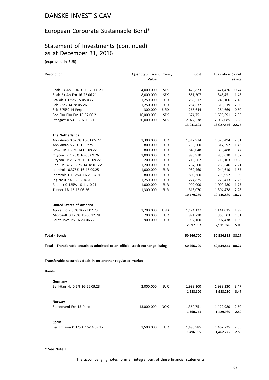# European Corporate Sustainable Bond\*

## Statement of Investments (continued) as at December 31, 2016

(expressed in EUR)

| Description                                                                    | Quantity / Face Currency |            | Cost       | Evaluation % net |        |
|--------------------------------------------------------------------------------|--------------------------|------------|------------|------------------|--------|
|                                                                                | Value                    |            |            |                  | assets |
| Sbab Bk Ab 1.048% 16-23.06.21                                                  | 4,000,000                | <b>SEK</b> | 425,873    | 421,426          | 0.74   |
| Sbab Bk Ab Frn 16-23.06.21                                                     | 8,000,000                | <b>SEK</b> | 851,207    | 845,451          | 1.48   |
| Sca Ab 1.125% 15-05.03.25                                                      | 1,250,000                | <b>EUR</b> | 1,268,512  | 1,248,100        | 2.18   |
| Seb 2.5% 14-28.05.26                                                           | 1,250,000                | <b>EUR</b> | 1,284,637  | 1,318,519        | 2.30   |
| Seb 5.75% 14-Perp                                                              | 300,000                  | <b>USD</b> | 265,644    | 284,669          | 0.50   |
| Sod Sko Eko Frn 16-07.06.21                                                    | 16,000,000               | <b>SEK</b> | 1,674,751  | 1,695,691        | 2.96   |
| Stangast 0.5% 16-07.10.21                                                      | 20,000,000               | <b>SEK</b> | 2,072,538  | 2,052,085        | 3.58   |
|                                                                                |                          |            | 13,041,605 | 13,027,556 22.76 |        |
| <b>The Netherlands</b>                                                         |                          |            |            |                  |        |
| Abn Amro 0.625% 16-31.05.22                                                    | 1,300,000                | <b>EUR</b> | 1,312,974  | 1,320,494        | 2.31   |
| Abn Amro 5.75% 15-Perp                                                         | 800,000                  | <b>EUR</b> | 750,500    | 817,592          | 1.43   |
| Bmw Fin 1.25% 14-05.09.22                                                      | 800,000                  | <b>EUR</b> | 843,048    | 839,488          | 1.47   |
| Citycon Tr 1.25% 16-08.09.26                                                   | 1,000,000                | <b>EUR</b> | 998,970    | 958,630          | 1.67   |
| Citycon Tr 2.375% 15-16.09.22                                                  | 200,000                  | <b>EUR</b> | 215,562    | 216,103          | 0.38   |
| Edp Fin By 2.625% 14-18.01.22                                                  | 1,200,000                | <b>EUR</b> | 1,267,500  | 1,268,640        | 2.21   |
| Iberdrola 0.375% 16-15.09.25                                                   | 1,000,000                | <b>EUR</b> | 989,460    | 944,610          | 1.65   |
| Iberdrola   1.125% 16-21.04.26                                                 | 800,000                  | <b>EUR</b> | 809,360    | 798,952          | 1.39   |
| Ing Nv 0.7% 15-16.04.20                                                        | 1,250,000                | <b>EUR</b> | 1,274,825  | 1,276,413        | 2.23   |
| Rabobk 0.125% 16-11.10.21                                                      | 1,000,000                | <b>EUR</b> | 999,000    | 1,000,480        | 1.75   |
| Tennet 1% 16-13.06.26                                                          | 1,300,000                | <b>EUR</b> | 1,318,070  | 1,304,478        | 2.28   |
|                                                                                |                          |            | 10,779,269 | 10,745,880 18.77 |        |
| <b>United States of America</b>                                                |                          |            |            |                  |        |
| Apple Inc 2.85% 16-23.02.23                                                    | 1,200,000                | <b>USD</b> | 1,124,127  | 1,141,035        | 1.99   |
| Microsoft 3.125% 13-06.12.28                                                   | 700,000                  | <b>EUR</b> | 871,710    | 863,503          | 1.51   |
| South Pwr 1% 16-20.06.22                                                       | 900,000                  | <b>EUR</b> | 902,160    | 907,438          | 1.59   |
|                                                                                |                          |            | 2,897,997  | 2,911,976        | 5.09   |
| Total - Bonds                                                                  |                          |            | 50,266,700 | 50,534,855 88.27 |        |
|                                                                                |                          |            |            |                  |        |
| Total - Transferable securities admitted to an official stock exchange listing |                          |            | 50,266,700 | 50,534,855 88.27 |        |
| Transferable securities dealt in on another regulated market                   |                          |            |            |                  |        |
| Bonds                                                                          |                          |            |            |                  |        |
| Germany                                                                        |                          |            |            |                  |        |
| Berl-Han Hy 0.5% 16-26.09.23                                                   | 2,000,000                | <b>EUR</b> | 1,988,100  | 1,988,230        | 3.47   |
|                                                                                |                          |            | 1,988,100  | 1,988,230        | 3.47   |
| Norway                                                                         |                          |            |            |                  |        |
| Storebrand Frn 15-Perp                                                         | 13,000,000               | <b>NOK</b> | 1,360,751  | 1,429,980        | 2.50   |
|                                                                                |                          |            | 1,360,751  | 1,429,980        | 2.50   |
| <b>Spain</b>                                                                   |                          |            |            |                  |        |
| Fer Emision 0.375% 16-14.09.22                                                 | 1,500,000                | <b>EUR</b> | 1,496,985  | 1,462,725        | 2.55   |
|                                                                                |                          |            | 1,496,985  | 1,462,725        | 2.55   |
|                                                                                |                          |            |            |                  |        |

\* See Note 1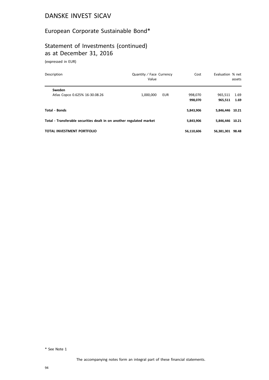# European Corporate Sustainable Bond\*

# Statement of Investments (continued) as at December 31, 2016

(expressed in EUR)

| Description                                                          | Quantity / Face Currency<br>Value |     | Cost               | Evaluation % net   | assets       |
|----------------------------------------------------------------------|-----------------------------------|-----|--------------------|--------------------|--------------|
| Sweden<br>Atlas Copco 0.625% 16-30.08.26                             | 1,000,000                         | EUR | 998,070<br>998.070 | 965.511<br>965,511 | 1.69<br>1.69 |
| <b>Total - Bonds</b>                                                 |                                   |     | 5,843,906          | 5,846,446 10.21    |              |
| Total - Transferable securities dealt in on another regulated market |                                   |     | 5,843,906          | 5,846,446 10.21    |              |
| TOTAL INVESTMENT PORTFOLIO                                           |                                   |     | 56,110,606         | 56,381,301 98.48   |              |

\* See Note 1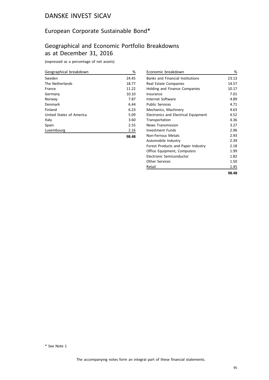#### European Corporate Sustainable Bond\*

## Geographical and Economic Portfolio Breakdowns as at December 31, 2016

| Geographical breakdown   | %     |
|--------------------------|-------|
| Sweden                   | 24.45 |
| The Netherlands          | 18.77 |
| France                   | 11.22 |
| Germany                  | 10.10 |
| Norway                   | 7.87  |
| Denmark                  | 6.44  |
| Finland                  | 6.23  |
| United States of America | 5.09  |
| Italy                    | 3.60  |
| Spain                    | 2.55  |
| Luxembourg               | 2.16  |
|                          | 98.48 |

| Economic breakdown                          | %     |
|---------------------------------------------|-------|
| <b>Banks and Financial Institutions</b>     | 23.13 |
| Real Estate Companies                       | 14.57 |
| Holding and Finance Companies               | 10.17 |
| Insurance                                   | 7.01  |
| Internet Software                           | 4.89  |
| <b>Public Services</b>                      | 4.71  |
| Mechanics, Machinery                        | 4.63  |
| <b>Electronics and Electrical Equipment</b> | 4.52  |
| Transportation                              | 4.36  |
| <b>News Transmission</b>                    | 3.27  |
| Investment Funds                            | 2.96  |
| Non-Ferrous Metals                          | 2.93  |
| Automobile Industry                         | 2.39  |
| Forest Products and Paper Industry          | 2.18  |
| Office Equipment, Computers                 | 1.99  |
| Electronic Semiconductor                    | 1.82  |
| Other Services                              | 1.50  |
| Retail                                      | 1.45  |
|                                             | 98.48 |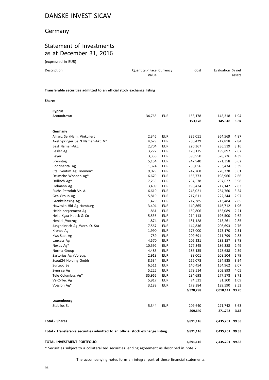#### Germany

#### Statement of Investments as at December 31, 2016

(expressed in EUR)

| Description                                                            | Quantity / Face Currency<br>Value | Cost | Evaluation % net<br>assets |  |  |
|------------------------------------------------------------------------|-----------------------------------|------|----------------------------|--|--|
| Transferable securities admitted to an official stock exchange listing |                                   |      |                            |  |  |
| <b>Shares</b>                                                          |                                   |      |                            |  |  |

| <b>Cyprus</b>                                                                  |        |            |           |                 |      |
|--------------------------------------------------------------------------------|--------|------------|-----------|-----------------|------|
| Aroundtown                                                                     | 34,765 | <b>EUR</b> | 153,178   | 145,318         | 1.94 |
|                                                                                |        |            | 153,178   | 145,318         | 1.94 |
| Germany                                                                        |        |            |           |                 |      |
| Allianz Se /Nam. Vinkuliert                                                    | 2,346  | <b>EUR</b> | 335,011   | 364,569         | 4.87 |
| Axel Springer Se N Namen-Akt. V*                                               | 4,629  | <b>EUR</b> | 230,429   | 212,818         | 2.84 |
| Basf Namen-Akt.                                                                | 2,704  | <b>EUR</b> | 220,367   | 236,519         | 3.16 |
| Basler Ag                                                                      | 3,277  | <b>EUR</b> | 170,175   | 199,897         | 2.67 |
| Bayer                                                                          | 3,338  | <b>EUR</b> | 398,950   | 328,726         | 4.39 |
| <b>Brenntag</b>                                                                | 5,154  | <b>EUR</b> | 247,940   | 271,358         | 3.62 |
| Continental Ag                                                                 | 1,374  | <b>EUR</b> | 258,056   | 253,434         | 3.39 |
| Cts Eventim Ag. Bremen*                                                        | 9,029  | EUR        | 247,768   | 270,328         | 3.61 |
| Deutsche Wohnen Ag*                                                            | 6,670  | EUR        | 165,773   | 198,966         | 2.66 |
| Drillisch Ag*                                                                  | 7,253  | <b>EUR</b> | 254,578   | 297,627         | 3.98 |
| Fielmann Ag                                                                    | 3,409  | <b>EUR</b> | 198,424   | 212,142         | 2.83 |
| Fuchs Petrolub Vz. A.                                                          | 6,619  | <b>EUR</b> | 245,021   | 264,760         | 3.54 |
| Gea Group Ag                                                                   | 5,819  | <b>EUR</b> | 217,611   | 222,344         | 2.97 |
| Grenkeleasing Ag                                                               | 1,429  | EUR        | 217,385   | 213,484         | 2.85 |
| Hawesko Hld Ag Hamburg                                                         | 3,404  | <b>EUR</b> | 140,865   | 146,712         | 1.96 |
| Heidelbergcement Ag                                                            | 1,861  | <b>EUR</b> | 159,806   | 165,089         | 2.21 |
| Hella Kgaa Hueck & Co                                                          | 5,536  | <b>EUR</b> | 214,113   | 196,500         | 2.62 |
| Henkel /Vorzug                                                                 | 1,874  | <b>EUR</b> | 181,128   | 213,261         | 2.85 |
| Jungheinrich Ag /Vorz. O. Sta                                                  | 7,567  | <b>EUR</b> | 144,836   | 206,693         | 2.76 |
| Krones Ag                                                                      | 1,990  | <b>EUR</b> | 173,000   | 173,170         | 2.31 |
| Kws Saat Ag                                                                    | 759    | <b>EUR</b> | 209,691   | 211,799         | 2.83 |
| Lanxess Ag                                                                     | 4,570  | <b>EUR</b> | 205,231   | 283,157         | 3.78 |
| Nexus Ag*                                                                      | 10,592 | <b>EUR</b> | 177,345   | 186,388         | 2.49 |
| Norma Group                                                                    | 4,485  | <b>EUR</b> | 186,135   | 178,638         | 2.39 |
| Sartorius Ag /Vorzug.                                                          | 2,919  | <b>EUR</b> | 98,001    | 208,504         | 2.79 |
| Scout24 Holding Gmbh                                                           | 8,534  | <b>EUR</b> | 262,078   | 294,935         | 3.94 |
| Surteco Se                                                                     | 6,511  | <b>EUR</b> | 140,454   | 154,962         | 2.07 |
| Symrise Ag                                                                     | 5,225  | EUR        | 279,514   | 302,893         | 4.05 |
| Tele Columbus Ag*                                                              | 35,965 | <b>EUR</b> | 294,698   | 277,578         | 3.71 |
| Va-Q-Tec Ag                                                                    | 5,917  | <b>EUR</b> | 74,531    | 81,300          | 1.09 |
| Vossloh Ag*                                                                    | 3,188  | <b>EUR</b> | 179,384   | 189,590         | 2.53 |
|                                                                                |        |            | 6,528,298 | 7,018,141 93.76 |      |
| Luxembourg                                                                     |        |            |           |                 |      |
| Stabilus Sa                                                                    | 5,344  | <b>EUR</b> | 209,640   | 271,742         | 3.63 |
|                                                                                |        |            | 209,640   | 271,742         | 3.63 |
| <b>Total - Shares</b>                                                          |        |            | 6,891,116 | 7,435,201 99.33 |      |
| Total - Transferable securities admitted to an official stock exchange listing |        |            | 6,891,116 | 7,435,201 99.33 |      |
| TOTAL INVESTMENT PORTFOLIO                                                     |        |            | 6,891,116 | 7,435,201 99.33 |      |

\* Securities subject to a collateralized securities lending agreement as described in note 7.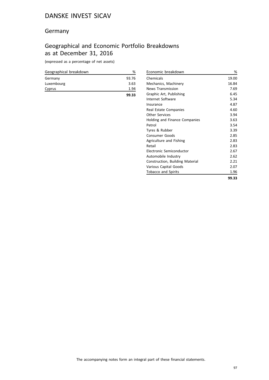#### Germany

## Geographical and Economic Portfolio Breakdowns as at December 31, 2016

| Geographical breakdown | ℅     |
|------------------------|-------|
| Germany                | 93.76 |
| Luxembourg             | 3.63  |
| Cyprus                 | 1.94  |
|                        | 99.33 |

| Economic breakdown              | %     |
|---------------------------------|-------|
| Chemicals                       | 19.00 |
| Mechanics, Machinery            | 16.84 |
| <b>News Transmission</b>        | 7.69  |
| Graphic Art, Publishing         | 6.45  |
| Internet Software               | 5.34  |
| Insurance                       | 4.87  |
| Real Estate Companies           | 4.60  |
| Other Services                  | 3.94  |
| Holding and Finance Companies   | 3.63  |
| Petrol                          | 3.54  |
| Tyres & Rubber                  | 3.39  |
| Consumer Goods                  | 2.85  |
| Agriculture and Fishing         | 2.83  |
| Retail                          | 2.83  |
| Electronic Semiconductor        | 2.67  |
| Automobile Industry             | 2.62  |
| Construction, Building Material | 2.21  |
| Various Capital Goods           | 2.07  |
| <b>Tobacco and Spirits</b>      | 1.96  |
|                                 | 99.33 |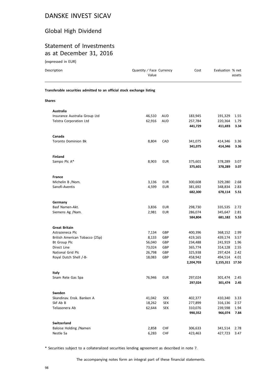# Global High Dividend

#### Statement of Investments as at December 31, 2016

(expressed in EUR)

| Description                                                            | Quantity / Face Currency<br>Value |            | Cost                 | Evaluation % net           | assets       |
|------------------------------------------------------------------------|-----------------------------------|------------|----------------------|----------------------------|--------------|
| Transferable securities admitted to an official stock exchange listing |                                   |            |                      |                            |              |
| <b>Shares</b>                                                          |                                   |            |                      |                            |              |
| <b>Australia</b>                                                       |                                   |            |                      |                            |              |
| Insurance Australia Group Ltd                                          | 46,510                            | AUD        | 183,945              | 191,329                    | 1.55         |
| Telstra Corporation Ltd                                                | 62,916                            | <b>AUD</b> | 257,784              | 220,364                    | 1.79         |
|                                                                        |                                   |            | 441,729              | 411,693                    | 3.34         |
| Canada                                                                 |                                   |            |                      |                            |              |
| <b>Toronto Dominion Bk</b>                                             | 8,804                             | <b>CAD</b> | 341,075              | 414,346                    | 3.36         |
|                                                                        |                                   |            | 341,075              | 414,346                    | 3.36         |
| <b>Finland</b>                                                         |                                   |            |                      |                            |              |
| Sampo Plc A*                                                           | 8,903                             | <b>EUR</b> | 375,601              | 378,289                    | 3.07         |
|                                                                        |                                   |            | 375,601              | 378,289                    | 3.07         |
| <b>France</b>                                                          |                                   |            |                      |                            |              |
| Michelin B /Nom.                                                       | 3,136                             | <b>EUR</b> | 300,608              | 329,280                    | 2.68         |
| Sanofi-Aventis                                                         | 4,599                             | <b>EUR</b> | 381,692              | 348,834                    | 2.83         |
|                                                                        |                                   |            | 682,300              | 678,114                    | 5.51         |
| Germany                                                                |                                   |            |                      |                            |              |
| Basf Namen-Akt.                                                        | 3,836                             | <b>EUR</b> | 298,730              | 335,535                    | 2.72         |
| Siemens Ag /Nam.                                                       | 2,981                             | <b>EUR</b> | 286,074              | 345,647                    | 2.81         |
|                                                                        |                                   |            | 584,804              | 681,182                    | 5.53         |
| <b>Great Britain</b>                                                   |                                   |            |                      |                            |              |
| Astrazeneca Plc                                                        | 7,134                             | GBP        | 400,396              | 368,152                    | 2.99         |
| British American Tobacco (25p)                                         | 8,133                             | GBP        | 419,165              | 439,174                    | 3.57         |
| <b>Bt Group Plc</b>                                                    | 56,040                            | GBP        | 234,488              | 241,919                    | 1.96         |
| Direct Line                                                            | 73,024                            | GBP        | 365,774              | 314,128                    | 2.55         |
| National Grid Plc                                                      | 26,798                            | GBP        | 325,938              | 297,424                    | 2.42         |
| Royal Dutch Shell /-B-                                                 | 18,083                            | GBP        | 458,942<br>2,204,703 | 494,514<br>2,155,311 17.50 | 4.01         |
|                                                                        |                                   |            |                      |                            |              |
| Italy                                                                  |                                   |            |                      |                            |              |
| Snam Rete Gas Spa                                                      | 76,946                            | EUR        | 297,024<br>297,024   | 301,474<br>301,474         | 2.45<br>2.45 |
|                                                                        |                                   |            |                      |                            |              |
| Sweden                                                                 |                                   |            |                      |                            |              |
| Skandinav. Ensk. Banken A                                              | 41,042                            | SEK        | 402,377              | 410,340                    | 3.33         |
| Skf Ab B<br>Teliasonera Ab                                             | 18,262<br>62,644                  | <b>SEK</b> | 277,899              | 316,136                    | 2.57         |
|                                                                        |                                   | <b>SEK</b> | 310,076<br>990,352   | 239,598<br>966,074         | 1.94<br>7.84 |
|                                                                        |                                   |            |                      |                            |              |
| <b>Switzerland</b><br>Baloise Holding / Namen                          | 2,858                             | <b>CHF</b> | 306,633              | 341,514                    | 2.78         |
| Nestle Sa                                                              | 6,283                             | <b>CHF</b> | 423,463              | 427,723                    | 3.47         |

\* Securities subject to a collateralized securities lending agreement as described in note 7.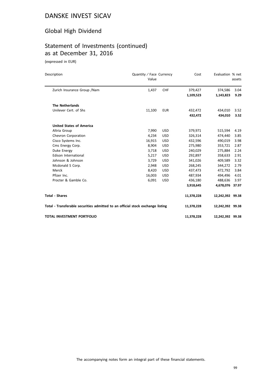# Global High Dividend

# Statement of Investments (continued) as at December 31, 2016

(expressed in EUR)

| Description                                                                    | Quantity / Face Currency<br>Value |            | Cost                 | Evaluation % net     | assets       |
|--------------------------------------------------------------------------------|-----------------------------------|------------|----------------------|----------------------|--------------|
| Zurich Insurance Group / Nam                                                   | 1,437                             | <b>CHF</b> | 379,427<br>1,109,523 | 374,586<br>1,143,823 | 3.04<br>9.29 |
| <b>The Netherlands</b>                                                         |                                   |            |                      |                      |              |
| Unilever Cert. of Shs                                                          | 11,100                            | <b>EUR</b> | 432,472<br>432,472   | 434,010<br>434,010   | 3.52<br>3.52 |
| <b>United States of America</b>                                                |                                   |            |                      |                      |              |
| Altria Group                                                                   | 7,990                             | <b>USD</b> | 379,971              | 515,594              | 4.19         |
| Chevron Corporation                                                            | 4,234                             | <b>USD</b> | 326,314              | 474,440              | 3.85         |
| Cisco Systems Inc.                                                             | 16,915                            | <b>USD</b> | 432,596              | 490,019              | 3.98         |
| Cms Energy Corp.                                                               | 8,904                             | <b>USD</b> | 275,980              | 353,721              | 2.87         |
| Duke Energy                                                                    | 3,718                             | <b>USD</b> | 240,029              | 275,884              | 2.24         |
| Edison International                                                           | 5,217                             | <b>USD</b> | 292,897              | 358,633              | 2.91         |
| Johnson & Johnson                                                              | 3,729                             | <b>USD</b> | 341,026              | 409,589              | 3.32         |
| Mcdonald S Corp.                                                               | 2,948                             | <b>USD</b> | 268,245              | 344,272              | 2.79         |
| Merck                                                                          | 8,420                             | <b>USD</b> | 437,473              | 472,792              | 3.84         |
| Pfizer Inc.                                                                    | 16,003                            | <b>USD</b> | 487,934              | 494,496              | 4.01         |
| Procter & Gamble Co.                                                           | 6,091                             | <b>USD</b> | 436,180              | 488,636              | 3.97         |
|                                                                                |                                   |            | 3,918,645            | 4,678,076 37.97      |              |
| <b>Total - Shares</b>                                                          |                                   |            | 11,378,228           | 12,242,392 99.38     |              |
| Total - Transferable securities admitted to an official stock exchange listing |                                   |            | 11,378,228           | 12,242,392 99.38     |              |
| TOTAL INVESTMENT PORTFOLIO                                                     |                                   |            | 11,378,228           | 12,242,392 99.38     |              |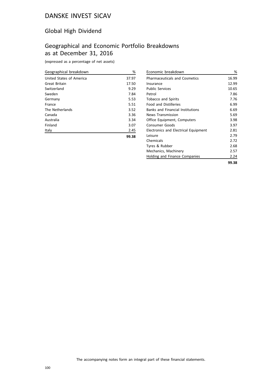#### Global High Dividend

# Geographical and Economic Portfolio Breakdowns as at December 31, 2016

| Geographical breakdown   | %     |
|--------------------------|-------|
| United States of America | 37.97 |
| Great Britain            | 17.50 |
| Switzerland              | 9.29  |
| Sweden                   | 7.84  |
| Germany                  | 5.53  |
| France                   | 5.51  |
| The Netherlands          | 3.52  |
| Canada                   | 3.36  |
| Australia                | 3.34  |
| Finland                  | 3.07  |
| Italy                    | 2.45  |
|                          | 99.38 |

| Economic breakdown                      | %     |
|-----------------------------------------|-------|
| <b>Pharmaceuticals and Cosmetics</b>    | 16.99 |
| Insurance                               | 12.99 |
| <b>Public Services</b>                  | 10.65 |
| Petrol                                  | 7.86  |
| <b>Tobacco and Spirits</b>              | 7.76  |
| <b>Food and Distilleries</b>            | 6.99  |
| <b>Banks and Financial Institutions</b> | 6.69  |
| News Transmission                       | 5.69  |
| Office Equipment, Computers             | 3.98  |
| Consumer Goods                          | 3.97  |
| Electronics and Electrical Equipment    | 2.81  |
| l eisure                                | 2.79  |
| Chemicals                               | 2.72  |
| Tyres & Rubber                          | 2.68  |
| Mechanics, Machinery                    | 2.57  |
| Holding and Finance Companies           | 2.24  |
|                                         | 99.38 |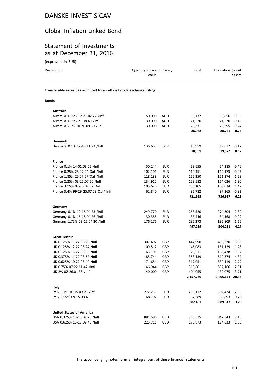## Global Inflation Linked Bond

#### Statement of Investments as at December 31, 2016

(expressed in EUR)

| Description                                                            | Quantity / Face Currency<br>Value |            | Cost      | Evaluation % net | assets |
|------------------------------------------------------------------------|-----------------------------------|------------|-----------|------------------|--------|
| Transferable securities admitted to an official stock exchange listing |                                   |            |           |                  |        |
| <b>Bonds</b>                                                           |                                   |            |           |                  |        |
| Australia                                                              |                                   |            |           |                  |        |
| Australia 1.25% 12-21.02.22 /Infl                                      | 50,000                            | AUD        | 39,137    | 38,856           | 0.33   |
| Australia 1.25% 21.08.40 /Infl                                         | 30,000                            | <b>AUD</b> | 21,620    | 21,570           | 0.18   |
| Australia 2.5% 10-20.09.30 / Cpi                                       | 30,000                            | AUD        | 26,231    | 28,295           | 0.24   |
|                                                                        |                                   |            | 86,988    | 88,721           | 0.75   |
| <b>Denmark</b>                                                         |                                   |            |           |                  |        |
| Denmark 0.1% 12-15.11.23 /Infl                                         | 136,665                           | <b>DKK</b> | 18,959    | 19,672           | 0.17   |
|                                                                        |                                   |            | 18,959    | 19,672           | 0.17   |
| <b>France</b>                                                          |                                   |            |           |                  |        |
| France 0.1% 14-01.03.25 /Infl                                          | 50,244                            | <b>EUR</b> | 53,655    | 54,385           | 0.46   |
| France 0.25% 25.07.24 Oat /Infl                                        | 102,101                           | <b>EUR</b> | 110,451   | 112,173          | 0.95   |
| France 1.85% 25.07.27 Oat /Infl                                        | 118,188                           | <b>EUR</b> | 152,350   | 151,174          | 1.28   |
| France 2.25% 03-25.07.20 /Infl                                         | 134,912                           | EUR        | 153,582   | 154,026          | 1.30   |
| France 3.15% 02-25.07.32 Oat                                           | 105,626                           | <b>EUR</b> | 156,105   | 168,034          | 1.42   |
| France 3.4% 99-29 25.07.29 Oat/ Infl                                   | 62,840                            | <b>EUR</b> | 95,782    | 97,165           | 0.82   |
|                                                                        |                                   |            | 721,925   | 736,957          | 6.23   |
| Germany                                                                |                                   |            |           |                  |        |
| Germany 0.1% 12-15.04.23 /Infl                                         | 249,770                           | <b>EUR</b> | 268,520   | 274,304          | 2.32   |
| Germany 0.1% 15-15.04.26 /Infl                                         | 30,388                            | <b>EUR</b> | 33,446    | 34,168           | 0.29   |
| Germany 1.75% 09-15.04.20 /Infl                                        | 176,176                           | <b>EUR</b> | 195,273   | 195,809          | 1.66   |
|                                                                        |                                   |            | 497,239   | 504,281          | 4.27   |
| <b>Great Britain</b>                                                   |                                   |            |           |                  |        |
| UK 0.125% 11-22.03.29 /Infl                                            | 307,497                           | GBP        | 447,990   | 455,370          | 3.85   |
| UK 0.125% 12-22.03.24 /Infl                                            | 109,512                           | GBP        | 146,083   | 151,129          | 1.28   |
| UK 0.125% 13-22.03.68 /Infl                                            | 63,791                            | GBP        | 173,611   | 185,438          | 1.57   |
| UK 0.375% 11-22.03.62 /Infl                                            | 185,744                           | GBP        | 358,139   | 512,374          | 4.34   |
| UK 0.625% 10-22.03.40 /Infl                                            | 171,654                           | GBP        | 317,051   | 330,119          | 2.79   |
| UK 0.75% 07-22.11.47 /Infl                                             | 146,944                           | GBP        | 310,801   | 332,166          | 2.81   |
| UK 2% 02-26.01.35 /Infl                                                | 140,000                           | GBP        | 404,055   | 439,075          | 3.71   |
|                                                                        |                                   |            | 2,157,730 | 2,405,671 20.35  |        |
| Italy                                                                  |                                   |            |           |                  |        |
| Italy 2.1% 10-15.09.21 /Infl                                           | 272,233                           | EUR        | 295,112   | 302,424          | 2.56   |
| Italy 2.55% 09-15.09.41                                                | 68,797                            | <b>EUR</b> | 87,289    | 86,893           | 0.73   |
|                                                                        |                                   |            | 382,401   | 389,317          | 3.29   |
| <b>United States of America</b>                                        |                                   |            |           |                  |        |
| USA 0.375% 13-15.07.23 /Infl                                           | 881,586                           | <b>USD</b> | 788,875   | 842,343          | 7.13   |
| USA 0.625% 13-15.02.43 /Infl                                           | 225,711                           | USD        | 175,973   | 194,633          | 1.65   |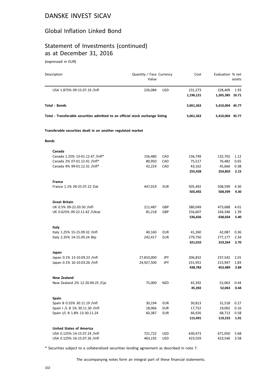#### Global Inflation Linked Bond

# Statement of Investments (continued) as at December 31, 2016

(expressed in EUR)

| Description                                                                    | Quantity / Face Currency<br>Value |            | Cost                 | Evaluation % net           | assets       |
|--------------------------------------------------------------------------------|-----------------------------------|------------|----------------------|----------------------------|--------------|
| USA 1.875% 09-15.07.19 /Infl                                                   | 226,084                           | <b>USD</b> | 231,273<br>1,196,121 | 228,409<br>1,265,385 10.71 | 1.93         |
| Total - Bonds                                                                  |                                   |            | 5,061,363            | 5,410,004 45.77            |              |
| Total - Transferable securities admitted to an official stock exchange listing |                                   |            | 5,061,363            | 5,410,004 45.77            |              |
| Transferable securities dealt in on another regulated market                   |                                   |            |                      |                            |              |
| <b>Bonds</b>                                                                   |                                   |            |                      |                            |              |
| Canada                                                                         |                                   |            |                      |                            |              |
| Canada 1.25% 13-01.12.47 /Infl*                                                | 156,480                           | CAD        | 136,749              | 132,702                    | 1.12         |
| Canada 2% 07-01.12.41 /Infl*                                                   | 80,950                            | CAD        | 75,517               | 76,482                     | 0.65         |
| Canada 4% 99-01.12.31 /Infl*                                                   | 42,224                            | CAD        | 43,162<br>255,428    | 45,666<br>254,850          | 0.38<br>2.15 |
| France                                                                         |                                   |            |                      |                            |              |
| France 1.1% 09-25.07.22 Oat                                                    | 447,019                           | EUR        | 505,492              | 508,599                    | 4.30         |
|                                                                                |                                   |            | 505,492              | 508,599                    | 4.30         |
| <b>Great Britain</b>                                                           |                                   |            |                      |                            |              |
| UK 0.5% 09-22.03.50 /Infl                                                      | 211,487                           | GBP        | 380,049              | 473,688                    | 4.01         |
| UK 0.625% 09-22.11.42 /Ukrpi                                                   | 81,218                            | GBP        | 156,607<br>536,656   | 164,346<br>638,034         | 1.39<br>5.40 |
| Italy                                                                          |                                   |            |                      |                            |              |
| Italy 1.25% 15-15.09.32 /Infl                                                  | 40,160                            | EUR        | 41,260               | 42,087                     | 0.36         |
| Italy 2.35% 14-15.09.24 Btp                                                    | 242,417                           | EUR        | 279,750              | 277,177                    | 2.34         |
|                                                                                |                                   |            | 321,010              | 319,264                    | 2.70         |
| Japan                                                                          | 27,810,000                        |            |                      | 237,542                    |              |
| Japan 0.1% 13-10.09.23 /Infl<br>Japan 0.1% 16-10.03.26 /Infl                   | 24,927,500                        | JPY<br>JPY | 206,832<br>231,951   | 215,947                    | 2.01<br>1.83 |
|                                                                                |                                   |            | 438,783              | 453,489                    | 3.84         |
| <b>New Zealand</b>                                                             |                                   |            |                      |                            |              |
| New Zealand 2% 12-20.09.25 / Cpi                                               | 75,000                            | NZD        | 45,392<br>45,392     | 52,063<br>52,063           | 0.44<br>0.44 |
| <b>Spain</b>                                                                   |                                   |            |                      |                            |              |
| Spain B 0.55% 30.11.19 /Infl                                                   | 30,194                            | EUR        | 30,813               | 31,518                     | 0.27         |
| Spain I /L B 1% 30.11.30 /Infl                                                 | 18,066                            | <b>EUR</b> | 17,752               | 19,002                     | 0.16         |
| Spain I/L B 1.8% 13-30.11.24                                                   | 60,387                            | EUR        | 66,926               | 68,713                     | 0.58         |
|                                                                                |                                   |            | 115,491              | 119,233                    | 1.01         |
| <b>United States of America</b>                                                |                                   |            |                      |                            |              |
| USA 0.125% 14-15.07.24 /Infl                                                   | 721,722                           | USD        | 630,473              | 671,050                    | 5.68         |
| USA 0.125% 16-15.07.26 /Infl                                                   | 463,192                           | <b>USD</b> | 423,559              | 423,546                    | 3.58         |

\* Securities subject to a collateralized securities lending agreement as described in note 7.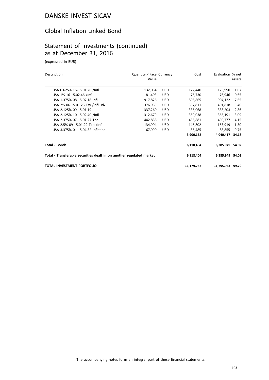#### Global Inflation Linked Bond

## Statement of Investments (continued) as at December 31, 2016

(expressed in EUR)

| Description                                                          | Quantity / Face Currency<br>Value |            | Cost       | Evaluation % net | assets |
|----------------------------------------------------------------------|-----------------------------------|------------|------------|------------------|--------|
| USA 0.625% 16-15.01.26 /Infl                                         | 132,054                           | <b>USD</b> | 122,440    | 125,990          | 1.07   |
| USA 1% 16-15.02.46 /Infl                                             | 81,493                            | <b>USD</b> | 76,730     | 76,946           | 0.65   |
| USA 1.375% 08-15.07.18 Infl                                          | 917,826                           | <b>USD</b> | 896,865    | 904,122          | 7.65   |
| USA 2% 06-15.01.26 Tsy /Infl. Idx                                    | 376,985                           | <b>USD</b> | 387,811    | 401,818          | 3.40   |
| USA 2.125% 09-15.01.19                                               | 337,260                           | <b>USD</b> | 335,068    | 338,203          | 2.86   |
| USA 2.125% 10-15.02.40 /Infl                                         | 312,679                           | <b>USD</b> | 359,038    | 365,191          | 3.09   |
| USA 2.375% 07-15.01.27 Tbo                                           | 442,838                           | <b>USD</b> | 435,881    | 490,777          | 4.15   |
| USA 2.5% 09-15.01.29 Tbo /Infl                                       | 134,904                           | USD.       | 146,802    | 153,919          | 1.30   |
| USA 3.375% 01-15.04.32 Inflation                                     | 67,990                            | <b>USD</b> | 85,485     | 88,855           | 0.75   |
|                                                                      |                                   |            | 3,900,152  | 4,040,417        | 34.18  |
| <b>Total - Bonds</b>                                                 |                                   |            | 6,118,404  | 6,385,949 54.02  |        |
| Total - Transferable securities dealt in on another regulated market |                                   |            | 6,118,404  | 6,385,949 54.02  |        |
| TOTAL INVESTMENT PORTFOLIO                                           |                                   |            | 11,179,767 | 11,795,953 99.79 |        |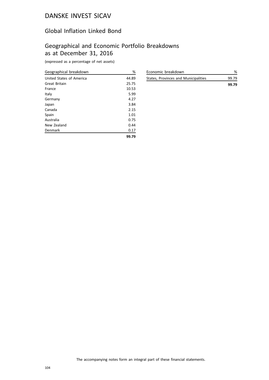#### Global Inflation Linked Bond

# Geographical and Economic Portfolio Breakdowns as at December 31, 2016

| Geographical breakdown   | %     |
|--------------------------|-------|
| United States of America | 44.89 |
| Great Britain            | 25.75 |
| France                   | 10.53 |
| Italy                    | 5.99  |
| Germany                  | 4.27  |
| Japan                    | 3.84  |
| Canada                   | 2.15  |
| Spain                    | 1.01  |
| Australia                | 0.75  |
| New Zealand              | 0.44  |
| Denmark                  | 0.17  |
|                          | 99.79 |

| Economic breakdown                   | %     |
|--------------------------------------|-------|
| States, Provinces and Municipalities | 99.79 |
|                                      | 99.79 |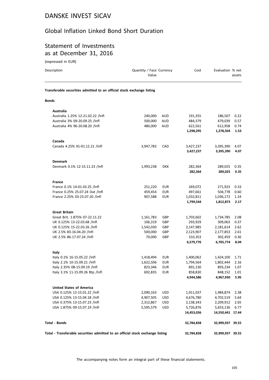#### Global Inflation Linked Bond Short Duration

#### Statement of Investments as at December 31, 2016

(expressed in EUR)

| Description                                                                    | Quantity / Face Currency<br>Value |            | Cost       | Evaluation % net | assets |
|--------------------------------------------------------------------------------|-----------------------------------|------------|------------|------------------|--------|
| Transferable securities admitted to an official stock exchange listing         |                                   |            |            |                  |        |
| <b>Bonds</b>                                                                   |                                   |            |            |                  |        |
| Australia                                                                      |                                   |            |            |                  |        |
| Australia 1.25% 12-21.02.22 /Infl                                              | 240,000                           | AUD        | 191,355    | 186,507          | 0.22   |
| Australia 3% 09-20.09.25 /Infl                                                 | 500,000                           | <b>AUD</b> | 484,379    | 479,039          | 0.57   |
| Australia 4% 96-20.08.20 /Infl                                                 | 480,000                           | AUD        | 622,561    | 612,958          | 0.74   |
|                                                                                |                                   |            | 1,298,295  | 1,278,504        | 1.53   |
| Canada                                                                         |                                   |            |            |                  |        |
| Canada 4.25% 91-01.12.21 /Infl                                                 | 3,947,783                         | CAD        | 3,427,237  | 3,395,390        | 4.07   |
|                                                                                |                                   |            | 3,427,237  | 3,395,390        | 4.07   |
| <b>Denmark</b>                                                                 |                                   |            |            |                  |        |
| Denmark 0.1% 12-15.11.23 /Infl                                                 | 1,993,238                         | <b>DKK</b> | 282,364    | 289,025          | 0.35   |
|                                                                                |                                   |            | 282,364    | 289,025          | 0.35   |
| <b>France</b>                                                                  |                                   |            |            |                  |        |
| France 0.1% 14-01.03.25 /Infl                                                  | 251,220                           | <b>EUR</b> | 269,072    | 271,923          | 0.33   |
| France 0.25% 25.07.24 Oat /Infl                                                | 459,454                           | <b>EUR</b> | 497,661    | 504,778          | 0.60   |
| France 2.25% 03-25.07.20 /Infl                                                 | 907,588                           | <b>EUR</b> | 1,032,811  | 1,036,172        | 1.24   |
|                                                                                |                                   |            | 1,799,544  | 1,812,873        | 2.17   |
| <b>Great Britain</b>                                                           |                                   |            |            |                  |        |
| Great Brit. 1.875% 07-22.11.22                                                 | 1,161,783                         | GBP        | 1,703,602  | 1,734,785        | 2.08   |
| UK 0.125% 13-22.03.68 /Infl                                                    | 106,319                           | GBP        | 293,929    | 309,063          | 0.37   |
| UK 0.125% 15-22.03.26 /Infl                                                    | 1,542,030                         | GBP        | 2,147,985  | 2,181,614        | 2.62   |
| UK 2.5% 83-16.04.20 /Infl                                                      | 500,000                           | GBP        | 2,123,907  | 2,177,853        | 2.61   |
| UK 2.5% 86-17.07.24 /Infl                                                      | 70,000                            | GBP        | 310,353    | 302,459          | 0.36   |
|                                                                                |                                   |            | 6,579,776  | 6,705,774        | 8.04   |
| Italy                                                                          |                                   |            |            |                  |        |
| Italy 0.1% 16-15.05.22 /Infl                                                   | 1,418,494                         | EUR        | 1,400,062  | 1,424,100        | 1.71   |
| Italy 2.1% 10-15.09.21 /Infl                                                   | 1,622,506                         | EUR        | 1,794,564  | 1,802,444        | 2.16   |
| Italy 2.35% 08-15.09.19 /Infl                                                  | 823,346                           | <b>EUR</b> | 891,130    | 893,234          | 1.07   |
| Italy 3.1% 11-15.09.26 Btp /Infl                                               | 692,835                           | EUR        | 858,830    | 848,152          | 1.01   |
|                                                                                |                                   |            | 4,944,586  | 4,967,930        | 5.95   |
| <b>United States of America</b>                                                |                                   |            |            |                  |        |
| USA 0.125% 12-15.01.22 /Infl                                                   | 2,090,163                         | <b>USD</b> | 1,911,037  | 1,984,874        | 2.38   |
| USA 0.125% 13-15.04.18 /Infl                                                   | 4,907,505                         | <b>USD</b> | 4,676,780  | 4,702,519        | 5.64   |
| USA 0.375% 13-15.07.23 /Infl                                                   | 2,312,867                         | <b>USD</b> | 2,138,343  | 2,209,912        | 2.65   |
| USA 1.875% 09-15.07.19 /Infl                                                   | 5,595,579                         | USD        | 5,726,876  | 5,653,136        | 6.77   |
|                                                                                |                                   |            | 14,453,036 | 14,550,441 17.44 |        |
| <b>Total - Bonds</b>                                                           |                                   |            | 32,784,838 | 32,999,937 39.55 |        |
| Total - Transferable securities admitted to an official stock exchange listing |                                   |            | 32,784,838 | 32,999,937 39.55 |        |
|                                                                                |                                   |            |            |                  |        |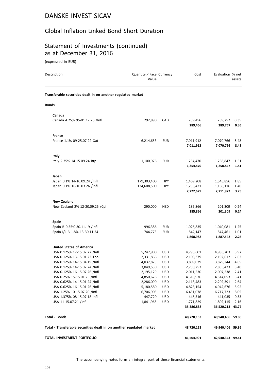## Global Inflation Linked Bond Short Duration

# Statement of Investments (continued) as at December 31, 2016

(expressed in EUR)

| Description                                                          | Quantity / Face Currency<br>Value |            | Cost                    | Evaluation % net              | assets       |
|----------------------------------------------------------------------|-----------------------------------|------------|-------------------------|-------------------------------|--------------|
| Transferable securities dealt in on another regulated market         |                                   |            |                         |                               |              |
| <b>Bonds</b>                                                         |                                   |            |                         |                               |              |
| Canada                                                               |                                   |            |                         |                               |              |
| Canada 4.25% 95-01.12.26 /Infl                                       | 292,890                           | CAD        | 289,456<br>289,456      | 289,757<br>289,757            | 0.35<br>0.35 |
| France                                                               |                                   |            |                         |                               |              |
| France 1.1% 09-25.07.22 Oat                                          | 6,214,653                         | <b>EUR</b> | 7,011,912<br>7,011,912  | 7,070,766<br>7,070,766        | 8.48<br>8.48 |
| Italy                                                                |                                   |            |                         |                               |              |
| Italy 2.35% 14-15.09.24 Btp                                          | 1,100,976                         | <b>EUR</b> | 1,254,470<br>1,254,470  | 1,258,847<br>1,258,847        | 1.51<br>1.51 |
| Japan                                                                |                                   |            |                         |                               |              |
| Japan 0.1% 14-10.09.24 /Infl                                         | 179,303,400                       | JPY        | 1,469,208               | 1,545,856                     | 1.85         |
| Japan 0.1% 16-10.03.26 /Infl                                         | 134,608,500                       | JPY        | 1,253,421<br>2,722,629  | 1,166,116<br>2,711,972        | 1.40<br>3.25 |
| <b>New Zealand</b>                                                   |                                   |            |                         |                               |              |
| New Zealand 2% 12-20.09.25 / Cpi                                     | 290,000                           | <b>NZD</b> | 185,866<br>185,866      | 201,309<br>201,309            | 0.24<br>0.24 |
| <b>Spain</b>                                                         |                                   |            |                         |                               |              |
| Spain B 0.55% 30.11.19 /Infl                                         | 996,386                           | <b>EUR</b> | 1,026,835               | 1,040,081                     | 1.25         |
| Spain I/L B 1.8% 13-30.11.24                                         | 744,773                           | <b>EUR</b> | 842,147<br>1,868,982    | 847,461<br>1,887,542          | 1.01<br>2.26 |
| <b>United States of America</b>                                      |                                   |            |                         |                               |              |
| USA 0.125% 12-15.07.22 /Infl                                         | 5,247,900                         | <b>USD</b> | 4,793,601               | 4,985,703                     | 5.97         |
| USA 0.125% 13-15.01.23 Tbo                                           | 2,331,866                         | <b>USD</b> | 2,108,379               | 2,192,612                     | 2.63         |
| USA 0.125% 14-15.04.19 /Infl                                         | 4,037,875                         | <b>USD</b> | 3,809,039               | 3,879,244                     | 4.65         |
| USA 0.125% 14-15.07.24 /Infl                                         | 3,049,530                         | <b>USD</b> | 2,730,253               | 2,835,423                     | 3.40         |
| USA 0.125% 16-15.07.26 /Infl                                         | 2,195,129                         | <b>USD</b> | 2,011,530               | 2,007,238                     | 2.41         |
| USA 0.25% 15-15.01.25 /Infl                                          | 4,850,678                         | USD        | 4,318,976               | 4,514,053                     | 5.41         |
| USA 0.625% 14-15.01.24 /Infl                                         | 2,286,090                         | USD        | 2,118,483               | 2,202,391                     | 2.64         |
| USA 0.625% 16-15.01.26 /Infl                                         | 5,180,580                         | <b>USD</b> | 4,828,154               | 4,942,676                     | 5.92         |
| USA 1.25% 10-15.07.20 /Infl                                          | 6,706,905                         | <b>USD</b> | 6,451,078               | 6,717,723                     | 8.05         |
| USA 1.375% 08-15.07.18 Infl                                          | 447,720                           | USD        | 445,516                 | 441,035                       | 0.53         |
| USA 11-15.07.21 /Infl                                                | 1,841,965                         | <b>USD</b> | 1,771,829<br>35,386,838 | 1,802,115<br>36,520,213 43.77 | 2.16         |
| Total - Bonds                                                        |                                   |            | 48,720,153              | 49,940,406 59.86              |              |
| Total - Transferable securities dealt in on another regulated market |                                   |            | 48,720,153              | 49,940,406 59.86              |              |
| TOTAL INVESTMENT PORTFOLIO                                           |                                   |            | 81,504,991              | 82,940,343 99.41              |              |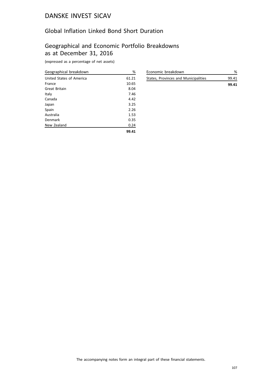## Global Inflation Linked Bond Short Duration

# Geographical and Economic Portfolio Breakdowns as at December 31, 2016

| Geographical breakdown   | %     |
|--------------------------|-------|
| United States of America | 61.21 |
| France                   | 10.65 |
| Great Britain            | 8.04  |
| Italy                    | 7.46  |
| Canada                   | 4.42  |
| Japan                    | 3.25  |
| Spain                    | 2.26  |
| Australia                | 1.53  |
| Denmark                  | 0.35  |
| New Zealand              | 0.24  |
|                          | 99.41 |

| Economic breakdown                   |       |
|--------------------------------------|-------|
| States, Provinces and Municipalities | 99.41 |
|                                      | 99.41 |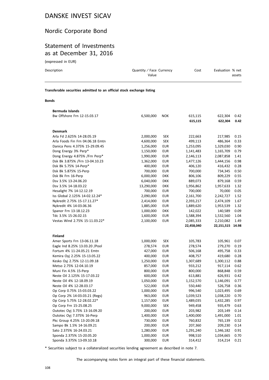#### Nordic Corporate Bond

#### Statement of Investments as at December 31, 2016

(expressed in EUR)

| Description                                                            | Quantity / Face Currency<br>Value | Cost | Evaluation % net<br>assets |
|------------------------------------------------------------------------|-----------------------------------|------|----------------------------|
| Transferable securities admitted to an official stock exchange listing |                                   |      |                            |

#### **Bonds**

| Bermuda Islands                  |            |            |            |            |       |
|----------------------------------|------------|------------|------------|------------|-------|
| Bw Offshore Frn 12-15.03.17      | 6,500,000  | <b>NOK</b> | 615,115    | 622,304    | 0.42  |
|                                  |            |            | 615,115    | 622,304    | 0.42  |
|                                  |            |            |            |            |       |
| <b>Denmark</b>                   |            |            |            |            |       |
| Arla Fd 2.625% 14-28.05.19       | 2,000,000  | <b>SEK</b> | 222,663    | 217,985    | 0.15  |
| Arla Foods Fin Frn 04.06.18 Emtn | 4,600,000  | <b>SEK</b> | 499,113    | 486,364    | 0.33  |
| Danica Pens 4.375% 15-29.09.45   | 1,256,000  | <b>EUR</b> | 1,253,095  | 1,329,030  | 0.90  |
| Dong Energy 3% Perp*             | 1,150,000  | <b>EUR</b> | 1,141,483  | 1,165,709  | 0.79  |
| Dong Energy 4.875% /Frn Perp*    | 1,990,000  | <b>EUR</b> | 2,146,113  | 2,087,858  | 1.41  |
| Dsk Bk 3.875% /Frn 13-04.10.23   | 1,362,000  | <b>EUR</b> | 1,477,126  | 1,444,156  | 0.98  |
| Dsk Bk 5.75% 14-Perp*            | 400,000    | <b>EUR</b> | 406,120    | 416,432    | 0.28  |
| Dsk Bk 5.875% 15-Perp            | 700,000    | <b>EUR</b> | 700,000    | 734,345    | 0.50  |
| Dsk Bk Frn 16-Perp               | 6,000,000  | <b>DKK</b> | 806,106    | 809,229    | 0.55  |
| Dsv 3.5% 13-24.06.20             | 6,040,000  | <b>DKK</b> | 889,073    | 879,168    | 0.59  |
| Dsv 3.5% 14-18.03.22             | 13,290,000 | <b>DKK</b> | 1,956,862  | 1,957,633  | 1.32  |
| Hesalight 7% 14-12.12.19         | 700,000    | <b>EUR</b> | 700,000    | 70,000     | 0.05  |
| Iss Global 2.125% 14-02.12.24*   | 2,090,000  | <b>EUR</b> | 2,161,700  | 2,242,727  | 1.52  |
| Nykredit 2.75% 15-17.11.27*      | 2,414,000  | <b>EUR</b> | 2,393,217  | 2,474,109  | 1.67  |
| Nykredit 4% 14-03.06.36          | 1,885,000  | <b>EUR</b> | 1,889,620  | 1,953,539  | 1.32  |
| Spanor Frn 13-18.12.23           | 1,000,000  | <b>DKK</b> | 142,022    | 140,589    | 0.09  |
| Tdc 3.5% 15-26.02.15             | 1,600,000  | <b>EUR</b> | 1,588,394  | 1,532,560  | 1.04  |
| Vestas Wind 2.75% 15-11.03.22*   | 2,100,000  | <b>EUR</b> | 2,085,333  | 2,210,082  | 1.49  |
|                                  |            |            | 22,458,040 | 22,151,515 | 14.98 |
|                                  |            |            |            |            |       |
| <b>Finland</b>                   |            |            |            |            |       |
| Amer Sports Frn 13-06.11.18      | 1,000,000  | <b>SEK</b> | 105,783    | 105,961    | 0.07  |
| Eagle Ind 8.25% 13.03.20 / Pool  | 278,574    | <b>EUR</b> | 278,574    | 279,270    | 0.19  |
| Fortum 4% 11-24.05.21 Emtn       | 427,000    | <b>EUR</b> | 506,168    | 495,758    | 0.33  |
| Kemira Oyj 2.25% 15-13.05.22     | 400,000    | <b>EUR</b> | 408,757    | 419,680    | 0.28  |
| Kesko Oyj 2.75% 12-11.09.18      | 1,250,000  | <b>EUR</b> | 1,307,689  | 1,300,112  | 0.88  |
| Metso 2.75% 12-04.10.19          | 857,000    | <b>EUR</b> | 933,212    | 917,114    | 0.62  |
| Muni Fin 4.5% 15-Perp            | 800,000    | <b>EUR</b> | 800,000    | 868,848    | 0.59  |
| Neste Oil 2.125% 15-17.03.22     | 600,000    | <b>EUR</b> | 613,881    | 626,931    | 0.42  |
| Neste Oil 4% 12-18.09.19         | 1,050,000  | <b>EUR</b> | 1,152,570  | 1,146,091  | 0.77  |
| Neste Oil 4% 12-28.03.17         | 522,000    | <b>EUR</b> | 550,440    | 526,758    | 0.36  |
| Op Corp 0.75% 15-03.03.22        | 1,000,000  | <b>EUR</b> | 996,540    | 1,023,495  | 0.69  |
| Op Corp 2% 14-03.03.21 (Regs)    | 963,000    | <b>EUR</b> | 1,039,523  | 1,038,220  | 0.70  |
| Op Corp 5.75% 12-28.02.22*       | 1,157,000  | <b>EUR</b> | 1,489,035  | 1,432,285  | 0.97  |
| Op Corp Frn 15-25.08.25          | 9,000,000  | <b>SEK</b> | 949,458    | 935,479    | 0.63  |
| Outotec Oyj 3.75% 13-16.09.20    | 200,000    | <b>EUR</b> | 203,982    | 203,149    | 0.14  |
| Outotec Oyj 7.375% 16-Perp       | 1,400,000  | <b>EUR</b> | 1,400,000  | 1,491,000  | 1.01  |
| Pkc Group 4.25% 13-20.09.18      | 730,000    | <b>EUR</b> | 760,832    | 765,139    | 0.52  |
| Sampo Bk 1.5% 14-16.09.21        | 200,000    | EUR        | 207,360    | 209,230    | 0.14  |
| Sato 2.375% 16-24.03.21          | 1,280,000  | <b>EUR</b> | 1,291,240  | 1,346,182  | 0.91  |
| Sponda 2.375% 15-20.05.20        | 1,000,000  | <b>EUR</b> | 998,510    | 1,034,665  | 0.70  |
| Sponda 3.375% 13-09.10.18        | 300,000    | <b>EUR</b> | 314,412    | 314,214    | 0.21  |

\* Securities subject to a collateralized securities lending agreement as described in note 7.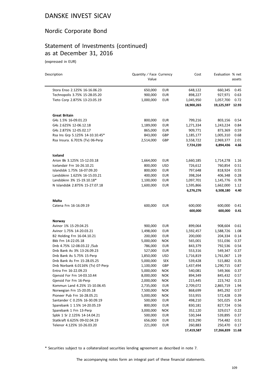# Nordic Corporate Bond

# Statement of Investments (continued) as at December 31, 2016

(expressed in EUR)

| Description                                                  | Quantity / Face Currency<br>Value |                          | Cost               | Evaluation % net   | assets       |
|--------------------------------------------------------------|-----------------------------------|--------------------------|--------------------|--------------------|--------------|
| Stora Enso 2.125% 16-16.06.23                                | 650,000                           | <b>EUR</b>               | 648,122            | 660,345            | 0.45         |
| Technopolis 3.75% 15-28.05.20                                | 900,000                           | <b>EUR</b>               | 898,227            | 927,971            | 0.63         |
| Tieto Corp 2.875% 13-23.05.19                                | 1,000,000                         | <b>EUR</b>               | 1,045,950          | 1,057,700          | 0.72         |
|                                                              |                                   |                          | 18,900,265         | 19,125,597 12.93   |              |
| <b>Great Britain</b>                                         |                                   |                          |                    |                    |              |
| G4s 1.5% 16-09.01.23                                         | 800,000                           | <b>EUR</b>               | 799,216            | 803,156            | 0.54         |
| G4s 2.625% 12-06.12.18                                       | 1,189,000                         | <b>EUR</b>               | 1,271,334          | 1,243,224          | 0.84         |
| G4s 2.875% 12-05.02.17                                       | 865,000                           | <b>EUR</b>               | 909,771            | 873,369            | 0.59         |
| Rsa Ins Grp 5.125% 14-10.10.45*                              | 843,000                           | GBP                      | 1,185,177          | 1,005,310          | 0.68         |
| Rsa Insura. 6.701% (Tv) 06-Perp                              | 2,514,000                         | GBP                      | 3,558,722          | 2,969,377          | 2.01         |
|                                                              |                                   |                          | 7,724,220          | 6,894,436          | 4.66         |
| Iceland                                                      |                                   |                          |                    |                    |              |
| Arion Bk 3.125% 15-12.03.18                                  | 1,664,000                         | <b>EUR</b>               | 1,660,185          | 1,714,278          | 1.16         |
| Icelandair Frn 16-26.10.21                                   | 800,000                           | <b>USD</b>               | 726,612            | 760,854            | 0.51         |
| Islandsbk 1.75% 16-07.09.20                                  | 800,000                           | <b>EUR</b>               | 797,648            | 818,924            | 0.55         |
| Landsbknn 1.625% 16-15.03.21                                 | 400,000                           | <b>EUR</b>               | 398,264            | 406,348            | 0.28         |
| Landsbknn 3% 15-19.10.18*                                    | 1,100,000                         | <b>EUR</b>               | 1,097,701          | 1,145,776          | 0.78         |
| N Islandsbk 2.875% 15-27.07.18                               | 1,600,000                         | <b>EUR</b>               | 1,595,866          | 1,662,000          | 1.12         |
|                                                              |                                   |                          | 6,276,276          | 6,508,180          | 4.40         |
| <b>Malta</b>                                                 |                                   |                          |                    |                    |              |
| Catena Frn 16-16.09.19                                       | 600,000                           | <b>EUR</b>               | 600,000            | 600,000            | 0.41         |
|                                                              |                                   |                          | 600,000            | 600,000            | 0.41         |
| Norway                                                       |                                   |                          |                    |                    |              |
| Avinor 1% 15-29.04.25                                        | 900,000                           | <b>EUR</b>               | 899,064            | 908,604            | 0.61         |
| Avinor 1.75% 14-20.03.21                                     | 1,498,000                         | <b>EUR</b>               | 1,592,457          | 1,588,726          | 1.08         |
| B2 Holding Frn 16-04.10.21                                   | 200,000                           | <b>EUR</b>               | 200,000            | 204,334            | 0.14         |
| Bkk Frn 14-22.05.18                                          | 5,000,000                         | <b>NOK</b>               | 565,001            | 551,036            | 0.37         |
| Dnb 4.75% 12-08.03.22 /Sub                                   | 786,000                           | <b>EUR</b>               | 843,379            | 792,536            | 0.54         |
| Dnb Bank As 3% 13-26.09.23                                   | 527,000                           | <b>EUR</b>               | 553,316            | 549,347            | 0.37         |
| Dnb Bank As 5.75% 15-Perp                                    | 1,850,000                         | <b>USD</b>               | 1,716,819          | 1,761,067          | 1.19         |
| Dnb Bank As Frn 15-28.05.25                                  | 5,000,000                         | <b>SEK</b>               | 539,428            | 515,882            | 0.35         |
| Dnb Norbank 6.0116% (Tv) 07-Perp                             | 1,100,000                         | GBP                      | 1,437,494          | 1,290,715          | 0.87         |
| Entra Frn 16-22.09.23                                        | 5,000,000                         | NOK                      | 540,081            | 549,366            | 0.37         |
| Gjensid For Frn 14-03.10.44                                  | 8,000,000                         | <b>NOK</b>               | 894,349            | 845,432            | 0.57         |
| Gjensid For Frn 16-Perp                                      | 2,000,000                         | <b>NOK</b>               | 215,445            | 223,742            | 0.15         |
| Kommun Land 4.25% 15-10.06.45                                | 2,735,000                         | <b>EUR</b>               | 2,709,072          | 2,865,719          | 1.94         |
| Norwegian Frn 15-20.05.18                                    | 7,500,000                         | <b>NOK</b>               | 868,699            | 845,292            | 0.57         |
| Pioneer Pub Frn 16-28.05.21<br>Santander C 0.25% 16-30.09.19 | 5,000,000                         | <b>NOK</b>               | 553,955            | 572,428            | 0.39         |
| Sparebank 1 1.5% 14-20.05.19                                 | 500,000<br>800,000                | <b>EUR</b>               | 498,210            | 501,025            | 0.34         |
|                                                              |                                   | <b>EUR</b>               | 830,181            | 827,724            | 0.56         |
| Sparebank 1 Frn 13-Perp<br>Spbk 1 Sr 2.125% 14-14.04.21      | 3,000,000                         | <b>NOK</b>               | 352,120            | 329,017            | 0.22         |
|                                                              | 500,000<br>656,000                | <b>EUR</b><br><b>EUR</b> | 530,344            | 539,895<br>754,482 | 0.37         |
| Statkraft 6.625% 09-02.04.19<br>Telenor 4.125% 10-26.03.20   | 221,000                           | <b>EUR</b>               | 819,290<br>260,883 | 250,470            | 0.51<br>0.17 |
|                                                              |                                   |                          | 17,419,587         | 17,266,839         | 11.68        |
|                                                              |                                   |                          |                    |                    |              |

\* Securities subject to a collateralized securities lending agreement as described in note 7.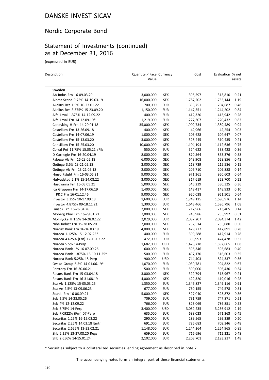# Nordic Corporate Bond

# Statement of Investments (continued) as at December 31, 2016

(expressed in EUR)

 $\overline{a}$ 

| Description                      | Quantity / Face Currency<br>Value |            | Cost      | Evaluation % net | assets |
|----------------------------------|-----------------------------------|------------|-----------|------------------|--------|
| Sweden                           |                                   |            |           |                  |        |
| Ab Indus Frn 16-09.03.20         | 3,000,000                         | SEK        | 305,597   | 313,810          | 0.21   |
| Ainmt Scand 9.75% 14-19.03.19    | 16,000,000                        | <b>SEK</b> | 1,787,202 | 1,755,144        | 1.19   |
| Akelius Res 1.5% 16-23.01.22     | 700,000                           | EUR        | 695,751   | 704,687          | 0.48   |
| Akelius Res 3.375% 15-23.09.20   | 1,150,000                         | <b>EUR</b> | 1,147,551 | 1,244,202        | 0.84   |
| Alfa Laval 1.375% 14-12.09.22    | 400,000                           | <b>EUR</b> | 412,320   | 415,942          | 0.28   |
| Alfa Laval Frn 14-12.09.19*      | 1,219,000                         | <b>EUR</b> | 1,227,307 | 1,220,432        | 0.83   |
| Candyking H Frn 14-29.01.18      | 35,000,000                        | <b>SEK</b> | 1,902,734 | 1,389,489        | 0.94   |
| Castellum Frn 13-26.09.18        | 400,000                           | <b>SEK</b> | 42,966    | 42,254           | 0.03   |
| Castellum Frn 14-07.06.19        | 1,000,000                         | <b>SEK</b> | 105,628   | 104,647          | 0.07   |
| Castellum Frn 15-13.03.20        | 3,000,000                         | <b>SEK</b> | 326,445   | 310,435          | 0.21   |
| Consilium Frn 15-25.03.20        | 10,000,000                        | <b>SEK</b> | 1,104,194 | 1,112,636        | 0.75   |
| Corral Pet 11.75% 15.05.21 / Pik | 550,000                           | <b>EUR</b> | 524,622   | 538,428          | 0.36   |
| D Carnegie Frn 16-20.04.19       | 8,000,000                         | <b>SEK</b> | 870,564   | 853,376          | 0.58   |
| Fabege Ab Frn 16-23.05.18        | 6,000,000                         | SEK        | 643,908   | 628,856          | 0.43   |
| Getinge 3.5% 13-21.05.18         | 2,000,000                         | <b>SEK</b> | 218,739   | 215,586          | 0.15   |
| Getinge Ab Frn 13-21.05.18       | 2,000,000                         | <b>SEK</b> | 206,710   | 209,888          | 0.14   |
| Hmso Fstght Frn 16-03.06.21      | 9,000,000                         | <b>SEK</b> | 971,361   | 950,603          | 0.64   |
| Hufvudstad 2.1% 15-24.08.22      | 3,000,000                         | <b>SEK</b> | 317,619   | 323,700          | 0.22   |
| Husqvarna Frn 16-03.05.21        | 5,000,000                         | <b>SEK</b> | 545,239   | 530,325          | 0.36   |
| Ica Gruppen Frn 14-17.06.19      | 1,400,000                         | SEK        | 148,417   | 148,933          | 0.10   |
| If P&C Frn 16-01.12.46           | 9,000,000                         | <b>SEK</b> | 920,038   | 951,501          | 0.64   |
| Investor 3.25% 10-17.09.18       | 1,600,000                         | <b>EUR</b> | 1,749,115 | 1,690,976        | 1.14   |
| Investor 4.875% 09-18.11.21      | 1,300,000                         | <b>EUR</b> | 1,643,466 | 1,596,796        | 1.08   |
| Lansbk Frn 16-26.04.26           | 2,000,000                         | <b>SEK</b> | 217,966   | 213,405          | 0.14   |
| Moberg Phar Frn 16-29.01.21      | 7,000,000                         | <b>SEK</b> | 743,986   | 755,992          | 0.51   |
| Molnlycke H 1.5% 14-28.02.22     | 2,029,000                         | <b>EUR</b> | 2,087,207 | 2,094,374        | 1.42   |
| Nibe Indust Frn 15-28.05.20      | 7,000,000                         | <b>SEK</b> | 752,514   | 735,080          | 0.50   |
| Nordax Bank Frn 16-16.03.19      | 4,000,000                         | <b>SEK</b> | 429,777   | 417,891          | 0.28   |
| Nordea 1.125% 15-12.02.25*       | 400,000                           | <b>EUR</b> | 399,588   | 412,914          | 0.28   |
| Nordea 4.625% (Frn) 12-15.02.22  | 472,000                           | <b>EUR</b> | 506,993   | 474,478          | 0.32   |
| Nordea 5.5% 14-Perp              | 1,682,000                         | <b>USD</b> | 1,426,718 | 1,592,665        | 1.08   |
| Nordea Bank 1% 16-07.09.26       | 600,000                           | <b>EUR</b> | 596,346   | 595,683          | 0.40   |
| Nordea Bank 1.875% 15-10.11.25*  | 500,000                           | <b>EUR</b> | 497,170   | 516,603          | 0.35   |
| Nordea Bank 5.25% 15-Perp        | 900,000                           | <b>USD</b> | 744,403   | 824,337          | 0.56   |
| Ovako Group 6.5% 14-01.06.19*    | 1,070,000                         | <b>EUR</b> | 1,030,781 | 994,822          | 0.67   |
| Perstorp Frn 16-30.06.21         | 500,000                           | <b>EUR</b> | 500,000   | 505,430          | 0.34   |
| Resurs Bank Frn 15-03.04.18      | 3,000,000                         | <b>SEK</b> | 322,794   | 315,967          | 0.21   |
| Resurs Bank Frn 16-31.08.19      | 4,000,000                         | SEK        | 422,320   | 419,016          | 0.28   |
| Sca Ab 1.125% 15-05.03.25        | 1,350,000                         | <b>EUR</b> | 1,346,827 | 1,349,116        | 0.91   |
| Sca An 2.5% 13-09.06.23          | 677,000                           | <b>EUR</b> | 760,155   | 749,578          | 0.51   |
| Scania Frn 16-06.09.21           | 5,000,000                         | <b>SEK</b> | 527,040   | 525,872          | 0.36   |
| Seb 2.5% 14-28.05.26             | 709,000                           | <b>EUR</b> | 731,759   | 747,871          | 0.51   |
| Seb 4% 12-12.09.22               | 766,000                           | <b>EUR</b> | 823,069   | 786,851          | 0.53   |
| Seb 5.75% 14-Perp                | 3,400,000                         | <b>USD</b> | 3,052,235 | 3,236,912        | 2.19   |
| Seb 7.0922% (Frn) 07-Perp        | 635,000                           | <b>EUR</b> | 688,023   | 671,363          | 0.45   |
| Securitas 1.25% 16-15.03.22      | 290,000                           | <b>EUR</b> | 289,565   | 299,389          | 0.20   |
| Securitas 2.25% 14.03.18 Emtn    | 691,000                           | <b>EUR</b> | 725,683   | 709,346          | 0.48   |
| Securitas 2.625% 13-22.02.21     | 1,148,000                         | <b>EUR</b> | 1,244,264 | 1,254,965        | 0.85   |
| Shb 2.25% 13-27.08.20 Regs       | 659,000                           | <b>EUR</b> | 716,696   | 712,221          | 0.48   |
| Shb 2.656% 14-15.01.24           | 2,102,000                         | <b>EUR</b> | 2,203,701 | 2,193,237        | 1.48   |
|                                  |                                   |            |           |                  |        |

\* Securities subject to a collateralized securities lending agreement as described in note 7.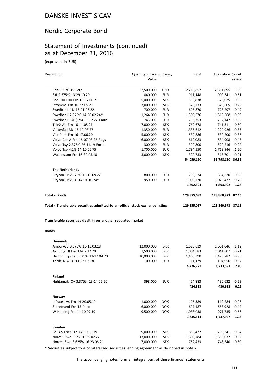# Nordic Corporate Bond

# Statement of Investments (continued) as at December 31, 2016

(expressed in EUR)

| Shb 5.25% 15-Perp                                                              |                         |            |             |                      | assets |
|--------------------------------------------------------------------------------|-------------------------|------------|-------------|----------------------|--------|
|                                                                                |                         |            |             |                      |        |
|                                                                                | 2,500,000               | USD        | 2,216,857   | 2,351,895            | 1.59   |
| Skf 2.375% 13-29.10.20                                                         | 840,000                 | <b>EUR</b> | 911,148     | 900,341              | 0.61   |
| Sod Sko Eko Frn 16-07.06.21                                                    | 5,000,000               | <b>SEK</b> | 538,838     | 529,025              | 0.36   |
| Stromma Frn 16-27.05.21                                                        | 3,000,000               | <b>SEK</b> | 320,733     | 323,605              | 0.22   |
| Swedbank 1% 15-01.06.22                                                        | 700,000                 | <b>EUR</b> | 695,870     | 728,297              | 0.49   |
| Swedbank 2.375% 14-26.02.24*                                                   | 1,264,000               | <b>EUR</b> | 1,308,576   | 1,313,568            | 0.89   |
| Swedbank 3% (Frn) 05.12.22 Emtn                                                | 743,000                 | EUR        | 783,753     | 762,147              | 0.52   |
| Tele2 Ab Frn 16-11.05.21                                                       | 7,000,000               | <b>SEK</b> | 762,678     | 741,311              | 0.50   |
| Vattenfall 3% 15-19.03.77                                                      | 1,350,000               | <b>EUR</b> | 1,335,612   | 1,220,926            | 0.83   |
| Vict Park Frn 16-17.06.20                                                      | 5,000,000               | <b>SEK</b> | 539,886     | 530,200              | 0.36   |
| Volvo Car A Frn 16-07.03.22 Regs                                               | 6,000,000               | <b>SEK</b> | 612,083     | 634,908              | 0.43   |
| Volvo Tsy 2.375% 26.11.19 Emtn                                                 | 300,000                 | <b>EUR</b> | 322,800     | 320,216              | 0.22   |
| Volvo Tsy 4.2% 14-10.06.75                                                     | 1,700,000               | <b>EUR</b> | 1,784,550   | 1,769,946            | 1.20   |
| Wallenstam Frn 16-30.05.18                                                     | 3,000,000               | <b>SEK</b> | 320,733     | 313,701              | 0.21   |
|                                                                                |                         |            | 54,059,190  | 53,798,110 36.39     |        |
| <b>The Netherlands</b>                                                         |                         |            |             |                      |        |
| Citycon Tr 2.375% 15-16.09.22                                                  | 800,000                 | <b>EUR</b> | 798,624     | 864,520              | 0.58   |
| Citycon Tr 2.5% 14-01.10.24*                                                   | 950,000                 | <b>EUR</b> | 1,003,770   | 1,029,472            | 0.70   |
|                                                                                |                         |            | 1,802,394   | 1,893,992            | 1.28   |
| Total - Bonds                                                                  |                         |            | 129,855,087 | 128,860,973 87.15    |        |
| Total - Transferable securities admitted to an official stock exchange listing |                         |            | 129,855,087 | 128,860,973 87.15    |        |
| Transferable securities dealt in on another regulated market                   |                         |            |             |                      |        |
|                                                                                |                         |            |             |                      |        |
|                                                                                |                         |            |             |                      |        |
| <b>Bonds</b>                                                                   |                         |            |             |                      |        |
| <b>Denmark</b>                                                                 |                         |            |             |                      |        |
| Ambu A/S 3.375% 13-15.03.18                                                    | 12,000,000              | <b>DKK</b> | 1,695,619   | 1,661,046            | 1.12   |
| Ax Iv Eg HI Frn 13-02.12.20                                                    | 7,500,000               | <b>DKK</b> | 1,004,583   | 1,041,807            | 0.71   |
| Haldor Topsoe 3.625% 13-17.04.20                                               | 10,000,000              | <b>DKK</b> | 1,465,390   | 1,425,782            | 0.96   |
| Tdcdc 4.375% 11-23.02.18                                                       | 100,000                 | <b>EUR</b> | 111,179     | 104,956              | 0.07   |
|                                                                                |                         |            | 4,276,771   | 4,233,591            | 2.86   |
| Finland                                                                        |                         |            |             |                      |        |
| Huhtamaki Oy 3.375% 13-14.05.20                                                | 398,000                 | EUR        | 424,883     | 430,632              | 0.29   |
|                                                                                |                         |            | 424,883     | 430,632              | 0.29   |
| Norway                                                                         |                         |            |             |                      |        |
| Infratek As Frn 14-20.05.19                                                    | 1,000,000               | <b>NOK</b> | 105,389     | 112,284              | 0.08   |
| Storebrand Frn 15-Perp                                                         | 6,000,000               | <b>NOK</b> | 697,187     | 653,928              | 0.44   |
| W Holding Frn 14-10.07.19                                                      | 9,500,000               | <b>NOK</b> | 1,033,038   | 971,735              | 0.66   |
|                                                                                |                         |            | 1,835,614   | 1,737,947            | 1.18   |
| Sweden                                                                         |                         |            |             |                      |        |
| Be Bio Ener Frn 14-10.06.19                                                    |                         | SEK        | 895,472     |                      | 0.54   |
| Norcell Swe 3.5% 16-25.02.22                                                   | 9,000,000<br>13,000,000 | SEK        | 1,308,784   | 793,341<br>1,355,037 | 0.92   |
|                                                                                |                         |            |             |                      |        |

\* Securities subject to a collateralized securities lending agreement as described in note 7.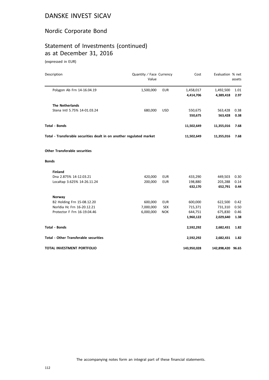# Nordic Corporate Bond

# Statement of Investments (continued) as at December 31, 2016

(expressed in EUR)

| Description                                                          | Quantity / Face Currency<br>Value |            | Cost        | Evaluation % net  | assets |
|----------------------------------------------------------------------|-----------------------------------|------------|-------------|-------------------|--------|
| Polygon Ab Frn 14-16.04.19                                           | 1,500,000                         | <b>EUR</b> | 1,458,017   | 1,492,500         | 1.01   |
|                                                                      |                                   |            | 4,414,706   | 4,389,418         | 2.97   |
| <b>The Netherlands</b>                                               |                                   |            |             |                   |        |
| Stena Intl 5.75% 14-01.03.24                                         | 680,000                           | <b>USD</b> | 550,675     | 563,428           | 0.38   |
|                                                                      |                                   |            | 550,675     | 563,428           | 0.38   |
| <b>Total - Bonds</b>                                                 |                                   |            | 11,502,649  | 11,355,016        | 7.68   |
| Total - Transferable securities dealt in on another regulated market |                                   |            | 11,502,649  | 11,355,016        | 7.68   |
| <b>Other Transferable securities</b>                                 |                                   |            |             |                   |        |
| <b>Bonds</b>                                                         |                                   |            |             |                   |        |
| <b>Finland</b>                                                       |                                   |            |             |                   |        |
| Dna 2.875% 14-12.03.21                                               | 420,000                           | <b>EUR</b> | 433,290     | 449,503           | 0.30   |
| Localtap 3.625% 14-26.11.24                                          | 200,000                           | <b>EUR</b> | 198,880     | 203,288           | 0.14   |
|                                                                      |                                   |            | 632,170     | 652,791           | 0.44   |
| Norway                                                               |                                   |            |             |                   |        |
| B2 Holding Frn 15-08.12.20                                           | 600,000                           | <b>EUR</b> | 600,000     | 622,500           | 0.42   |
| Norldia Hc Frn 16-20.12.21                                           | 7,000,000                         | <b>SEK</b> | 715,371     | 731,310           | 0.50   |
| Protector F Frn 16-19.04.46                                          | 6,000,000                         | <b>NOK</b> | 644,751     | 675,830           | 0.46   |
|                                                                      |                                   |            | 1,960,122   | 2,029,640         | 1.38   |
| <b>Total - Bonds</b>                                                 |                                   |            | 2,592,292   | 2,682,431         | 1.82   |
| <b>Total - Other Transferable securities</b>                         |                                   |            | 2,592,292   | 2,682,431         | 1.82   |
| <b>TOTAL INVESTMENT PORTFOLIO</b>                                    |                                   |            | 143,950,028 | 142,898,420 96.65 |        |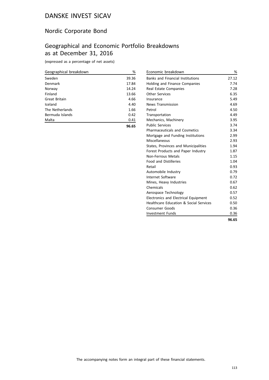# Nordic Corporate Bond

# Geographical and Economic Portfolio Breakdowns as at December 31, 2016

(expressed as a percentage of net assets)

| Geographical breakdown | %     |
|------------------------|-------|
| Sweden                 | 39.36 |
| Denmark                | 17.84 |
| Norway                 | 14.24 |
| Finland                | 13.66 |
| Great Britain          | 4.66  |
| Iceland                | 4.40  |
| The Netherlands        | 1.66  |
| Bermuda Islands        | 0.42  |
| Malta                  | 0.41  |
|                        | 96.65 |

| Economic breakdown                                | %     |
|---------------------------------------------------|-------|
| <b>Banks and Financial Institutions</b>           | 27.12 |
| Holding and Finance Companies                     | 7.74  |
| Real Estate Companies                             | 7.28  |
| <b>Other Services</b>                             | 6.35  |
| Insurance                                         | 5.49  |
| <b>News Transmission</b>                          | 4.69  |
| Petrol                                            | 4.50  |
| Transportation                                    | 4.49  |
| Mechanics, Machinery                              | 3.95  |
| <b>Public Services</b>                            | 3.74  |
| <b>Pharmaceuticals and Cosmetics</b>              | 3.34  |
| Mortgage and Funding Institutions                 | 2.99  |
| Miscellaneous                                     | 2.93  |
| States, Provinces and Municipalities              | 1.94  |
| Forest Products and Paper Industry                | 1.87  |
| Non-Ferrous Metals                                | 1.15  |
| <b>Food and Distilleries</b>                      | 1.04  |
| Retail                                            | 0.93  |
| Automobile Industry                               | 0.79  |
| Internet Software                                 | 0.72  |
| Mines, Heavy Industries                           | 0.67  |
| Chemicals                                         | 0.62  |
| Aerospace Technology                              | 0.57  |
| Electronics and Electrical Equipment              | 0.52  |
| <b>Healthcare Education &amp; Social Services</b> | 0.50  |
| Consumer Goods                                    | 0.36  |
| <b>Investment Funds</b>                           | 0.36  |
|                                                   | 96.65 |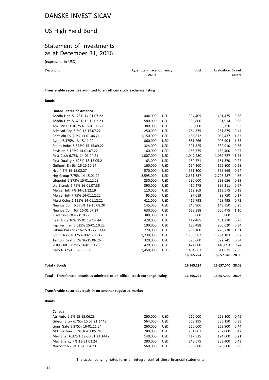# US High Yield Bond

### Statement of Investments as at December 31, 2016

(expressed in USD)

| Description | Quantity / Face Currency<br>Value | Cost | Evaluation % net<br>assets |
|-------------|-----------------------------------|------|----------------------------|
|             |                                   |      |                            |

**Transferable securities admitted to an official stock exchange listing**

#### **Bonds**

| Total - Transferable securities admitted to an official stock exchange listing |           |            | 16,365,224 | 16,657,040 28.08 |       |
|--------------------------------------------------------------------------------|-----------|------------|------------|------------------|-------|
| <b>Total - Bonds</b>                                                           |           |            | 16,365,224 | 16,657,040       | 28.08 |
|                                                                                |           |            | 16,365,224 | 16,657,040       | 28.08 |
| Zayo 6.375% 15-15.05.25                                                        | 1,450,000 | <b>USD</b> | 1,404,663  | 1,511,625        | 2.55  |
| Vista Out 5.875% 16-01.10.23                                                   | 420,000   | <b>USD</b> | 424,000    | 440,093          | 0.74  |
| Tempur Seal 5.5% 16-15.06.26                                                   | 320,000   | <b>USD</b> | 320,000    | 322,741          | 0.54  |
| Sprint Nex. 8.375% 09-15.08.17                                                 | 1,730,000 | <b>USD</b> | 1,730,687  | 1,794,183        | 3.02  |
| Sabine Pass 5% 16-15.03.27 144a                                                | 770,000   | <b>USD</b> | 759,100    | 776,738          | 1.31  |
| Rsp Permian 6.625% 15-01.10.22                                                 | 190,000   | <b>USD</b> | 185,488    | 200,620          | 0.34  |
| Real Alloy 10% 15.01.19 14 4A                                                  | 428,000   | <b>USD</b> | 412,485    | 431,210          | 0.73  |
| Plantronics 0% -31.05.23                                                       | 380,000   | <b>USD</b> | 380,000    | 383,800          | 0.65  |
| Nuance Com 6% 16-01.07.24                                                      | 630,000   | <b>USD</b> | 633,388    | 650,475          | 1.10  |
| Nuance Com 5.375% 12-15.08.20                                                  | 145,000   | <b>USD</b> | 145,906    | 149,350          | 0.25  |
| Multi Color 6.125% 14-01.12.22                                                 | 411,000   | <b>USD</b> | 412,798    | 429,495          | 0.72  |
| Mercer Intl 7.75% 14-01.12.22                                                  | 95,000    | <b>USD</b> | 97,019     | 99,750           | 0.17  |
| Mercer Intl 7% 14-01.12.19                                                     | 110,000   | <b>USD</b> | 112,269    | 113,575          | 0.19  |
| Ltd Brands 6.75% 16-01.07.36                                                   | 390,000   | <b>USD</b> | 410,475    | 396,211          | 0.67  |
| Lifepoint 5.875% 15-01.12.23                                                   | 230,000   | <b>USD</b> | 230,000    | 233,656          | 0.39  |
| Hrg Group 7.75% 14-15.01.22                                                    | 2,595,000 | <b>USD</b> | 2,631,837  | 2,705,287        | 4.56  |
| Hca 4.5% 16-15.02.27                                                           | 570,000   | <b>USD</b> | 551,300    | 559,669          | 0.94  |
| Gulfport En 6% 16-15.10.24                                                     | 160,000   | <b>USD</b> | 164,200    | 162,800          | 0.28  |
| First Quality 4.625% 13-15.05.21                                               | 163,000   | <b>USD</b> | 150,571    | 161,370          | 0.27  |
| First Cash 6.75% 14-01.04.21                                                   | 1,007,000 | <b>USD</b> | 1,047,280  | 1,039,727        | 1.75  |
| Envision 5.125% 14-01.07.22                                                    | 160,000   | <b>USD</b> | 155,775    | 159,400          | 0.27  |
| Enpro Indus 5.875% 15-15.09.22                                                 | 324,000   | <b>USD</b> | 321,325    | 332,910          | 0.56  |
| Cyrus 6.375% 13-15.11.22                                                       | 860,000   | <b>USD</b> | 881,266    | 908,904          | 1.53  |
| Cent Alu Cy 7.5% 13-01.06.21                                                   | 1,150,000 | <b>USD</b> | 1,188,812  | 1,082,437        | 1.83  |
| Ashtead Cap 6.5% 12-15.07.22                                                   | 250,000   | <b>USD</b> | 254,375    | 261,875          | 0.44  |
| Am Tire Dis 10.25% 15-01.03.22                                                 | 380,000   | <b>USD</b> | 380,000    | 365,750          | 0.62  |
| Acadia Hlth 5.625% 15-15.02.23                                                 | 580,000   | <b>USD</b> | 585,800    | 581,914          | 0.98  |
| Acadia Hlth 5.125% 14-01.07.22                                                 | 404,000   | <b>USD</b> | 394,405    | 401,475          | 0.68  |
| <b>United States of America</b>                                                |           |            |            |                  |       |

**Transferable securities dealt in on another regulated market**

#### **Bonds**

| Canada                           |         |            |         |         |      |
|----------------------------------|---------|------------|---------|---------|------|
| Ats Auto 6.5% 15-15.06.23        | 260,000 | <b>USD</b> | 260,000 | 269.100 | 0.45 |
| Gibson Engy 6.75% 15.07.21 144a  | 564.000 | <b>USD</b> | 563,295 | 585.150 | 0.99 |
| Lions Gate 5.875% 16-01.11.24    | 260,000 | <b>USD</b> | 260,000 | 263.900 | 0.44 |
| Mdc Partner 6.5% 16-01.05.24     | 280.000 | <b>USD</b> | 281.807 | 252.000 | 0.42 |
| Meg Ener 6.375% 12-30.01.23 144a | 140.000 | <b>USD</b> | 117,925 | 124.600 | 0.21 |
| Meg Energy 7% 13-31.03.24        | 280,000 | <b>USD</b> | 243.675 | 253,400 | 0.43 |
| Norbord 6.25% 15-15.04.23        | 560.000 | <b>USD</b> | 560,000 | 579.600 | 0.98 |
|                                  |         |            |         |         |      |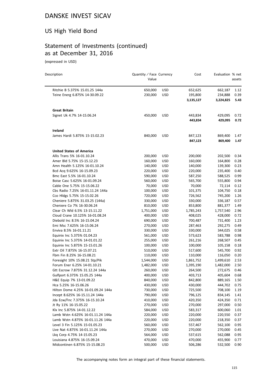# US High Yield Bond

# Statement of Investments (continued) as at December 31, 2016

(expressed in USD)

| Description                        | Quantity / Face Currency<br>Value |            | Cost               | Evaluation % net   | assets       |
|------------------------------------|-----------------------------------|------------|--------------------|--------------------|--------------|
| Ritchie B 5.375% 15.01.25 144a     | 650,000                           | <b>USD</b> | 652,625            | 662,187            | 1.12         |
| Teine Energ 6.875% 14-30.09.22     | 230,000                           | <b>USD</b> | 195,800            | 234,888            | 0.39         |
|                                    |                                   |            | 3,135,127          | 3,224,825          | 5.43         |
| <b>Great Britain</b>               |                                   |            |                    |                    |              |
| Signet Uk 4.7% 14-15.06.24         | 450,000                           | <b>USD</b> | 443,834<br>443,834 | 429,095<br>429,095 | 0.72<br>0.72 |
| Ireland                            |                                   |            |                    |                    |              |
| James Hardi 5.875% 15-15.02.23     | 840,000                           | <b>USD</b> | 847,123            | 869,400            | 1.47         |
|                                    |                                   |            | 847,123            | 869,400            | 1.47         |
| <b>United States of America</b>    |                                   |            |                    |                    |              |
| Allis Trans 5% 16-01.10.24         | 200,000                           | <b>USD</b> | 200,000            | 202,500            | 0.34         |
| Amer Bld 5.75% 15-15.12.23         | 160,000                           | <b>USD</b> | 160,000            | 164,800            | 0.28         |
| Amn Health 5.125% 16-01.10.24      | 140,000                           | <b>USD</b> | 140,000            | 139,300            | 0.23         |
| Bcd Acq 9.625% 16-15.09.23         | 220,000                           | <b>USD</b> | 220,000            | 235,400            | 0.40         |
| Bmc East 5.5% 16-01.10.24          | 590,000                           | <b>USD</b> | 587,250            | 588,525            | 0.99         |
| Boise Casc 5.625% 16-01.09.24      | 560,000                           | <b>USD</b> | 565,700            | 555,800            | 0.94         |
| Cable One 5.75% 15-15.06.22        | 70,000                            | <b>USD</b> | 70,000             | 72,114             | 0.12         |
| Cbs Radio 7.25% 16-01.11.24 144a   | 100,000                           | <b>USD</b> | 101,375            | 104,750            | 0.18         |
| Cco Hldgs 5.75% 15-15.02.26        | 720,000                           | <b>USD</b> | 726,562            | 745,200            | 1.26         |
| Cheniere 5.875% 31.03.25 (144a)    | 330,000                           | <b>USD</b> | 330,000            | 336,187            | 0.57         |
| Cheniere Co 7% 16-30.06.24         | 810,000                           | <b>USD</b> | 853,800            | 881,377            | 1.49         |
| Clear Ch Wld 6.5% 13-15.11.22      | 1,751,000                         | <b>USD</b> | 1,785,243          | 1,757,540          | 2.96         |
| Cloud Crane 10.125% 16-01.08.24    | 400,000                           | <b>USD</b> | 408,025            | 428,000            | 0.72         |
| Diebold Inc 8.5% 16-15.04.24       | 690,000                           | <b>USD</b> | 700,487            | 731,400            | 1.23         |
| Emi Msc 7.625% 16-15.06.24         | 270,000                           | <b>USD</b> | 287,463            | 292,275            | 0.49         |
| Enviva 8.5% 16-01.11.21            | 330,000                           | <b>USD</b> | 330,000            | 344,025            | 0.58         |
| Equinix Inc 5.375% 01.04.23        | 561,000                           | <b>USD</b> | 573,623            | 583,788            | 0.98         |
| Equinix Inc 5.375% 14-01.01.22     | 255,000                           | <b>USD</b> | 261,216            | 268,507            | 0.45         |
| Equinix Inc 5.875% 15-15.01.26     | 100,000                           | <b>USD</b> | 100,000            | 105,158            | 0.18         |
| Extr Oil 7.875% 16-15.07.21        | 510,000                           | <b>USD</b> | 517,600            | 545,700            | 0.92         |
| Fbm Fin 8.25% 16-15.08.21          | 110,000                           | <b>USD</b> | 110,000            | 116,050            | 0.20         |
| Foresight 10% 15.08.21 Stp/Pik     | 1,544,000                         | <b>USD</b> | 1,861,752          | 1,499,610          | 2.53         |
| Forum Ener 6.25% 14-01.10.21       | 1,482,000                         | <b>USD</b> | 1,395,190          | 1,482,000          | 2.50         |
| Gtt Escrow 7.875% 31.12.24 144a    | 260,000                           | <b>USD</b> | 264,500            | 272,675            | 0.46         |
| Gulfport 6.375% 15.05.25 144a      | 400,000                           | USD        | 403,713            | 405,604 0.68       |              |
| H&E Equip 7% 13-01.09.22           | 840,000                           | <b>USD</b> | 842,800            | 889,165            | 1.50         |
| Hca 5.25% 16-15.06.26              | 430,000                           | <b>USD</b> | 430,000            | 444,702            | 0.75         |
| Hilton Dome 4.25% 16-01.09.24 144a | 730,000                           | <b>USD</b> | 725,500            | 708,100            | 1.19         |
| Incept 8.625% 16-15.11.24 144a     | 790,000                           | <b>USD</b> | 796,125            | 834,145            | 1.41         |
| Jda Ecw/Fnc 7.375% 16-15.10.24     | 410,000                           | <b>USD</b> | 420,350            | 424,350            | 0.71         |
| Jt Ry 11% 16-15.05.22              | 270,000                           | <b>USD</b> | 270,000            | 297,000            | 0.50         |
| Klx Inc 5.875% 14-01.12.22         | 584,000                           | <b>USD</b> | 583,317            | 600,060            | 1.01         |
| Lamb Wstn 4.625% 16-01.11.24 144a  | 220,000                           | <b>USD</b> | 220,000            | 220,550            | 0.37         |
| Lamb Wstn 4.875% 16-01.11.26 144a  | 220,000                           | <b>USD</b> | 220,000            | 218,350            | 0.37         |
| Level 3 Fin 5.125% 15-01.05.23     | 560,000                           | <b>USD</b> | 557,467            | 562,100            | 0.95         |
| Live Nat 4.875% 16-01.11.24 144a   | 270,000                           | USD        | 270,000            | 270,000            | 0.45         |
| Lkg Corp 4.75% 14-15.05.23         | 564,000                           | USD        | 537,615            | 562,088            | 0.95         |
| Louisiana 4.875% 16-15.09.24       | 470,000                           | <b>USD</b> | 470,000            | 455,900            | 0.77         |
| Midcontinen 6.875% 15-15.08.23     | 500,000                           | <b>USD</b> | 506,286            | 532,500            | 0.90         |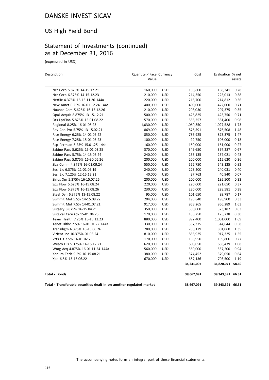# US High Yield Bond

# Statement of Investments (continued) as at December 31, 2016

(expressed in USD)

| Description                                                          | Quantity / Face Currency<br>Value |            | Cost       | Evaluation % net | assets |
|----------------------------------------------------------------------|-----------------------------------|------------|------------|------------------|--------|
| Ncr Corp 5.875% 14-15.12.21                                          | 160,000                           | <b>USD</b> | 158,800    | 168,341          | 0.28   |
| Ncr Corp 6.375% 14-15.12.23                                          | 210,000                           | <b>USD</b> | 214,350    | 225,013          | 0.38   |
| Netflix 4.375% 16-15.11.26 144a                                      | 220,000                           | <b>USD</b> | 216,700    | 214,812          | 0.36   |
| New Amet 6.25% 16-01.12.24 144a                                      | 400,000                           | <b>USD</b> | 400,000    | 422,000          | 0.71   |
| Nuance Com 5.625% 16-15.12.26                                        | 210,000                           | <b>USD</b> | 208,030    | 207,375          | 0.35   |
| Opal Acquis 8.875% 13-15.12.21                                       | 500,000                           | <b>USD</b> | 425,825    | 423,750          | 0.71   |
| Qts Lp/Fina 5.875% 15-01.08.22                                       | 570,000                           | <b>USD</b> | 586,257    | 581,400          | 0.98   |
| Regional 8.25% 16-01.05.23                                           | 1,030,000                         | <b>USD</b> | 1,060,350  | 1,027,528        | 1.73   |
| Rev Con Pro 5.75% 13-15.02.21                                        | 869,000                           | <b>USD</b> | 876,591    | 876,508          | 1.48   |
| Rice Energy 6.25% 14-01.05.22                                        | 850,000                           | <b>USD</b> | 786,925    | 873,375          | 1.47   |
| Rice Energy 7.25% 15-01.05.23                                        | 100,000                           | <b>USD</b> | 92,750     | 106,000          | 0.18   |
| Rsp Permian 5.25% 15.01.25 144a                                      | 160,000                           | <b>USD</b> | 160,000    | 161,000          | 0.27   |
| Sabine Pass 5.625% 15-01.03.25                                       | 370,000                           | <b>USD</b> | 349,650    | 397,287          | 0.67   |
| Sabine Pass 5.75% 14-15.05.24                                        | 240,000                           | <b>USD</b> | 235,135    | 257,021          | 0.43   |
| Sabine Pass 5.875% 16-30.06.26                                       | 200,000                           | <b>USD</b> | 200,000    | 215,620          | 0.36   |
| Sba Comm 4.875% 16-01.09.24                                          | 550,000                           | <b>USD</b> | 552,750    | 543,125          | 0.92   |
| Sesi Llc 6.375% 11-01.05.19                                          | 240,000                           | <b>USD</b> | 223,200    | 240,031          | 0.40   |
| Sesi Llc 7.125% 12-15.12.21                                          | 40,000                            | <b>USD</b> | 37,763     | 40,940           | 0.07   |
| Sirius Xm 5.375% 16-15.07.26                                         | 200,000                           | <b>USD</b> | 200,000    | 195,500          | 0.33   |
| Spx Flow 5.625% 16-15.08.24                                          | 220,000                           | <b>USD</b> | 220,000    | 221,650          | 0.37   |
| Spx Flow 5.875% 16-15.08.26                                          | 230,000                           | <b>USD</b> | 230,000    | 228,581          | 0.38   |
| Steel Dyn 6.375% 13-15.08.22                                         | 95,000                            | <b>USD</b> | 101,650    | 99,787           | 0.17   |
| Summit Mid 5.5% 14-15.08.22                                          | 204,000                           | <b>USD</b> | 195,840    | 198,900          | 0.33   |
| Summit Mid 7.5% 14-01.07.21                                          | 917,000                           | <b>USD</b> | 958,265    | 966,289          | 1.63   |
| Surgery 8.875% 16-15.04.21                                           | 350,000                           | <b>USD</b> | 350,000    | 373,187          | 0.63   |
| Surgical Care 6% 15-01.04.23                                         | 170,000                           | <b>USD</b> | 165,750    | 175,738          | 0.30   |
| Team Health 7.25% 15-15.12.23                                        | 880,000                           | USD        | 892,400    | 1,001,000        | 1.69   |
| Tenet Hlthc 7.5% 16-01.01.22 144a                                    | 330,000                           | <b>USD</b> | 337,375    | 344,644          | 0.58   |
| Transdigm 6.375% 16-15.06.26                                         | 780,000                           | <b>USD</b> | 788,179    | 801,060          | 1.35   |
| Vizient Inc 10.375% 01.03.24                                         | 810,000                           | <b>USD</b> | 856,925    | 917,325          | 1.55   |
| Vrts Us 7.5% 16-01.02.23                                             | 170,000                           | <b>USD</b> | 158,950    | 159,800          | 0.27   |
| Wesco Dis 5.375% 14-15.12.21                                         | 620,000                           | <b>USD</b> | 606,050    | 638,439          | 1.08   |
| Wmg Acq 4.875% 16-01.11.24 144a                                      | 560,000                           | <b>USD</b> | 560,000    | 557,200          | 0.94   |
| Xerium Tech 9.5% 16-15.08.21                                         | 380,000                           | <b>USD</b> | 374,452    | 379,050          | 0.64   |
| Xpo 6.5% 15-15.06.22                                                 | 670,000                           | <b>USD</b> | 657,136    | 703,500          | 1.19   |
|                                                                      |                                   |            | 34,241,007 | 34,820,071       | 58.69  |
| <b>Total - Bonds</b>                                                 |                                   |            | 38,667,091 | 39,343,391 66.31 |        |
| Total - Transferable securities dealt in on another regulated market |                                   |            | 38,667,091 | 39,343,391 66.31 |        |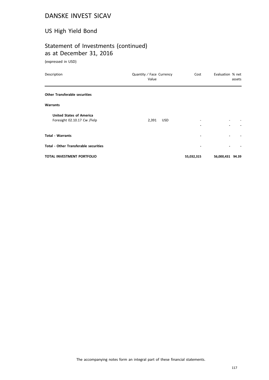# US High Yield Bond

# Statement of Investments (continued) as at December 31, 2016

(expressed in USD)

| Description                                                    | Quantity / Face Currency<br>Value |            | Cost       | Evaluation % net | assets |
|----------------------------------------------------------------|-----------------------------------|------------|------------|------------------|--------|
| <b>Other Transferable securities</b>                           |                                   |            |            |                  |        |
| <b>Warrants</b>                                                |                                   |            |            |                  |        |
| <b>United States of America</b><br>Foresight 02.10.17 Cw /Felp | 2,391                             | <b>USD</b> |            |                  |        |
| <b>Total - Warrants</b>                                        |                                   |            |            |                  |        |
| <b>Total - Other Transferable securities</b>                   |                                   |            |            |                  |        |
| <b>TOTAL INVESTMENT PORTFOLIO</b>                              |                                   |            | 55,032,315 | 56,000,431 94.39 |        |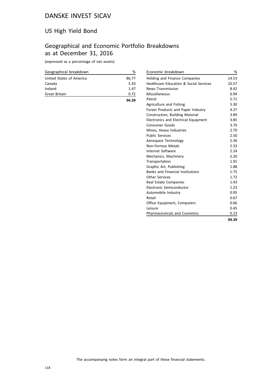# US High Yield Bond

# Geographical and Economic Portfolio Breakdowns as at December 31, 2016

(expressed as a percentage of net assets)

| Geographical breakdown   | ℅     |
|--------------------------|-------|
| United States of America | 86.77 |
| Canada                   | 5.43  |
| Ireland                  | 1.47  |
| Great Britain            | 0.72  |
|                          | 94.39 |

| Economic breakdown                      | %     |
|-----------------------------------------|-------|
| Holding and Finance Companies           | 14.53 |
| Healthcare Education & Social Services  | 10.57 |
| <b>News Transmission</b>                | 8.42  |
| Miscellaneous                           | 6.94  |
| Petrol                                  | 5.71  |
| Agriculture and Fishing                 | 5.30  |
| Forest Products and Paper Industry      | 4.27  |
| <b>Construction, Building Material</b>  | 3.89  |
| Electronics and Electrical Equipment    | 3.85  |
| Consumer Goods                          | 3.70  |
| Mines, Heavy Industries                 | 2.70  |
| <b>Public Services</b>                  | 2.50  |
| Aerospace Technology                    | 2.36  |
| <b>Non-Ferrous Metals</b>               | 2.33  |
| Internet Software                       | 2.24  |
| Mechanics, Machinery                    | 2.20  |
| Transportation                          | 1.91  |
| Graphic Art, Publishing                 | 1.88  |
| <b>Banks and Financial Institutions</b> | 1.75  |
| <b>Other Services</b>                   | 1.72  |
| Real Estate Companies                   | 1.43  |
| Electronic Semiconductor                | 1.23  |
| Automobile Industry                     | 0.95  |
| Retail                                  | 0.67  |
| Office Equipment, Computers             | 0.66  |
| Leisure                                 | 0.45  |
| <b>Pharmaceuticals and Cosmetics</b>    | 0.23  |
|                                         | 94.39 |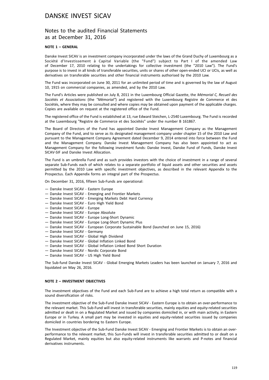### Notes to the audited Financial Statements as at December 31, 2016

#### **NOTE 1 – GENERAL**

Danske Invest SICAV is an investment company incorporated under the laws of the Grand Duchy of Luxembourg as a Société d'Investissement à Capital Variable (the "Fund") subject to Part I of the amended Law of December 17, 2010 relating to the undertakings for collective investment (the "2010 Law"). The Fund's purpose is to invest in all kinds of transferable securities, units or shares of other open-ended UCI or UCIs, as well as derivatives on transferable securities and other financial instruments authorised by the 2010 Law.

The Fund was incorporated on June 30, 2011 for an unlimited period of time and is governed by the law of August 10, 1915 on commercial companies, as amended, and by the 2010 Law.

The Fund's Articles were published on July 8, 2011 in the Luxembourg Official Gazette, the *Mémorial C, Recueil des Sociétés et Associations* (the *"Mémorial"*) and registered with the Luxembourg Registre de Commerce et des Sociétés, where they may be consulted and where copies may be obtained upon payment of the applicable charges. Copies are available on request at the registered office of the Fund.

The registered office of the Fund is established at 13, rue Edward Steichen, L-2540 Luxembourg. The Fund is recorded at the Luxembourg "Registre de Commerce et des Sociétés" under the number B 161867.

The Board of Directors of the Fund has appointed Danske Invest Management Company as the Management Company of the Fund, and to serve as its designated management company under chapter 15 of the 2010 Law and pursuant to the Management Company Agreement dated December 9, 2014 entered into force between the Fund and the Management Company. Danske Invest Management Company has also been appointed to act as Management Company for the following investment funds: Danske Invest, Danske Fund of Funds, Danske Invest SICAV-SIF and Danske Invest Allocation.

The Fund is an umbrella Fund and as such provides investors with the choice of investment in a range of several separate Sub-Funds each of which relates to a separate portfolio of liquid assets and other securities and assets permitted by the 2010 Law with specific investment objectives, as described in the relevant Appendix to the Prospectus. Each Appendix forms an integral part of the Prospectus.

On December 31, 2016, fifteen Sub-Funds are operational:

- Danske Invest SICAV Eastern Europe
- Danske Invest SICAV Emerging and Frontier Markets
- Danske Invest SICAV Emerging Markets Debt Hard Currency
- Danske Invest SICAV Euro High Yield Bond
- Danske Invest SICAV Europe
- Danske Invest SICAV Europe Absolute
- Danske Invest SICAV Europe Long-Short Dynamic
- Danske Invest SICAV Europe Long-Short Dynamic Plus
- Danske Invest SICAV European Corporate Sustainable Bond (launched on June 15, 2016)
- Danske Invest SICAV Germany
- Danske Invest SICAV Global High Dividend
- Danske Invest SICAV Global Inflation Linked Bond
- Danske Invest SICAV Global Inflation Linked Bond Short Duration
- Danske Invest SICAV Nordic Corporate Bond
- Danske Invest SICAV US High Yield Bond

The Sub-fund Danske Invest SICAV - Global Emerging Markets Leaders has been launched on January 7, 2016 and liquidated on May 26, 2016.

#### **NOTE 2 – INVESTMENT OBJECTIVES**

The investment objectives of the Fund and each Sub-Fund are to achieve a high total return as compatible with a sound diversification of risks.

The investment objective of the Sub-Fund Danske Invest SICAV - Eastern Europe is to obtain an over-performance to the relevant market. This Sub-Fund will invest in transferable securities, mainly equities and equity-related securities admitted or dealt in on a Regulated Market and issued by companies domiciled in, or with main activity, in Eastern Europe or in Turkey. A small part may be invested in equities and equity-related securities issued by companies domiciled in countries bordering to Eastern Europe.

The Investment objective of the Sub-Fund Danske Invest SICAV - Emerging and Frontier Markets is to obtain an overperformance to the relevant market, this Sun-Funds will invest in transferable securities admitted to or dealt on a Regulated Market, mainly equities but also equity-related instruments like warrants and P-notes and financial derivatives instruments.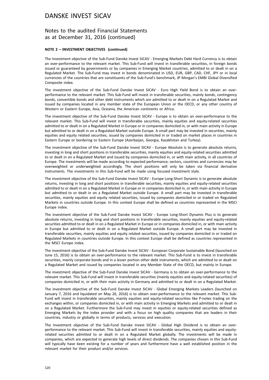### Notes to the audited Financial Statements as at December 31, 2016 (continued)

#### **NOTE 2 – INVESTMENT OBJECTIVES (continued)**

The Investment objective of the Sub-Fund Danske Invest SICAV - Emerging Markets Debt Hard Currency is to obtain an over-performance to the relevant market. This Sub-Fund will invest in transferable securities, in foreign bonds issued or guaranteed by governments or by companies in Emerging Market countries, admitted to or dealt in on a Regulated Market. The Sub-Fund may invest in bonds denominated in USD, EUR, GBP, CAD, CHF, JPY or in local currencies of the countries that are constituents of the Sub-Fund's benchmark, JP Morgan's EMBI Global Diversified Composite index.

The investment objective of the Sub-Fund Danske Invest SICAV - Euro High Yield Bond is to obtain an overperformance to the relevant market. This Sub-Fund will invest in transferable securities, mainly bonds, contingency bonds, convertible bonds and other debt instruments which are admitted to or dealt in on a Regulated Market and issued by companies located in any member state of the European Union or the OECD, or any other country of Western or Eastern Europe, Asia, Oceania, the American continents or Africa.

The investment objective of the Sub-Fund Danske Invest SICAV - Europe is to obtain an over-performance to the relevant market. This Sub-Fund will invest in transferable securities, mainly equities and equity-related securities admitted to or dealt in on a Regulated Market in Europe or in companies domiciled in, or with main activity in Europe but admitted to or dealt in on a Regulated Market outside Europe. A small part may be invested in securities, mainly equities and equity related securities, issued by companies domiciled in or traded on market places in countries in Eastern Europe or bordering to Eastern Europe (Azerbaijan, Georgia, Kazakhstan and Turkey).

The investment objective of the Sub-Fund Danske Invest SICAV - Europe Absolute is to generate absolute returns, investing in long and short positions in transferable securities, mainly equities and equity-related securities admitted to or dealt in on a Regulated Market and issued by companies domiciled in, or with main activity, in all countries of Europe. The investments will be made according to expected performance; sectors, countries and currencies may be overweighted or underweighted accordingly. The short positions will only be taken via financial derivative instruments. The investments in this Sub-Fund will be made using focused investment style.

The investment objective of the Sub-Fund Danske Invest SICAV - Europe Long-Short Dynamic is to generate absolute returns, investing in long and short positions in transferable securities, mainly equities and equity-related securities admitted to or dealt in on a Regulated Market in Europe or in companies domiciled in, or with main activity in Europe but admitted to or dealt in on a Regulated Market outside Europe. A small part may be invested in transferable securities, mainly equities and equity related securities, issued by companies domiciled in or traded on Regulated Markets in countries outside Europe. In this context Europe shall be defined as countries represented in the MSCI Europe index.

The investment objective of the Sub-Fund Danske Invest SICAV - Europe Long-Short Dynamic Plus is to generate absolute returns, investing in long and short positions in transferable securities, mainly equities and equity-related securities admitted to or dealt in on a Regulated Market in Europe or in companies domiciled in, or with main activity in Europe but admitted to or dealt in on a Regulated Market outside Europe. A small part may be invested in transferable securities, mainly equities and equity related securities, issued by companies domiciled in or traded on Regulated Markets in countries outside Europe. In this context Europe shall be defined as countries represented in the MSCI Europe index.

The investment objective of the Sub-Fund Danske Invest SICAV - European Corporate Sustainable Bond (launched on June 15, 2016) is to obtain an over-performance to the relevant market. This Sub-Fund is to invest in transferable securities, mainly corporate bonds and in a lesser portion other debt instruments, which are admitted to or dealt on a Regulated Market and issued by companies located in any Member State of the OECD, but mainly in Europe.

The investment objective of the Sub-Fund Danske Invest SICAV - Germany is to obtain an over-performance to the relevant market. This Sub-Fund will invest in transferable securities (mainly equities and equity-related securities) of companies domiciled in, or with their main activity in Germany and admitted to or dealt in on a Regulated Market.

The investment objective of the Sub-Fund Danske Invest SICAV - Global Emerging Markets Leaders (launched on January 7, 2016 and liquidated on May 26, 2016) is to obtain over-performance to the relevant market. This Sub-Fund will invest in transferable securities, mainly equities and equity-related securities like P-notes trading on the exchanges within, or companies domiciled in, or with main activity in Emerging Markets and admitted to or dealt in on a Regulated Market. Furthermore the Sub-Fund may invest in equities or equity-related securities defined as Emerging Markets by the index provider and with a focus on high quality companies that are leaders in their countries, industry or globally in terms of products, services and execution.

The Investment objective of the Sub-Fund Danske Invest SICAV - Global High Dividend is to obtain an overperformance to the relevant market. This Sub-Fund will invest in transferable securities, mainly equities and equityrelated securities admitted to or dealt in on a Regulated Market globally. The investments will be made in companies, which are expected to generate high levels of direct dividends. The companies chosen in this Sub-Fund will typically have been existing for a number of years and furthermore have a well established position in the relevant market for their product and/or services.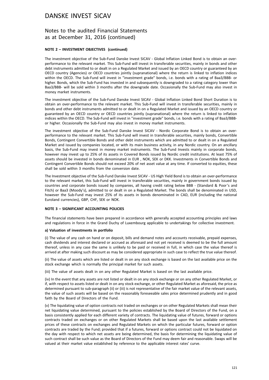### Notes to the audited Financial Statements as at December 31, 2016 (continued)

#### **NOTE 2 – INVESTMENT OBJECTIVES (continued)**

The investment objective of the Sub-Fund Danske Invest SICAV - Global Inflation Linked Bond is to obtain an overperformance to the relevant market. This Sub-Fund will invest in transferable securities, mainly in bonds and other debt instruments admitted to or dealt in on a Regulated Market and issued by an OECD country or guaranteed by an OECD country (Agencies) or OECD countries jointly (supranational) where the return is linked to inflation indices within the OECD. The Sub-Fund will invest in "investment grade" bonds, i.e. bonds with a rating of Baa3/BBB- or higher. Bonds, which the Sub-Fund has invested in and subsequently is downgraded to a rating category lower than Baa3/BBB- will be sold within 3 months after the downgrade date. Occasionally the Sub-Fund may also invest in money market instruments.

The investment objective of the Sub-Fund Danske Invest SICAV - Global Inflation Linked Bond Short Duration is to obtain an over-performance to the relevant market. This Sub-Fund will invest in transferable securities, mainly in bonds and other debt instruments admitted to or dealt in on a Regulated Market and issued by an OECD country or guaranteed by an OECD country or OECD countries jointly (supranational) where the return is linked to inflation indices within the OECD. The Sub-Fund will invest in "investment grade" bonds, i.e. bonds with a rating of Baa3/BBBor higher. Occasionally the Sub-Fund may also invest in money market instruments.

The investment objective of the Sub-Fund Danske Invest SICAV - Nordic Corporate Bond is to obtain an overperformance to the relevant market. This Sub-Fund will invest in transferable securities, mainly bonds, Convertible Bonds, Contingent Convertible Bonds and other debt instruments which are admitted to or dealt in on a Regulated Market and issued by companies located, or with its main business activity, in any Nordic country. On an ancillary basis, the Sub-Fund may invest in money market instruments. The Sub-Fund Invests mainly in corporate bonds, however may invest up to 25% of its assets in Covered Bonds issued by Nordic credit institutions. At least 75% of assets should be invested in bonds denominated in EUR , NOK, SEK or DKK. Investments in Convertible Bonds and Contingent Convertible Bonds should not exceed 20% of net asset value at any time. If converted to equities, these shall be sold within 3 months from the conversion date.

The Investment objective of the Sub-Fund Danske Invest SICAV - US High Yield Bond is to obtain an over-performance to the relevant market, this Sub-Fund will invest in transferable securities, mainly in government bonds issued by countries and corporate bonds issued by companies, all having credit rating below BBB - (Standard & Poor's and Fitch) or Baa3 (Moody's), admitted to or dealt in on a Regulated Market. The bonds shall be denominated in USD, however the Sub-Fund may invest 25% of its assets in bonds denominated in CAD, EUR (including the national Euroland currencies), GBP, CHF, SEK or NOK.

#### **NOTE 3 – SIGNIFICANT ACCOUNTING POLICIES**

The financial statements have been prepared in accordance with generally accepted accounting principles and laws and regulations in force in the Grand Duchy of Luxembourg applicable to undertakings for collective investment.

#### **a) Valuation of investments in portfolio**

(i) The value of any cash on hand or on deposit, bills and demand notes and accounts receivable, prepaid expenses, cash dividends and interest declared or accrued as aforesaid and not yet received is deemed to be the full amount thereof, unless in any case the same is unlikely to be paid or received in full, in which case the value thereof is arrived at after making such discount as may be considered appropriate in such case to reflect the true value thereof.

(ii) The value of assets which are listed or dealt in on any stock exchange is based on the last available price on the stock exchange which is normally the principal market for such assets.

(iii) The value of assets dealt in on any other Regulated Market is based on the last available price.

(iv) In the event that any assets are not listed or dealt in on any stock exchange or on any other Regulated Market, or if, with respect to assets listed or dealt in on any stock exchange, or other Regulated Market as aforesaid, the price as determined pursuant to sub-paragraph (ii) or (iii) is not representative of the fair market value of the relevant assets, the value of such assets will be based on the reasonably foreseeable sales price determined prudently and in good faith by the Board of Directors of the Fund.

(v) The liquidating value of option contracts not traded on exchanges or on other Regulated Markets shall mean their net liquidating value determined, pursuant to the policies established by the Board of Directors of the Fund, on a basis consistently applied for each different variety of contracts. The liquidating value of futures, forward or options contracts traded on exchanges or on other Regulated Markets shall be based upon the last available settlement prices of these contracts on exchanges and Regulated Markets on which the particular futures, forward or option contracts are traded by the Fund; provided that if a futures, forward or options contract could not be liquidated on the day with respect to which net assets are being determined, the basis for determining the liquidating value of such contract shall be such value as the Board of Directors of the Fund may deem fair and reasonable. Swaps will be valued at their market value established by reference to the applicable interest rates' curve.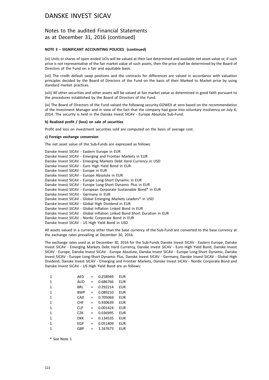### Notes to the audited Financial Statements as at December 31, 2016 (continued)

#### **NOTE 3 – SIGNIFICANT ACCOUNTING POLICIES (continued)**

(vi) Units or shares of open-ended UCIs will be valued at their last determined and available net asset value or, if such price is not representative of the fair market value of such assets, then the price shall be determined by the Board of Directors of the Fund on a fair and equitable basis.

(vii) The credit default swap positions and the contracts for differences are valued in accordance with valuation principles decided by the Board of Directors of the Fund on the basis of their Marked to Market price by using standard market practices.

(viii) All other securities and other assets will be valued at fair market value as determined in good faith pursuant to the procedures established by the Board of Directors of the Fund.

(ix) The Board of Directors of the Fund valued the following security GOWEX at zero based on the recommendation of the Investment Manager and in view of the fact that the company had gone into voluntary insolvency on July 6, 2014. The security is held in the Danske Invest SICAV - Europe Absolute Sub-Fund.

#### **b) Realised profit / (loss) on sale of securities**

Profit and loss on investment securities sold are computed on the basis of average cost.

#### **c) Foreign exchange conversion**

The net asset value of the Sub-Funds are expressed as follows:

All assets valued in a currency other than the base currency of the Sub-Fund are converted to the base currency at the exchange rates prevailing at December 30, 2016.

The exchange rates used as at December 30, 2016 for the Sub-Funds Danske Invest SICAV - Eastern Europe, Danske Invest SICAV - Emerging Markets Debt Hard Currency, Danske Invest SICAV - Euro High Yield Bond, Danske Invest SICAV - Europe, Danske Invest SICAV - Europe Absolute, Danske Invest SICAV - Europe Long-Short Dynamic, Danske Invest SICAV - Europe Long-Short Dynamic Plus, Danske Invest SICAV - Germany, Danske Invest SICAV - Global High Dividend, Danske Invest SICAV - Emerging and Frontier Markets, Danske Invest SICAV - Nordic Corporate Bond and Danske Invest SICAV - US High Yield Bond are as follows:

| 1            | AED        | =   | 0.258949 | EUR        |
|--------------|------------|-----|----------|------------|
| 1            | AUD        | $=$ | 0.686766 | EUR        |
| 1            | BRL        | $=$ | 0.292214 | EUR        |
| 1            | <b>BWP</b> | $=$ | 0.089210 | EUR        |
| 1            | CAD        | $=$ | 0.705069 | <b>EUR</b> |
| 1            | <b>CHF</b> | $=$ | 0.930639 | EUR        |
| 1            | <b>CLP</b> | $=$ | 0.001424 | EUR        |
| 1            | CZK        | $=$ | 0.036995 | EUR        |
| $\mathbf{1}$ | <b>DKK</b> | $=$ | 0.134535 | EUR        |
| 1            | EGP        | $=$ | 0.051409 | EUR        |
| 1            | GBP        | $=$ | 1.167673 | <b>EUR</b> |

\* See Note 1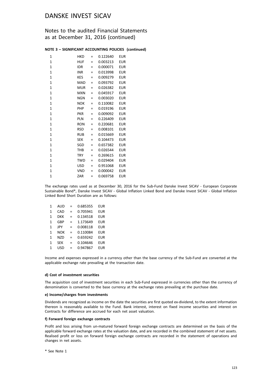### Notes to the audited Financial Statements as at December 31, 2016 (continued)

#### **NOTE 3 – SIGNIFICANT ACCOUNTING POLICIES (continued)**

| HKD        | =   | 0.122640 | <b>EUR</b> |
|------------|-----|----------|------------|
| HUF        | Ξ   | 0.003213 | <b>EUR</b> |
| idr        | Ξ   | 0.000071 | EUR        |
| INR        | $=$ | 0.013998 | <b>EUR</b> |
| KES        | =   | 0.009279 | EUR        |
| MAD        | Ξ   | 0.093792 | <b>EUR</b> |
| MUR        | $=$ | 0.026382 | <b>EUR</b> |
| MXN        | $=$ | 0.045917 | <b>EUR</b> |
| NGN        | Ξ   | 0.003020 | <b>EUR</b> |
| <b>NOK</b> | =   | 0.110082 | <b>EUR</b> |
| PHP        | =   | 0.019196 | <b>EUR</b> |
| <b>PKR</b> | =   | 0.009092 | EUR        |
| PLN        | Ξ   | 0.226409 | EUR        |
| <b>RON</b> | Ξ   | 0.220681 | EUR        |
| RSD        | =   | 0.008101 | EUR        |
| RUB        | $=$ | 0.015669 | <b>EUR</b> |
| <b>SEK</b> | Ξ   | 0.104473 | <b>EUR</b> |
| SGD        | Ξ   | 0.657382 | <b>EUR</b> |
| <b>THB</b> | =   | 0.026544 | <b>EUR</b> |
| <b>TRY</b> | =   | 0.269615 | <b>EUR</b> |
| <b>TWD</b> | Ξ   | 0.029404 | <b>EUR</b> |
| USD        | =   | 0.951068 | <b>EUR</b> |
| VND        | Ξ   | 0.000042 | <b>EUR</b> |
| ZAR        | Ξ   | 0.069758 | EUR        |
|            |     |          |            |

The exchange rates used as at December 30, 2016 for the Sub-Fund Danske Invest SICAV - European Corporate Sustainable Bond\*, Danske Invest SICAV - Global Inflation Linked Bond and Danske Invest SICAV - Global Inflation Linked Bond Short Duration are as follows:

| 1            | AUD        | = | 0.685355 | EUR        |
|--------------|------------|---|----------|------------|
| 1            | CAD        | = | 0.705941 | EUR        |
| 1            | <b>DKK</b> | = | 0.134518 | <b>EUR</b> |
| 1            | GBP        | = | 1.173649 | <b>EUR</b> |
| 1            | JPY        | = | 0.008118 | <b>EUR</b> |
| 1            | NOK        | = | 0.110084 | EUR        |
| $\mathbf{1}$ | <b>NZD</b> | = | 0.659242 | <b>EUR</b> |
| 1            | <b>SEK</b> | = | 0.104646 | <b>EUR</b> |
| 1            | USD        | = | 0.947867 | EUR        |

Income and expenses expressed in a currency other than the base currency of the Sub-Fund are converted at the applicable exchange rate prevailing at the transaction date.

#### **d) Cost of investment securities**

The acquisition cost of investment securities in each Sub-Fund expressed in currencies other than the currency of denomination is converted to the base currency at the exchange rates prevailing at the purchase date.

#### **e) Income/charges from investments**

Dividends are recognized as income on the date the securities are first quoted ex-dividend, to the extent information thereon is reasonably available to the Fund. Bank interest, interest on fixed income securities and interest on Contracts for difference are accrued for each net asset valuation.

#### **f) Forward foreign exchange contracts**

Profit and loss arising from un-matured forward foreign exchange contracts are determined on the basis of the applicable forward exchange rates at the valuation date, and are recorded in the combined statement of net assets. Realised profit or loss on forward foreign exchange contracts are recorded in the statement of operations and changes in net assets.

\* See Note 1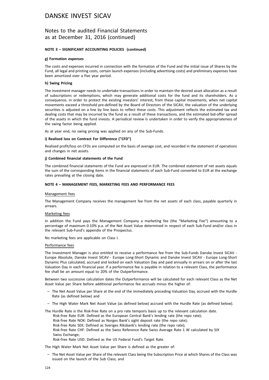### Notes to the audited Financial Statements as at December 31, 2016 (continued)

#### **NOTE 3 – SIGNIFICANT ACCOUNTING POLICIES (continued)**

#### **g) Formation expenses**

The costs and expenses incurred in connection with the formation of the Fund and the initial issue of Shares by the Fund, all legal and printing costs, certain launch expenses (including advertising costs) and preliminary expenses have been amortized over a five year period.

#### **h) Swing Pricing**

The investment manager needs to undertake transactions in order to maintain the desired asset allocation as a result of subscriptions or redemptions, which may generate additional costs for the fund and its shareholders. As a consequence, in order to protect the existing investors' interest, from these capital movements, when net capital movements exceed a threshold pre-defined by the Board of Directors of the SICAV, the valuation of the underlying securities is adjusted on a line by line basis to reflect these costs. This adjustment reflects the estimated tax and dealing costs that may be incurred by the fund as a result of these transactions, and the estimated bid-offer spread of the assets in which the fund invests. A periodical review is undertaken in order to verify the appropriateness of the swing factor being applied.

As at year end, no swing pricing was applied on any of the Sub-Funds.

#### **i) Realised loss on Contract For Difference ("CFD")**

Realised profit/loss on CFDs are computed on the basis of average cost, and recorded in the statement of operations and changes in net assets.

#### **j) Combined financial statements of the Fund**

The combined financial statements of the Fund are expressed in EUR. The combined statement of net assets equals the sum of the corresponding items in the financial statements of each Sub-Fund converted to EUR at the exchange rates prevailing at the closing date.

#### **NOTE 4 – MANAGEMENT FEES, MARKETING FEES AND PERFORMANCE FEES**

#### Management fees

The Management Company receives the management fee from the net assets of each class, payable quarterly in arrears.

#### Marketing fees

In addition the Fund pays the Management Company a marketing fee (the "Marketing Fee") amounting to a percentage of maximum 0.10% p.a. of the Net Asset Value determined in respect of each Sub-Fund and/or class in the relevant Sub-Fund's appendix of the Prospectus.

No marketing fees are applicable on Class I.

#### Performance fees

The Investment Manager is also entitled to receive a performance fee from the Sub-Funds Danske Invest SICAV - Europe Absolute, Danske Invest SICAV - Europe Long-Short Dynamic and Danske Invest SICAV - Europe Long-Short Dynamic Plus calculated, accrued and locked on each Valuation Day and paid annually in arrears on or after the last Valuation Day in each financial year. If a performance fee is payable in relation to a relevant Class, the performance fee shall be an amount equal to 20% of the Outperformance.

Between two successive calculation dates the Outperformance will be calculated for each relevant Class as the Net Asset Value per Share before additional performance fee accruals minus the higher of:

- The Net Asset Value per Share at the end of the immediately preceding Valuation Day, accrued with the Hurdle Rate (as defined below) and
- The High Water Mark Net Asset Value (as defined below) accrued with the Hurdle Rate (as defined below).

The Hurdle Rate is the Risk-free Rate on a pro rate temporis basis up to the relevant calculation date.

Risk-free Rate EUR: Defined as the European Central Bank's lending rate (the repo rate);

- Risk-free Rate NOK: Defined as Norges Bank's sight deposit rate (the repo rate);
- Risk-free Rate SEK: Defined as Sveriges Riksbank's lending rate (the repo rate);
- Risk-free Rate CHF: Defined as the Swiss Reference Rate Swiss Average Rate 1 W calculated by SIX Swiss Exchange;

Risk-free Rate USD: Defined as the US Federal Fund's Target Rate.

The High Water Mark Net Asset Value per Share is defined as the greater of:

– The Net Asset Value per Share of the relevant Class being the Subscription Price at which Shares of the Class was issued on the launch of the Sub Class; and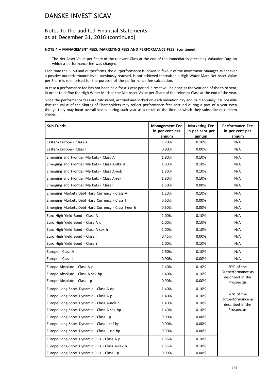### Notes to the audited Financial Statements as at December 31, 2016 (continued)

#### **NOTE 4 – MANAGEMENT FEES, MARKETING FEES AND PERFORMANCE FEES (continued)**

– The Net Asset Value per Share of the relevant Class at the end of the immediately preceding Valuation Day, on which a performance fee was charged.

Each time the Sub-Fund outperforms, the outperformance is locked in favour of the Investment Manager. Whenever a positive outperformance level, previously reached, is not achieved thereafter, a High Water Mark Net Asset Value per Share is memorised for the purpose of the performance fee calculation.

In case a performance fee has not been paid for a 3 year period, a reset will be done at the year end of the third year, in order to define the High Water Mark as the Net Asset Value per Share of the relevant Class at the end of the year.

Since the performance fees are calculated, accrued and locked on each valuation day and paid annually it is possible that the value of the Shares of Shareholders may reflect performance fees accrued during a part of a year even though they may incur overall losses during such year as a result of the time at which they subscribe or redeem Shares.

| <b>Sub Funds</b>                                    | <b>Management Fee</b><br>in per cent per<br>annum | <b>Marketing Fee</b><br>in per cent per<br>annum | <b>Performance Fee</b><br>in per cent per<br>annum |
|-----------------------------------------------------|---------------------------------------------------|--------------------------------------------------|----------------------------------------------------|
| Eastern Europe - Class A                            | 1.70%                                             | 0.10%                                            | N/A                                                |
| Eastern Europe - Class I                            | 0.90%                                             | 0.00%                                            | N/A                                                |
| Emerging and Frontier Markets - Class A             | 1.80%                                             | 0.10%                                            | N/A                                                |
| Emerging and Frontier Markets - Class A-dkk d       | 1.80%                                             | 0.10%                                            | N/A                                                |
| Emerging and Frontier Markets - Class A-nok         | 1.80%                                             | 0.10%                                            | N/A                                                |
| Emerging and Frontier Markets - Class A-sek         | 1.80%                                             | 0.10%                                            | N/A                                                |
| Emerging and Frontier Markets - Class I             | 1.50%                                             | 0.00%                                            | N/A                                                |
| Emerging Markets Debt Hard Currency - Class A       | 1.20%                                             | 0.10%                                            | N/A                                                |
| Emerging Markets Debt Hard Currency - Class I       | 0.60%                                             | 0.00%                                            | N/A                                                |
| Emerging Markets Debt Hard Currency - Class I-eur h | 0.60%                                             | 0.00%                                            | N/A                                                |
| Euro High Yield Bond - Class A                      | 1.00%                                             | 0.10%                                            | N/A                                                |
| Euro High Yield Bond - Class A d                    | 1.00%                                             | 0.10%                                            | N/A                                                |
| Euro High Yield Bond - Class A-sek h                | 1.00%                                             | 0.10%                                            | N/A                                                |
| Euro High Yield Bond - Class I                      | 0.45%                                             | 0.00%                                            | N/A                                                |
| Euro High Yield Bond - Class Y                      | 1.00%                                             | 0.10%                                            | N/A                                                |
| Europe - Class A                                    | 1.50%                                             | 0.10%                                            | N/A                                                |
| Europe - Class I                                    | 0.90%                                             | 0.00%                                            | N/A                                                |
| Europe Absolute - Class A p                         | 1.40%                                             | 0.10%                                            | 20% of the                                         |
| Europe Absolute - Class A-sek hp                    | 1.40%                                             | 0.10%                                            | Outperformance as<br>described in the              |
| Europe Absolute - Class I p                         | 0.90%                                             | 0.00%                                            | Prospectus                                         |
| Europe Long-Short Dynamic - Class A dp              | 1.40%                                             | 0.10%                                            |                                                    |
| Europe Long-Short Dynamic - Class A p               | 1.40%                                             | 0.10%                                            | 20% of the<br>Outperformance as                    |
| Europe Long-Short Dynamic - Class A-nok h           | 1.40%                                             | 0.10%                                            | described in the                                   |
| Europe Long-Short Dynamic - Class A-sek hp          | 1.40%                                             | 0.10%                                            | Prospectus                                         |
| Europe Long-Short Dynamic - Class I p               | 0.90%                                             | $0.00\%$                                         |                                                    |
| Europe Long-Short Dynamic - Class I-chf hp          | 0.90%                                             | 0.00%                                            |                                                    |
| Europe Long-Short Dynamic - Class I-usd hp          | 0.90%                                             | 0.00%                                            |                                                    |
| Europe Long-Short Dynamic Plus - Class A p          | 1.55%                                             | 0.10%                                            |                                                    |
| Europe Long-Short Dynamic Plus - Class A-sek h      | 1.55%                                             | 0.10%                                            |                                                    |
| Europe Long-Short Dynamic Plus - Class I p          | 0.99%                                             | 0.00%                                            |                                                    |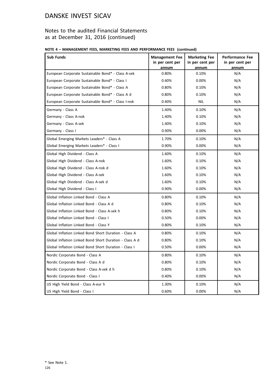### Notes to the audited Financial Statements as at December 31, 2016 (continued)

### **NOTE 4 – MANAGEMENT FEES, MARKETING FEES AND PERFORMANCE FEES (continued)**

| <b>Sub Funds</b>                                        | <b>Management Fee</b><br>in per cent per<br>annum | <b>Marketing Fee</b><br>in per cent per<br>annum | <b>Performance Fee</b><br>in per cent per<br>annum |
|---------------------------------------------------------|---------------------------------------------------|--------------------------------------------------|----------------------------------------------------|
| European Corporate Sustainable Bond* - Class A-sek      | 0.80%                                             | 0.10%                                            | N/A                                                |
| European Corporate Sustainable Bond* - Class I          | 0.40%                                             | 0.00%                                            | N/A                                                |
| European Corporate Sustainable Bond* - Class A          | 0.80%                                             | 0.10%                                            | N/A                                                |
| European Corporate Sustainable Bond* - Class A d        | 0.80%                                             | 0.10%                                            | N/A                                                |
| European Corporate Sustainable Bond* - Class I-nok      | 0.40%                                             | NIL                                              | N/A                                                |
| Germany - Class A                                       | 1.40%                                             | 0.10%                                            | N/A                                                |
| Germany - Class A-nok                                   | 1.40%                                             | 0.10%                                            | N/A                                                |
| Germany - Class A-sek                                   | 1.40%                                             | 0.10%                                            | N/A                                                |
| Germany - Class I                                       | 0.90%                                             | 0.00%                                            | N/A                                                |
| Global Emerging Markets Leaders* - Class A              | 1.70%                                             | 0.10%                                            | N/A                                                |
| Global Emerging Markets Leaders* - Class I              | 0.90%                                             | $0.00\%$                                         | N/A                                                |
| Global High Dividend - Class A                          | 1.60%                                             | 0.10%                                            | N/A                                                |
| Global High Dividend - Class A-nok                      | 1.60%                                             | 0.10%                                            | N/A                                                |
| Global High Dividend - Class A-nok d                    | 1.60%                                             | 0.10%                                            | N/A                                                |
| Global High Dividend - Class A-sek                      | 1.60%                                             | 0.10%                                            | N/A                                                |
| Global High Dividend - Class A-sek d                    | 1.60%                                             | 0.10%                                            | N/A                                                |
| Global High Dividend - Class I                          | 0.90%                                             | $0.00\%$                                         | N/A                                                |
| Global Inflation Linked Bond - Class A                  | 0.80%                                             | 0.10%                                            | N/A                                                |
| Global Inflation Linked Bond - Class A d                | 0.80%                                             | 0.10%                                            | N/A                                                |
| Global Inflation Linked Bond - Class A-sek h            | 0.80%                                             | 0.10%                                            | N/A                                                |
| Global Inflation Linked Bond - Class I                  | 0.50%                                             | $0.00\%$                                         | N/A                                                |
| Global Inflation Linked Bond - Class Y                  | 0.80%                                             | 0.10%                                            | N/A                                                |
| Global Inflation Linked Bond Short Duration - Class A   | 0.80%                                             | 0.10%                                            | N/A                                                |
| Global Inflation Linked Bond Short Duration - Class A d | 0.80%                                             | 0.10%                                            | N/A                                                |
| Global Inflation Linked Bond Short Duration - Class I   | 0.50%                                             | 0.00%                                            | N/A                                                |
| Nordic Corporate Bond - Class A                         | 0.80%                                             | $0.10\%$                                         | N/A                                                |
| Nordic Corporate Bond - Class A d                       | 0.80%                                             | 0.10%                                            | N/A                                                |
| Nordic Corporate Bond - Class A-sek d h                 | 0.80%                                             | 0.10%                                            | N/A                                                |
| Nordic Corporate Bond - Class I                         | 0.40%                                             | 0.00%                                            | N/A                                                |
| US High Yield Bond - Class A-eur h                      | 1.30%                                             | 0.10%                                            | N/A                                                |
| US High Yield Bond - Class I                            | 0.60%                                             | 0.00%                                            | N/A                                                |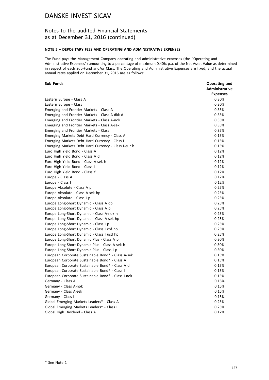### Notes to the audited Financial Statements as at December 31, 2016 (continued)

#### **NOTE 5 – DEPOSITARY FEES AND OPERATING AND ADMINISTRATIVE EXPENSES**

The Fund pays the Management Company operating and administrative expenses (the "Operating and Administrative Expenses") amounting to a percentage of maximum 0.40% p.a. of the Net Asset Value as determined in respect of each Sub-Fund and/or Class. The Operating and Administrative Expenses are fixed, and the actual annual rates applied on December 31, 2016 are as follows:

#### **Sub Funds Operating and**

|                                                     | <b>Administrative</b> |
|-----------------------------------------------------|-----------------------|
|                                                     | <b>Expenses</b>       |
| Eastern Europe - Class A                            | 0.30%                 |
| Eastern Europe - Class I                            | 0.30%                 |
| Emerging and Frontier Markets - Class A             | 0.35%                 |
| Emerging and Frontier Markets - Class A-dkk d       | 0.35%                 |
| Emerging and Frontier Markets - Class A-nok         | 0.35%                 |
| Emerging and Frontier Markets - Class A-sek         | 0.35%                 |
| Emerging and Frontier Markets - Class I             | 0.35%                 |
| Emerging Markets Debt Hard Currency - Class A       | 0.15%                 |
| Emerging Markets Debt Hard Currency - Class I       | 0.15%                 |
| Emerging Markets Debt Hard Currency - Class I-eur h | 0.15%                 |
| Euro High Yield Bond - Class A                      | 0.12%                 |
| Euro High Yield Bond - Class A d                    | 0.12%                 |
| Euro High Yield Bond - Class A-sek h                | 0.12%                 |
| Euro High Yield Bond - Class I                      | 0.12%                 |
| Euro High Yield Bond - Class Y                      | 0.12%                 |
| Europe - Class A                                    | 0.12%                 |
| Europe - Class I                                    | 0.12%                 |
| Europe Absolute - Class A p                         | 0.25%                 |
| Europe Absolute - Class A-sek hp                    | 0.25%                 |
| Europe Absolute - Class I p                         | 0.25%                 |
| Europe Long-Short Dynamic - Class A dp              | 0.25%                 |
| Europe Long-Short Dynamic - Class A p               | 0.25%                 |
| Europe Long-Short Dynamic - Class A-nok h           | 0.25%                 |
| Europe Long-Short Dynamic - Class A-sek hp          | 0.25%                 |
| Europe Long-Short Dynamic - Class I p               | 0.25%                 |
| Europe Long-Short Dynamic - Class I chf hp          | 0.25%                 |
| Europe Long-Short Dynamic - Class I usd hp          | 0.25%                 |
| Europe Long-Short Dynamic Plus - Class A p          | 0.30%                 |
| Europe Long-Short Dynamic Plus - Class A-sek h      | 0.30%                 |
| Europe Long-Short Dynamic Plus - Class I p          | 0.30%                 |
| European Corporate Sustainable Bond* - Class A-sek  | 0.15%                 |
| European Corporate Sustainable Bond* - Class A      | 0.15%                 |
| European Corporate Sustainable Bond* - Class A d    | 0.15%                 |
| European Corporate Sustainable Bond* - Class I      | 0.15%                 |
| European Corporate Sustainable Bond* - Class I-nok  | 0.15%                 |
| Germany - Class A                                   | 0.15%                 |
| Germany - Class A-nok                               | 0.15%                 |
| Germany - Class A-sek                               | 0.15%                 |
| Germany - Class I                                   | 0.15%                 |
| Global Emerging Markets Leaders* - Class A          | 0.25%                 |
| Global Emerging Markets Leaders* - Class I          | 0.25%                 |
| Global High Dividend - Class A                      | 0.12%                 |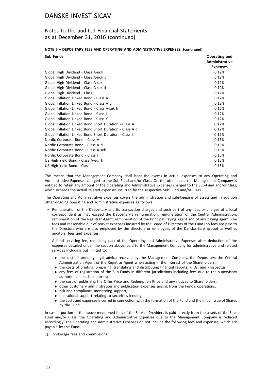### Notes to the audited Financial Statements as at December 31, 2016 (continued)

#### **NOTE 5 – DEPOSITARY FEES AND OPERATING AND ADMINISTRATIVE EXPENSES (continued)**

| <b>Sub Funds</b>                                        | Operating and         |
|---------------------------------------------------------|-----------------------|
|                                                         | <b>Administrative</b> |
|                                                         | <b>Expenses</b>       |
| Global High Dividend - Class A-nok                      | 0.12%                 |
| Global High Dividend - Class A-nok d                    | 0.12%                 |
| Global High Dividend - Class A-sek                      | 0.12%                 |
| Global High Dividend - Class A-sek d                    | 0.12%                 |
| Global High Dividend - Class I                          | 0.12%                 |
| Global Inflation Linked Bond - Class A                  | 0.12%                 |
| Global Inflation Linked Bond - Class A d                | 0.12%                 |
| Global Inflation Linked Bond - Class A-sek h            | 0.12%                 |
| Global Inflation Linked Bond - Class I                  | 0.12%                 |
| Global Inflation Linked Bond - Class Y                  | 0.12%                 |
| Global Inflation Linked Bond Short Duration - Class A   | 0.12%                 |
| Global Inflation Linked Bond Short Duration - Class A d | 0.12%                 |
| Global Inflation Linked Bond Short Duration - Class I   | 0.12%                 |
| Nordic Corporate Bond - Class A                         | 0.15%                 |
| Nordic Corporate Bond - Class A d                       | 0.15%                 |
| Nordic Corporate Bond - Class A-sek                     | 0.15%                 |
| Nordic Corporate Bond - Class I                         | 0.15%                 |
| US High Yield Bond - Class A-eur h                      | 0.15%                 |
| US High Yield Bond - Class I                            | 0.15%                 |

This means that the Management Company shall bear the excess in actual expenses to any Operating and Administrative Expenses charged to the Sub-Fund and/or Class. On the other hand the Management Company is entitled to retain any amount of the Operating and Administrative Expenses charged to the Sub-Fund and/or Class, which exceeds the actual related expenses incurred by the respective Sub-Fund and/or Class.

The Operating and Administrative Expenses covers the administration and safe-keeping of assets and in addition other ongoing operating and administrative expenses as follows:

- Remuneration of the Depositary and its transaction charges and such part of any fees or charges of a local correspondent as may exceed the Depositary's remuneration; remuneration of the Central Administration; remuneration of the Registrar Agent; remuneration of the Principal Paying Agent and of any paying agent. The fees and reasonable out-of-pocket expenses incurred by the Board of Directors of the Fund (no fees are paid to the Directors who are also employed by the directors or employees of the Danske Bank group) as well as auditors' fees and expenses;
- A fund servicing fee, remaining part of the Operating and Administrative Expenses after deduction of the expenses detailed under the section above, paid to the Management Company for administrative and related services including but limited to:
	- . the cost of ordinary legal advice received by the Management Company, the Depositary, the Central Administration Agent or the Registrar Agent when acting in the interest of the Shareholders;
	- . the costs of printing, preparing, translating and distributing financial reports, KIIDs, and Prospectus;
	- . any fees of registration of the Sub-Funds in different jurisdictions including fees due to the supervisory authorities in such countries;
	- . the cost of publishing the Offer Price and Redemption Price and any notices to Shareholders;
	- . other customary administration and publication expenses arising from the Fund's operations;
	- risk and compliance monitoring support;
	- . operational support relating to securities lending;
	- . the costs and expenses incurred in connection with the formation of the Fund and the initial issue of Shares by the Fund.

In case a portion of the above mentioned fees of the Service Providers is paid directly from the assets of the Sub-Fund and/or Class, the Operating and Administrative Expenses due to the Management Company is reduced accordingly. The Operating and Administrative Expenses do not include the following fees and expenses, which are payable by the Fund:

1) brokerage fees and commissions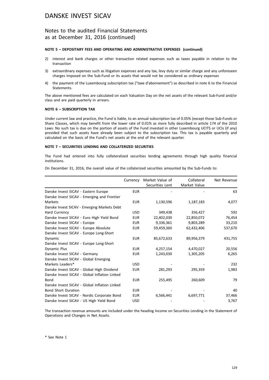### Notes to the audited Financial Statements as at December 31, 2016 (continued)

#### **NOTE 5 – DEPOSITARY FEES AND OPERATING AND ADMINISTRATIVE EXPENSES (continued)**

- 2) interest and bank charges or other transaction related expenses such as taxes payable in relation to the transaction
- 3) extraordinary expenses such as litigation expenses and any tax, levy duty or similar charge and any unforeseen charges imposed on the Sub-Fund or its assets that would not be considered as ordinary expenses
- 4) the payment of the Luxembourg subscription tax ("taxe d'abonnement") as described in note 6 to the Financial **Statements**

The above mentioned fees are calculated on each Valuation Day on the net assets of the relevant Sub-Fund and/or class and are paid quarterly in arrears.

#### **NOTE 6 – SUBSCRIPTION TAX**

Under current law and practice, the Fund is liable, to an annual subscription tax of 0.05% (except those Sub-Funds or Share Classes, which may benefit from the lower rate of 0.01% as more fully described in article 174 of the 2010 Laws. No such tax is due on the portion of assets of the Fund invested in other Luxembourg UCITS or UCIs (if any) provided that such assets have already been subject to the subscription tax. This tax is payable quarterly and calculated on the basis of the Fund's net assets at the end of the relevant quarter.

#### **NOTE 7 – SECUIRITIES LENDING AND COLLATERIZED SECURITIES**

The Fund had entered into fully collateralized securities lending agreements through high quality financial institutions.

On December 31, 2016, the overall value of the collaterized securities amounted by the Sub-Funds to:

|                                               | Currency   | Market Value of<br>Securities Lent | Collateral<br>Market Value | Net Revenue |
|-----------------------------------------------|------------|------------------------------------|----------------------------|-------------|
| Danske Invest SICAV - Eastern Europe          | <b>EUR</b> |                                    |                            | 63          |
| Danske Invest SICAV - Emerging and Frontier   |            |                                    |                            |             |
| Markets                                       | <b>EUR</b> | 1,130,596                          | 1,187,183                  | 4,077       |
| Danske Invest SICAV - Emerging Markets Debt   |            |                                    |                            |             |
| Hard Currency                                 | <b>USD</b> | 349,438                            | 356,427                    | 592         |
| Danske Invest SICAV - Euro High Yield Bond    | <b>EUR</b> | 22,402,030                         | 22,850,072                 | 76,454      |
| Danske Invest SICAV - Europe                  | <b>EUR</b> | 9,336,361                          | 9,803,289                  | 33,210      |
| Danske Invest SICAV - Europe Absolute         | <b>EUR</b> | 59,459,360                         | 62,432,406                 | 537,670     |
| Danske Invest SICAV - Europe Long-Short       |            |                                    |                            |             |
| Dynamic                                       | <b>EUR</b> | 85,672,633                         | 89,956,379                 | 431,755     |
| Danske Invest SICAV - Europe Long-Short       |            |                                    |                            |             |
| Dynamic Plus                                  | <b>EUR</b> | 4,257,154                          | 4,470,027                  | 20,556      |
| Danske Invest SICAV - Germany                 | <b>EUR</b> | 1,243,030                          | 1,305,205                  | 6,265       |
| Danske Invest SICAV - Global Emerging         |            |                                    |                            |             |
| Markets Leaders*                              | <b>USD</b> |                                    |                            | 232         |
| Danske Invest SICAV - Global High Dividend    | <b>EUR</b> | 281,293                            | 295,359                    | 1,983       |
| Danske Invest SICAV - Global Inflation Linked |            |                                    |                            |             |
| Bond                                          | <b>EUR</b> | 255,495                            | 260,609                    | 79          |
| Danske Invest SICAV - Global Inflation Linked |            |                                    |                            |             |
| <b>Bond Short Duration</b>                    | <b>EUR</b> |                                    |                            | 40          |
| Danske Invest SICAV - Nordic Corporate Bond   | <b>EUR</b> | 6,566,441                          | 6,697,771                  | 37,466      |
| Danske Invest SICAV - US High Yield Bond      | <b>USD</b> |                                    |                            | 3,767       |

The transaction revenue amounts are included under the heading Income on Securities Lending in the Statement of Operations and Changes in Net Assets.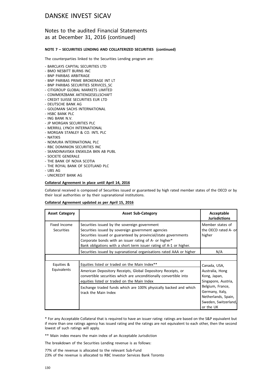### Notes to the audited Financial Statements as at December 31, 2016 (continued)

#### **NOTE 7 – SECUIRITIES LENDING AND COLLATERIZED SECURITIES (continued)**

The counterparties linked to the Securities Lending program are:

- BARCLAYS CAPITAL SECURITIES LTD
- BMO NESBITT BURNS INC
- BNP PARIBAS ARBITRAGE
- BNP PARIBAS PRIME BROKERAGE INT LT
- BNP PARIBAS SECURITIES SERVICES\_SC
- CITIGROUP GLOBAL MARKETS LIMITED
- COMMERZBANK AKTIENGESELLSCHAFT
- CREDIT SUISSE SECURITIES EUR LTD
- DEUTSCHE BANK AG
- GOLDMAN SACHS INTERNATIONAL
- HSBC BANK PLC
- ING BANK N.V.
- JP MORGAN SECURITIES PLC
- MERRILL LYNCH INTERNATIONAL
- MORGAN STANLEY & CO. INTL PLC
- NATIXIS
- NOMURA INTERNATIONAL PLC
- RBC DOMINION SECURITIES INC
- SKANDINAVISKA ENSKILDA BKN AB PUBL
- SOCIETE GENERALE
- THE BANK OF NOVA SCOTIA
- THE ROYAL BANK OF SCOTLAND PLC
- UBS AG
- UNICREDIT BANK AG

#### **Collateral Agreement in place until April 14, 2016**

Collateral received is composed of Securities issued or guaranteed by high rated member states of the OECD or by their local authorities or by their supranational institutions.

#### **Collateral Agreement updated as per April 15, 2016**

| <b>Asset Category</b>             | <b>Asset Sub-Category</b>                                                                                                                                                                                                                                                                              | Acceptable<br><b>Jurisdictions</b>                                                              |
|-----------------------------------|--------------------------------------------------------------------------------------------------------------------------------------------------------------------------------------------------------------------------------------------------------------------------------------------------------|-------------------------------------------------------------------------------------------------|
| Fixed Income<br><b>Securities</b> | Securities issued by the sovereign government<br>Securities issued by sovereign government agencies<br>Securities issued or guaranteed by provincial/state governments<br>Corporate bonds with an issuer rating of A- or higher*<br>Bank obligations with a short term issuer rating of A-1 or higher. | Member states of<br>the OECD rated A- or<br>higher                                              |
|                                   | Securities issued by supranational organisations rated AAA or higher                                                                                                                                                                                                                                   | N/A                                                                                             |
|                                   |                                                                                                                                                                                                                                                                                                        |                                                                                                 |
| Equities &                        | Equities listed or traded on the Main Index**                                                                                                                                                                                                                                                          | Canada, USA,                                                                                    |
| Equivalents                       | American Depository Receipts, Global Depository Receipts, or<br>convertible securities which are unconditionally convertible into<br>equities listed or traded on the Main Index                                                                                                                       | Australia, Hong<br>Kong, Japan,<br>Singapore, Austria,                                          |
|                                   | Exchange traded funds which are 100% physically backed and which<br>track the Main Index                                                                                                                                                                                                               | Belgium, France,<br>Germany, Italy,<br>Netherlands, Spain,<br>Sweden, Switzerland,<br>or the UK |

\* For any Acceptable Collateral that is required to have an issuer rating: ratings are based on the S&P equivalent but if more than one ratings agency has issued rating and the ratings are not equivalent to each other, then the second lowest of such ratings will apply.

\*\* Main index means the main index of an Acceptable Jurisdiction

The breakdown of the Securities Lending revenue is as follows:

77% of the revenue is allocated to the relevant Sub-Fund 23% of the revenue is allocated to RBC Investor Services Bank Toronto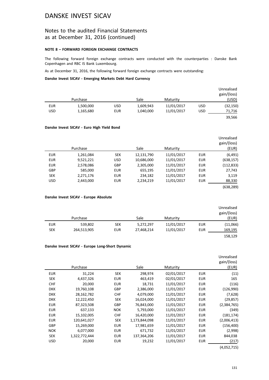### Notes to the audited Financial Statements as at December 31, 2016 (continued)

### **NOTE 8 – FORWARD FOREIGN EXCHANGE CONTRACTS**

The following forward foreign exchange contracts were conducted with the counterparties : Danske Bank Copenhagen and RBC IS Bank Luxembourg.

As at December 31, 2016, the following forward foreign exchange contracts were outstanding:

**Danske Invest SICAV - Emerging Markets Debt Hard Currency**

|            |           |            |           |            |            | Unrealised  |
|------------|-----------|------------|-----------|------------|------------|-------------|
|            |           |            |           |            |            | gain/(loss) |
|            | Purchase  |            | Sale      | Maturity   |            | (USD)       |
| <b>EUR</b> | 1,500,000 | <b>USD</b> | 1,609,943 | 11/01/2017 | <b>USD</b> | (32, 150)   |
| <b>USD</b> | 1,165,680 | <b>EUR</b> | 1,040,000 | 11/01/2017 | <b>USD</b> | 71,716      |
|            |           |            |           |            |            | 39,566      |

#### **Danske Invest SICAV - Euro High Yield Bond**

|            | Purchase  |            | Sale       | Maturity   |            | Unrealised<br>gain/(loss)<br>(EUR) |
|------------|-----------|------------|------------|------------|------------|------------------------------------|
| <b>EUR</b> | 1,261,084 | <b>SEK</b> | 12,131,790 | 11/01/2017 | <b>EUR</b> | (6, 491)                           |
| <b>EUR</b> | 9,521,221 | <b>USD</b> | 10,686,000 | 11/01/2017 | <b>EUR</b> | (638, 157)                         |
| <b>EUR</b> | 2,578,086 | <b>GBP</b> | 2,305,000  | 11/01/2017 | <b>EUR</b> | (112, 833)                         |
| <b>GBP</b> | 585,000   | <b>EUR</b> | 655,195    | 11/01/2017 | <b>EUR</b> | 27,743                             |
| <b>SEK</b> | 2,271,176 | <b>EUR</b> | 234,182    | 11/01/2017 | <b>EUR</b> | 3,119                              |
| <b>USD</b> | 2,443,000 | <b>EUR</b> | 2,234,219  | 11/01/2017 | <b>EUR</b> | 88,330                             |
|            |           |            |            |            |            | (638, 289)                         |

#### **Danske Invest SICAV - Europe Absolute**

| Unrealised<br>gain/(loss)<br>(EUR) |            | Maturity   | Sale       |            | Purchase    |            |
|------------------------------------|------------|------------|------------|------------|-------------|------------|
| (11,066)                           | EUR        | 11/01/2017 | 5,272,297  | <b>SEK</b> | 539,802     | <b>EUR</b> |
| 169,195                            | <b>EUR</b> | 11/01/2017 | 27,468,214 | <b>EUR</b> | 264,513,905 | <b>SEK</b> |
| 158,129                            |            |            |            |            |             |            |

#### **Danske Invest SICAV - Europe Long-Short Dynamic**

| Unrealised<br>gain/(loss)<br>(EUR) |            | Maturity   | Sale          |            | Purchase      |            |
|------------------------------------|------------|------------|---------------|------------|---------------|------------|
| (11)                               | <b>EUR</b> | 02/01/2017 | 298,974       | <b>SEK</b> | 31,224        | <b>EUR</b> |
|                                    |            |            |               |            |               |            |
| 165                                | <b>EUR</b> | 02/01/2017 | 463,419       | <b>EUR</b> | 4,437,326     | <b>SEK</b> |
| (116)                              | <b>EUR</b> | 11/01/2017 | 18,731        | <b>EUR</b> | 20,000        | <b>CHF</b> |
| (126,990)                          | <b>EUR</b> | 11/01/2017 | 2,386,000     | <b>GBP</b> | 19,760,108    | <b>DKK</b> |
| (7,628)                            | <b>EUR</b> | 11/01/2017 | 4,079,000     | <b>CHF</b> | 28,162,782    | <b>DKK</b> |
| (29, 857)                          | <b>EUR</b> | 11/01/2017 | 16,024,000    | <b>SEK</b> | 12,222,450    | <b>DKK</b> |
| (2,384,765)                        | <b>EUR</b> | 11/01/2017 | 76,843,000    | <b>GBP</b> | 87,323,508    | <b>EUR</b> |
| (349)                              | <b>EUR</b> | 11/01/2017 | 5,793,000     | <b>NOK</b> | 637,133       | <b>EUR</b> |
| (181, 174)                         | <b>EUR</b> | 11/01/2017 | 16,420,000    | <b>CHF</b> | 15,102,005    | <b>EUR</b> |
| (2,006,413)                        | <b>EUR</b> | 11/01/2017 | 1,173,844,098 | SEK        | 120,641,027   | <b>EUR</b> |
| (156, 400)                         | <b>EUR</b> | 11/01/2017 | 17,981,659    | <b>EUR</b> | 15,269,000    | <b>GBP</b> |
| (2,998)                            | <b>EUR</b> | 11/01/2017 | 671,732       | <b>EUR</b> | 6,077,000     | <b>NOK</b> |
| 844,038                            | <b>EUR</b> | 11/01/2017 | 137,364,206   | <b>EUR</b> | 1,322,772,444 | <b>SEK</b> |
| (217)                              | <b>EUR</b> | 11/01/2017 | 19,232        | <b>EUR</b> | 20,000        | <b>USD</b> |
|                                    |            |            |               |            |               |            |

(4,052,715)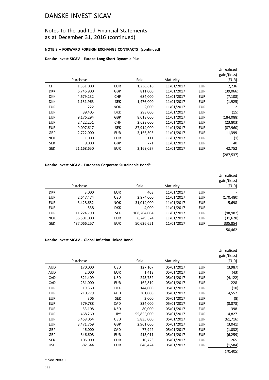### Notes to the audited Financial Statements as at December 31, 2016 (continued)

#### **NOTE 8 – FORWARD FOREIGN EXCHANGE CONTRACTS (continued)**

#### **Danske Invest SICAV - Europe Long-Short Dynamic Plus**

|            | Purchase   |            | Sale       | Maturity   |            | Unrealised<br>gain/(loss)<br>(EUR) |
|------------|------------|------------|------------|------------|------------|------------------------------------|
| <b>CHF</b> | 1,331,000  | <b>EUR</b> | 1,236,616  | 11/01/2017 | <b>EUR</b> | 2,236                              |
| <b>DKK</b> | 6,746,900  | GBP        | 811.000    | 11/01/2017 | <b>EUR</b> | (39,066)                           |
| <b>DKK</b> | 4,679,232  | <b>CHF</b> | 684,000    | 11/01/2017 | <b>EUR</b> | (7, 108)                           |
| <b>DKK</b> | 1,131,963  | <b>SEK</b> | 1,476,000  | 11/01/2017 | <b>EUR</b> | (1,925)                            |
| <b>EUR</b> | 222        | <b>NOK</b> | 2,000      | 11/01/2017 | <b>EUR</b> | 2                                  |
| <b>EUR</b> | 39,405     | <b>DKK</b> | 293,000    | 11/01/2017 | <b>EUR</b> | (15)                               |
| <b>EUR</b> | 9,176,294  | <b>GBP</b> | 8,018,000  | 11/01/2017 | <b>EUR</b> | (184,088)                          |
| <b>EUR</b> | 2,422,251  | <b>CHF</b> | 2,628,000  | 11/01/2017 | <b>EUR</b> | (23, 803)                          |
| <b>EUR</b> | 9,097,617  | <b>SEK</b> | 87,914,000 | 11/01/2017 | <b>EUR</b> | (87,960)                           |
| <b>GBP</b> | 2,722,000  | <b>EUR</b> | 3,166,305  | 11/01/2017 | <b>EUR</b> | 11,399                             |
| <b>NOK</b> | 1,000      | <b>EUR</b> | 111        | 11/01/2017 | <b>EUR</b> | (1)                                |
| <b>SEK</b> | 9,000      | GBP        | 771        | 11/01/2017 | <b>EUR</b> | 40                                 |
| <b>SEK</b> | 21,168,650 | <b>EUR</b> | 2,169,027  | 11/01/2017 | <b>EUR</b> | 42,752                             |
|            |            |            |            |            |            | (287, 537)                         |

#### **Danske Invest SICAV - European Corporate Sustainable Bond\***

|            | Purchase    |            | Sale        | Maturity   |            | Unrealised<br>gain/(loss)<br>(EUR) |
|------------|-------------|------------|-------------|------------|------------|------------------------------------|
| <b>DKK</b> | 3,000       | <b>EUR</b> | 403         | 11/01/2017 | <b>EUR</b> |                                    |
| <b>EUR</b> | 2,647,474   | <b>USD</b> | 2,974,000   | 11/01/2017 | <b>EUR</b> | (170, 480)                         |
| <b>EUR</b> | 3,428,652   | <b>NOK</b> | 31,014,000  | 11/01/2017 | <b>EUR</b> | 15,698                             |
| <b>EUR</b> | 538         | <b>DKK</b> | 4.000       | 11/01/2017 | <b>EUR</b> |                                    |
| <b>EUR</b> | 11,224,790  | <b>SEK</b> | 108,204,004 | 11/01/2017 | <b>EUR</b> | (98, 982)                          |
| <b>NOK</b> | 56,501,000  | <b>EUR</b> | 6,249,324   | 11/01/2017 | <b>EUR</b> | (31, 628)                          |
| <b>SEK</b> | 487,066,257 | <b>EUR</b> | 50,636,651  | 11/01/2017 | <b>EUR</b> | 335,854                            |
|            |             |            |             |            |            | 50,462                             |

### **Danske Invest SICAV - Global Inflation Linked Bond**

|            | Purchase  |            | Sale       | Maturity   |            | Unrealised<br>gain/(loss)<br>(EUR) |
|------------|-----------|------------|------------|------------|------------|------------------------------------|
| AUD        | 170,000   | <b>USD</b> | 127,107    | 05/01/2017 | <b>EUR</b> | (3,987)                            |
| <b>AUD</b> | 2,000     | <b>EUR</b> | 1,413      | 05/01/2017 | <b>EUR</b> | (43)                               |
| <b>CAD</b> | 321,409   | <b>USD</b> | 243,732    | 05/01/2017 | <b>EUR</b> | (4, 122)                           |
| CAD        | 231,000   | <b>EUR</b> | 162,819    | 05/01/2017 | <b>EUR</b> | 228                                |
| <b>EUR</b> | 19,360    | <b>DKK</b> | 144,000    | 05/01/2017 | <b>EUR</b> | (10)                               |
| <b>EUR</b> | 210,779   | <b>AUD</b> | 301,000    | 05/01/2017 | <b>EUR</b> | 4,557                              |
| <b>EUR</b> | 306       | <b>SEK</b> | 3,000      | 05/01/2017 | <b>EUR</b> | (8)                                |
| <b>EUR</b> | 579,788   | CAD        | 834,000    | 05/01/2017 | <b>EUR</b> | (8,878)                            |
| <b>EUR</b> | 53,108    | <b>NZD</b> | 80,000     | 05/01/2017 | <b>EUR</b> | 398                                |
| <b>EUR</b> | 468,260   | <b>JPY</b> | 55,855,000 | 05/01/2017 | <b>EUR</b> | 14,827                             |
| EUR        | 5,468,064 | <b>USD</b> | 5,835,000  | 05/01/2017 | <b>EUR</b> | (61, 716)                          |
| <b>EUR</b> | 3,471,769 | <b>GBP</b> | 2,961,000  | 05/01/2017 | <b>EUR</b> | (3,041)                            |
| GBP        | 46,000    | CAD        | 77,942     | 05/01/2017 | <b>EUR</b> | (1,032)                            |
| <b>GBP</b> | 346,608   | <b>EUR</b> | 413,011    | 05/01/2017 | <b>EUR</b> | (6, 259)                           |
| <b>SEK</b> | 105,000   | <b>EUR</b> | 10,723     | 05/01/2017 | <b>EUR</b> | 265                                |
| <b>USD</b> | 682,544   | <b>EUR</b> | 648,424    | 05/01/2017 | <b>EUR</b> | (1, 584)                           |
|            |           |            |            |            |            | (70, 405)                          |

\* See Note 1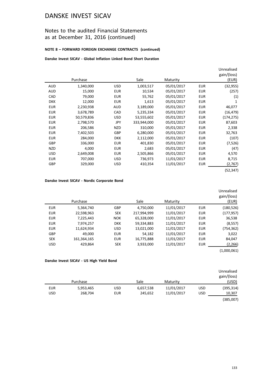### Notes to the audited Financial Statements as at December 31, 2016 (continued)

### **NOTE 8 – FORWARD FOREIGN EXCHANGE CONTRACTS (continued)**

### **Danske Invest SICAV - Global Inflation Linked Bond Short Duration**

|            | Purchase   |            | Sale        | Maturity   |            | Unrealised<br>gain/(loss)<br>(EUR) |
|------------|------------|------------|-------------|------------|------------|------------------------------------|
| <b>AUD</b> | 1,340,000  | <b>USD</b> | 1,003,517   | 05/01/2017 | <b>EUR</b> | (32, 955)                          |
| <b>AUD</b> | 15,000     | <b>EUR</b> | 10,534      | 05/01/2017 | <b>EUR</b> | (257)                              |
| CAD        | 79,000     | <b>EUR</b> | 55,762      | 05/01/2017 | <b>EUR</b> | (1)                                |
| <b>DKK</b> | 12,000     | <b>EUR</b> | 1,613       | 05/01/2017 | <b>EUR</b> | 1                                  |
| <b>EUR</b> | 2,230,938  | <b>AUD</b> | 3,189,000   | 05/01/2017 | <b>EUR</b> | 46,077                             |
| <b>EUR</b> | 3,678,789  | CAD        | 5,235,334   | 05/01/2017 | <b>EUR</b> | (16, 479)                          |
| <b>EUR</b> | 50,579,836 | <b>USD</b> | 53,555,602  | 05/01/2017 | <b>EUR</b> | (174, 275)                         |
| <b>EUR</b> | 2,798,570  | JPY        | 333,944,000 | 05/01/2017 | <b>EUR</b> | 87,603                             |
| <b>EUR</b> | 206,586    | <b>NZD</b> | 310,000     | 05/01/2017 | <b>EUR</b> | 2,338                              |
| <b>EUR</b> | 7,402,503  | GBP        | 6,280,000   | 05/01/2017 | <b>EUR</b> | 32,763                             |
| <b>EUR</b> | 284,000    | <b>DKK</b> | 2,112,000   | 05/01/2017 | <b>EUR</b> | (107)                              |
| <b>GBP</b> | 336,000    | <b>EUR</b> | 401,830     | 05/01/2017 | <b>EUR</b> | (7,526)                            |
| <b>NZD</b> | 4,000      | <b>EUR</b> | 2,683       | 05/01/2017 | <b>EUR</b> | (47)                               |
| <b>USD</b> | 2,649,008  | <b>EUR</b> | 2,505,866   | 05/01/2017 | <b>EUR</b> | 4,570                              |
| <b>EUR</b> | 707,000    | <b>USD</b> | 736,973     | 11/01/2017 | <b>EUR</b> | 8,715                              |
| GBP        | 329,000    | <b>USD</b> | 410,354     | 11/01/2017 | <b>EUR</b> | (2,767)                            |
|            |            |            |             |            |            | (52,347)                           |

#### **Danske Invest SICAV - Nordic Corporate Bond**

| Unrealised<br>gain/(loss)<br>(EUR) |            | Maturity   | Sale        |            | Purchase    |            |
|------------------------------------|------------|------------|-------------|------------|-------------|------------|
| (180, 526)                         | <b>EUR</b> | 11/01/2017 | 4,750,000   | GBP        | 5,364,740   | <b>EUR</b> |
| (177, 957)                         | <b>EUR</b> | 11/01/2017 | 217,994,999 | <b>SEK</b> | 22,598,963  | <b>EUR</b> |
| 36,538                             | <b>EUR</b> | 11/01/2017 | 65,328,000  | <b>NOK</b> | 7,225,443   | <b>EUR</b> |
| (8, 557)                           | <b>EUR</b> | 11/01/2017 | 59,334,883  | <b>DKK</b> | 7,974,257   | <b>EUR</b> |
| (754, 362)                         | <b>EUR</b> | 11/01/2017 | 13,021,000  | <b>USD</b> | 11,624,934  | <b>EUR</b> |
| 3,022                              | <b>EUR</b> | 11/01/2017 | 54.182      | <b>EUR</b> | 49.000      | <b>GBP</b> |
| 84,047                             | <b>EUR</b> | 11/01/2017 | 16,775,888  | <b>EUR</b> | 161,364,165 | <b>SEK</b> |
| (2, 266)                           | <b>EUR</b> | 11/01/2017 | 3,933,000   | <b>SEK</b> | 429,864     | <b>USD</b> |
| (1,000,061)                        |            |            |             |            |             |            |

#### **Danske Invest SICAV - US High Yield Bond**

|            |           |            |           |            |            | Unrealised<br>gain/(loss) |
|------------|-----------|------------|-----------|------------|------------|---------------------------|
|            | Purchase  |            | Sale      | Maturity   |            | (USD)                     |
| <b>EUR</b> | 5,953,465 | <b>USD</b> | 6,657,538 | 11/01/2017 | <b>USD</b> | (395, 314)                |
| <b>USD</b> | 268,704   | <b>EUR</b> | 245,652   | 11/01/2017 | <b>USD</b> | 10,307                    |
|            |           |            |           |            |            | (385,007)                 |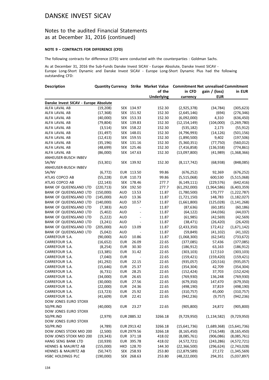### Notes to the audited Financial Statements as at December 31, 2016 (continued)

#### **NOTE 9 – CONTRACTS FOR DIFFERENCE (CFD)**

The following contracts for difference (CFD) were conducted with the counterparties : Goldman Sachs.

As at December 31, 2016 the Sub-Funds Danske Invest SICAV - Europe Absolute, Danske Invest SICAV - Europe Long-Short Dynamic and Danske Invest SICAV - Europe Long-Short Dynamic Plus had the following outstanding CFD:

| <b>Description</b>                    |            |            |                | <b>Quantity Currency Strike Market Value</b> |                | <b>Commitment Net unrealised Commitment</b> |               |
|---------------------------------------|------------|------------|----------------|----------------------------------------------|----------------|---------------------------------------------|---------------|
|                                       |            |            |                | of the                                       | in CFD         | gain / (loss)                               | in EUR        |
|                                       |            |            |                | <b>Underlying</b>                            | currency       | <b>EUR</b>                                  |               |
| Danske Invest SICAV - Europe Absolute |            |            |                |                                              |                |                                             |               |
| ALFA LAVAL AB                         | (19, 208)  |            | SEK 134.97     | 152.30                                       | (2,925,378)    | (34, 784)                                   | (305, 623)    |
| ALFA LAVAL AB                         | (17, 368)  |            | SEK 151.92     | 152.30                                       | (2,645,146)    | (694)                                       | (276, 346)    |
| ALFA LAVAL AB                         | (40,000)   |            | SEK 153.33     | 152.30                                       | (6,092,000)    | 4,310                                       | (636, 450)    |
| ALFA LAVAL AB                         | (79, 804)  |            | SEK 139.83     | 152.30                                       | (12, 154, 149) | (104,000)                                   | (1, 269, 780) |
| ALFA LAVAL AB                         | (3,514)    |            | SEK 158.22     | 152.30                                       | (535, 182)     | 2,173                                       | (55, 912)     |
| ALFA LAVAL AB                         | (31, 497)  |            | SEK 148.01     | 152.30                                       | (4,796,993)    | (14, 126)                                   | (501, 156)    |
| ALFA LAVAL AB                         | (12, 413)  |            | SEK 159.55     | 152.30                                       | (1,890,500)    | 9,402                                       | (197, 506)    |
| ALFA LAVAL AB                         | (35, 196)  |            | SEK 131.16     | 152.30                                       | (5,360,351)    | (77, 750)                                   | (560, 012)    |
| ALFA LAVAL AB                         | (48, 699)  |            | SEK 125.46     | 152.30                                       | (7, 416, 858)  | (136, 558)                                  | (774, 861)    |
| ALFA LAVAL AB                         | (86,000)   |            | SEK 147.63     | 152.30                                       | (13,097,800)   | (41,989)                                    | (1,368,366)   |
| ANHEUSER-BUSCH INBEV                  |            |            |                |                                              |                |                                             |               |
| SA/NV                                 | (53, 301)  |            | SEK 139.92     | 152.30                                       | (8, 117, 742)  | (68, 938)                                   | (848,085)     |
| ANHEUSER-BUSCH INBEV                  |            |            |                |                                              |                |                                             |               |
| SA/NV                                 | (6, 772)   |            | EUR 113.50     | 99.86                                        | (676, 252)     | 92,369                                      | (676, 252)    |
| ATLAS COPCO AB                        | (55, 228)  |            | EUR 110.73     | 99.86                                        | (5,515,068)    | 600,530                                     | (5,515,068)   |
| ATLAS COPCO AB                        | (22, 143)  |            | SEK 178.46     | 277.7                                        | (6, 149, 111)  | (229, 576)                                  | (642, 416)    |
| <b>BANK OF QUEENSLAND LTD</b>         | (220, 713) |            | SEK 192.50     | 277.7                                        | (61, 292, 000) | (1,964,586)                                 | (6,403,359)   |
| BANK OF QUEENSLAND LTD                | (150,000)  | <b>AUD</b> | 13.53          | 11.87                                        | (1,780,500)    | 170,777                                     | (1, 222, 787) |
| BANK OF QUEENSLAND LTD                | (145,000)  | <b>AUD</b> | 13.36          | 11.87                                        | (1,721,150)    | 148,783                                     | (1, 182, 027) |
| BANK OF QUEENSLAND LTD                | (140,000)  | <b>AUD</b> | 10.57          | 11.87                                        | (1,661,800)    | (125, 028)                                  | (1, 141, 268) |
| <b>BANK OF QUEENSLAND LTD</b>         | (7, 383)   | <b>AUD</b> |                | 11.87                                        | (87, 636)      | (60, 185)                                   | (60, 186)     |
| BANK OF QUEENSLAND LTD                | (5,402)    | <b>AUD</b> | $\frac{1}{2}$  | 11.87                                        | (64, 122)      | (44,036)                                    | (44, 037)     |
| BANK OF QUEENSLAND LTD                | (5, 222)   | <b>AUD</b> | $\overline{a}$ | 11.87                                        | (61, 985)      | (42, 569)                                   | (42, 569)     |
| BANK OF QUEENSLAND LTD                | (3, 241)   | <b>AUD</b> | $\overline{a}$ | 11.87                                        | (38, 471)      | (26, 420)                                   | (26, 420)     |
| BANK OF QUEENSLAND LTD                | (205,000)  | <b>AUD</b> | 13.09          | 11.87                                        | (2,433,350)    | 172,412                                     | (1,671,142)   |
| BANK OF QUEENSLAND LTD                | (5,042)    | <b>AUD</b> | $\blacksquare$ | 11.87                                        | (59, 849)      | (41, 102)                                   | (41, 102)     |
| CARREFOUR S.A.                        | (90,000)   | <b>AUD</b> | 10.86          | 11.87                                        | (1,068,300)    | (62, 545)                                   | (733, 672)    |
| CARREFOUR S.A.                        | (16, 652)  | <b>EUR</b> | 26.09          | 22.65                                        | (377,085)      | 57,436                                      | (377,085)     |
| CARREFOUR S.A.                        | (8, 254)   | <b>EUR</b> | 30.30          | 22.65                                        | (186, 912)     | 63,163                                      | (186, 912)    |
| CARREFOUR S.A.                        | (13, 385)  | <b>EUR</b> | 31.42          | 22.65                                        | (303, 103)     | 117,510                                     | (303, 103)    |
| CARREFOUR S.A.                        | (7,040)    | <b>EUR</b> | $\sim$         | 22.65                                        | (159, 421)     | (159, 420)                                  | (159, 421)    |
| CARREFOUR S.A.                        | (41, 292)  | <b>EUR</b> | 22.15          | 22.65                                        | (935,057)      | (20, 516)                                   | (935,057)     |
| CARREFOUR S.A.                        | (15, 646)  | <b>EUR</b> | 25.37          | 22.65                                        | (354, 304)     | 42,709                                      | (354, 304)    |
| CARREFOUR S.A.                        | (6, 731)   | <b>EUR</b> | 28.25          | 22.65                                        | (152, 424)     | 37,703                                      | (152, 424)    |
| CARREFOUR S.A.                        | (34,000)   | <b>EUR</b> | 26.65          | 22.65                                        | (769, 930)     | 136,248                                     | (769, 930)    |
| CARREFOUR S.A.                        | (30,000)   | <b>EUR</b> | 27.56          | 22.65                                        | (679, 350)     | 147,470                                     | (679, 350)    |
| CARREFOUR S.A.                        | (22,000)   | <b>EUR</b> | 24.36          | 22.65                                        | (498, 190)     | 37,819                                      | (498, 190)    |
| CARREFOUR S.A.                        | (13, 723)  | EUR        | 25.92          | 22.65                                        | (310, 757)     | 45,000                                      | (310, 757)    |
| CARREFOUR S.A.                        | (41, 609)  | <b>EUR</b> | 22.41          | 22.65                                        | (942, 236)     | (9, 757)                                    | (942, 236)    |
| DOW JONES EURO STOXX                  |            |            |                |                                              |                |                                             |               |
| 50/PR.IND                             | (40,000)   | <b>EUR</b> | 23.27          | 22.65                                        | (905, 800)     | 24,872                                      | (905, 800)    |
| DOW JONES EURO STOXX                  |            |            |                |                                              |                |                                             |               |
| 50/PR.IND                             | (2,979)    |            | EUR 2885.32    | 3266.18                                      | (9,729,950)    | (1, 134, 582)                               | (9,729,950)   |
| DOW JONES EURO STOXX                  |            |            |                |                                              |                |                                             |               |
| 50/PR.IND                             | (4,789)    |            | EUR 2913.42    | 3266.18                                      | (15,641,736)   | (1,689,368)                                 | (15,641,736)  |
| DOW JONES STOXX MID 200               | (2,500)    |            | EUR 2979.56    | 3266.18                                      | (8, 165, 450)  | (716, 548)                                  | (8, 165, 450) |
| DOW JONES STOXX MID 200               | (19, 343)  |            | EUR 371.18     | 418.02                                       | (8,085,761)    | (906, 086)                                  | (8,085,761)   |
| HANG SENG BANK LTD                    | (10, 939)  |            | EUR 395.78     | 418.02                                       | (4,572,721)    | (243, 286)                                  | (4,572,721)   |
| HENNES & MAURITZ AB                   | (155,000)  |            | HKD 128.70     | 144.30                                       | (22, 366, 500) | (296, 624)                                  | (2,743,028)   |
| <b>HENNES &amp; MAURITZ AB</b>        | (50, 747)  |            | SEK 258.93     | 253.80                                       | (12,879,589)   | 27,172                                      | (1,345,569)   |
| HSBC HOLDINGS PLC                     | (190,000)  |            | SEK 268.63     | 253.80                                       | (48, 222, 000) | 294,351                                     | (5,037,897)   |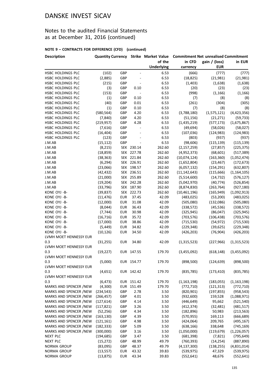### Notes to the audited Financial Statements as at December 31, 2016 (continued)

| <b>Description</b>                     |            |            |                          | <b>Quantity Currency Strike Market Value</b> | <b>Commitment Net unrealised Commitment</b> |               |               |
|----------------------------------------|------------|------------|--------------------------|----------------------------------------------|---------------------------------------------|---------------|---------------|
|                                        |            |            |                          | of the                                       | in CFD                                      | gain / (loss) | in EUR        |
|                                        |            |            |                          | <b>Underlying</b>                            | currency                                    | <b>EUR</b>    |               |
| HSBC HOLDINGS PLC                      | (102)      | GBP        | $\blacksquare$           | 6.53                                         | (666)                                       | (777)         | (777)         |
| HSBC HOLDINGS PLC                      | (2,885)    | GBP        | $\overline{\phantom{a}}$ | 6.53                                         | (18, 825)                                   | (21,981)      | (21,981)      |
| HSBC HOLDINGS PLC                      | (215)      | GBP        | $\overline{a}$           | 6.53                                         | (1,403)                                     | (1,638)       | (1,638)       |
| HSBC HOLDINGS PLC                      | (3)        | GBP        | 0.10                     | 6.53                                         | (20)                                        | (23)          | (23)          |
| HSBC HOLDINGS PLC                      | (153)      | GBP        | $\overline{\phantom{a}}$ | 6.53                                         | (998)                                       | (1, 166)      | (1, 166)      |
| HSBC HOLDINGS PLC                      | (1)        | GBP        | 0.10                     | 6.53                                         | (7)                                         | (8)           | (8)           |
| HSBC HOLDINGS PLC                      | (40)       | GBP        | 0.01                     | 6.53                                         | (261)                                       | (304)         | (305)         |
| HSBC HOLDINGS PLC                      | (1)        | GBP        | 0.10                     | 6.53                                         | (7)                                         | (8)           | (8)           |
| HSBC HOLDINGS PLC                      | (580, 564) | GBP        | 4.20                     | 6.53                                         | (3,788,180)                                 | (1,575,121)   | (4,423,356)   |
| HSBC HOLDINGS PLC                      | (7, 840)   | GBP        | 4.20                     | 6.53                                         | (51, 156)                                   | (21, 271)     | (59, 733)     |
| HSBC HOLDINGS PLC                      | (219, 957) | <b>GBP</b> | 4.28                     | 6.53                                         | (1,435,219)                                 | (577, 173)    | (1,675,867)   |
| HSBC HOLDINGS PLC                      | (7,616)    | GBP        | $\overline{\phantom{a}}$ | 6.53                                         | (49, 694)                                   | (58,026)      | (58,027)      |
| HSBC HOLDINGS PLC                      | (16, 404)  | GBP        |                          | 6.53                                         | (107, 036)                                  | (124, 983)    | (124, 983)    |
| HSBC HOLDINGS PLC                      | (123)      | GBP        |                          | 6.53                                         | (803)                                       | (937)         | (937)         |
| J.M.AB                                 | (15, 112)  | GBP        |                          | 6.53                                         | (98, 606)                                   | (115, 139)    | (115, 139)    |
| J.M.AB                                 | (8, 215)   |            | SEK 230.14               | 262.60                                       | (2, 157, 259)                               | (27, 857)     | (225, 375)    |
| J.M.AB                                 | (18, 859)  |            | SEK 227.78               | 262.60                                       | (4,952,373)                                 | (68, 601)     | (517, 389)    |
| J.M.AB                                 | (38, 363)  |            | SEK 221.84               | 262.60                                       | (10,074,124)                                | (163, 360)    | (1,052,474)   |
| J.M.AB                                 | (6, 294)   |            | SEK 226.91               | 262.60                                       | (1,652,804)                                 | (23, 467)     | (172, 673)    |
| J.M.AB                                 | (23,066)   |            | SEK 198.57               | 262.60                                       | (6,057,132)                                 | (154, 291)    | (632, 807)    |
| J.M.AB                                 | (42, 432)  |            | SEK 236.51               | 262.60                                       | (11, 142, 643)                              | (115, 666)    | (1, 164, 105) |
| J.M.AB                                 | (21,000)   |            | SEK 255.89               | 262.60                                       | (5,514,600)                                 | (14, 732)     | (576, 127)    |
| J.M.AB                                 | (19, 204)  |            | SEK 242.28               | 262.60                                       | (5,042,970)                                 | (40, 774)     | (526, 854)    |
| J.M.AB                                 | (33, 796)  |            | SEK 187.90               | 262.60                                       | (8,874,830)                                 | (263, 764)    | (927, 180)    |
| KONE OYJ -B-                           | (39, 837)  |            | SEK 222.73               | 262.60                                       | (10, 461, 196)                              | (165, 949)    | (1,092,913)   |
| KONE OYJ -B-                           | (11, 476)  | <b>EUR</b> | 37.45                    | 42.09                                        | (483, 025)                                  | (53, 200)     | (483, 025)    |
| KONE OYJ -B-                           | (12,000)   | <b>EUR</b> | 31.08                    | 42.09                                        | (505,080)                                   | (132,086)     | (505,080)     |
| KONE OYJ -B-                           | (8,044)    | <b>EUR</b> | 36.43                    | 42.09                                        | (338, 572)                                  | (45, 536)     | (338, 572)    |
| KONE OYJ -B-                           | (7, 744)   | <b>EUR</b> | 30.98                    | 42.09                                        | (325, 945)                                  | (86, 047)     | (325, 945)    |
| KONE OYJ -B-                           | (16, 716)  | <b>EUR</b> | 35.72                    | 42.09                                        | (703, 576)                                  | (106, 438)    | (703, 576)    |
| KONE OYJ -B-                           |            | <b>EUR</b> | 38.86                    | 42.09                                        |                                             |               |               |
| KONE OYJ -B-                           | (17,000)   |            | 34.82                    | 42.09                                        | (715, 530)                                  | (54, 972)     | (715, 530)    |
|                                        | (5, 449)   | <b>EUR</b> |                          |                                              | (229, 348)                                  | (39, 625)     | (229, 348)    |
| KONE OYJ -B-<br>LVMH MOET HENNESSY EUR | (10, 126)  | <b>EUR</b> | 34.50                    | 42.09                                        | (426, 203)                                  | (76, 904)     | (426, 203)    |
| 0.3                                    |            | <b>EUR</b> | 34.80                    | 42.09                                        |                                             | (227, 966)    | (1,315,523)   |
|                                        | (31, 255)  |            |                          |                                              | (1,315,523)                                 |               |               |
| LVMH MOET HENNESSY EUR                 |            |            | EUR 147.55               |                                              |                                             |               |               |
| 0.3                                    | (19, 227)  |            |                          | 179.70                                       | (3,455,092)                                 | (618, 148)    | (3,455,092)   |
| LVMH MOET HENNESSY EUR                 |            |            |                          |                                              |                                             |               |               |
| 0.3                                    | (5,000)    |            | EUR 154.77               | 179.70                                       | (898, 500)                                  | (124, 639)    | (898, 500)    |
| LVMH MOET HENNESSY EUR                 |            |            |                          |                                              |                                             |               |               |
| 0.3                                    | (4,651)    |            | EUR 142.42               | 179.70                                       | (835, 785)                                  | (173, 410)    | (835, 785)    |
| LVMH MOET HENNESSY EUR                 |            |            |                          |                                              |                                             |               |               |
| 0.3                                    | (6, 473)   |            | EUR 151.42               | 179.70                                       | (1, 163, 198)                               | (183, 055)    | (1, 163, 198) |
| MARKS AND SPENCER /NEW                 | (4,300)    |            | EUR 151.49               | 179.70                                       | (772, 710)                                  | (121, 313)    | (772, 710)    |
| MARKS AND SPENCER /NEW                 | (234, 543) | GBP        | 2.78                     | 3.50                                         | (820, 901)                                  | (197, 855)    | (958, 543)    |
| MARKS AND SPENCER /NEW                 | (266, 457) | GBP        | 4.01                     | 3.50                                         | (932,600)                                   | 159,528       | (1,088,971)   |
| MARKS AND SPENCER /NEW                 | (127, 614) | GBP        | 4.14                     | 3.50                                         | (446, 649)                                  | 95,662        | (521, 540)    |
| MARKS AND SPENCER /NEW                 | (117, 821) | GBP        | 3.26                     | 3.50                                         | (412, 374)                                  | (32, 481)     | (481, 517)    |
| MARKS AND SPENCER /NEW                 | (52, 256)  | GBP        | 4.34                     | 3.50                                         | (182, 896)                                  | 50,983        | (213, 563)    |
| MARKS AND SPENCER /NEW                 | (163, 130) | GBP        | 4.39                     | 3.50                                         | (570, 955)                                  | 169,113       | (666, 689)    |
| MARKS AND SPENCER /NEW                 | (121, 161) | GBP        | 4.98                     | 3.50                                         | (424,064)                                   | 209,765       | (495, 167)    |
| MARKS AND SPENCER /NEW                 | (182, 333) | GBP        | 5.09                     | 3.50                                         | (638, 166)                                  | 338,648       | (745, 169)    |
| MARKS AND SPENCER /NEW                 | (300,000)  | GBP        | 3.16                     | 3.50                                         | (1,050,000)                                 | (119, 679)    | (1, 226, 057) |
| <b>NEXT PLC</b>                        | (194, 685) | <b>GBP</b> | 3.47                     | 3.50                                         | (681, 398)                                  | (7, 821)      | (795, 649)    |
| <b>NEXT PLC</b>                        | (15, 272)  | GBP        | 48.99                    | 49.79                                        | (760, 393)                                  | (14, 254)     | (887, 890)    |
| NORMA GROUP                            | (83,095)   | GBP        | 48.37                    | 49.79                                        | (4, 137, 300)                               | (138, 255)    | (4,831,014)   |
| NORMA GROUP                            | (13, 557)  | <b>EUR</b> | 43.32                    | 39.83                                        | (539, 975)                                  | 47,329        | (539, 975)    |
| <b>NORMA GROUP</b>                     | (13, 875)  | <b>EUR</b> | 43.34                    | 39.83                                        | (552, 641)                                  | 48,676        | (552, 641)    |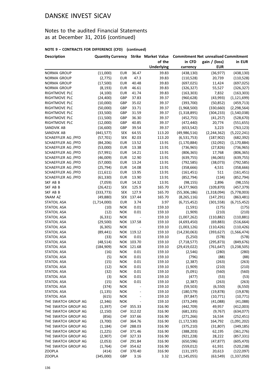### Notes to the audited Financial Statements as at December 31, 2016 (continued)

| <b>Description</b>  | <b>Quantity Currency</b> |            |                          |                   | Strike Market Value Commitment Net unrealised Commitment |               |               |
|---------------------|--------------------------|------------|--------------------------|-------------------|----------------------------------------------------------|---------------|---------------|
|                     |                          |            |                          | of the            | in CFD                                                   | gain / (loss) | in EUR        |
|                     |                          |            |                          | <b>Underlying</b> | currency                                                 | <b>EUR</b>    |               |
| NORMA GROUP         | (11,000)                 | <b>EUR</b> | 36.47                    | 39.83             | (438, 130)                                               | (36, 977)     | (438, 130)    |
| NORMA GROUP         | (2,775)                  | <b>EUR</b> | 47.3                     | 39.83             | (110, 528)                                               | 20,739        | (110, 528)    |
| NORMA GROUP         | (17,500)                 | <b>EUR</b> | 40.48                    | 39.83             | (697, 025)                                               | 11,424        | (697, 025)    |
| NORMA GROUP         | (8, 193)                 | <b>EUR</b> | 46.61                    | 39.83             | (326, 327)                                               | 55,527        | (326, 327)    |
| RIGHTMOVE PLC       | (4, 100)                 | <b>EUR</b> | 41.74                    | 39.83             | (163, 303)                                               | 7,832         | (163, 303)    |
| RIGHTMOVE PLC       | (24, 400)                | GBP        | 37.83                    | 39.37             | (960, 628)                                               | (43,993)      | (1, 121, 699) |
| RIGHTMOVE PLC       | (10,000)                 | GBP        | 35.02                    | 39.37             | (393,700)                                                | (50, 852)     | (459, 713)    |
| RIGHTMOVE PLC       | (50,000)                 | GBP        | 33.71                    | 39.37             | (1,968,500)                                              | (330, 660)    | (2, 298, 564) |
| RIGHTMOVE PLC       | (33,500)                 | GBP        | 31.59                    | 39.37             | (1,318,895)                                              | (304, 233)    | (1,540,038)   |
| RIGHTMOVE PLC       | (11,500)                 | GBP        | 36.30                    | 39.37             | (452, 755)                                               | (41, 257)     | (528, 670)    |
| RIGHTMOVE PLC       | (12,000)                 | GBP        | 40.85                    | 39.37             | (472, 440)                                               | 20,774        | (551, 655)    |
| SANDVIK AB          | (16,600)                 | GBP        | 39.54                    | 39.37             | (653, 542)                                               | 3,223         | (763, 123)    |
| SANDVIK AB          | (441, 577)               | <b>SEK</b> | 64.55                    | 113.20            | (49, 986, 516)                                           | (2, 244, 362) | (5, 222, 241) |
| SCHAEFFLER AG /PFD  | (57, 701)                | <b>SEK</b> | 82.03                    | 113.20            | (6,531,753)                                              | (187, 902)    | (682, 392)    |
| SCHAEFFLER AG /PFD  | (84, 206)                | <b>EUR</b> | 13.52                    | 13.91             | (1, 170, 884)                                            | (32,092)      | (1, 170, 884) |
| SCHAEFFLER AG /PFD  | (53,000)                 | <b>EUR</b> | 13.38                    | 13.91             | (736, 965)                                               | (27, 826)     | (736, 965)    |
| SCHAEFFLER AG /PFD  | (57, 991)                | <b>EUR</b> | 14.21                    | 13.91             | (806, 365)                                               | 17,768        | (806, 365)    |
| SCHAEFFLER AG /PFD  | (46,009)                 | <b>EUR</b> | 12.90                    | 13.91             | (639, 755)                                               | (46,065)      | (639, 755)    |
| SCHAEFFLER AG /PFD  | (57,000)                 | <b>EUR</b> | 13.24                    | 13.91             | (792, 585)                                               | (38,073)      | (792, 585)    |
| SCHAEFFLER AG /PFD  | (25, 794)                | <b>EUR</b> | 14.08                    | 13.91             | (358, 666)                                               | 4,531         | (358, 666)    |
| SCHAEFFLER AG /PFD  | (11, 611)                | <b>EUR</b> | 13.95                    | 13.91             | (161, 451)                                               | 511           | (161, 451)    |
| SCHAEFFLER AG /PFD  | (61, 330)                | <b>EUR</b> | 13.90                    | 13.91             | (852, 794)                                               | (134)         | (852, 794)    |
| SKF AB B            | (7,059)                  | <b>EUR</b> | 14.32                    | 13.91             | (98, 155)                                                | 2,896         | (98, 155)     |
| SKF AB B            | (26, 421)                | <b>SEK</b> | 125.9                    | 165.70            | (4,377,960)                                              | (109, 870)    | (457, 379)    |
| SKF AB B            | (333, 773)               | <b>SEK</b> | 127.9                    | 165.70            | (55, 306, 186)                                           | (1,318,094)   | (5,778,003)   |
| SNAM AZ             | (49, 880)                |            | SEK 137.44               | 165.70            | (8, 265, 116)                                            | (147, 291)    | (863, 481)    |
| <b>STATOIL ASA</b>  | (1,714,000)              | <b>EUR</b> | 3.74                     | 3.97              | (6,715,452)                                              | (301, 558)    | (6,715,452)   |
| <b>STATOIL ASA</b>  | (10)                     | <b>NOK</b> | 0.01                     | 159.10            | (1, 591)                                                 | (175)         | (175)         |
| STATOIL ASA         | (12)                     | <b>NOK</b> | 0.01                     | 159.10            | (1,909)                                                  | (210)         | (210)         |
| <b>STATOIL ASA</b>  | (6, 331)                 | <b>NOK</b> | $\blacksquare$           | 159.10            | (1,007,262)                                              | (110, 882)    | (110, 881)    |
| STATOIL ASA         | (29,500)                 |            | NOK 137.58               | 159.10            | (4,693,450)                                              | (69, 883)     | (516, 664)    |
| <b>STATOIL ASA</b>  | (6,305)                  | <b>NOK</b> | $\overline{\phantom{a}}$ | 159.10            | (1,003,126)                                              | (110, 426)    | (110, 426)    |
| <b>STATOIL ASA</b>  | (89, 441)                |            | NOK 119.12               | 159.10            | (14, 230, 063)                                           | (393, 627)    | (1, 566, 474) |
| <b>STATOIL ASA</b>  | (33)                     | <b>NOK</b> | 0.01                     | 159.10            | (5,250)                                                  | (578)         | (578)         |
| <b>STATOIL ASA</b>  | (48, 514)                |            | NOK 103.70               | 159.10            | (7, 718, 577)                                            | (295, 873)    | (849, 676)    |
| <b>STATOIL ASA</b>  | (184, 909)               |            | NOK 121.68               | 159.10            | (29, 419, 022)                                           | (761, 647)    | (3, 238, 505) |
| <b>STATOIL ASA</b>  | (16)                     | <b>NOK</b> | 0.01                     | 159.10            | (2, 546)                                                 | (280)         | (280)         |
| STATOIL ASA         | (5)                      | <b>NOK</b> | 0.01                     | 159.10            | (796)                                                    | (88)          | (88)          |
| <b>STATOIL ASA</b>  | (15)                     | <b>NOK</b> | 0.01                     | 159.10            | (2, 387)                                                 | (263)         | (263)         |
| <b>STATOIL ASA</b>  | (12)                     | <b>NOK</b> | 0.01                     | 159.10            | (1,909)                                                  | (210)         | (210)         |
| <b>STATOIL ASA</b>  | (32)                     | <b>NOK</b> | 0.01                     | 159.10            | (5,091)                                                  | (560)         | (560)         |
| <b>STATOIL ASA</b>  | (3)                      | <b>NOK</b> | 0.01                     | 159.10            | (477)                                                    | (53)          | (53)          |
| <b>STATOIL ASA</b>  | (15)                     | <b>NOK</b> | 0.01                     | 159.10            | (2, 387)                                                 | (263)         | (263)         |
| <b>STATOIL ASA</b>  | (374)                    | <b>NOK</b> |                          | 159.10            | (59, 503)                                                | (6, 550)      | (6, 550)      |
| STATOIL ASA         | (1, 135)                 | <b>NOK</b> |                          | 159.10            | (180, 579)                                               | (19, 878)     | (19, 878)     |
| <b>STATOIL ASA</b>  | (615)                    | <b>NOK</b> | $\overline{a}$           | 159.10            | (97, 847)                                                | (10, 771)     | (10, 771)     |
| THE SWATCH GROUP AG | (2, 346)                 | <b>NOK</b> | $\overline{\phantom{m}}$ | 159.10            | (373, 249)                                               | (41,088)      | (41,088)      |
| THE SWATCH GROUP AG | (1, 397)                 |            | CHF 355.33               | 316.90            | (442, 709)                                               | 49,957        | (412,003)     |
| THE SWATCH GROUP AG | (2, 150)                 |            | CHF 312.02               | 316.90            | (681, 335)                                               | (9,767)       | (634, 077)    |
| THE SWATCH GROUP AG | (856)                    |            | CHF 337.66               | 316.90            | (271, 266)                                               | 16,534        | (252, 451)    |
| THE SWATCH GROUP AG | (3,700)                  |            | CHF 364.76               | 316.90            | (1, 172, 530)                                            | 164,792       | (1,091,202)   |
| THE SWATCH GROUP AG | (1, 184)                 |            | CHF 288.03               | 316.90            | (375, 210)                                               | (31, 807)     | (349, 185)    |
| THE SWATCH GROUP AG | (1,225)                  |            | CHF 371.46               | 316.90            | (388, 203)                                               | 62,195        | (361, 276)    |
| THE SWATCH GROUP AG | (2,907)                  |            | CHF 327.33               | 316.90            | (921, 228)                                               | 28,222        | (857, 331)    |
| THE SWATCH GROUP AG | (2,053)                  |            | CHF 291.84               | 316.90            | (650, 596)                                               | (47, 877)     | (605, 470)    |
| THE SWATCH GROUP AG | (1,764)                  |            | CHF 354.62               | 316.90            | (559, 012)                                               | 61,931        | (520, 238)    |
| <b>ZOOPLA</b>       | (414)                    |            | CHF 370.40               | 316.90            | (131, 197)                                               | 20,613        | (122,097)     |
| <b>ZOOPLA</b>       | (345,000)                | GBP        | 3.16                     | 3.32              | (1, 145, 055)                                            | (63, 549)     | (1, 337, 050) |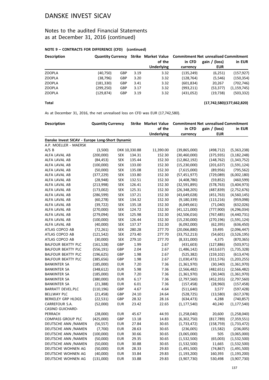### Notes to the audited Financial Statements as at December 31, 2016 (continued)

#### **NOTE 9 – CONTRACTS FOR DIFFERENCE (CFD) (continued)**

| <b>Description</b> | <b>Quantity Currency</b> |            |      |                   | Strike Market Value Commitment Net unrealised Commitment |               |               |  |
|--------------------|--------------------------|------------|------|-------------------|----------------------------------------------------------|---------------|---------------|--|
|                    |                          |            |      | of the            | in CFD                                                   | gain / (loss) | in EUR        |  |
|                    |                          |            |      | <b>Underlying</b> | currency                                                 | <b>EUR</b>    |               |  |
| <b>ZOOPLA</b>      | (40,750)                 | <b>GBP</b> | 3.19 | 3.32              | (135, 249)                                               | (6,251)       | (157, 927)    |  |
| <b>ZOOPLA</b>      | (38, 796)                | <b>GBP</b> | 3.20 | 3.32              | (128, 764)                                               | (5, 546)      | (150, 354)    |  |
| <b>ZOOPLA</b>      | (181, 330)               | <b>GBP</b> | 3.41 | 3.32              | (601, 834)                                               | 20,267        | (702, 746)    |  |
| <b>ZOOPLA</b>      | (299, 250)               | <b>GBP</b> | 3.17 | 3.32              | (993, 211)                                               | (53, 377)     | (1, 159, 745) |  |
| <b>ZOOPLA</b>      | (129, 874)               | <b>GBP</b> | 3.19 | 3.32              | (431,052)                                                | (19, 738)     | (503, 332)    |  |

**Total (17,742,580)(177,662,820)**

As at December 31, 2016, the net unrealised loss on CFD was EUR (17,742,580).

| of the<br>in CFD<br>gain / (loss)<br>in EUR<br><b>EUR</b><br><b>Underlying</b><br>currency<br>Danske Invest SICAV - Europe Long-Short Dynamic<br>A.P. MOELLER - MAERSK<br>A/S B<br>(3,500)<br>DKK 10,330.88<br>11,390.00<br>(39,865,000)<br>(498, 712)<br>(5,363,238)<br>ALFA LAVAL AB<br>(200,000)<br><b>SEK</b><br>134.31<br>152.30<br>(30, 460, 000)<br>(375, 935)<br>(3, 182, 248)<br>(84, 453)<br><b>SEK</b><br>152.30<br>ALFA LAVAL AB<br>135.44<br>(12,862,192)<br>(148, 762)<br>(1,343,752)<br>ALFA LAVAL AB<br>(100,000)<br><b>SEK</b><br>133.00<br>152.30<br>(15, 230, 000)<br>(201, 637)<br>(1,591,124)<br><b>SEK</b><br>152.30<br>ALFA LAVAL AB<br>(50,000)<br>135.08<br>(7,615,000)<br>(89, 956)<br>(795, 562)<br><b>SEK</b><br>ALFA LAVAL AB<br>(377, 229)<br>133.80<br>152.30<br>(57, 451, 977)<br>(729,089)<br>(6,002,180)<br>(28, 948)<br><b>SEK</b><br>152.30<br>(4,408,780)<br>(460, 599)<br>ALFA LAVAL AB<br>132.51<br>(59, 852)<br><b>SEK</b><br>(578, 763)<br>ALFA LAVAL AB<br>(213,998)<br>126.41<br>152.30<br>(32,591,895)<br>(3,404,973)<br>ALFA LAVAL AB<br>(173,002)<br><b>SEK</b><br>125.31<br>152.30<br>(26, 348, 205)<br>(487, 839)<br>(2,752,676)<br>(286, 599)<br><b>SEK</b><br>137.21<br>152.30<br>(43, 649, 028)<br>(451, 763)<br>(4,560,145)<br>ALFA LAVAL AB<br><b>SEK</b><br>152.30<br>ALFA LAVAL AB<br>(60, 278)<br>134.32<br>(9, 180, 339)<br>(113, 216)<br>(959,098)<br><b>SEK</b><br>ALFA LAVAL AB<br>(39, 722)<br>135.18<br>152.30<br>(6,049,661)<br>(71,040)<br>(632, 026)<br>ALFA LAVAL AB<br>(270,000)<br><b>SEK</b><br>124.72<br>152.30<br>(41, 121, 000)<br>(777,900)<br>(4, 296, 034)<br>(279,094)<br><b>SEK</b><br>125.98<br>152.30<br>(42,506,016)<br>(767, 485)<br>(4,440,731)<br>ALFA LAVAL AB<br><b>SEK</b><br>152.30<br>ALFA LAVAL AB<br>(100,000)<br>126.44<br>(15, 230, 000)<br>(270, 196)<br>(1,591,124)<br>ALFA LAVAL AB<br>(40,000)<br><b>SEK</b><br>137.37<br>152.30<br>(6,092,000)<br>(62, 395)<br>(636, 450)<br>ATLAS COPCO AB<br><b>SEK</b><br>277.70<br>(72, 261)<br>280.28<br>(20,066,880)<br>19,495<br>(2,096,447)<br>ATLAS COPCO AB<br><b>SEK</b><br>277.70<br>(121, 542)<br>273.40<br>(33,752,213)<br>(54, 601)<br>(3,526,195)<br>ATLAS COPCO AB<br>(30,000)<br><b>SEK</b><br>279.10<br>277.70<br>(8,331,000)<br>4,375<br>(870, 365)<br>GBP<br>1.99<br>2.67<br>(127, 886)<br>(503, 971)<br><b>BALFOUR BEATTY PLC</b><br>(161, 528)<br>(431, 603)<br>(556, 191)<br>GBP<br>2.04<br>2.67<br><b>BALFOUR BEATTY PLC</b><br>(1,486,142)<br>(413, 637)<br>(1,735,328)<br><b>BALFOUR BEATTY PLC</b><br>(196, 625)<br>GBP<br>1.98<br>2.67<br>(525, 382)<br>(159, 102)<br>(613, 474)<br>GBP<br>1.98<br>2.67<br><b>BALFOUR BEATTY PLC</b><br>(385, 656)<br>(1,030,473)<br>(311,576)<br>(1,203,255)<br><b>EUR</b><br>7.20<br>7.36<br><b>BANKINTER SA</b><br>(185,000)<br>(1,361,970)<br>(30, 340)<br>(1,361,970)<br><b>BANKINTER SA</b><br>(348, 612)<br><b>EUR</b><br>5.98<br>7.36<br>(2,566,482)<br>(482, 651)<br>(2,566,482)<br>(185,000)<br><b>EUR</b><br>7.20<br>7.36<br>(30, 340)<br>(1,361,970)<br><b>BANKINTER SA</b><br>(1,361,970)<br><b>EUR</b><br>6.17<br>7.36<br><b>BANKINTER SA</b><br>(380,000)<br>(2,797,560)<br>(452, 355)<br>(2,797,560)<br>6.01<br>7.36<br><b>BANKINTER SA</b><br>(21, 388)<br><b>EUR</b><br>(157, 458)<br>(28,960)<br>GBP<br>4.67<br>4.64<br><b>BARRATT DEVEL.PLC</b><br>(110, 196)<br>(511, 640)<br>3,577<br>(597, 428)<br>24.64<br><b>BELLWAY PLC</b><br>(21, 458)<br>GBP<br>24.10<br>(528, 725)<br>(13,580)<br>(617, 378)<br><b>BERKELEY GRP HLDGS</b><br>(22, 531)<br>GBP<br>(634, 473)<br>4,288<br>28.32<br>28.16<br>(52,000)<br><b>EUR</b><br>23.42<br>22.65<br>(1, 177, 540)<br>(1, 177, 540)<br>CARREFOUR S.A.<br>40,240<br><b>CASINO GUICHARD-</b><br>PERRACH<br>(28,000)<br>45.67<br>(1,258,040)<br>20,600<br>(1,258,040)<br><b>EUR</b><br>44.93<br><b>COMPASS GROUP PLC</b><br>(425,000)<br>GBP<br>(6,302,750)<br>(817, 789)<br>13.18<br>14.83<br>(7, 359, 551)<br>30.65<br>(56, 557)<br><b>EUR</b><br>27.84<br>(158, 759)<br>DEUTSCHE ANN /NAMEN<br>(1,733,472)<br>(1,733,472)<br>DEUTSCHE ANN /NAMEN<br>(15, 582)<br>(7,700)<br><b>EUR</b><br>28.63<br>30.65<br>(236,005)<br>(236,005)<br>DEUTSCHE ANN /NAMEN<br>(100,000)<br>30.66<br>30.65<br>(3,065,000)<br>505<br>(3,065,000)<br><b>EUR</b><br>DEUTSCHE ANN /NAMEN<br>(50,000)<br><b>EUR</b><br>29.35<br>30.65<br>(1,532,500)<br>(65,003)<br>(1,532,500)<br>DEUTSCHE ANN /NAMEN<br><b>EUR</b><br>30.88<br>(1,532,500)<br>(1,532,500)<br>(50,000)<br>30.65<br>11,665<br>DEUTSCHE WOHNEN AG<br>29.83<br>(50,000)<br><b>EUR</b><br>28.33<br>(1,491,500)<br>(74, 867)<br>(1,491,500)<br>DEUTSCHE WOHNEN AG<br>(40,000)<br><b>EUR</b><br>33.84<br>29.83<br>(1, 193, 200)<br>160,393<br>(1, 193, 200)<br>DEUTSCHE WOHNEN AG<br>(131,000)<br><b>EUR</b><br>33.88<br>29.83<br>(3,907,730)<br>530,498<br>(3,907,730) | <b>Description</b> | <b>Quantity Currency</b> |  | <b>Strike Market Value</b> | <b>Commitment Net unrealised Commitment</b> |  |  |  |
|--------------------------------------------------------------------------------------------------------------------------------------------------------------------------------------------------------------------------------------------------------------------------------------------------------------------------------------------------------------------------------------------------------------------------------------------------------------------------------------------------------------------------------------------------------------------------------------------------------------------------------------------------------------------------------------------------------------------------------------------------------------------------------------------------------------------------------------------------------------------------------------------------------------------------------------------------------------------------------------------------------------------------------------------------------------------------------------------------------------------------------------------------------------------------------------------------------------------------------------------------------------------------------------------------------------------------------------------------------------------------------------------------------------------------------------------------------------------------------------------------------------------------------------------------------------------------------------------------------------------------------------------------------------------------------------------------------------------------------------------------------------------------------------------------------------------------------------------------------------------------------------------------------------------------------------------------------------------------------------------------------------------------------------------------------------------------------------------------------------------------------------------------------------------------------------------------------------------------------------------------------------------------------------------------------------------------------------------------------------------------------------------------------------------------------------------------------------------------------------------------------------------------------------------------------------------------------------------------------------------------------------------------------------------------------------------------------------------------------------------------------------------------------------------------------------------------------------------------------------------------------------------------------------------------------------------------------------------------------------------------------------------------------------------------------------------------------------------------------------------------------------------------------------------------------------------------------------------------------------------------------------------------------------------------------------------------------------------------------------------------------------------------------------------------------------------------------------------------------------------------------------------------------------------------------------------------------------------------------------------------------------------------------------------------------------------------------------------------------------------------------------------------------------------------------------------------------------------------------------------------------------------------------------------------------------------------------------------------------------------------------------------------------------------------------------------------------------------------------------------------------------------------------------------------------------------------------------------------------------------------------------------------------------------------------------------------------------------------------------------------------------------------------------------------------------------------------------------------------------------------------------------------------------------------------------------------------------------------------------------------------------------------------------------------------------------------------------------------------------------------------------------------------------------------------------------------------------------------------------------------|--------------------|--------------------------|--|----------------------------|---------------------------------------------|--|--|--|
| (157, 458)<br>(740, 857)                                                                                                                                                                                                                                                                                                                                                                                                                                                                                                                                                                                                                                                                                                                                                                                                                                                                                                                                                                                                                                                                                                                                                                                                                                                                                                                                                                                                                                                                                                                                                                                                                                                                                                                                                                                                                                                                                                                                                                                                                                                                                                                                                                                                                                                                                                                                                                                                                                                                                                                                                                                                                                                                                                                                                                                                                                                                                                                                                                                                                                                                                                                                                                                                                                                                                                                                                                                                                                                                                                                                                                                                                                                                                                                                                                                                                                                                                                                                                                                                                                                                                                                                                                                                                                                                                                                                                                                                                                                                                                                                                                                                                                                                                                                                                                                                                                                 |                    |                          |  |                            |                                             |  |  |  |
|                                                                                                                                                                                                                                                                                                                                                                                                                                                                                                                                                                                                                                                                                                                                                                                                                                                                                                                                                                                                                                                                                                                                                                                                                                                                                                                                                                                                                                                                                                                                                                                                                                                                                                                                                                                                                                                                                                                                                                                                                                                                                                                                                                                                                                                                                                                                                                                                                                                                                                                                                                                                                                                                                                                                                                                                                                                                                                                                                                                                                                                                                                                                                                                                                                                                                                                                                                                                                                                                                                                                                                                                                                                                                                                                                                                                                                                                                                                                                                                                                                                                                                                                                                                                                                                                                                                                                                                                                                                                                                                                                                                                                                                                                                                                                                                                                                                                          |                    |                          |  |                            |                                             |  |  |  |
|                                                                                                                                                                                                                                                                                                                                                                                                                                                                                                                                                                                                                                                                                                                                                                                                                                                                                                                                                                                                                                                                                                                                                                                                                                                                                                                                                                                                                                                                                                                                                                                                                                                                                                                                                                                                                                                                                                                                                                                                                                                                                                                                                                                                                                                                                                                                                                                                                                                                                                                                                                                                                                                                                                                                                                                                                                                                                                                                                                                                                                                                                                                                                                                                                                                                                                                                                                                                                                                                                                                                                                                                                                                                                                                                                                                                                                                                                                                                                                                                                                                                                                                                                                                                                                                                                                                                                                                                                                                                                                                                                                                                                                                                                                                                                                                                                                                                          |                    |                          |  |                            |                                             |  |  |  |
|                                                                                                                                                                                                                                                                                                                                                                                                                                                                                                                                                                                                                                                                                                                                                                                                                                                                                                                                                                                                                                                                                                                                                                                                                                                                                                                                                                                                                                                                                                                                                                                                                                                                                                                                                                                                                                                                                                                                                                                                                                                                                                                                                                                                                                                                                                                                                                                                                                                                                                                                                                                                                                                                                                                                                                                                                                                                                                                                                                                                                                                                                                                                                                                                                                                                                                                                                                                                                                                                                                                                                                                                                                                                                                                                                                                                                                                                                                                                                                                                                                                                                                                                                                                                                                                                                                                                                                                                                                                                                                                                                                                                                                                                                                                                                                                                                                                                          |                    |                          |  |                            |                                             |  |  |  |
|                                                                                                                                                                                                                                                                                                                                                                                                                                                                                                                                                                                                                                                                                                                                                                                                                                                                                                                                                                                                                                                                                                                                                                                                                                                                                                                                                                                                                                                                                                                                                                                                                                                                                                                                                                                                                                                                                                                                                                                                                                                                                                                                                                                                                                                                                                                                                                                                                                                                                                                                                                                                                                                                                                                                                                                                                                                                                                                                                                                                                                                                                                                                                                                                                                                                                                                                                                                                                                                                                                                                                                                                                                                                                                                                                                                                                                                                                                                                                                                                                                                                                                                                                                                                                                                                                                                                                                                                                                                                                                                                                                                                                                                                                                                                                                                                                                                                          |                    |                          |  |                            |                                             |  |  |  |
|                                                                                                                                                                                                                                                                                                                                                                                                                                                                                                                                                                                                                                                                                                                                                                                                                                                                                                                                                                                                                                                                                                                                                                                                                                                                                                                                                                                                                                                                                                                                                                                                                                                                                                                                                                                                                                                                                                                                                                                                                                                                                                                                                                                                                                                                                                                                                                                                                                                                                                                                                                                                                                                                                                                                                                                                                                                                                                                                                                                                                                                                                                                                                                                                                                                                                                                                                                                                                                                                                                                                                                                                                                                                                                                                                                                                                                                                                                                                                                                                                                                                                                                                                                                                                                                                                                                                                                                                                                                                                                                                                                                                                                                                                                                                                                                                                                                                          |                    |                          |  |                            |                                             |  |  |  |
|                                                                                                                                                                                                                                                                                                                                                                                                                                                                                                                                                                                                                                                                                                                                                                                                                                                                                                                                                                                                                                                                                                                                                                                                                                                                                                                                                                                                                                                                                                                                                                                                                                                                                                                                                                                                                                                                                                                                                                                                                                                                                                                                                                                                                                                                                                                                                                                                                                                                                                                                                                                                                                                                                                                                                                                                                                                                                                                                                                                                                                                                                                                                                                                                                                                                                                                                                                                                                                                                                                                                                                                                                                                                                                                                                                                                                                                                                                                                                                                                                                                                                                                                                                                                                                                                                                                                                                                                                                                                                                                                                                                                                                                                                                                                                                                                                                                                          |                    |                          |  |                            |                                             |  |  |  |
|                                                                                                                                                                                                                                                                                                                                                                                                                                                                                                                                                                                                                                                                                                                                                                                                                                                                                                                                                                                                                                                                                                                                                                                                                                                                                                                                                                                                                                                                                                                                                                                                                                                                                                                                                                                                                                                                                                                                                                                                                                                                                                                                                                                                                                                                                                                                                                                                                                                                                                                                                                                                                                                                                                                                                                                                                                                                                                                                                                                                                                                                                                                                                                                                                                                                                                                                                                                                                                                                                                                                                                                                                                                                                                                                                                                                                                                                                                                                                                                                                                                                                                                                                                                                                                                                                                                                                                                                                                                                                                                                                                                                                                                                                                                                                                                                                                                                          |                    |                          |  |                            |                                             |  |  |  |
|                                                                                                                                                                                                                                                                                                                                                                                                                                                                                                                                                                                                                                                                                                                                                                                                                                                                                                                                                                                                                                                                                                                                                                                                                                                                                                                                                                                                                                                                                                                                                                                                                                                                                                                                                                                                                                                                                                                                                                                                                                                                                                                                                                                                                                                                                                                                                                                                                                                                                                                                                                                                                                                                                                                                                                                                                                                                                                                                                                                                                                                                                                                                                                                                                                                                                                                                                                                                                                                                                                                                                                                                                                                                                                                                                                                                                                                                                                                                                                                                                                                                                                                                                                                                                                                                                                                                                                                                                                                                                                                                                                                                                                                                                                                                                                                                                                                                          |                    |                          |  |                            |                                             |  |  |  |
|                                                                                                                                                                                                                                                                                                                                                                                                                                                                                                                                                                                                                                                                                                                                                                                                                                                                                                                                                                                                                                                                                                                                                                                                                                                                                                                                                                                                                                                                                                                                                                                                                                                                                                                                                                                                                                                                                                                                                                                                                                                                                                                                                                                                                                                                                                                                                                                                                                                                                                                                                                                                                                                                                                                                                                                                                                                                                                                                                                                                                                                                                                                                                                                                                                                                                                                                                                                                                                                                                                                                                                                                                                                                                                                                                                                                                                                                                                                                                                                                                                                                                                                                                                                                                                                                                                                                                                                                                                                                                                                                                                                                                                                                                                                                                                                                                                                                          |                    |                          |  |                            |                                             |  |  |  |
|                                                                                                                                                                                                                                                                                                                                                                                                                                                                                                                                                                                                                                                                                                                                                                                                                                                                                                                                                                                                                                                                                                                                                                                                                                                                                                                                                                                                                                                                                                                                                                                                                                                                                                                                                                                                                                                                                                                                                                                                                                                                                                                                                                                                                                                                                                                                                                                                                                                                                                                                                                                                                                                                                                                                                                                                                                                                                                                                                                                                                                                                                                                                                                                                                                                                                                                                                                                                                                                                                                                                                                                                                                                                                                                                                                                                                                                                                                                                                                                                                                                                                                                                                                                                                                                                                                                                                                                                                                                                                                                                                                                                                                                                                                                                                                                                                                                                          |                    |                          |  |                            |                                             |  |  |  |
|                                                                                                                                                                                                                                                                                                                                                                                                                                                                                                                                                                                                                                                                                                                                                                                                                                                                                                                                                                                                                                                                                                                                                                                                                                                                                                                                                                                                                                                                                                                                                                                                                                                                                                                                                                                                                                                                                                                                                                                                                                                                                                                                                                                                                                                                                                                                                                                                                                                                                                                                                                                                                                                                                                                                                                                                                                                                                                                                                                                                                                                                                                                                                                                                                                                                                                                                                                                                                                                                                                                                                                                                                                                                                                                                                                                                                                                                                                                                                                                                                                                                                                                                                                                                                                                                                                                                                                                                                                                                                                                                                                                                                                                                                                                                                                                                                                                                          |                    |                          |  |                            |                                             |  |  |  |
|                                                                                                                                                                                                                                                                                                                                                                                                                                                                                                                                                                                                                                                                                                                                                                                                                                                                                                                                                                                                                                                                                                                                                                                                                                                                                                                                                                                                                                                                                                                                                                                                                                                                                                                                                                                                                                                                                                                                                                                                                                                                                                                                                                                                                                                                                                                                                                                                                                                                                                                                                                                                                                                                                                                                                                                                                                                                                                                                                                                                                                                                                                                                                                                                                                                                                                                                                                                                                                                                                                                                                                                                                                                                                                                                                                                                                                                                                                                                                                                                                                                                                                                                                                                                                                                                                                                                                                                                                                                                                                                                                                                                                                                                                                                                                                                                                                                                          |                    |                          |  |                            |                                             |  |  |  |
|                                                                                                                                                                                                                                                                                                                                                                                                                                                                                                                                                                                                                                                                                                                                                                                                                                                                                                                                                                                                                                                                                                                                                                                                                                                                                                                                                                                                                                                                                                                                                                                                                                                                                                                                                                                                                                                                                                                                                                                                                                                                                                                                                                                                                                                                                                                                                                                                                                                                                                                                                                                                                                                                                                                                                                                                                                                                                                                                                                                                                                                                                                                                                                                                                                                                                                                                                                                                                                                                                                                                                                                                                                                                                                                                                                                                                                                                                                                                                                                                                                                                                                                                                                                                                                                                                                                                                                                                                                                                                                                                                                                                                                                                                                                                                                                                                                                                          |                    |                          |  |                            |                                             |  |  |  |
|                                                                                                                                                                                                                                                                                                                                                                                                                                                                                                                                                                                                                                                                                                                                                                                                                                                                                                                                                                                                                                                                                                                                                                                                                                                                                                                                                                                                                                                                                                                                                                                                                                                                                                                                                                                                                                                                                                                                                                                                                                                                                                                                                                                                                                                                                                                                                                                                                                                                                                                                                                                                                                                                                                                                                                                                                                                                                                                                                                                                                                                                                                                                                                                                                                                                                                                                                                                                                                                                                                                                                                                                                                                                                                                                                                                                                                                                                                                                                                                                                                                                                                                                                                                                                                                                                                                                                                                                                                                                                                                                                                                                                                                                                                                                                                                                                                                                          |                    |                          |  |                            |                                             |  |  |  |
|                                                                                                                                                                                                                                                                                                                                                                                                                                                                                                                                                                                                                                                                                                                                                                                                                                                                                                                                                                                                                                                                                                                                                                                                                                                                                                                                                                                                                                                                                                                                                                                                                                                                                                                                                                                                                                                                                                                                                                                                                                                                                                                                                                                                                                                                                                                                                                                                                                                                                                                                                                                                                                                                                                                                                                                                                                                                                                                                                                                                                                                                                                                                                                                                                                                                                                                                                                                                                                                                                                                                                                                                                                                                                                                                                                                                                                                                                                                                                                                                                                                                                                                                                                                                                                                                                                                                                                                                                                                                                                                                                                                                                                                                                                                                                                                                                                                                          |                    |                          |  |                            |                                             |  |  |  |
|                                                                                                                                                                                                                                                                                                                                                                                                                                                                                                                                                                                                                                                                                                                                                                                                                                                                                                                                                                                                                                                                                                                                                                                                                                                                                                                                                                                                                                                                                                                                                                                                                                                                                                                                                                                                                                                                                                                                                                                                                                                                                                                                                                                                                                                                                                                                                                                                                                                                                                                                                                                                                                                                                                                                                                                                                                                                                                                                                                                                                                                                                                                                                                                                                                                                                                                                                                                                                                                                                                                                                                                                                                                                                                                                                                                                                                                                                                                                                                                                                                                                                                                                                                                                                                                                                                                                                                                                                                                                                                                                                                                                                                                                                                                                                                                                                                                                          |                    |                          |  |                            |                                             |  |  |  |
|                                                                                                                                                                                                                                                                                                                                                                                                                                                                                                                                                                                                                                                                                                                                                                                                                                                                                                                                                                                                                                                                                                                                                                                                                                                                                                                                                                                                                                                                                                                                                                                                                                                                                                                                                                                                                                                                                                                                                                                                                                                                                                                                                                                                                                                                                                                                                                                                                                                                                                                                                                                                                                                                                                                                                                                                                                                                                                                                                                                                                                                                                                                                                                                                                                                                                                                                                                                                                                                                                                                                                                                                                                                                                                                                                                                                                                                                                                                                                                                                                                                                                                                                                                                                                                                                                                                                                                                                                                                                                                                                                                                                                                                                                                                                                                                                                                                                          |                    |                          |  |                            |                                             |  |  |  |
|                                                                                                                                                                                                                                                                                                                                                                                                                                                                                                                                                                                                                                                                                                                                                                                                                                                                                                                                                                                                                                                                                                                                                                                                                                                                                                                                                                                                                                                                                                                                                                                                                                                                                                                                                                                                                                                                                                                                                                                                                                                                                                                                                                                                                                                                                                                                                                                                                                                                                                                                                                                                                                                                                                                                                                                                                                                                                                                                                                                                                                                                                                                                                                                                                                                                                                                                                                                                                                                                                                                                                                                                                                                                                                                                                                                                                                                                                                                                                                                                                                                                                                                                                                                                                                                                                                                                                                                                                                                                                                                                                                                                                                                                                                                                                                                                                                                                          |                    |                          |  |                            |                                             |  |  |  |
|                                                                                                                                                                                                                                                                                                                                                                                                                                                                                                                                                                                                                                                                                                                                                                                                                                                                                                                                                                                                                                                                                                                                                                                                                                                                                                                                                                                                                                                                                                                                                                                                                                                                                                                                                                                                                                                                                                                                                                                                                                                                                                                                                                                                                                                                                                                                                                                                                                                                                                                                                                                                                                                                                                                                                                                                                                                                                                                                                                                                                                                                                                                                                                                                                                                                                                                                                                                                                                                                                                                                                                                                                                                                                                                                                                                                                                                                                                                                                                                                                                                                                                                                                                                                                                                                                                                                                                                                                                                                                                                                                                                                                                                                                                                                                                                                                                                                          |                    |                          |  |                            |                                             |  |  |  |
|                                                                                                                                                                                                                                                                                                                                                                                                                                                                                                                                                                                                                                                                                                                                                                                                                                                                                                                                                                                                                                                                                                                                                                                                                                                                                                                                                                                                                                                                                                                                                                                                                                                                                                                                                                                                                                                                                                                                                                                                                                                                                                                                                                                                                                                                                                                                                                                                                                                                                                                                                                                                                                                                                                                                                                                                                                                                                                                                                                                                                                                                                                                                                                                                                                                                                                                                                                                                                                                                                                                                                                                                                                                                                                                                                                                                                                                                                                                                                                                                                                                                                                                                                                                                                                                                                                                                                                                                                                                                                                                                                                                                                                                                                                                                                                                                                                                                          |                    |                          |  |                            |                                             |  |  |  |
|                                                                                                                                                                                                                                                                                                                                                                                                                                                                                                                                                                                                                                                                                                                                                                                                                                                                                                                                                                                                                                                                                                                                                                                                                                                                                                                                                                                                                                                                                                                                                                                                                                                                                                                                                                                                                                                                                                                                                                                                                                                                                                                                                                                                                                                                                                                                                                                                                                                                                                                                                                                                                                                                                                                                                                                                                                                                                                                                                                                                                                                                                                                                                                                                                                                                                                                                                                                                                                                                                                                                                                                                                                                                                                                                                                                                                                                                                                                                                                                                                                                                                                                                                                                                                                                                                                                                                                                                                                                                                                                                                                                                                                                                                                                                                                                                                                                                          |                    |                          |  |                            |                                             |  |  |  |
|                                                                                                                                                                                                                                                                                                                                                                                                                                                                                                                                                                                                                                                                                                                                                                                                                                                                                                                                                                                                                                                                                                                                                                                                                                                                                                                                                                                                                                                                                                                                                                                                                                                                                                                                                                                                                                                                                                                                                                                                                                                                                                                                                                                                                                                                                                                                                                                                                                                                                                                                                                                                                                                                                                                                                                                                                                                                                                                                                                                                                                                                                                                                                                                                                                                                                                                                                                                                                                                                                                                                                                                                                                                                                                                                                                                                                                                                                                                                                                                                                                                                                                                                                                                                                                                                                                                                                                                                                                                                                                                                                                                                                                                                                                                                                                                                                                                                          |                    |                          |  |                            |                                             |  |  |  |
|                                                                                                                                                                                                                                                                                                                                                                                                                                                                                                                                                                                                                                                                                                                                                                                                                                                                                                                                                                                                                                                                                                                                                                                                                                                                                                                                                                                                                                                                                                                                                                                                                                                                                                                                                                                                                                                                                                                                                                                                                                                                                                                                                                                                                                                                                                                                                                                                                                                                                                                                                                                                                                                                                                                                                                                                                                                                                                                                                                                                                                                                                                                                                                                                                                                                                                                                                                                                                                                                                                                                                                                                                                                                                                                                                                                                                                                                                                                                                                                                                                                                                                                                                                                                                                                                                                                                                                                                                                                                                                                                                                                                                                                                                                                                                                                                                                                                          |                    |                          |  |                            |                                             |  |  |  |
|                                                                                                                                                                                                                                                                                                                                                                                                                                                                                                                                                                                                                                                                                                                                                                                                                                                                                                                                                                                                                                                                                                                                                                                                                                                                                                                                                                                                                                                                                                                                                                                                                                                                                                                                                                                                                                                                                                                                                                                                                                                                                                                                                                                                                                                                                                                                                                                                                                                                                                                                                                                                                                                                                                                                                                                                                                                                                                                                                                                                                                                                                                                                                                                                                                                                                                                                                                                                                                                                                                                                                                                                                                                                                                                                                                                                                                                                                                                                                                                                                                                                                                                                                                                                                                                                                                                                                                                                                                                                                                                                                                                                                                                                                                                                                                                                                                                                          |                    |                          |  |                            |                                             |  |  |  |
|                                                                                                                                                                                                                                                                                                                                                                                                                                                                                                                                                                                                                                                                                                                                                                                                                                                                                                                                                                                                                                                                                                                                                                                                                                                                                                                                                                                                                                                                                                                                                                                                                                                                                                                                                                                                                                                                                                                                                                                                                                                                                                                                                                                                                                                                                                                                                                                                                                                                                                                                                                                                                                                                                                                                                                                                                                                                                                                                                                                                                                                                                                                                                                                                                                                                                                                                                                                                                                                                                                                                                                                                                                                                                                                                                                                                                                                                                                                                                                                                                                                                                                                                                                                                                                                                                                                                                                                                                                                                                                                                                                                                                                                                                                                                                                                                                                                                          |                    |                          |  |                            |                                             |  |  |  |
|                                                                                                                                                                                                                                                                                                                                                                                                                                                                                                                                                                                                                                                                                                                                                                                                                                                                                                                                                                                                                                                                                                                                                                                                                                                                                                                                                                                                                                                                                                                                                                                                                                                                                                                                                                                                                                                                                                                                                                                                                                                                                                                                                                                                                                                                                                                                                                                                                                                                                                                                                                                                                                                                                                                                                                                                                                                                                                                                                                                                                                                                                                                                                                                                                                                                                                                                                                                                                                                                                                                                                                                                                                                                                                                                                                                                                                                                                                                                                                                                                                                                                                                                                                                                                                                                                                                                                                                                                                                                                                                                                                                                                                                                                                                                                                                                                                                                          |                    |                          |  |                            |                                             |  |  |  |
|                                                                                                                                                                                                                                                                                                                                                                                                                                                                                                                                                                                                                                                                                                                                                                                                                                                                                                                                                                                                                                                                                                                                                                                                                                                                                                                                                                                                                                                                                                                                                                                                                                                                                                                                                                                                                                                                                                                                                                                                                                                                                                                                                                                                                                                                                                                                                                                                                                                                                                                                                                                                                                                                                                                                                                                                                                                                                                                                                                                                                                                                                                                                                                                                                                                                                                                                                                                                                                                                                                                                                                                                                                                                                                                                                                                                                                                                                                                                                                                                                                                                                                                                                                                                                                                                                                                                                                                                                                                                                                                                                                                                                                                                                                                                                                                                                                                                          |                    |                          |  |                            |                                             |  |  |  |
|                                                                                                                                                                                                                                                                                                                                                                                                                                                                                                                                                                                                                                                                                                                                                                                                                                                                                                                                                                                                                                                                                                                                                                                                                                                                                                                                                                                                                                                                                                                                                                                                                                                                                                                                                                                                                                                                                                                                                                                                                                                                                                                                                                                                                                                                                                                                                                                                                                                                                                                                                                                                                                                                                                                                                                                                                                                                                                                                                                                                                                                                                                                                                                                                                                                                                                                                                                                                                                                                                                                                                                                                                                                                                                                                                                                                                                                                                                                                                                                                                                                                                                                                                                                                                                                                                                                                                                                                                                                                                                                                                                                                                                                                                                                                                                                                                                                                          |                    |                          |  |                            |                                             |  |  |  |
|                                                                                                                                                                                                                                                                                                                                                                                                                                                                                                                                                                                                                                                                                                                                                                                                                                                                                                                                                                                                                                                                                                                                                                                                                                                                                                                                                                                                                                                                                                                                                                                                                                                                                                                                                                                                                                                                                                                                                                                                                                                                                                                                                                                                                                                                                                                                                                                                                                                                                                                                                                                                                                                                                                                                                                                                                                                                                                                                                                                                                                                                                                                                                                                                                                                                                                                                                                                                                                                                                                                                                                                                                                                                                                                                                                                                                                                                                                                                                                                                                                                                                                                                                                                                                                                                                                                                                                                                                                                                                                                                                                                                                                                                                                                                                                                                                                                                          |                    |                          |  |                            |                                             |  |  |  |
|                                                                                                                                                                                                                                                                                                                                                                                                                                                                                                                                                                                                                                                                                                                                                                                                                                                                                                                                                                                                                                                                                                                                                                                                                                                                                                                                                                                                                                                                                                                                                                                                                                                                                                                                                                                                                                                                                                                                                                                                                                                                                                                                                                                                                                                                                                                                                                                                                                                                                                                                                                                                                                                                                                                                                                                                                                                                                                                                                                                                                                                                                                                                                                                                                                                                                                                                                                                                                                                                                                                                                                                                                                                                                                                                                                                                                                                                                                                                                                                                                                                                                                                                                                                                                                                                                                                                                                                                                                                                                                                                                                                                                                                                                                                                                                                                                                                                          |                    |                          |  |                            |                                             |  |  |  |
|                                                                                                                                                                                                                                                                                                                                                                                                                                                                                                                                                                                                                                                                                                                                                                                                                                                                                                                                                                                                                                                                                                                                                                                                                                                                                                                                                                                                                                                                                                                                                                                                                                                                                                                                                                                                                                                                                                                                                                                                                                                                                                                                                                                                                                                                                                                                                                                                                                                                                                                                                                                                                                                                                                                                                                                                                                                                                                                                                                                                                                                                                                                                                                                                                                                                                                                                                                                                                                                                                                                                                                                                                                                                                                                                                                                                                                                                                                                                                                                                                                                                                                                                                                                                                                                                                                                                                                                                                                                                                                                                                                                                                                                                                                                                                                                                                                                                          |                    |                          |  |                            |                                             |  |  |  |
|                                                                                                                                                                                                                                                                                                                                                                                                                                                                                                                                                                                                                                                                                                                                                                                                                                                                                                                                                                                                                                                                                                                                                                                                                                                                                                                                                                                                                                                                                                                                                                                                                                                                                                                                                                                                                                                                                                                                                                                                                                                                                                                                                                                                                                                                                                                                                                                                                                                                                                                                                                                                                                                                                                                                                                                                                                                                                                                                                                                                                                                                                                                                                                                                                                                                                                                                                                                                                                                                                                                                                                                                                                                                                                                                                                                                                                                                                                                                                                                                                                                                                                                                                                                                                                                                                                                                                                                                                                                                                                                                                                                                                                                                                                                                                                                                                                                                          |                    |                          |  |                            |                                             |  |  |  |
|                                                                                                                                                                                                                                                                                                                                                                                                                                                                                                                                                                                                                                                                                                                                                                                                                                                                                                                                                                                                                                                                                                                                                                                                                                                                                                                                                                                                                                                                                                                                                                                                                                                                                                                                                                                                                                                                                                                                                                                                                                                                                                                                                                                                                                                                                                                                                                                                                                                                                                                                                                                                                                                                                                                                                                                                                                                                                                                                                                                                                                                                                                                                                                                                                                                                                                                                                                                                                                                                                                                                                                                                                                                                                                                                                                                                                                                                                                                                                                                                                                                                                                                                                                                                                                                                                                                                                                                                                                                                                                                                                                                                                                                                                                                                                                                                                                                                          |                    |                          |  |                            |                                             |  |  |  |
|                                                                                                                                                                                                                                                                                                                                                                                                                                                                                                                                                                                                                                                                                                                                                                                                                                                                                                                                                                                                                                                                                                                                                                                                                                                                                                                                                                                                                                                                                                                                                                                                                                                                                                                                                                                                                                                                                                                                                                                                                                                                                                                                                                                                                                                                                                                                                                                                                                                                                                                                                                                                                                                                                                                                                                                                                                                                                                                                                                                                                                                                                                                                                                                                                                                                                                                                                                                                                                                                                                                                                                                                                                                                                                                                                                                                                                                                                                                                                                                                                                                                                                                                                                                                                                                                                                                                                                                                                                                                                                                                                                                                                                                                                                                                                                                                                                                                          |                    |                          |  |                            |                                             |  |  |  |
|                                                                                                                                                                                                                                                                                                                                                                                                                                                                                                                                                                                                                                                                                                                                                                                                                                                                                                                                                                                                                                                                                                                                                                                                                                                                                                                                                                                                                                                                                                                                                                                                                                                                                                                                                                                                                                                                                                                                                                                                                                                                                                                                                                                                                                                                                                                                                                                                                                                                                                                                                                                                                                                                                                                                                                                                                                                                                                                                                                                                                                                                                                                                                                                                                                                                                                                                                                                                                                                                                                                                                                                                                                                                                                                                                                                                                                                                                                                                                                                                                                                                                                                                                                                                                                                                                                                                                                                                                                                                                                                                                                                                                                                                                                                                                                                                                                                                          |                    |                          |  |                            |                                             |  |  |  |
|                                                                                                                                                                                                                                                                                                                                                                                                                                                                                                                                                                                                                                                                                                                                                                                                                                                                                                                                                                                                                                                                                                                                                                                                                                                                                                                                                                                                                                                                                                                                                                                                                                                                                                                                                                                                                                                                                                                                                                                                                                                                                                                                                                                                                                                                                                                                                                                                                                                                                                                                                                                                                                                                                                                                                                                                                                                                                                                                                                                                                                                                                                                                                                                                                                                                                                                                                                                                                                                                                                                                                                                                                                                                                                                                                                                                                                                                                                                                                                                                                                                                                                                                                                                                                                                                                                                                                                                                                                                                                                                                                                                                                                                                                                                                                                                                                                                                          |                    |                          |  |                            |                                             |  |  |  |
|                                                                                                                                                                                                                                                                                                                                                                                                                                                                                                                                                                                                                                                                                                                                                                                                                                                                                                                                                                                                                                                                                                                                                                                                                                                                                                                                                                                                                                                                                                                                                                                                                                                                                                                                                                                                                                                                                                                                                                                                                                                                                                                                                                                                                                                                                                                                                                                                                                                                                                                                                                                                                                                                                                                                                                                                                                                                                                                                                                                                                                                                                                                                                                                                                                                                                                                                                                                                                                                                                                                                                                                                                                                                                                                                                                                                                                                                                                                                                                                                                                                                                                                                                                                                                                                                                                                                                                                                                                                                                                                                                                                                                                                                                                                                                                                                                                                                          |                    |                          |  |                            |                                             |  |  |  |
|                                                                                                                                                                                                                                                                                                                                                                                                                                                                                                                                                                                                                                                                                                                                                                                                                                                                                                                                                                                                                                                                                                                                                                                                                                                                                                                                                                                                                                                                                                                                                                                                                                                                                                                                                                                                                                                                                                                                                                                                                                                                                                                                                                                                                                                                                                                                                                                                                                                                                                                                                                                                                                                                                                                                                                                                                                                                                                                                                                                                                                                                                                                                                                                                                                                                                                                                                                                                                                                                                                                                                                                                                                                                                                                                                                                                                                                                                                                                                                                                                                                                                                                                                                                                                                                                                                                                                                                                                                                                                                                                                                                                                                                                                                                                                                                                                                                                          |                    |                          |  |                            |                                             |  |  |  |
|                                                                                                                                                                                                                                                                                                                                                                                                                                                                                                                                                                                                                                                                                                                                                                                                                                                                                                                                                                                                                                                                                                                                                                                                                                                                                                                                                                                                                                                                                                                                                                                                                                                                                                                                                                                                                                                                                                                                                                                                                                                                                                                                                                                                                                                                                                                                                                                                                                                                                                                                                                                                                                                                                                                                                                                                                                                                                                                                                                                                                                                                                                                                                                                                                                                                                                                                                                                                                                                                                                                                                                                                                                                                                                                                                                                                                                                                                                                                                                                                                                                                                                                                                                                                                                                                                                                                                                                                                                                                                                                                                                                                                                                                                                                                                                                                                                                                          |                    |                          |  |                            |                                             |  |  |  |
|                                                                                                                                                                                                                                                                                                                                                                                                                                                                                                                                                                                                                                                                                                                                                                                                                                                                                                                                                                                                                                                                                                                                                                                                                                                                                                                                                                                                                                                                                                                                                                                                                                                                                                                                                                                                                                                                                                                                                                                                                                                                                                                                                                                                                                                                                                                                                                                                                                                                                                                                                                                                                                                                                                                                                                                                                                                                                                                                                                                                                                                                                                                                                                                                                                                                                                                                                                                                                                                                                                                                                                                                                                                                                                                                                                                                                                                                                                                                                                                                                                                                                                                                                                                                                                                                                                                                                                                                                                                                                                                                                                                                                                                                                                                                                                                                                                                                          |                    |                          |  |                            |                                             |  |  |  |
|                                                                                                                                                                                                                                                                                                                                                                                                                                                                                                                                                                                                                                                                                                                                                                                                                                                                                                                                                                                                                                                                                                                                                                                                                                                                                                                                                                                                                                                                                                                                                                                                                                                                                                                                                                                                                                                                                                                                                                                                                                                                                                                                                                                                                                                                                                                                                                                                                                                                                                                                                                                                                                                                                                                                                                                                                                                                                                                                                                                                                                                                                                                                                                                                                                                                                                                                                                                                                                                                                                                                                                                                                                                                                                                                                                                                                                                                                                                                                                                                                                                                                                                                                                                                                                                                                                                                                                                                                                                                                                                                                                                                                                                                                                                                                                                                                                                                          |                    |                          |  |                            |                                             |  |  |  |
|                                                                                                                                                                                                                                                                                                                                                                                                                                                                                                                                                                                                                                                                                                                                                                                                                                                                                                                                                                                                                                                                                                                                                                                                                                                                                                                                                                                                                                                                                                                                                                                                                                                                                                                                                                                                                                                                                                                                                                                                                                                                                                                                                                                                                                                                                                                                                                                                                                                                                                                                                                                                                                                                                                                                                                                                                                                                                                                                                                                                                                                                                                                                                                                                                                                                                                                                                                                                                                                                                                                                                                                                                                                                                                                                                                                                                                                                                                                                                                                                                                                                                                                                                                                                                                                                                                                                                                                                                                                                                                                                                                                                                                                                                                                                                                                                                                                                          |                    |                          |  |                            |                                             |  |  |  |
|                                                                                                                                                                                                                                                                                                                                                                                                                                                                                                                                                                                                                                                                                                                                                                                                                                                                                                                                                                                                                                                                                                                                                                                                                                                                                                                                                                                                                                                                                                                                                                                                                                                                                                                                                                                                                                                                                                                                                                                                                                                                                                                                                                                                                                                                                                                                                                                                                                                                                                                                                                                                                                                                                                                                                                                                                                                                                                                                                                                                                                                                                                                                                                                                                                                                                                                                                                                                                                                                                                                                                                                                                                                                                                                                                                                                                                                                                                                                                                                                                                                                                                                                                                                                                                                                                                                                                                                                                                                                                                                                                                                                                                                                                                                                                                                                                                                                          |                    |                          |  |                            |                                             |  |  |  |
|                                                                                                                                                                                                                                                                                                                                                                                                                                                                                                                                                                                                                                                                                                                                                                                                                                                                                                                                                                                                                                                                                                                                                                                                                                                                                                                                                                                                                                                                                                                                                                                                                                                                                                                                                                                                                                                                                                                                                                                                                                                                                                                                                                                                                                                                                                                                                                                                                                                                                                                                                                                                                                                                                                                                                                                                                                                                                                                                                                                                                                                                                                                                                                                                                                                                                                                                                                                                                                                                                                                                                                                                                                                                                                                                                                                                                                                                                                                                                                                                                                                                                                                                                                                                                                                                                                                                                                                                                                                                                                                                                                                                                                                                                                                                                                                                                                                                          |                    |                          |  |                            |                                             |  |  |  |
|                                                                                                                                                                                                                                                                                                                                                                                                                                                                                                                                                                                                                                                                                                                                                                                                                                                                                                                                                                                                                                                                                                                                                                                                                                                                                                                                                                                                                                                                                                                                                                                                                                                                                                                                                                                                                                                                                                                                                                                                                                                                                                                                                                                                                                                                                                                                                                                                                                                                                                                                                                                                                                                                                                                                                                                                                                                                                                                                                                                                                                                                                                                                                                                                                                                                                                                                                                                                                                                                                                                                                                                                                                                                                                                                                                                                                                                                                                                                                                                                                                                                                                                                                                                                                                                                                                                                                                                                                                                                                                                                                                                                                                                                                                                                                                                                                                                                          |                    |                          |  |                            |                                             |  |  |  |
|                                                                                                                                                                                                                                                                                                                                                                                                                                                                                                                                                                                                                                                                                                                                                                                                                                                                                                                                                                                                                                                                                                                                                                                                                                                                                                                                                                                                                                                                                                                                                                                                                                                                                                                                                                                                                                                                                                                                                                                                                                                                                                                                                                                                                                                                                                                                                                                                                                                                                                                                                                                                                                                                                                                                                                                                                                                                                                                                                                                                                                                                                                                                                                                                                                                                                                                                                                                                                                                                                                                                                                                                                                                                                                                                                                                                                                                                                                                                                                                                                                                                                                                                                                                                                                                                                                                                                                                                                                                                                                                                                                                                                                                                                                                                                                                                                                                                          |                    |                          |  |                            |                                             |  |  |  |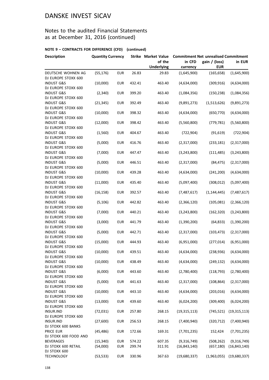### Notes to the audited Financial Statements as at December 31, 2016 (continued)

| <b>Description</b>                           | <b>Quantity Currency</b> |            |        | <b>Strike Market Value</b>  | <b>Commitment Net unrealised Commitment</b> |                             |                |  |
|----------------------------------------------|--------------------------|------------|--------|-----------------------------|---------------------------------------------|-----------------------------|----------------|--|
|                                              |                          |            |        | of the<br><b>Underlying</b> | in CFD<br>currency                          | gain / (loss)<br><b>EUR</b> | in EUR         |  |
| DEUTSCHE WOHNEN AG<br>DJ EUROPE STOXX 600    | (55, 176)                | <b>EUR</b> | 26.83  | 29.83                       | (1,645,900)                                 | (165, 658)                  | (1,645,900)    |  |
| <b>INDUST G&amp;S</b><br>DJ EUROPE STOXX 600 | (10,000)                 | <b>EUR</b> | 432.41 | 463.40                      | (4,634,000)                                 | (309, 916)                  | (4,634,000)    |  |
| <b>INDUST G&amp;S</b><br>DJ EUROPE STOXX 600 | (2, 340)                 | <b>EUR</b> | 399.20 | 463.40                      | (1,084,356)                                 | (150, 238)                  | (1,084,356)    |  |
| <b>INDUST G&amp;S</b><br>DJ EUROPE STOXX 600 | (21, 345)                | <b>EUR</b> | 392.49 | 463.40                      | (9,891,273)                                 | (1,513,626)                 | (9,891,273)    |  |
| <b>INDUST G&amp;S</b><br>DJ EUROPE STOXX 600 | (10,000)                 | <b>EUR</b> | 398.32 | 463.40                      | (4,634,000)                                 | (650, 770)                  | (4,634,000)    |  |
| <b>INDUST G&amp;S</b><br>DJ EUROPE STOXX 600 | (12,000)                 | <b>EUR</b> | 398.42 | 463.40                      | (5,560,800)                                 | (779, 781)                  | (5,560,800)    |  |
| <b>INDUST G&amp;S</b><br>DJ EUROPE STOXX 600 | (1, 560)                 | <b>EUR</b> | 404.67 | 463.40                      | (722, 904)                                  | (91, 619)                   | (722, 904)     |  |
| <b>INDUST G&amp;S</b><br>DJ EUROPE STOXX 600 | (5,000)                  | <b>EUR</b> | 416.76 | 463.40                      | (2,317,000)                                 | (233, 181)                  | (2,317,000)    |  |
| <b>INDUST G&amp;S</b><br>DJ EUROPE STOXX 600 | (7,000)                  | <b>EUR</b> | 447.47 | 463.40                      | (3, 243, 800)                               | (111, 485)                  | (3,243,800)    |  |
| <b>INDUST G&amp;S</b><br>DJ EUROPE STOXX 600 | (5,000)                  | <b>EUR</b> | 446.51 | 463.40                      | (2,317,000)                                 | (84, 475)                   | (2,317,000)    |  |
| <b>INDUST G&amp;S</b><br>DJ EUROPE STOXX 600 | (10,000)                 | <b>EUR</b> | 439.28 | 463.40                      | (4,634,000)                                 | (241, 200)                  | (4,634,000)    |  |
| <b>INDUST G&amp;S</b><br>DJ EUROPE STOXX 600 | (11,000)                 | <b>EUR</b> | 435.40 | 463.40                      | (5,097,400)                                 | (308, 012)                  | (5,097,400)    |  |
| <b>INDUST G&amp;S</b><br>DJ EUROPE STOXX 600 | (16, 158)                | <b>EUR</b> | 392.57 | 463.40                      | (7,487,617)                                 | (1, 144, 445)               | (7,487,617)    |  |
| <b>INDUST G&amp;S</b><br>DJ EUROPE STOXX 600 | (5, 106)                 | <b>EUR</b> | 442.82 | 463.40                      | (2,366,120)                                 | (105,081)                   | (2,366,120)    |  |
| <b>INDUST G&amp;S</b><br>DJ EUROPE STOXX 600 | (7,000)                  | <b>EUR</b> | 440.21 | 463.40                      | (3, 243, 800)                               | (162, 320)                  | (3,243,800)    |  |
| <b>INDUST G&amp;S</b><br>DJ EUROPE STOXX 600 | (3,000)                  | <b>EUR</b> | 441.79 | 463.40                      | (1,390,200)                                 | (64, 833)                   | (1,390,200)    |  |
| <b>INDUST G&amp;S</b><br>DJ EUROPE STOXX 600 | (5,000)                  | <b>EUR</b> | 442.71 | 463.40                      | (2,317,000)                                 | (103, 473)                  | (2,317,000)    |  |
| <b>INDUST G&amp;S</b><br>DJ EUROPE STOXX 600 | (15,000)                 | <b>EUR</b> | 444.93 | 463.40                      | (6,951,000)                                 | (277, 014)                  | (6,951,000)    |  |
| <b>INDUST G&amp;S</b><br>DJ EUROPE STOXX 600 | (10,000)                 | <b>EUR</b> | 439.51 | 463.40                      | (4,634,000)                                 | (238, 936)                  | (4,634,000)    |  |
| <b>INDUST G&amp;S</b><br>DJ EUROPE STOXX 600 | (10,000)                 | <b>EUR</b> | 438.49 | 463.40                      | (4,634,000)                                 | (249, 132)                  | (4,634,000)    |  |
| <b>INDUST G&amp;S</b><br>DJ EUROPE STOXX 600 | (6,000)                  | <b>EUR</b> | 443.60 | 463.40                      | (2,780,400)                                 | (118, 793)                  | (2,780,400)    |  |
| <b>INDUST G&amp;S</b><br>DJ EUROPE STOXX 600 | (5,000)                  | <b>EUR</b> | 441.63 | 463.40                      | (2,317,000)                                 | (108, 864)                  | (2,317,000)    |  |
| <b>INDUST G&amp;S</b><br>DJ EUROPE STOXX 600 | (10,000)                 | <b>EUR</b> | 443.10 | 463.40                      | (4,634,000)                                 | (203, 016)                  | (4,634,000)    |  |
| <b>INDUST G&amp;S</b><br>DJ EUROPE STOXX 600 | (13,000)                 | <b>EUR</b> | 439.60 | 463.40                      | (6,024,200)                                 | (309, 400)                  | (6,024,200)    |  |
| <b>INSUR.IND</b><br>DJ EUROPE STOXX 600      | (72, 031)                | <b>EUR</b> | 257.80 | 268.15                      | (19, 315, 113)                              | (745, 521)                  | (19, 315, 113) |  |
| INSUR.IND<br>DJ STOXX 600 BANKS              | (27,600)                 | <b>EUR</b> | 256.53 | 268.15                      | (7,400,940)                                 | (320, 712)                  | (7,400,940)    |  |
| PRICE EUR<br>DJ STOXX 600 FOOD AND           | (45, 486)                | <b>EUR</b> | 172.66 | 169.31                      | (7,701,235)                                 | 152,424                     | (7,701,235)    |  |
| <b>BEVERAGES</b>                             | (15, 340)                | <b>EUR</b> | 574.22 | 607.35                      | (9,316,749)                                 | (508, 262)                  | (9,316,749)    |  |
| DJ STOXX 600 RETAIL                          | (54,000)                 | <b>EUR</b> | 299.74 | 311.91                      | (16, 843, 140)                              | (657, 180)                  | (16, 843, 140) |  |
| DJ STOXX 600<br><b>TECHNOLOGY</b>            | (53, 533)                | <b>EUR</b> | 330.96 | 367.63                      | (19,680,337)                                | (1,963,055)                 | (19,680,337)   |  |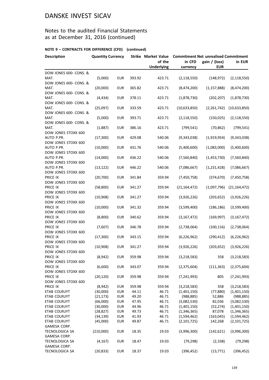### Notes to the audited Financial Statements as at December 31, 2016 (continued)

| <b>Description</b>                                     | <b>Quantity Currency</b> |            |        | of the            | Strike Market Value Commitment Net unrealised Commitment<br>in CFD<br>gain / (loss)<br>in EUR |               |                |  |
|--------------------------------------------------------|--------------------------|------------|--------|-------------------|-----------------------------------------------------------------------------------------------|---------------|----------------|--|
|                                                        |                          |            |        | <b>Underlying</b> | currency                                                                                      | <b>EUR</b>    |                |  |
| DOW JONES 600- CONS. &<br>MAT.                         | (5,000)                  | <b>EUR</b> | 393.92 | 423.71            | (2, 118, 550)                                                                                 | (148, 972)    | (2, 118, 550)  |  |
| DOW JONES 600- CONS. &<br>MAT.                         | (20,000)                 | <b>EUR</b> | 365.82 | 423.71            | (8,474,200)                                                                                   | (1, 157, 888) | (8,474,200)    |  |
| DOW JONES 600- CONS. &<br>MAT.                         | (4, 434)                 | <b>EUR</b> | 378.11 | 423.71            | (1,878,730)                                                                                   | (202, 207)    | (1,878,730)    |  |
| DOW JONES 600- CONS. &<br>MAT.                         | (25,097)                 | <b>EUR</b> | 333.59 | 423.71            | (10,633,850)                                                                                  | (2,261,742)   | (10,633,850)   |  |
| DOW JONES 600- CONS. &<br>MAT.                         | (5,000)                  | <b>EUR</b> | 393.71 | 423.71            | (2, 118, 550)                                                                                 | (150, 025)    | (2, 118, 550)  |  |
| DOW JONES 600- CONS. &<br>MAT.                         | (1,887)                  | <b>EUR</b> | 386.16 | 423.71            | (799, 541)                                                                                    | (70, 862)     | (799, 541)     |  |
| DOW JONES STOXX 600<br>AUTO P.PR.                      | (17, 300)                | <b>EUR</b> | 429.08 | 540.06            | (9,343,038)                                                                                   | (1,919,954)   | (9,343,038)    |  |
| DOW JONES STOXX 600<br>AUTO P.PR.                      | (10,000)                 | <b>EUR</b> | 431.76 | 540.06            | (5,400,600)                                                                                   | (1,083,000)   | (5,400,600)    |  |
| DOW JONES STOXX 600<br>AUTO P.PR.                      | (14,000)                 | <b>EUR</b> | 436.22 | 540.06            | (7,560,840)                                                                                   | (1,453,730)   | (7,560,840)    |  |
| DOW JONES STOXX 600<br>AUTO P.PR.                      | (13, 122)                | <b>EUR</b> | 446.22 | 540.06            | (7,086,667)                                                                                   | (1, 231, 428) | (7,086,667)    |  |
| DOW JONES STOXX 600<br>PRICE IX                        | (20, 700)                | <b>EUR</b> | 341.84 | 359.94            | (7,450,758)                                                                                   | (374, 670)    | (7,450,758)    |  |
| DOW JONES STOXX 600<br>PRICE IX                        | (58, 800)                | <b>EUR</b> | 341.27 | 359.94            | (21, 164, 472)                                                                                | (1,097,796)   | (21, 164, 472) |  |
| DOW JONES STOXX 600<br>PRICE IX                        | (10,908)                 | <b>EUR</b> | 341.27 | 359.94            | (3,926,226)                                                                                   | (203, 652)    | (3,926,226)    |  |
| DOW JONES STOXX 600<br>PRICE IX                        | (10,000)                 | <b>EUR</b> | 341.32 | 359.94            | (3,599,400)                                                                                   | (186, 186)    | (3,599,400)    |  |
| DOW JONES STOXX 600<br>PRICE IX                        | (8,800)                  | <b>EUR</b> | 340.62 | 359.94            | (3, 167, 472)                                                                                 | (169, 997)    | (3, 167, 472)  |  |
| DOW JONES STOXX 600<br>PRICE IX                        | (7,607)                  | <b>EUR</b> | 346.78 | 359.94            | (2,738,064)                                                                                   | (100, 116)    | (2,738,064)    |  |
| DOW JONES STOXX 600<br>PRICE IX<br>DOW JONES STOXX 600 | (17, 300)                | <b>EUR</b> | 343.15 | 359.94            | (6, 226, 962)                                                                                 | (290, 412)    | (6, 226, 962)  |  |
| PRICE IX<br>DOW JONES STOXX 600                        | (10,908)                 | <b>EUR</b> | 341.27 | 359.94            | (3,926,226)                                                                                   | (203, 652)    | (3,926,226)    |  |
| PRICE IX<br>DOW JONES STOXX 600                        | (8,942)                  | <b>EUR</b> | 359.98 | 359.94            | (3, 218, 583)                                                                                 | 358           | (3, 218, 583)  |  |
| PRICE IX<br>DOW JONES STOXX 600                        | (6,600)                  | <b>EUR</b> | 343.07 | 359.94            | (2,375,604)                                                                                   | (111, 363)    | (2,375,604)    |  |
| PRICE IX<br>DOW JONES STOXX 600                        | (20, 120)                | <b>EUR</b> | 359.98 | 359.94            | (7, 241, 993)                                                                                 | 805           | (7, 241, 993)  |  |
| PRICE IX                                               | (8,942)                  | <b>EUR</b> | 359.98 | 359.94            | (3,218,583)                                                                                   | 358           | (3, 218, 583)  |  |
| ETAB COLRUYT                                           | (30,000)                 | <b>EUR</b> | 44.11  | 46.71             | (1,401,150)                                                                                   | (77, 880)     | (1,401,150)    |  |
| <b>ETAB COLRUYT</b>                                    | (21, 173)                | <b>EUR</b> | 49.20  | 46.71             | (988, 885)                                                                                    | 52,886        | (988, 885)     |  |
| ETAB COLRUYT                                           | (66,000)                 | <b>EUR</b> | 47.95  | 46.71             | (3,082,530)                                                                                   | 82,036        | (3,082,530)    |  |
| ETAB COLRUYT                                           | (30,000)                 | <b>EUR</b> | 44.96  | 46.71             | (1,401,150)                                                                                   | (52, 274)     | (1,401,150)    |  |
| <b>ETAB COLRUYT</b>                                    | (28, 827)                | <b>EUR</b> | 49.73  | 46.71             | (1,346,365)                                                                                   | 87,078        | (1,346,365)    |  |
| ETAB COLRUYT                                           | (34, 139)                | <b>EUR</b> | 41.93  | 46.71             | (1,594,462)                                                                                   | (163, 045)    | (1,594,462)    |  |
| ETAB COLRUYT                                           | (45,000)                 | <b>EUR</b> | 49.87  | 46.71             | (2, 101, 725)                                                                                 | 142,268       | (2, 101, 725)  |  |
| GAMESA CORP.                                           |                          |            |        |                   |                                                                                               |               |                |  |
| TECNOLOGICA SA                                         | (210,000)                | <b>EUR</b> | 18.35  | 19.03             | (3,996,300)                                                                                   | (142, 621)    | (3,996,300)    |  |
| GAMESA CORP.<br>TECNOLOGICA SA                         | (4, 167)                 | <b>EUR</b> | 18.47  | 19.03             | (79, 298)                                                                                     | (2, 338)      | (79, 298)      |  |
| GAMESA CORP.                                           |                          |            |        |                   |                                                                                               |               |                |  |
| TECNOLOGICA SA                                         | (20, 833)                | <b>EUR</b> | 18.37  | 19.03             | (396, 452)                                                                                    | (13, 771)     | (396, 452)     |  |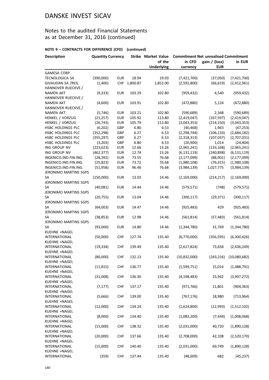### Notes to the audited Financial Statements as at December 31, 2016 (continued)

| <b>Description</b>       | <b>Quantity Currency</b> |            |          | <b>Strike Market Value</b> | <b>Commitment Net unrealised Commitment</b> |               |                               |  |
|--------------------------|--------------------------|------------|----------|----------------------------|---------------------------------------------|---------------|-------------------------------|--|
|                          |                          |            |          | of the                     | in CFD                                      | gain / (loss) | in EUR                        |  |
|                          |                          |            |          | <b>Underlying</b>          | currency                                    | <b>EUR</b>    |                               |  |
| GAMESA CORP.             |                          |            |          |                            |                                             |               |                               |  |
| TECNOLOGICA SA           | (390,000)                | <b>EUR</b> | 18.94    | 19.03                      | (7,421,700)                                 | (37,050)      | (7,421,700)                   |  |
| GIVAUDAN SA /REG.        | (1,400)                  | <b>CHF</b> | 1,800.87 | 1,852.00                   | (2,592,800)                                 | (66, 619)     | (2,412,961)                   |  |
| HANNOVER RUECKVE./       |                          |            |          |                            |                                             |               |                               |  |
| <b>NAMEN AKT</b>         | (9, 333)                 | <b>EUR</b> | 103.29   | 102.80                     | (959, 432)                                  | 4,540         | (959, 432)                    |  |
| HANNOVER RUECKVE./       |                          |            |          |                            |                                             |               |                               |  |
| <b>NAMEN AKT</b>         | (4,600)                  | <b>EUR</b> | 103.91   | 102.80                     | (472,880)                                   | 5,124         | (472, 880)                    |  |
| HANNOVER RUECKVE./       |                          |            |          |                            |                                             |               |                               |  |
| <b>NAMEN AKT</b>         | (5, 746)                 | <b>EUR</b> | 103.21   | 102.80                     | (590, 689)                                  | 2,348         | (590, 689)                    |  |
| HENKEL / VORZUG          | (21, 257)                | <b>EUR</b> | 105.92   | 113.80                     | (2,419,047)                                 | (167, 597)    | (2,419,047)                   |  |
| HENKEL / VORZUG          | (26, 743)                | <b>EUR</b> | 105.79   | 113.80                     | (3,043,353)                                 | (214, 150)    | (3,043,353)                   |  |
| <b>HSBC HOLDINGS PLC</b> | (6,202)                  | GBP        | 6.80     | 6.53                       | (40, 468)                                   | 1,963         | (47, 253)                     |  |
| HSBC HOLDINGS PLC        | (352, 298)               | GBP        | 6.27     | 6.53                       | (2, 298, 744)                               | (106, 133)    | (2,684,182)                   |  |
| HSBC HOLDINGS PLC        | (355, 297)               | GBP        | 6.27     | 6.53                       | (2,318,313)                                 | (107, 037)    | (2,707,031)                   |  |
| <b>HSBC HOLDINGS PLC</b> | (3, 203)                 | GBP        | 6.80     | 6.53                       | (20, 900)                                   | 1,014         | (24, 404)                     |  |
| ING GROUP NV             | (223, 623)               | <b>EUR</b> | 12.66    | 13.26                      | (2,965,241)                                 | (133, 168)    | (2,965,241)                   |  |
| ING GROUP NV             | (462, 377)               | <b>EUR</b> | 12.74    | 13.26                      | (6, 131, 119)                               | (240, 898)    | (6, 131, 119)                 |  |
| INGENICO.IND.FIN.ING.    | (28, 392)                | <b>EUR</b> | 73.55    | 76.68                      | (2, 177, 099)                               | (88,901)      | (2, 177, 099)                 |  |
| INGENICO.IND.FIN.ING.    | (25, 823)                | <b>EUR</b> | 73.72    | 76.68                      | (1,980,108)                                 | (76, 315)     | (1,980,108)                   |  |
| INGENICO.IND.FIN.ING.    | (51, 958)                | <b>EUR</b> | 96.46    | 76.68                      | (3,984,139)                                 | 1,027,775     | (3,984,139)                   |  |
| JERONIMO MARTINS SGPS    |                          |            |          |                            |                                             |               |                               |  |
| SA                       | (150,000)                | <b>EUR</b> | 13.03    | 14.46                      | (2, 169, 000)                               | (214, 217)    | (2, 169, 000)                 |  |
| JERONIMO MARTINS SGPS    |                          |            |          |                            |                                             |               |                               |  |
| SA                       | (40,081)                 | <b>EUR</b> | 14.44    | 14.46                      | (579, 571)                                  | (748)         | (579, 571)                    |  |
| JERONIMO MARTINS SGPS    |                          |            |          |                            |                                             |               |                               |  |
| SА                       | (20, 755)                | <b>EUR</b> | 13.04    | 14.46                      | (300, 117)                                  | (29, 371)     | (300, 117)                    |  |
| JERONIMO MARTINS SGPS    |                          |            |          |                            |                                             |               |                               |  |
| SА                       | (64,003)                 | <b>EUR</b> | 14.47    | 14.46                      | (925, 483)                                  | 429           | (925, 483)                    |  |
| JERONIMO MARTINS SGPS    |                          |            |          |                            |                                             |               |                               |  |
| SА                       | (38, 853)                | <b>EUR</b> | 12.98    | 14.46                      | (561, 814)                                  | (57, 483)     | (561, 814)                    |  |
| JERONIMO MARTINS SGPS    |                          |            |          |                            |                                             |               |                               |  |
| SA                       | (93,000)                 | <b>EUR</b> | 14.80    | 14.46                      | (1,344,780)                                 | 31,769        | (1,344,780)                   |  |
| KUEHNE +NAGEL            |                          |            |          |                            |                                             |               |                               |  |
| <b>INTERNATIONAL</b>     | (50,000)                 | <b>CHF</b> | 127.74   | 135.40                     | (6,770,000)                                 | (356, 595)    | (6,300,426)                   |  |
| KUEHNE +NAGEL            |                          |            |          |                            |                                             |               |                               |  |
| <b>INTERNATIONAL</b>     | (19, 334)                | <b>CHF</b> | 139.49   | 135.40                     | (2,617,824)                                 | 73,658        | (2,436,249)                   |  |
| KUEHNE +NAGEL            |                          |            |          |                            |                                             |               |                               |  |
| INTERNATIONAL            | (80,000)                 | CHF        | 132.13   | 135.40                     | (10, 832, 000)                              |               | $(243, 216)$ $(10, 080, 682)$ |  |
| KUEHNE +NAGEL            |                          |            |          |                            |                                             |               |                               |  |
| <b>INTERNATIONAL</b>     | (11, 815)                | <b>CHF</b> | 136.77   | 135.40                     | (1,599,751)                                 | 15,014        | (1,488,791)                   |  |
| KUEHNE +NAGEL            |                          |            |          |                            |                                             |               |                               |  |
| <b>INTERNATIONAL</b>     | (31,008)                 | <b>CHF</b> | 136.30   | 135.40                     | (4, 198, 483)                               | 25,942        | (3,907,272)                   |  |
| KUEHNE +NAGEL            |                          |            |          |                            |                                             |               |                               |  |
| <b>INTERNATIONAL</b>     | (7, 177)                 | <b>CHF</b> | 137.17   | 135.40                     | (971, 766)                                  | 11,801        | (904, 363)                    |  |
| KUEHNE +NAGEL            |                          |            |          |                            |                                             |               |                               |  |
| <b>INTERNATIONAL</b>     | (5,666)                  | <b>CHF</b> | 139.00   | 135.40                     | (767, 176)                                  | 18,980        | (713, 964)                    |  |
| KUEHNE +NAGEL            |                          |            |          |                            |                                             |               |                               |  |
| INTERNATIONAL            | (12,000)                 | <b>CHF</b> | 134.24   | 135.40                     | (1,624,800)                                 | (12,993)      | (1,512,102)                   |  |
| KUEHNE +NAGEL            |                          |            |          |                            |                                             |               |                               |  |
| INTERNATIONAL            | (8,000)                  | <b>CHF</b> | 134.40   | 135.40                     | (1,083,200)                                 | (7, 444)      | (1,008,068)                   |  |
| KUEHNE +NAGEL            |                          |            |          |                            |                                             |               |                               |  |
| INTERNATIONAL            | (15,000)                 | <b>CHF</b> | 138.32   | 135.40                     | (2,031,000)                                 | 40,720        | (1,890,128)                   |  |
| KUEHNE +NAGEL            |                          |            |          |                            |                                             |               |                               |  |
| INTERNATIONAL            | (20,000)                 | <b>CHF</b> | 137.66   | 135.40                     | (2,708,000)                                 | 42,108        | (2,520,170)                   |  |
| KUEHNE +NAGEL            |                          |            |          |                            |                                             |               |                               |  |
| <b>INTERNATIONAL</b>     | (15,000)                 | <b>CHF</b> | 140.40   | 135.40                     | (2,031,000)                                 | 69,749        | (1,890,128)                   |  |
| KUEHNE +NAGEL            |                          |            |          |                            |                                             |               |                               |  |
| INTERNATIONAL            | (359)                    | <b>CHF</b> | 137.44   | 135.40                     | (48, 609)                                   | 682           | (45, 237)                     |  |
|                          |                          |            |          |                            |                                             |               |                               |  |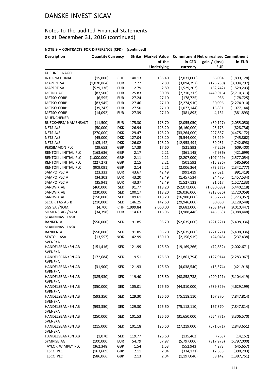### Notes to the audited Financial Statements as at December 31, 2016 (continued)

| <b>Description</b>   | <b>Quantity Currency</b> |            |          | <b>Strike Market Value</b> | <b>Commitment Net unrealised Commitment</b> |               |               |  |
|----------------------|--------------------------|------------|----------|----------------------------|---------------------------------------------|---------------|---------------|--|
|                      |                          |            |          | of the                     | in CFD                                      | gain / (loss) | in EUR        |  |
|                      |                          |            |          | <b>Underlying</b>          | currency                                    | <b>EUR</b>    |               |  |
| KUEHNE +NAGEL        |                          |            |          |                            |                                             |               |               |  |
| <b>INTERNATIONAL</b> | (15,000)                 | CHF        | 140.13   | 135.40                     | (2,031,000)                                 | 66,094        | (1,890,128)   |  |
| <b>MAPFRE SA</b>     | (1,070,864)              | <b>EUR</b> | 2.77     | 2.89                       | (3,094,797)                                 | (125, 789)    | (3,094,797)   |  |
| <b>MAPFRE SA</b>     | (529, 136)               | <b>EUR</b> | 2.79     | 2.89                       | (1,529,203)                                 | (52, 742)     | (1,529,203)   |  |
| <b>METRO AG</b>      | (87,500)                 | <b>EUR</b> | 25.83    | 30.98                      | (2,710,313)                                 | (449, 916)    | (2,710,313)   |  |
| <b>METSO CORP</b>    | (6, 595)                 | <b>EUR</b> | 27.24    | 27.10                      | (178, 725)                                  | 936           | (178, 725)    |  |
| <b>METSO CORP</b>    | (83, 945)                | <b>EUR</b> | 27.46    | 27.10                      | (2, 274, 910)                               | 30,096        | (2, 274, 910) |  |
| <b>METSO CORP</b>    | (39, 747)                | <b>EUR</b> | 27.50    | 27.10                      | (1,077,144)                                 | 15,831        | (1,077,144)   |  |
| METSO CORP           | (14,092)                 | <b>EUR</b> | 27.39    | 27.10                      | (381, 893)                                  | 4,131         | (381, 893)    |  |
| <b>MUENCHENER</b>    |                          |            |          |                            |                                             |               |               |  |
| RUECKVERS/ NAMENSAKT | (11,500)                 | <b>EUR</b> | 175.30   | 178.70                     | (2,055,050)                                 | (39, 127)     | (2,055,050)   |  |
| NETS A/S             | (50,000)                 | <b>DKK</b> | 126.94   | 123.20                     | (6, 160, 000)                               | 25,173        | (828, 736)    |  |
| NETS A/S             | (270,000)                | <b>DKK</b> | 129.47   | 123.20                     | (33, 264, 000)                              | 227,837       | (4, 475, 172) |  |
| NETS A/S             | (45,000)                 | <b>DKK</b> | 127.04   | 123.20                     | (5,544,000)                                 | 23,229        | (745, 862)    |  |
| NETS A/S             | (105, 142)               | <b>DKK</b> | 126.02   | 123.20                     | (12, 953, 494)                              | 39,951        | (1,742,698)   |  |
| PERSIMMON PLC        | (29, 653)                | GBP        | 17.39    | 17.60                      | (521,893)                                   | (7, 226)      | (609, 400)    |  |
| RENTOKIL INITIAL PLC | (163, 636)               | GBP        | 2.17     | 2.21                       | (361, 145)                                  | (7,936)       | (421, 699)    |  |
| RENTOKIL INITIAL PLC | (1,000,000)              | GBP        | 2.11     | 2.21                       | (2,207,000)                                 | (107, 429)    | (2,577,054)   |  |
| RENTOKIL INITIAL PLC | (227, 273)               | GBP        | 2.15     | 2.21                       | (501, 592)                                  | (15, 286)     | (585, 695)    |  |
| RENTOKIL INITIAL PLC | (909, 091)               | GBP        | 2.14     | 2.21                       | (2,006,364)                                 | (73, 572)     | (2,342,777)   |  |
| SAMPO PLC A          | (23, 333)                | <b>EUR</b> | 43.67    | 42.49                      | (991, 419)                                  | 27,621        | (991, 419)    |  |
| SAMPO PLC A          | (34, 303)                | <b>EUR</b> | 43.20    | 42.49                      | (1,457,534)                                 | 24,470        | (1,457,534)   |  |
| SAMPO PLC A          | (35, 941)                | <b>EUR</b> | 43.37    | 42.49                      | (1,527,133)                                 | 31,617        | (1,527,133)   |  |
| SANDVIK AB           | (460,000)                | <b>SEK</b> | 91.77    | 113.20                     | (52,072,000)                                | (1,030,083)   | (5,440,118)   |  |
| SANDVIK AB           | (230,000)                | <b>SEK</b> | 100.17   | 113.20                     | (26,036,000)                                | (313,036)     | (2,720,059)   |  |
| SANDVIK AB           | (150,000)                | <b>SEK</b> | 109.61   | 113.20                     | (16,980,000)                                | (56, 277)     | (1,773,952)   |  |
| SECURITAS AB B       | (210,000)                | <b>SEK</b> | 146.25   | 142.60                     | (29,946,000)                                | 80,080        | (3, 128, 548) |  |
| SGS SA /NOM.         | (4,700)                  | <b>CHF</b> | 1,999.84 | 2,060.00                   | (9,682,000)                                 | (263, 149)    | (9,010,447)   |  |
| SIEMENS AG /NAM.     | (34, 398)                | <b>EUR</b> | 114.63   | 115.95                     | (3,988,448)                                 | (45, 563)     | (3,988,448)   |  |
| SKANDINAV. ENSK.     |                          |            |          |                            |                                             |               |               |  |
| <b>BANKEN A</b>      | (550,000)                | <b>SEK</b> | 91.85    | 95.70                      | (52, 635, 000)                              | (221, 221)    | (5,498,936)   |  |
| SKANDINAV. ENSK.     |                          |            |          |                            |                                             |               |               |  |
| <b>BANKEN A</b>      | (550,000)                | <b>SEK</b> | 91.85    | 95.70                      | (52, 635, 000)                              | (221, 221)    | (5,498,936)   |  |
| <b>STATOIL ASA</b>   | (13, 557)                | <b>NOK</b> | 142.99   | 159.10                     | (2, 156, 919)                               | (24, 048)     | (237, 438)    |  |
| SVENSKA              |                          |            |          |                            |                                             |               |               |  |
| HANDELSBANKEN AB     | (151, 416)               | <b>SEK</b> | 121.99   | 126.60                     | (19, 169, 266)                              | (72, 852)     | (2,002,671)   |  |
| SVENSKA              |                          |            |          |                            |                                             |               |               |  |
| HANDELSBANKEN AB     | (172,684)                | <b>SEK</b> | 119.51   | 126.60                     | (21,861,794)                                | (127,914)     | (2,283,967)   |  |
| SVENSKA              |                          |            |          |                            |                                             |               |               |  |
| HANDELSBANKEN AB     | (31,900)                 | <b>SEK</b> | 121.93   | 126.60                     | (4,038,540)                                 | (15, 574)     | (421, 918)    |  |
| SVENSKA              |                          |            |          |                            |                                             |               |               |  |
| HANDELSBANKEN AB     | (385, 930)               | <b>SEK</b> | 119.40   | 126.60                     | (48, 858, 738)                              | (290, 121)    | (5, 104, 419) |  |
| <b>SVENSKA</b>       |                          |            |          |                            |                                             |               |               |  |
| HANDELSBANKEN AB     | (350,000)                | <b>SEK</b> | 105.01   | 126.60                     | (44, 310, 000)                              | (789, 329)    | (4,629,199)   |  |
| SVENSKA              |                          |            |          |                            |                                             |               |               |  |
| HANDELSBANKEN AB     | (593, 350)               | <b>SEK</b> | 129.30   | 126.60                     | (75, 118, 110)                              | 167,370       | (7,847,814)   |  |
| SVENSKA              |                          |            |          |                            |                                             |               |               |  |
| HANDELSBANKEN AB     | (593, 350)               | <b>SEK</b> | 129.30   | 126.60                     | (75, 118, 110)                              | 167,370       | (7, 847, 814) |  |
| SVENSKA              |                          |            |          |                            |                                             |               |               |  |
| HANDELSBANKEN AB     | (250,000)                | <b>SEK</b> | 101.53   | 126.60                     | (31,650,000)                                | (654, 771)    | (3,306,570)   |  |
| SVENSKA              |                          |            |          |                            |                                             |               |               |  |
| HANDELSBANKEN AB     | (215,000)                | <b>SEK</b> | 101.18   | 126.60                     | (27, 219, 000)                              | (571, 071)    | (2,843,651)   |  |
| SVENSKA              |                          |            |          |                            |                                             |               |               |  |
| HANDELSBANKEN AB     | (1,070)                  | <b>SEK</b> | 119.77   | 126.60                     | (135, 462)                                  | (763)         | (14, 152)     |  |
| SYMRISE AG           | (100,000)                | <b>EUR</b> | 54.79    | 57.97                      | (5,797,000)                                 | (317, 973)    | (5,797,000)   |  |
| TAYLOR WIMPEY PLC    | (362, 348)               | GBP        | 1.54     | 1.53                       | (552, 943)                                  | 4,273         | (645, 657)    |  |
| <b>TESCO PLC</b>     | (163, 609)               | GBP        | 2.11     | 2.04                       | (334, 171)                                  | 12,653        | (390, 203)    |  |
| <b>TESCO PLC</b>     | (586,066)                | GBP        | 2.13     | 2.04                       | (1, 197, 040)                               | 58,142        | (1, 397, 751) |  |
|                      |                          |            |          |                            |                                             |               |               |  |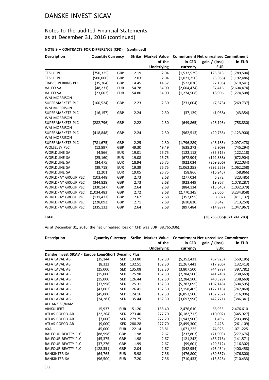### Notes to the audited Financial Statements as at December 31, 2016 (continued)

#### **NOTE 9 – CONTRACTS FOR DIFFERENCE (CFD) (continued)**

| <b>Description</b>        | <b>Quantity Currency</b> |            |       |                   | Strike Market Value Commitment Net unrealised Commitment |               |               |  |
|---------------------------|--------------------------|------------|-------|-------------------|----------------------------------------------------------|---------------|---------------|--|
|                           |                          |            |       | of the            | in CFD                                                   | gain / (loss) | in EUR        |  |
|                           |                          |            |       | <b>Underlying</b> | currency                                                 | <b>EUR</b>    |               |  |
| <b>TESCO PLC</b>          | (750, 325)               | GBP        | 2.19  | 2.04              | (1,532,539)                                              | 125,813       | (1,789,504)   |  |
| <b>TESCO PLC</b>          | (500,000)                | GBP        | 2.03  | 2.04              | (1,021,250)                                              | (5,955)       | (1, 192, 486) |  |
| TRAVIS PERKINS PLC        | (35, 764)                | GBP        | 14.45 | 14.62             | (522, 870)                                               | (7, 195)      | (610, 541)    |  |
| <b>VALEO SA</b>           | (48, 231)                | <b>EUR</b> | 54.78 | 54.00             | (2,604,474)                                              | 37,416        | (2,604,474)   |  |
| <b>VALEO SA</b>           | (23,602)                 | <b>EUR</b> | 54.80 | 54.00             | (1, 274, 508)                                            | 18,906        | (1, 274, 508) |  |
| <b>WM MORRISON</b>        |                          |            |       |                   |                                                          |               |               |  |
| SUPERMARKETS PLC          | (100, 524)               | GBP        | 2.23  | 2.30              | (231,004)                                                | (7,673)       | (269, 737)    |  |
| <b>WM MORRISON</b>        |                          |            |       |                   |                                                          |               |               |  |
| SUPERMARKETS PLC          | (16, 157)                | GBP        | 2.24  | 2.30              | (37, 129)                                                | (1,058)       | (43, 354)     |  |
| <b>WM MORRISON</b>        |                          |            |       |                   |                                                          |               |               |  |
| SUPERMARKETS PLC          | (282, 796)               | GBP        | 2.22  | 2.30              | (649, 865)                                               | (26, 196)     | (758, 830)    |  |
| <b>WM MORRISON</b>        |                          |            |       |                   |                                                          |               |               |  |
| SUPERMARKETS PLC          | (418, 848)               | GBP        | 2.24  | 2.30              | (962, 513)                                               | (29, 766)     | (1, 123, 900) |  |
| <b>WM MORRISON</b>        |                          |            |       |                   |                                                          |               |               |  |
| SUPERMARKETS PLC          | (781, 675)               | GBP        | 2.25  | 2.30              | (1,796,289)                                              | (46, 185)     | (2,097,478)   |  |
| <b>WOLSELEY PLC</b>       | (12, 897)                | GBP        | 49.30 | 49.49             | (638, 273)                                               | (2,909)       | (745, 294)    |  |
| <b>WORLDLINE SA</b>       | (4, 566)                 | <b>EUR</b> | 19.01 | 26.75             | (122, 118)                                               | (35, 315)     | (122, 118)    |  |
| <b>WORLDLINE SA</b>       | (25, 160)                | <b>EUR</b> | 19.08 | 26.75             | (672,904)                                                | (192, 888)    | (672,904)     |  |
| <b>WORLDLINE SA</b>       | (34, 475)                | <b>EUR</b> | 18.94 | 26.75             | (922, 034)                                               | (269, 206)    | (922, 034)    |  |
| <b>WORLDLINE SA</b>       | (39, 718)                | <b>EUR</b> | 19.39 | 26.75             | (1,062,258)                                              | (292, 256)    | (1,062,258)   |  |
| <b>WORLDLINE SA</b>       | (2,201)                  | <b>EUR</b> | 19.05 | 26.75             | (58, 866)                                                | (16, 945)     | (58, 866)     |  |
| <b>WORLDPAY GROUP PLC</b> | (103, 448)               | GBP        | 2.73  | 2.68              | (277, 034)                                               | 6,872         | (323, 485)    |  |
| <b>WORLDPAY GROUP PLC</b> | (344, 828)               | GBP        | 2.73  | 2.68              | (923, 449)                                               | 19,867        | (1,078,287)   |  |
| <b>WORLDPAY GROUP PLC</b> | (330, 147)               | GBP        | 2.64  | 2.68              | (884, 134)                                               | (15, 645)     | (1,032,379)   |  |
| <b>WORLDPAY GROUP PLC</b> | (1,034,483)              | GBP        | 2.72  | 2.68              | (2,770,345)                                              | 52,666        | (3, 234, 858) |  |
| <b>WORLDPAY GROUP PLC</b> | (131, 477)               | GBP        | 2.67  | 2.68              | (352,095)                                                | (507)         | (411, 132)    |  |
| <b>WORLDPAY GROUP PLC</b> | (228,092)                | GBP        | 2.71  | 2.68              | (610, 830)                                               | 8,842         | (713, 250)    |  |
| <b>WORLDPAY GROUP PLC</b> | (335, 132)               | GBP        | 2.64  | 2.68              | (897, 484)                                               | (14, 987)     | (1,047,967)   |  |

### **Total (38,765,036)(621,241,283)**

As at December 31, 2016, the net unrealised loss on CFD was EUR (38,765,036).

| <b>Description</b>                                   | <b>Quantity Currency</b> |            |        |                   | Strike Market Value Commitment Net unrealised Commitment |               |            |  |
|------------------------------------------------------|--------------------------|------------|--------|-------------------|----------------------------------------------------------|---------------|------------|--|
|                                                      |                          |            |        | of the            | in CFD                                                   | gain / (loss) | in EUR     |  |
|                                                      |                          |            |        | <b>Underlying</b> | currency                                                 | <b>EUR</b>    |            |  |
| Danske Invest SICAV - Europe Long-Short Dynamic Plus |                          |            |        |                   |                                                          |               |            |  |
| ALFA LAVAL AB                                        | (35,144)                 | <b>SEK</b> | 133.80 | 152.30            | (5,352,431)                                              | (67, 925)     | (559, 185) |  |
| ALFA LAVAL AB                                        | (8, 322)                 | <b>SEK</b> | 132.51 | 152.30            | (1, 267, 441)                                            | (17,206)      | (132, 413) |  |
| ALFA LAVAL AB                                        | (25,000)                 | <b>SEK</b> | 135.08 | 152.30            | (3,807,500)                                              | (44, 978)     | (397,781)  |  |
| ALFA LAVAL AB                                        | (15,000)                 | <b>SEK</b> | 125.98 | 152.30            | (2, 284, 500)                                            | (41, 249)     | (238,669)  |  |
| ALFA LAVAL AB                                        | (15,000)                 | <b>SEK</b> | 126.44 | 152.30            | (2, 284, 500)                                            | (40, 529)     | (238,669)  |  |
| ALFA LAVAL AB                                        | (37,998)                 | <b>SEK</b> | 125.31 | 152.30            | (5,787,095)                                              | (107, 148)    | (604, 595) |  |
| ALFA LAVAL AB                                        | (47,002)                 | <b>SEK</b> | 126.41 | 152.30            | (7, 158, 405)                                            | (127, 118)    | (747,860)  |  |
| ALFA LAVAL AB                                        | (45,000)                 | <b>SEK</b> | 124.16 | 152.30            | (6,853,500)                                              | (132, 287)    | (716,006)  |  |
| ALFA LAVAL AB                                        | (24, 281)                | <b>SEK</b> | 135.44 | 152.30            | (3,697,996)                                              | (42, 771)     | (386, 341) |  |
| ALLIANZ SE/NAM.                                      |                          |            |        |                   |                                                          |               |            |  |
| <b>VINKULIERT</b>                                    | 15,937                   | <b>EUR</b> | 151.20 | 155.40            | 2,476,610                                                | 66,935        | 2,476,610  |  |
| ATLAS COPCO AB                                       | (22, 264)                | <b>SEK</b> | 273.40 | 277.70            | (6, 182, 713)                                            | (10,002)      | (645, 927) |  |
| ATLAS COPCO AB                                       | (7,000)                  | <b>SEK</b> | 279.75 | 277.70            | (1,943,900)                                              | 1,496         | (203, 085) |  |
| ATLAS COPCO AB                                       | (9,000)                  | <b>SEK</b> | 280.28 | 277.70            | (2,499,300)                                              | 2,428         | (261, 109) |  |
| <b>AXA</b>                                           | 45,000                   | <b>EUR</b> | 22.14  | 23.81             | 1,071,225                                                | 74,925        | 1,071,225  |  |
| <b>BALFOUR BEATTY PLC</b>                            | (88,998)                 | GBP        | 1.98   | 2.67              | (237, 803)                                               | (71,903)      | (277, 676) |  |
| <b>BALFOUR BEATTY PLC</b>                            | (45, 375)                | GBP        | 1.98   | 2.67              | (121, 242)                                               | (36, 716)     | (141, 571) |  |
| <b>BALFOUR BEATTY PLC</b>                            | (37, 276)                | GBP        | 1.99   | 2.67              | (99, 601)                                                | (29, 512)     | (116, 302) |  |
| <b>BALFOUR BEATTY PLC</b>                            | (128, 351)               | GBP        | 2.04   | 2.67              | (342, 954)                                               | (95, 454)     | (400,458)  |  |
| <b>BANKINTER SA</b>                                  | (64, 765)                | <b>EUR</b> | 5.98   | 7.36              | (476, 800)                                               | (89, 667)     | (476, 800) |  |
| <b>BANKINTER SA</b>                                  | (96, 500)                | <b>EUR</b> | 7.20   | 7.36              | (710, 433)                                               | (15, 826)     | (710, 433) |  |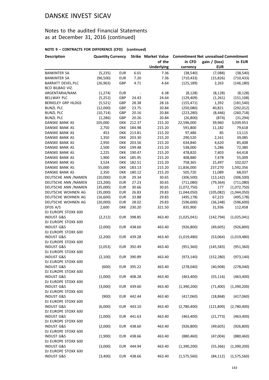### Notes to the audited Financial Statements as at December 31, 2016 (continued)

| <b>Description</b>                           | <b>Quantity Currency</b> |                          |                  |                   |                   |               | Strike Market Value Commitment Net unrealised Commitment |  |
|----------------------------------------------|--------------------------|--------------------------|------------------|-------------------|-------------------|---------------|----------------------------------------------------------|--|
|                                              |                          |                          |                  | of the            | in CFD            | gain / (loss) | in EUR                                                   |  |
|                                              |                          |                          |                  | <b>Underlying</b> | currency          | <b>EUR</b>    |                                                          |  |
| <b>BANKINTER SA</b>                          | (5, 235)                 | <b>EUR</b>               | 6.01             | 7.36              | (38, 540)         | (7,088)       | (38, 540)                                                |  |
| <b>BANKINTER SA</b>                          | (96, 500)                | <b>EUR</b>               | 7.20             | 7.36              | (710, 433)        | (15, 826)     | (710, 433)                                               |  |
| <b>BARRATT DEVEL.PLC</b>                     | (26, 963)                | GBP                      | 4.71             | 4.64              | (125, 189)        | 2,263         | (146, 180)                                               |  |
| BCO BILBAO VIZ.                              |                          |                          |                  |                   |                   |               |                                                          |  |
| ARGENTARIA/NAM.                              | (1, 274)                 | <b>EUR</b>               | $\sim$           | 6.38              | (8, 128)          | (8, 128)      | (8, 128)                                                 |  |
| <b>BELLWAY PLC</b>                           | (5,252)                  | GBP                      | 24.43            | 24.64             | (129, 409)        | (1,261)       | (151, 108)                                               |  |
| <b>BERKELEY GRP HLDGS</b>                    | (5, 521)                 | GBP                      | 28.38            | 28.16             | (155, 471)        | 1,392         | (181, 540)                                               |  |
| <b>BUNZL PLC</b>                             | (12,000)                 | GBP                      | 23.75            | 20.84             | (250,080)         | 40,821        | (292, 012)                                               |  |
| <b>BUNZL PLC</b>                             | (10, 714)                | GBP                      | 20.16            | 20.84             | (223, 280)        | (8, 446)      | (260, 718)                                               |  |
| <b>BUNZL PLC</b>                             | (1, 286)                 | GBP                      | 20.26            | 20.84             | (26, 800)         | (874)         | (31, 294)                                                |  |
| DANSKE BANK AS                               | 105,000                  | <b>DKK</b>               | 212.37           | 215.20            | 22,596,000        | 39,960        | 3,039,953                                                |  |
| DANSKE BANK AS                               | 2,750                    | <b>DKK</b>               | 184.98           | 215.20            | 591,800           | 11,182<br>85  | 79,618                                                   |  |
| DANSKE BANK AS<br>DANSKE BANK AS             | 453<br>1,350             | <b>DKK</b><br><b>DKK</b> | 213.81<br>203.30 | 215.20<br>215.20  | 97,486<br>290,520 | 2,161         | 13,115<br>39,085                                         |  |
| DANSKE BANK AS                               | 2,950                    | DKK                      | 203.56           | 215.20            | 634,840           | 4,620         | 85,408                                                   |  |
| DANSKE BANK AS                               | 2,500                    | <b>DKK</b>               | 199.48           | 215.20            | 538,000           | 5,286         | 72,380                                                   |  |
| DANSKE BANK AS                               | 2,225                    | <b>DKK</b>               | 190.47           | 215.20            | 478,820           | 7,403         | 64,418                                                   |  |
| DANSKE BANK AS                               | 1,900                    | <b>DKK</b>               | 185.95           | 215.20            | 408,880           | 7,478         | 55,009                                                   |  |
| DANSKE BANK AS                               | 3,524                    | <b>DKK</b>               | 182.51           | 215.20            | 758,365           | 15,497        | 102,027                                                  |  |
| DANSKE BANK AS                               | 55,000                   | <b>DKK</b>               | 183.13           | 215.20            | 11,836,000        | 237,270       | 1,592,356                                                |  |
| DANSKE BANK AS                               | 2,350                    | DKK                      | 180.12           | 215.20            | 505,720           | 11,089        | 68,037                                                   |  |
| DEUTSCHE ANN /NAMEN                          | (10,000)                 | <b>EUR</b>               | 29.34            | 30.65             | (306, 500)        | (13, 142)     | (306, 500)                                               |  |
| DEUTSCHE ANN /NAMEN                          | (23, 200)                | <b>EUR</b>               | 27.23            | 30.65             | (711,080)         | (79, 364)     | (711,080)                                                |  |
| DEUTSCHE ANN / NAMEN                         | (35,000)                 | <b>EUR</b>               | 30.66            | 30.65             | (1,072,750)       | 177           | (1,072,750)                                              |  |
| DEUTSCHE WOHNEN AG                           | (35,000)                 | <b>EUR</b>               | 26.83            | 29.83             | (1,044,050)       | (105, 082)    | (1,044,050)                                              |  |
| DEUTSCHE WOHNEN AG                           | (16,600)                 | <b>EUR</b>               | 33.88            | 29.83             | (495, 178)        | 67,223        | (495, 178)                                               |  |
| DEUTSCHE WOHNEN AG                           | (20,000)                 | <b>EUR</b>               | 28.02            | 29.83             | (596, 600)        | (36, 248)     | (596, 600)                                               |  |
| DFDS A/S                                     | 2,600                    | <b>DKK</b>               | 230.20           | 321.50            | 835,900           | 31,936        | 112,458                                                  |  |
| DJ EUROPE STOXX 600                          |                          |                          |                  |                   |                   |               |                                                          |  |
| <b>INDUST G&amp;S</b>                        | (2,212)                  | <b>EUR</b>               | 398.85           | 463.40            | (1,025,041)       | (142, 794)    | (1,025,041)                                              |  |
| DJ EUROPE STOXX 600                          |                          |                          |                  |                   |                   |               |                                                          |  |
| <b>INDUST G&amp;S</b>                        | (2,000)                  | <b>EUR</b>               | 438.60           | 463.40            | (926, 800)        | (49, 605)     | (926, 800)                                               |  |
| DJ EUROPE STOXX 600                          |                          |                          |                  |                   |                   |               |                                                          |  |
| <b>INDUST G&amp;S</b>                        | (2, 200)                 | <b>EUR</b>               | 439.28           | 463.40            | (1,019,480)       | (53,064)      | (1,019,480)                                              |  |
| DJ EUROPE STOXX 600                          |                          |                          |                  |                   |                   |               |                                                          |  |
| <b>INDUST G&amp;S</b>                        | (2,053)                  |                          | EUR 392.49       | 463.40            | (951, 360)        | (145, 583)    | (951, 360)                                               |  |
| DJ EUROPE STOXX 600                          |                          |                          |                  |                   |                   |               |                                                          |  |
| <b>INDUST G&amp;S</b>                        | (2,100)                  |                          | EUR 390.89       | 463.40            | (973, 140)        | (152, 280)    | (973, 140)                                               |  |
| DJ EUROPE STOXX 600                          |                          |                          |                  |                   |                   |               |                                                          |  |
| <b>INDUST G&amp;S</b>                        | (600)                    | EUR                      | 395.22           | 463.40            | (278,040)         | (40, 908)     | (278,040)                                                |  |
| DJ EUROPE STOXX 600                          |                          |                          |                  |                   |                   |               |                                                          |  |
| <b>INDUST G&amp;S</b>                        | (1,000)                  | EUR                      | 408.28           | 463.40            | (463, 400)        | (55, 116)     | (463, 400)                                               |  |
| DJ EUROPE STOXX 600                          |                          |                          |                  |                   |                   |               |                                                          |  |
| <b>INDUST G&amp;S</b>                        | (3,000)                  | EUR                      | 439.60           | 463.40            | (1,390,200)       | (71, 400)     | (1,390,200)                                              |  |
| DJ EUROPE STOXX 600                          |                          |                          |                  |                   |                   |               |                                                          |  |
| <b>INDUST G&amp;S</b>                        | (900)                    |                          | EUR 442.44       | 463.40            | (417,060)         | (18, 868)     | (417,060)                                                |  |
| DJ EUROPE STOXX 600                          |                          |                          |                  |                   |                   |               |                                                          |  |
| <b>INDUST G&amp;S</b>                        | (6,000)                  |                          | EUR 443.10       | 463.40            | (2,780,400)       | (121, 809)    | (2,780,400)                                              |  |
| DJ EUROPE STOXX 600                          |                          |                          |                  |                   |                   |               |                                                          |  |
| <b>INDUST G&amp;S</b>                        | (1,000)                  | EUR                      | 441.63           | 463.40            | (463, 400)        | (21, 773)     | (463, 400)                                               |  |
| DJ EUROPE STOXX 600                          |                          |                          |                  |                   |                   |               |                                                          |  |
| <b>INDUST G&amp;S</b><br>DJ EUROPE STOXX 600 | (2,000)                  | EUR                      | 438.60           | 463.40            | (926, 800)        | (49, 605)     | (926, 800)                                               |  |
| <b>INDUST G&amp;S</b>                        |                          |                          |                  |                   |                   |               |                                                          |  |
| DJ EUROPE STOXX 600                          | (1,900)                  |                          | EUR 438.66       | 463.40            | (880, 460)        | (47,004)      | (880, 460)                                               |  |
| <b>INDUST G&amp;S</b>                        | (3,000)                  | <b>EUR</b>               | 444.94           | 463.40            | (1,390,200)       | (55, 366)     | (1,390,200)                                              |  |
| DJ EUROPE STOXX 600                          |                          |                          |                  |                   |                   |               |                                                          |  |
| <b>INDUST G&amp;S</b>                        | (3,400)                  |                          | EUR 438.66       | 463.40            | (1,575,560)       | (84, 112)     | (1,575,560)                                              |  |
|                                              |                          |                          |                  |                   |                   |               |                                                          |  |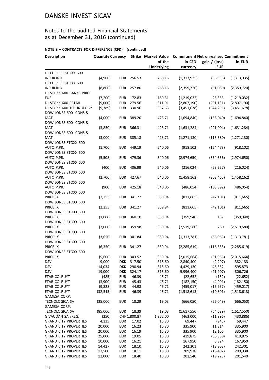### Notes to the audited Financial Statements as at December 31, 2016 (continued)

| <b>Description</b>                                           | <b>Quantity Currency</b> |                          |                  |                   | Strike Market Value Commitment Net unrealised Commitment |                        |                            |  |
|--------------------------------------------------------------|--------------------------|--------------------------|------------------|-------------------|----------------------------------------------------------|------------------------|----------------------------|--|
|                                                              |                          |                          |                  | of the            | in CFD                                                   | gain / (loss)          | in EUR                     |  |
|                                                              |                          |                          |                  | <b>Underlying</b> | currency                                                 | <b>EUR</b>             |                            |  |
| DJ EUROPE STOXX 600                                          |                          |                          |                  |                   |                                                          |                        |                            |  |
| INSUR.IND                                                    | (4,900)                  | EUR                      | 256.53           | 268.15            | (1,313,935)                                              | (56, 938)              | (1,313,935)                |  |
| DJ EUROPE STOXX 600                                          |                          |                          |                  |                   |                                                          |                        |                            |  |
| <b>INSUR.IND</b>                                             | (8,800)                  | EUR                      | 257.80           | 268.15            | (2,359,720)                                              | (91,080)               | (2,359,720)                |  |
| DJ STOXX 600 BANKS PRICE                                     |                          |                          |                  |                   |                                                          |                        |                            |  |
| <b>EUR</b><br>DJ STOXX 600 RETAIL                            | (7, 200)<br>(9,000)      | <b>EUR</b><br><b>EUR</b> | 172.83<br>279.56 | 169.31<br>311.91  | (1,219,032)<br>(2,807,190)                               | 25,353<br>(291, 131)   | (1,219,032)<br>(2,807,190) |  |
| DJ STOXX 600 TECHNOLOGY                                      | (9,389)                  | <b>EUR</b>               | 330.96           | 367.63            | (3,451,678)                                              | (344, 295)             | (3,451,678)                |  |
| DOW JONES 600- CONS.&                                        |                          |                          |                  |                   |                                                          |                        |                            |  |
| MAT.                                                         | (4,000)                  | <b>EUR</b>               | 389.20           | 423.71            | (1,694,840)                                              | (138,040)              | (1,694,840)                |  |
| DOW JONES 600- CONS.&                                        |                          |                          |                  |                   |                                                          |                        |                            |  |
| MAT.                                                         | (3,850)                  | EUR                      | 366.31           | 423.71            | (1,631,284)                                              | (221,004)              | (1,631,284)                |  |
| DOW JONES 600- CONS.&                                        |                          |                          |                  |                   |                                                          |                        |                            |  |
| MAT.                                                         | (3,000)                  | EUR                      | 385.18           | 423.71            | (1, 271, 130)                                            | (115,580)              | (1, 271, 130)              |  |
| DOW JONES STOXX 600                                          |                          |                          |                  |                   |                                                          |                        |                            |  |
| AUTO P.PR.                                                   | (1,700)                  | <b>EUR</b>               | 449.19           | 540.06            | (918, 102)                                               | (154, 473)             | (918, 102)                 |  |
| DOW JONES STOXX 600                                          |                          |                          |                  |                   |                                                          |                        |                            |  |
| AUTO P.PR.                                                   | (5,508)                  | <b>EUR</b>               | 479.36           | 540.06            | (2,974,650)                                              | (334, 356)             | (2,974,650)                |  |
| DOW JONES STOXX 600                                          |                          |                          |                  |                   |                                                          |                        |                            |  |
| AUTO P.PR.                                                   | (400)                    | <b>EUR</b>               | 406.99           | 540.06            | (216, 024)                                               | (53, 227)              | (216, 024)                 |  |
| DOW JONES STOXX 600<br>AUTO P.PR.                            | (2,700)                  | <b>EUR</b>               | 427.67           | 540.06            | (1,458,162)                                              | (303, 465)             | (1,458,162)                |  |
| DOW JONES STOXX 600                                          |                          |                          |                  |                   |                                                          |                        |                            |  |
| AUTO P.PR.                                                   | (900)                    | <b>EUR</b>               | 425.18           | 540.06            | (486, 054)                                               | (103, 392)             | (486, 054)                 |  |
| DOW JONES STOXX 600                                          |                          |                          |                  |                   |                                                          |                        |                            |  |
| PRICE IX                                                     | (2, 255)                 | EUR                      | 341.27           | 359.94            | (811, 665)                                               | (42, 101)              | (811, 665)                 |  |
| DOW JONES STOXX 600                                          |                          |                          |                  |                   |                                                          |                        |                            |  |
| PRICE IX                                                     | (2, 255)                 | EUR                      | 341.27           | 359.94            | (811, 665)                                               | (42, 101)              | (811, 665)                 |  |
| DOW JONES STOXX 600                                          |                          |                          |                  |                   |                                                          |                        |                            |  |
| PRICE IX                                                     | (1,000)                  | <b>EUR</b>               | 360.10           | 359.94            | (359, 940)                                               | 157                    | (359, 940)                 |  |
| DOW JONES STOXX 600                                          |                          |                          |                  |                   |                                                          |                        |                            |  |
| PRICE IX                                                     | (7,000)                  | <b>EUR</b>               | 359.98           | 359.94            | (2,519,580)                                              | 280                    | (2,519,580)                |  |
| DOW JONES STOXX 600                                          |                          |                          |                  |                   |                                                          |                        |                            |  |
| PRICE IX                                                     | (3,650)                  | <b>EUR</b>               | 341.84           | 359.94            | (1,313,781)                                              | (66,065)               | (1,313,781)                |  |
| DOW JONES STOXX 600                                          |                          |                          |                  |                   |                                                          |                        |                            |  |
| PRICE IX                                                     | (6, 350)                 | <b>EUR</b>               | 341.27           | 359.94            | (2, 285, 619)                                            | (118, 555)             | (2, 285, 619)              |  |
| DOW JONES STOXX 600                                          |                          |                          |                  |                   |                                                          |                        |                            |  |
| PRICE IX<br><b>DSV</b>                                       | (5,600)<br>9,000         | EUR<br><b>DKK</b>        | 343.52<br>317.50 | 359.94<br>315.60  | (2,015,664)                                              | (91, 965)              | (2,015,664)                |  |
| <b>DSV</b>                                                   | 14,034                   | DKK                      | 290.94           | 315.60            | 2,840,400<br>4,429,130                                   | (2, 297)<br>46,552     | 382,133<br>595,873         |  |
| <b>DSV</b>                                                   | 19,000                   | <b>DKK</b>               | 324.17           | 315.60            | 5,996,400                                                | (21, 907)              | 806,726                    |  |
| ETAB COLRUYT                                                 | (485)                    | <b>EUR</b>               | 46.39            | 46.71             | (22, 652)                                                | (152)                  | (22, 652)                  |  |
| ETAB COLRUYT                                                 | (3,900)                  | <b>EUR</b>               | 45.43            | 46.71             | (182, 150)                                               | (4,991)                | (182, 150)                 |  |
| ETAB COLRUYT                                                 | (9,828)                  | <b>EUR</b>               | 44.98            | 46.71             | (459, 017)                                               | (16, 957)              | (459, 017)                 |  |
| ETAB COLRUYT                                                 | (32, 515)                | <b>EUR</b>               | 46.39            | 46.71             | (1,518,613)                                              | (10, 301)              | (1,518,613)                |  |
| GAMESA CORP.                                                 |                          |                          |                  |                   |                                                          |                        |                            |  |
| TECNOLOGICA SA                                               | (35,000)                 | <b>EUR</b>               | 18.29            | 19.03             | (666,050)                                                | (26, 049)              | (666,050)                  |  |
| GAMESA CORP.                                                 |                          |                          |                  |                   |                                                          |                        |                            |  |
| TECNOLOGICA SA                                               | (85,000)                 | <b>EUR</b>               | 18.39            | 19.03             | (1,617,550)                                              | (54, 689)              | (1,617,550)                |  |
| GIVAUDAN SA /REG.                                            | (250)                    |                          | CHF 1,800.87     | 1,852.00          | (463,000)                                                | (11,896)               | (430, 886)                 |  |
| <b>GRAND CITY PROPERTIES</b>                                 | 4,135                    | <b>EUR</b>               | 17.02            | 16.80             | 69,447                                                   | (945)                  | 69,447                     |  |
| <b>GRAND CITY PROPERTIES</b>                                 | 20,000                   | <b>EUR</b>               | 16.23            | 16.80             | 335,900                                                  | 11,314                 | 335,900                    |  |
| <b>GRAND CITY PROPERTIES</b>                                 | 20,000                   | <b>EUR</b>               | 16.19            | 16.80             | 335,900                                                  | 12,106                 | 335,900                    |  |
| <b>GRAND CITY PROPERTIES</b>                                 | 25,000                   | <b>EUR</b>               | 19.05            | 16.80             | 419,875                                                  | (56, 380)              | 419,875                    |  |
| <b>GRAND CITY PROPERTIES</b>                                 | 10,000                   | <b>EUR</b>               | 16.21            | 16.80             | 167,950                                                  | 5,824                  | 167,950                    |  |
| <b>GRAND CITY PROPERTIES</b><br><b>GRAND CITY PROPERTIES</b> | 14,427                   | <b>EUR</b>               | 18.10            | 16.80             | 242,301                                                  | (18, 803)              | 242,301                    |  |
| <b>GRAND CITY PROPERTIES</b>                                 | 12,500<br>12,000         | <b>EUR</b><br><b>EUR</b> | 18.11<br>18.40   | 16.80<br>16.80    | 209,938<br>201,540                                       | (16, 402)<br>(19, 223) | 209,938<br>201,540         |  |
|                                                              |                          |                          |                  |                   |                                                          |                        |                            |  |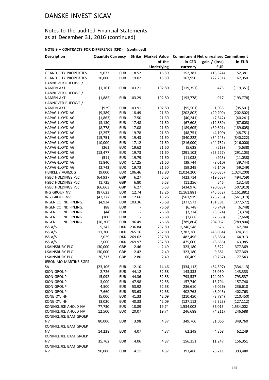### Notes to the audited Financial Statements as at December 31, 2016 (continued)

#### **NOTE 9 – CONTRACTS FOR DIFFERENCE (CFD) (continued)**

| <b>Description</b>                            | <b>Quantity Currency</b> |            |                          | <b>Strike Market Value</b> | <b>Commitment Net unrealised Commitment</b> |               |               |
|-----------------------------------------------|--------------------------|------------|--------------------------|----------------------------|---------------------------------------------|---------------|---------------|
|                                               |                          |            |                          | of the                     | in CFD                                      | gain / (loss) | in EUR        |
|                                               |                          |            |                          | <b>Underlying</b>          | currency                                    | <b>EUR</b>    |               |
| <b>GRAND CITY PROPERTIES</b>                  | 9,073                    | <b>EUR</b> | 18.52                    | 16.80                      | 152,381                                     | (15, 624)     | 152,381       |
| <b>GRAND CITY PROPERTIES</b>                  | 10,000                   | <b>EUR</b> | 19.02                    | 16.80                      | 167,950                                     | (22, 231)     | 167,950       |
| HANNOVER RUECKVE./                            |                          |            |                          |                            |                                             |               |               |
| <b>NAMEN AKT</b>                              | (1, 161)                 | <b>EUR</b> | 103.21                   | 102.80                     | (119, 351)                                  | 475           | (119, 351)    |
| HANNOVER RUECKVE./                            |                          |            |                          |                            |                                             |               |               |
| <b>NAMEN AKT</b>                              | (1,885)                  | <b>EUR</b> | 103.29                   | 102.80                     | (193, 778)                                  | 917           | (193, 778)    |
| HANNOVER RUECKVE./                            |                          |            |                          |                            |                                             |               |               |
| <b>NAMEN AKT</b>                              | (929)                    | <b>EUR</b> | 103.91                   | 102.80                     | (95, 501)                                   | 1,035         | (95, 501)     |
| HAPAG-LLOYD AG                                | (9, 389)                 | <b>EUR</b> | 18.49                    | 21.60                      | (202, 802)                                  | (29, 209)     | (202, 802)    |
| <b>HAPAG-LLOYD AG</b>                         | (1,863)                  | <b>EUR</b> | 17.50                    | 21.60                      | (40, 241)                                   | (7,642)       | (40, 241)     |
| HAPAG-LLOYD AG                                | (3, 130)                 | <b>EUR</b> | 17.48                    | 21.60                      | (67, 608)                                   | (12, 889)     | (67, 608)     |
| HAPAG-LLOYD AG                                | (8, 778)                 | <b>EUR</b> | 17.08                    | 21.60                      | (189, 605)                                  | (39, 691)     | (189, 605)    |
| HAPAG-LLOYD AG                                | (2, 257)                 | <b>EUR</b> | 19.78                    | 21.60                      | (48, 751)                                   | (4, 109)      | (48, 751)     |
| HAPAG-LLOYD AG                                | (15, 751)                | <b>EUR</b> | 19.43                    | 21.60                      | (340, 222)                                  | (34, 245)     | (340, 222)    |
| HAPAG-LLOYD AG                                | (10,000)                 | <b>EUR</b> | 17.12                    | 21.60                      | (216,000)                                   | (44, 762)     | (216,000)     |
| HAPAG-LLOYD AG                                | (261)                    | <b>EUR</b> | 19.62                    | 21.60                      | (5,638)                                     | (518)         | (5,638)       |
| <b>HAPAG-LLOYD AG</b>                         | (13, 477)                | <b>EUR</b> | 19.73                    | 21.60                      | (291, 103)                                  | (25, 227)     | (291, 103)    |
| HAPAG-LLOYD AG                                | (511)                    | <b>EUR</b> | 19.79                    | 21.60                      | (11,038)                                    | (923)         | (11,038)      |
| HAPAG-LLOYD AG                                | (1,840)                  | <b>EUR</b> | 17.25                    | 21.60                      | (39, 744)                                   | (8,010)       | (39, 744)     |
| HAPAG-LLOYD AG                                | (2,743)                  | <b>EUR</b> | 19.73                    | 21.60                      | (59, 249)                                   | (5, 140)      | (59, 249)     |
| HENKEL / VORZUG                               | (9,000)                  | <b>EUR</b> | 106.46                   | 113.80                     | (1,024,200)                                 | (66, 035)     | (1,024,200)   |
| HSBC HOLDINGS PLC                             | (64, 937)                | GBP        | 6.27                     | 6.53                       | (423, 714)                                  | (19, 563)     | (494, 759)    |
| HSBC HOLDINGS PLC                             | (1, 725)                 | GBP        | 6.80                     | 6.53                       | (11, 256)                                   | 546           | (13, 143)     |
| HSBC HOLDINGS PLC                             | (66, 663)                | GBP        | 6.27                     | 6.53                       | (434, 976)                                  | (20,083)      | (507, 910)    |
| ING GROUP NV                                  | (87, 623)                | <b>EUR</b> | 12.74                    | 13.26                      | (1, 161, 881)                               | (45, 652)     | (1, 161, 881) |
| ING GROUP NV                                  | (42, 377)                | <b>EUR</b> | 12.66                    | 13.26                      | (561, 919)                                  | (25, 236)     | (561, 919)    |
| INGENICO.IND.FIN.ING.                         | (4, 924)                 | <b>EUR</b> | 103.36                   | 76.68                      | (377, 572)                                  | 131,391       | (377, 572)    |
| INGENICO.IND.FIN.ING.                         | (88)                     | <b>EUR</b> |                          | 76.68                      | (6, 748)                                    | (6, 748)      | (6, 748)      |
| INGENICO.IND.FIN.ING.                         | (44)                     | <b>EUR</b> | $\overline{\phantom{a}}$ | 76.68                      | (3, 374)                                    | (3, 374)      | (3, 374)      |
| INGENICO.IND.FIN.ING.                         | (100)                    | <b>EUR</b> | $\overline{\phantom{a}}$ | 76.68                      | (7,668)                                     | (7,668)       | (7,668)       |
| INGENICO.IND.FIN.ING.                         | (10, 300)                | <b>EUR</b> | 96.49                    | 76.68                      | (789, 804)                                  | 204,067       | (789, 804)    |
| ISS A/S                                       | 5,242                    | <b>DKK</b> | 236.84                   | 237.80                     | 1,246,548                                   | 676           | 167,704       |
| ISS A/S                                       |                          |            |                          |                            |                                             |               |               |
|                                               | 11,700                   | <b>DKK</b> | 265.16                   | 237.80                     | 2,782,260                                   | (43,064)      | 374,311       |
| ISS A/S                                       | 2,029                    | <b>DKK</b> | 269.62<br>269.97         | 237.80<br>237.80           | 482,496                                     | (8,686)       | 64,913        |
| ISS A/S                                       | 2,000                    | <b>DKK</b> |                          |                            | 475,600                                     | (8,655)       | 63,985        |
| <b>J.SAINSBURY PLC</b>                        | 130,000                  | GBP        | 2.46                     | 2.49                       | 323,180                                     | 3,522         | 377,369       |
| <b>J.SAINSBURY PLC</b>                        | 130,000                  | GBP        | 2.42                     | 2.49                       | 323,180                                     | 9,681         | 377,369       |
| J.SAINSBURY PLC                               | 26,713                   | GBP        | 2.80                     | 2.49                       | 66,409                                      | (9, 767)      | 77,543        |
| JERONIMO MARTINS SGPS                         |                          |            |                          |                            |                                             |               |               |
| SA                                            | (23, 106)                | <b>EUR</b> | 12.10                    | 14.46                      | (334, 113)                                  | (54, 597)     | (334, 113)    |
| <b>KION GROUP</b>                             | 2,726                    | <b>EUR</b> | 44.12                    | 52.58                      | 143,333                                     | 23,050        | 143,333       |
| <b>KION GROUP</b>                             | 15,092                   | <b>EUR</b> | 44.36                    | 52.58                      | 793,537                                     | 124,019       | 793,537       |
| <b>KION GROUP</b>                             | 3,000                    | <b>EUR</b> | 47.98                    | 52.58                      | 157,740                                     | 13,794        | 157,740       |
| <b>KION GROUP</b>                             | 4,500                    | <b>EUR</b> | 53.92                    | 52.58                      | 236,610                                     | (6,026)       | 236,610       |
| <b>KION GROUP</b>                             | 7,660                    | <b>EUR</b> | 53.63                    | 52.58                      | 402,763                                     | (8,045)       | 402,763       |
| KONE OYJ -B-                                  | (5,000)                  | <b>EUR</b> | 41.33                    | 42.09                      | (210, 450)                                  | (3,784)       | (210, 450)    |
| KONE OYJ -B-                                  | (3,020)                  | <b>EUR</b> | 40.33                    | 42.09                      | (127, 112)                                  | (5, 323)      | (127, 112)    |
| KONINKLIJKE AHOLD NV                          | 77,730                   | <b>EUR</b> | 18.89                    | 19.74                      | 1,534,002                                   | 66,015        | 1,534,002     |
| KONINKLIJKE AHOLD NV<br>KONINKLIJKE BAM GROEP | 12,500                   | <b>EUR</b> | 20.07                    | 19.74                      | 246,688                                     | (4, 211)      | 246,688       |
| <b>NV</b><br>KONINKLIJKE BAM GROEP            | 80,000                   | <b>EUR</b> | 3.98                     | 4.37                       | 349,760                                     | 31,066        | 349,760       |
| ΝV<br>KONINKLIJKE BAM GROEP                   | 14,238                   | <b>EUR</b> | 4.07                     | 4.37                       | 62,249                                      | 4,368         | 62,249        |
| ΝV<br>KONINKLIJKE BAM GROEP                   | 35,762                   | <b>EUR</b> | 4.06                     | 4.37                       | 156,351                                     | 11,247        | 156,351       |
| <b>NV</b>                                     | 90,000                   | <b>EUR</b> | 4.11                     | 4.37                       | 393,480                                     | 23,211        | 393,480       |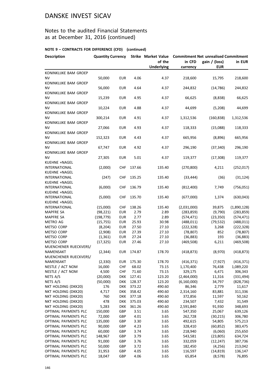### Notes to the audited Financial Statements as at December 31, 2016 (continued)

#### **NOTE 9 – CONTRACTS FOR DIFFERENCE (CFD) (continued)**

| <b>Description</b>                         | <b>Quantity Currency</b> |                   |                  | <b>Strike Market Value</b>                        | <b>Commitment Net unrealised Commitment</b> |                             |                   |
|--------------------------------------------|--------------------------|-------------------|------------------|---------------------------------------------------|---------------------------------------------|-----------------------------|-------------------|
|                                            |                          |                   |                  | of the<br>in CFD<br><b>Underlying</b><br>currency |                                             | gain / (loss)<br><b>EUR</b> | in EUR            |
| KONINKLIJKE BAM GROEP                      |                          |                   |                  |                                                   |                                             |                             |                   |
| NV                                         | 50,000                   | <b>EUR</b>        | 4.06             | 4.37                                              | 218,600                                     | 15,795                      | 218,600           |
| KONINKLIJKE BAM GROEP                      |                          |                   |                  |                                                   |                                             |                             |                   |
| <b>NV</b>                                  | 56,000                   | <b>EUR</b>        | 4.64             | 4.37                                              | 244,832                                     | (14, 786)                   | 244,832           |
| KONINKLIJKE BAM GROEP                      |                          |                   |                  |                                                   |                                             |                             |                   |
| NV                                         | 15,239                   | <b>EUR</b>        | 4.95             | 4.37                                              | 66,625                                      | (8,838)                     | 66,625            |
| KONINKLIJKE BAM GROEP                      |                          |                   |                  |                                                   |                                             |                             |                   |
| ΝV<br>KONINKLIJKE BAM GROEP                | 10,224                   | <b>EUR</b>        | 4.88             | 4.37                                              | 44,699                                      | (5,208)                     | 44,699            |
| <b>NV</b>                                  | 300,214                  | <b>EUR</b>        | 4.91             | 4.37                                              | 1,312,536                                   | (160, 838)                  | 1,312,536         |
| KONINKLIJKE BAM GROEP                      |                          |                   |                  |                                                   |                                             |                             |                   |
| <b>NV</b>                                  | 27,066                   | <b>EUR</b>        | 4.93             | 4.37                                              | 118,333                                     | (15,088)                    | 118,333           |
| KONINKLIJKE BAM GROEP                      |                          |                   |                  |                                                   |                                             |                             |                   |
| NV                                         | 152,323                  | <b>EUR</b>        | 4.43             | 4.37                                              | 665,956                                     | (8,896)                     | 665,956           |
| KONINKLIJKE BAM GROEP                      |                          |                   |                  |                                                   |                                             |                             |                   |
| <b>NV</b>                                  | 67,747                   | <b>EUR</b>        | 4.92             | 4.37                                              | 296,190                                     | (37, 340)                   | 296,190           |
| KONINKLIJKE BAM GROEP                      |                          |                   |                  |                                                   |                                             |                             |                   |
| NV                                         | 27,305                   | <b>EUR</b>        | 5.01             | 4.37                                              | 119,377                                     | (17, 308)                   | 119,377           |
| KUEHNE +NAGEL                              |                          |                   |                  |                                                   |                                             |                             |                   |
| <b>INTERNATIONAL</b>                       | (2,000)                  | <b>CHF</b>        | 137.66           | 135.40                                            | (270, 800)                                  | 4,211                       | (252, 017)        |
| KUEHNE +NAGEL                              |                          |                   |                  |                                                   |                                             |                             |                   |
| <b>INTERNATIONAL</b>                       | (247)                    | <b>CHF</b>        | 135.25           | 135.40                                            | (33, 444)                                   | (36)                        | (31, 124)         |
| KUEHNE +NAGEL                              |                          |                   |                  |                                                   |                                             |                             |                   |
| <b>INTERNATIONAL</b>                       | (6,000)                  | <b>CHF</b>        | 136.79           | 135.40                                            | (812,400)                                   | 7,749                       | (756, 051)        |
| KUEHNE +NAGEL<br><b>INTERNATIONAL</b>      | (5,000)                  | CHF               | 135.70           | 135.40                                            | (677,000)                                   | 1,374                       | (630, 043)        |
| KUEHNE +NAGEL                              |                          |                   |                  |                                                   |                                             |                             |                   |
| <b>INTERNATIONAL</b>                       | (15,000)                 | <b>CHF</b>        | 138.26           | 135.40                                            | (2,031,000)                                 | 39,875                      | (1,890,128)       |
| <b>MAPFRE SA</b>                           | (98, 221)                | <b>EUR</b>        | 2.79             | 2.89                                              | (283, 859)                                  | (9,790)                     | (283, 859)        |
| MAPFRE SA                                  | (198, 779)               | <b>EUR</b>        | 2.77             | 2.89                                              | (574, 471)                                  | (23, 350)                   | (574, 471)        |
| METRO AG                                   | (15, 755)                | <b>EUR</b>        | 25.93            | 30.98                                             | (488, 011)                                  | (79, 532)                   | (488, 011)        |
| METSO CORP                                 | (8, 204)                 | <b>EUR</b>        | 27.50            | 27.10                                             | (222, 328)                                  | 3,268                       | (222, 328)        |
| METSO CORP                                 | (2,908)                  | <b>EUR</b>        | 27.39            | 27.10                                             | (78, 807)                                   | 852                         | (78, 807)         |
| <b>METSO CORP</b>                          | (1, 361)                 | <b>EUR</b>        | 27.24            | 27.10                                             | (36, 883)                                   | 193                         | (36, 883)         |
| METSO CORP                                 | (17, 325)                | <b>EUR</b>        | 27.46            | 27.10                                             | (469,508)                                   | 6,211                       | (469, 508)        |
| MUENCHENER RUECKVERS/                      |                          |                   |                  |                                                   |                                             |                             |                   |
| NAMENSAKT                                  | (2, 344)                 | <b>EUR</b>        | 174.87           | 178.70                                            | (418, 873)                                  | (8,970)                     | (418, 873)        |
| MUENCHENER RUECKVERS/                      |                          |                   |                  |                                                   |                                             |                             |                   |
| NAMENSAKT                                  | (2, 330)                 | <b>EUR</b>        | 175.30           | 178.70                                            | (416, 371)                                  | (7, 927)                    | (416, 371)        |
| NESTLE / ACT NOM                           | 16,000                   | <b>CHF</b>        | 68.02            | 73.15                                             | 1,170,400                                   | 76,438                      | 1,089,220         |
| NESTLE / ACT NOM                           | 4,500                    | <b>CHF</b>        | 71.60            | 73.15                                             | 329,175                                     | 6,471                       | 306,343           |
| NETS A/S                                   | (20,000)                 | <b>DKK</b>        | 127.41           | 123.20                                            | (2,464,000)                                 | 11,316<br>34,797            | (331, 494)        |
| NETS A/S                                   | (50,000)<br>176          | <b>DKK</b>        | 128.37<br>373.22 | 123.20                                            | (6, 160, 000)<br>86,346                     | 2,779                       | (828, 736)        |
| NKT HOLDING (DKK20)<br>NKT HOLDING (DKK20) | 4,717                    | DKK<br><b>DKK</b> | 358.42           | 490.60<br>490.60                                  | 2,314,160                                   | 83,881                      | 11,617<br>311,336 |
| NKT HOLDING (DKK20)                        | 760                      | <b>DKK</b>        | 377.18           | 490.60                                            | 372,856                                     | 11,597                      | 50,162            |
| NKT HOLDING (DKK20)                        | 478                      | <b>DKK</b>        | 375.03           | 490.60                                            | 234,507                                     | 7,432                       | 31,549            |
| NKT HOLDING (DKK20)                        | 5,283                    | DKK               | 361.26           | 490.60                                            | 2,591,840                                   | 91,930                      | 348,693           |
| OPTIMAL PAYMENTS PLC                       | 150,000                  | GBP               | 3.51             | 3.65                                              | 547,350                                     | 25,067                      | 639,126           |
| OPTIMAL PAYMENTS PLC                       | 72,000                   | GBP               | 4.01             | 3.65                                              | 262,728                                     | (30, 215)                   | 306,780           |
| OPTIMAL PAYMENTS PLC                       | 135,000                  | GBP               | 3.30             | 3.65                                              | 492,615                                     | 54,805                      | 575,213           |
| OPTIMAL PAYMENTS PLC                       | 90,000                   | GBP               | 4.23             | 3.65                                              | 328,410                                     | (60, 852)                   | 383,475           |
| OPTIMAL PAYMENTS PLC                       | 60,000                   | GBP               | 3.74             | 3.65                                              | 218,940                                     | (6,060)                     | 255,650           |
| OPTIMAL PAYMENTS PLC                       | 148,967                  | GBP               | 3.79             | 3.65                                              | 543,581                                     | (23, 805)                   | 634,724           |
| OPTIMAL PAYMENTS PLC                       | 91,000                   | GBP               | 3.76             | 3.65                                              | 332,059                                     | (12, 247)                   | 387,736           |
| OPTIMAL PAYMENTS PLC                       | 50,000                   | GBP               | 3.72             | 3.65                                              | 182,450                                     | (4, 256)                    | 213,042           |
| OPTIMAL PAYMENTS PLC                       | 31,953                   | GBP               | 4.05             | 3.65                                              | 116,597                                     | (14, 819)                   | 136,147           |
| OPTIMAL PAYMENTS PLC                       | 18,047                   | GBP               | 4.06             | 3.65                                              | 65,854                                      | (8, 578)                    | 76,895            |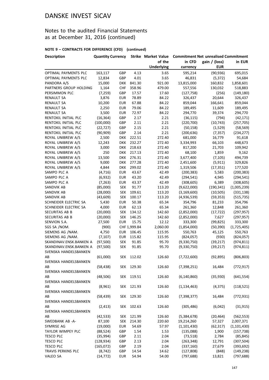### Notes to the audited Financial Statements as at December 31, 2016 (continued)

#### **NOTE 9 – CONTRACTS FOR DIFFERENCE (CFD) (continued)**

| <b>Description</b>      | <b>Quantity Currency</b> |            |              | <b>Strike Market Value</b> | <b>Commitment Net unrealised Commitment</b> |               |               |  |
|-------------------------|--------------------------|------------|--------------|----------------------------|---------------------------------------------|---------------|---------------|--|
|                         |                          |            |              | of the                     | in CFD                                      | gain / (loss) | in EUR        |  |
|                         |                          |            |              | <b>Underlying</b>          | currency                                    | <b>EUR</b>    |               |  |
| OPTIMAL PAYMENTS PLC    | 163,117                  | GBP        | 4.13         | 3.65                       | 595,214                                     | (90, 936)     | 695,015       |  |
| OPTIMAL PAYMENTS PLC    | 12,834                   | GBP        | 4.01         | 3.65                       | 46,831                                      | (5, 372)      | 54,684        |  |
| PANDORA A/S             | 15,000                   | <b>DKK</b> | 841.30       | 921.00                     | 13,815,000                                  | 160,832       | 1,858,601     |  |
| PARTNERS GROUP HOLDING  | 1,164                    | <b>CHF</b> | 358.96       | 479.00                     | 557,556                                     | 130,032       | 518,883       |  |
| PERSIMMON PLC           | (7, 259)                 | GBP        | 17.57        | 17.60                      | (127, 758)                                  | (256)         | (149, 180)    |  |
| RENAULT SA              | 3,876                    | <b>EUR</b> | 78.89        | 84.22                      | 326,437                                     | 20,644        | 326,437       |  |
| RENAULT SA              | 10,200                   | <b>EUR</b> | 67.88        | 84.22                      | 859,044                                     | 166,641       | 859,044       |  |
| RENAULT SA              | 2,250                    | <b>EUR</b> | 79.06        | 84.22                      | 189,495                                     | 11,609        | 189,495       |  |
| <b>RENAULT SA</b>       | 3,500                    | <b>EUR</b> | 72.97        | 84.22                      | 294,770                                     | 39,374        | 294,770       |  |
| RENTOKIL INITIAL PLC    | (16, 364)                | GBP        | 2.17         | 2.21                       | (36, 115)                                   | (794)         | (42, 171)     |  |
| RENTOKIL INITIAL PLC    | (100,000)                | GBP        | 2.11         | 2.21                       | (220, 700)                                  | (10, 743)     | (257, 705)    |  |
| RENTOKIL INITIAL PLC    | (22, 727)                | GBP        | 2.15         | 2.21                       | (50, 158)                                   | (1,529)       | (58, 569)     |  |
| RENTOKIL INITIAL PLC    | (90, 909)                | GBP        | 2.14         | 2.21                       | (200, 636)                                  | (7, 357)      | (234, 277)    |  |
| ROYAL UNIBREW A/S       | 2,500                    | <b>DKK</b> | 222.51       | 272.40                     | 681,000                                     | 16,779        | 91,618        |  |
| ROYAL UNIBREW A/S       | 12,243                   | <b>DKK</b> | 232.27       | 272.40                     | 3,334,993                                   | 66,103        | 448,673       |  |
| ROYAL UNIBREW A/S       | 3,000                    | <b>DKK</b> | 218.63       | 272.40                     | 817,200                                     | 21,703        | 109,942       |  |
| ROYAL UNIBREW A/S       | 250                      | <b>DKK</b> | 217.13       | 272.40                     | 68,100                                      | 1,859         | 9,162         |  |
| ROYAL UNIBREW A/S       | 13,500                   | <b>DKK</b> | 276.31       | 272.40                     | 3,677,400                                   | (7, 105)      | 494,739       |  |
| ROYAL UNIBREW A/S       | 9,000                    | <b>DKK</b> | 277.28       | 272.40                     | 2,451,600                                   | (5, 911)      | 329,826       |  |
| ROYAL UNIBREW A/S       | 4,844                    | DKK        | 299.02       | 272.40                     | 1,319,506                                   | (17, 351)     | 177,520       |  |
| SAMPO PLC A             | (4, 716)                 | <b>EUR</b> | 43.67        | 42.49                      | (200, 383)                                  | 5,583         | (200, 383)    |  |
| SAMPO PLC A             | (6,932)                  | <b>EUR</b> | 43.20        | 42.49                      | (294, 541)                                  | 4,945         | (294, 541)    |  |
| SAMPO PLC A             | (7, 263)                 | <b>EUR</b> | 43.37        | 42.49                      | (308, 605)                                  | 6,389         | (308, 605)    |  |
| SANDVIK AB              | (85,000)                 | <b>SEK</b> | 91.77        | 113.20                     | (9,622,000)                                 | (190, 341)    | (1,005,239)   |  |
| SANDVIK AB              | (28,000)                 | <b>SEK</b> | 109.61       | 113.20                     | (3, 169, 600)                               | (10, 505)     | (331, 138)    |  |
| SANDVIK AB              | (43, 609)                | <b>SEK</b> | 100.17       | 113.20                     | (4,936,539)                                 | (59, 353)     | (515, 735)    |  |
| SCHNEIDER ELECTRIC SA   | 5,430                    | <b>EUR</b> | 50.38        | 65.34                      | 354,796                                     | 81,233        | 354,796       |  |
| SCHNEIDER ELECTRIC SA   | 4,000                    | <b>EUR</b> | 62.13        | 65.34                      | 261,360                                     | 12,848        | 261,360       |  |
| SECURITAS AB B          | (20,000)                 | <b>SEK</b> | 134.12       | 142.60                     | (2,852,000)                                 | (17, 722)     | (297, 957)    |  |
| SECURITAS AB B          | (20,000)                 | <b>SEK</b> | 146.25       | 142.60                     | (2,852,000)                                 | 7,627         | (297, 957)    |  |
| SENVION S.A.            | 27,500                   | <b>EUR</b> | 15.75        | 12.12                      | 333,300                                     | (99, 825)     | 333,300       |  |
| SGS SA /NOM.            | (900)                    |            | CHF 1,999.84 | 2,060.00                   | (1,854,000)                                 | (50, 390)     | (1,725,405)   |  |
| SIEMENS AG /NAM.        | 4,750                    | <b>EUR</b> | 106.45       | 115.95                     | 550,763                                     | 45,125        | 550,763       |  |
| SIEMENS AG /NAM.        | (7, 107)                 | <b>EUR</b> | 115.82       | 115.95                     | (824,057)                                   | (930)         | (824, 057)    |  |
| SKANDINAV.ENSK.BANKEN A | (97, 500)                | <b>SEK</b> | 91.85        | 95.70                      | (9,330,750)                                 | (39, 217)     | (974, 811)    |  |
| SKANDINAV.ENSK.BANKEN A | (97, 500)                | <b>SEK</b> | 91.85        | 95.70                      | (9,330,750)                                 | (39, 217)     | (974, 811)    |  |
| SVENSKA HANDELSBANKEN   |                          |            |              |                            |                                             |               |               |  |
| АΒ                      | (61,000)                 |            | SEK 112.02   | 126.60                     | (7, 722, 600)                               | (92, 895)     | (806, 803)    |  |
| SVENSKA HANDELSBANKEN   |                          |            |              |                            |                                             |               |               |  |
| AB                      | (58, 438)                | SEK        | 129.30       | 126.60                     | (7, 398, 251)                               | 16,484        | (772, 917)    |  |
| SVENSKA HANDELSBANKEN   |                          |            |              |                            |                                             |               |               |  |
| АΒ                      | (48, 506)                |            | SEK 119.51   | 126.60                     | (6, 140, 860)                               | (35, 930)     | (641, 554)    |  |
| SVENSKA HANDELSBANKEN   |                          |            |              |                            |                                             |               |               |  |
| AB                      | (8,961)                  | SEK        | 121.93       | 126.60                     | (1, 134, 463)                               | (4, 375)      | (118, 521)    |  |
| SVENSKA HANDELSBANKEN   |                          |            |              |                            |                                             |               |               |  |
| AB                      | (58, 439)                | <b>SEK</b> | 129.30       | 126.60                     | (7,398,377)                                 | 16,484        | (772, 931)    |  |
| SVENSKA HANDELSBANKEN   |                          |            |              |                            |                                             |               |               |  |
| AB                      | (2, 413)                 | SEK        | 102.63       | 126.60                     | (305, 486)                                  | (6,042)       | (31, 915)     |  |
| SVENSKA HANDELSBANKEN   |                          |            |              |                            |                                             |               |               |  |
| AB                      | (42, 533)                | SEK        | 121.99       | 126.60                     | (5,384,678)                                 | (20, 464)     | (562, 553)    |  |
| SWEDBANK AB -A-         | 87,100                   | SEK        | 214.30       | 220.60                     | 19,214,260                                  | 57,327        | 2,007,371     |  |
| SYMRISE AG              | (19,000)                 | <b>EUR</b> | 54.69        | 57.97                      | (1, 101, 430)                               | (62, 317)     | (1, 101, 430) |  |
| TAYLOR WIMPEY PLC       | (88, 524)                | GBP        | 1.54         | 1.53                       | (135,088)                                   | 1,900         | (157, 738)    |  |
| TESCO PLC               | (35, 994)                | GBP        | 2.11         | 2.04                       | (73, 518)                                   | 2,784         | (85, 845)     |  |
| TESCO PLC               | (128, 934)               | GBP        | 2.13         | 2.04                       | (263, 348)                                  | 12,791        | (307, 504)    |  |
| TESCO PLC               | (165, 072)               | GBP        | 2.19         | 2.04                       | (337, 160)                                  | 27,679        | (393, 692)    |  |
| TRAVIS PERKINS PLC      | (8, 742)                 | GBP        | 14.54        | 14.62                      | (127, 808)                                  | (848)         | (149, 238)    |  |
| VALEO SA                | (14, 772)                | <b>EUR</b> | 54.94        | 54.00                      | (797, 688)                                  | 13,821        | (797, 688)    |  |
|                         |                          |            |              |                            |                                             |               |               |  |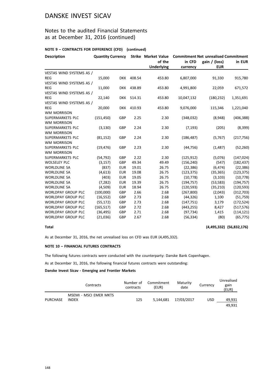### Notes to the audited Financial Statements as at December 31, 2016 (continued)

#### **NOTE 9 – CONTRACTS FOR DIFFERENCE (CFD) (continued)**

| <b>Description</b>        | <b>Quantity Currency</b> |            |            |                   | Strike Market Value Commitment Net unrealised Commitment |               |            |  |
|---------------------------|--------------------------|------------|------------|-------------------|----------------------------------------------------------|---------------|------------|--|
|                           |                          |            |            | of the            | in CFD                                                   | gain / (loss) | in EUR     |  |
|                           |                          |            |            | <b>Underlying</b> | currency                                                 | <b>EUR</b>    |            |  |
| VESTAS WIND SYSTEMS AS /  |                          |            |            |                   |                                                          |               |            |  |
| <b>REG</b>                | 15,000                   | DKK        | 408.54     | 453.80            | 6,807,000                                                | 91,330        | 915,780    |  |
| VESTAS WIND SYSTEMS AS /  |                          |            |            |                   |                                                          |               |            |  |
| <b>REG</b>                | 11,000                   |            | DKK 438.89 | 453.80            | 4,991,800                                                | 22,059        | 671,572    |  |
| VESTAS WIND SYSTEMS AS /  |                          |            |            |                   |                                                          |               |            |  |
| <b>REG</b>                | 22,140                   |            | DKK 514.31 | 453.80            | 10,047,132                                               | (180, 232)    | 1,351,691  |  |
| VESTAS WIND SYSTEMS AS /  |                          |            |            |                   |                                                          |               |            |  |
| <b>REG</b>                | 20,000                   | <b>DKK</b> | 410.93     | 453.80            | 9,076,000                                                | 115,346       | 1,221,040  |  |
| <b>WM MORRISON</b>        |                          |            |            |                   |                                                          |               |            |  |
| SUPERMARKETS PLC          | (151, 450)               | GBP        | 2.25       | 2.30              | (348,032)                                                | (8,948)       | (406, 388) |  |
| <b>WM MORRISON</b>        |                          |            |            |                   |                                                          |               |            |  |
| SUPERMARKETS PLC          | (3, 130)                 | GBP        | 2.24       | 2.30              | (7, 193)                                                 | (205)         | (8, 399)   |  |
| <b>WM MORRISON</b>        |                          |            |            |                   |                                                          |               |            |  |
| SUPERMARKETS PLC          | (81, 152)                | GBP        | 2.24       | 2.30              | (186, 487)                                               | (5,767)       | (217, 756) |  |
| <b>WM MORRISON</b>        |                          |            |            |                   |                                                          |               |            |  |
| SUPERMARKETS PLC          | (19, 476)                | GBP        | 2.23       | 2.30              | (44, 756)                                                | (1, 487)      | (52, 260)  |  |
| <b>WM MORRISON</b>        |                          |            |            |                   |                                                          |               |            |  |
| SUPERMARKETS PLC          | (54, 792)                | GBP        | 2.22       | 2.30              | (125, 912)                                               | (5,076)       | (147, 024) |  |
| <b>WOLSELEY PLC</b>       | (3, 157)                 | GBP        | 49.34      | 49.49             | (156, 240)                                               | (547)         | (182, 437) |  |
| <b>WORLDLINE SA</b>       | (837)                    | <b>EUR</b> | 19.01      | 26.75             | (22, 386)                                                | (6, 474)      | (22, 386)  |  |
| <b>WORLDLINE SA</b>       | (4,613)                  | <b>EUR</b> | 19.08      | 26.75             | (123, 375)                                               | (35, 365)     | (123, 375) |  |
| <b>WORLDLINE SA</b>       | (403)                    | <b>EUR</b> | 19.05      | 26.75             | (10, 778)                                                | (3, 103)      | (10, 778)  |  |
| <b>WORLDLINE SA</b>       | (7, 282)                 | <b>EUR</b> | 19.39      | 26.75             | (194, 757)                                               | (53, 583)     | (194, 757) |  |
| <b>WORLDLINE SA</b>       | (4,509)                  | <b>EUR</b> | 18.94      | 26.75             | (120, 593)                                               | (35, 210)     | (120, 593) |  |
| <b>WORLDPAY GROUP PLC</b> | (100,000)                | GBP        | 2.66       | 2.68              | (267, 800)                                               | (2,043)       | (312, 703) |  |
| <b>WORLDPAY GROUP PLC</b> | (16, 552)                | GBP        | 2.73       | 2.68              | (44, 326)                                                | 1,100         | (51, 759)  |  |
| <b>WORLDPAY GROUP PLC</b> | (55, 172)                | GBP        | 2.73       | 2.68              | (147, 751)                                               | 3,179         | (172, 524) |  |
| <b>WORLDPAY GROUP PLC</b> | (165, 517)               | GBP        | 2.72       | 2.68              | (443, 255)                                               | 8,427         | (517, 576) |  |
| <b>WORLDPAY GROUP PLC</b> | (36, 495)                | GBP        | 2.71       | 2.68              | (97, 734)                                                | 1,415         | (114, 121) |  |
| <b>WORLDPAY GROUP PLC</b> | (21,036)                 | GBP        | 2.67       | 2.68              | (56, 334)                                                | (80)          | (65, 775)  |  |

**Total (4,495,332) (56,832,176)**

As at December 31, 2016, the net unrealised loss on CFD was EUR (4,495,332).

#### **NOTE 10 – FINANCIAL FUTURES CONTRACTS**

The following futures contracts were conducted with the counterparty: Danske Bank Copenhagen.

As at December 31, 2016, the following financial futures contracts were outstanding:

#### **Danske Invest Sicav - Emerging and Frontier Markets**

|          | Contracts                       | Number of<br>contracts | Commitment<br>(EUR) | Maturity<br>date     | Currency   | Unrealised<br>gain<br>(EUR) |
|----------|---------------------------------|------------------------|---------------------|----------------------|------------|-----------------------------|
| PURCHASE | MSEMI - MSCI EMER MKTS<br>INDEX | 125                    |                     | 5.144.681 17/03/2017 | <b>USD</b> | 49.931                      |
|          |                                 |                        |                     |                      |            | 49.931                      |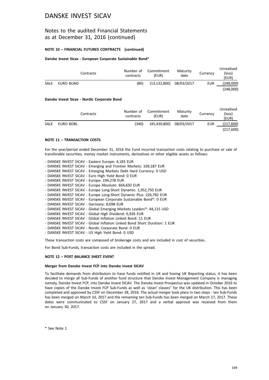### Notes to the audited Financial Statements as at December 31, 2016 (continued)

#### **NOTE 10 – FINANCIAL FUTURES CONTRACTS (continued)**

#### **Danske Invest Sicav - European Corporate Sustainable Bond**\*

|             | Contracts | Number of<br>contracts | Commitment<br>(EUR) | Maturity<br>date | Currency   | Unrealised<br>(loss)<br>(EUR) |
|-------------|-----------|------------------------|---------------------|------------------|------------|-------------------------------|
| <b>SALE</b> | EURO BUND | (80)                   | (13, 132, 800)      | 08/03/2017       | <b>EUR</b> | (248,000)                     |
|             |           |                        |                     |                  |            | (248.000)                     |

#### **Danske Invest Sicav - Nordic Corporate Bond**

|      |           | Contracts | Number of<br>contracts | Commitment<br>(EUR) | Maturity<br>date | Currency   | Unrealised<br>(loss)<br>(EUR) |
|------|-----------|-----------|------------------------|---------------------|------------------|------------|-------------------------------|
| SALE | EURO BOBL |           | (340)                  | (45, 430, 800)      | 08/03/2017       | <b>EUR</b> | (217,600)                     |
|      |           |           |                        |                     |                  |            | (217,600)                     |

#### **NOTE 11 – TRANSACTION COSTS**

For the year/period ended December 31, 2016 the Fund incurred transaction costs relating to purchase or sale of transferable securities, money market instruments, derivatives or other eligible assets as follows:

- DANSKE INVEST SICAV Eastern Europe: 4,183 EUR
- DANSKE INVEST SICAV Emerging and Frontier Markets: 169,187 EUR
- DANSKE INVEST SICAV Emerging Markets Debt Hard Currency: 0 USD
- DANSKE INVEST SICAV Euro High Yield Bond: 0 EUR
- DANSKE INVEST SICAV Europe: 194,278 EUR
- DANSKE INVEST SICAV Europe Absolute: 664,650 EUR
- DANSKE INVEST SICAV Europe Long-Short Dynamic: 1,952,750 EUR
- DANSKE INVEST SICAV Europe Long-Short Dynamic Plus: 226,782 EUR
- DANSKE INVEST SICAV European Corporate Sustainable Bond\*: 0 EUR
- DANSKE INVEST SICAV Germany: 8,098 EUR
- DANSKE INVEST SICAV Global Emerging Markets Leaders\*: 44,115 USD
- DANSKE INVEST SICAV Global High Dividend: 6,926 EUR
- DANSKE INVEST SICAV Global Inflation Linked Bond: 11 EUR
- DANSKE INVEST SICAV Global Inflation Linked Bond Short Duration: 1 EUR
- DANSKE INVEST SICAV Nordic Corporate Bond: 0 EUR
- DANSKE INVEST SICAV US High Yield Bond: 0 USD

These transaction costs are composed of brokerage costs and are included in cost of securities.

For Bond Sub-Funds, transaction costs are included in the spread.

#### **NOTE 12 – POST BALANCE SHEET EVENT**

#### **Merger from Danske Invest FCP into Danske Invest SICAV**

To facilitate demands from distributors to have funds notified in UK and having UK Reporting status, it has been decided to merge all Sub-Funds of another fund structure that Danske Invest Management Company is managing namely, Danske Invest FCP, into Danske Invest SICAV. The Danske Invest Prospectus was updated in October 2016 to have copies of the Danske Invest FCP Sub-Funds as well as 'clean' classes" for the UK distribution. This has been completed and approved by CSSF on December 28, 2016. The actual merger took place in two steps - ten Sub-Funds has been merged on March 10, 2017 and the remaining ten Sub-Funds has been merged on March 17, 2017. These dates were communicated to CSSF on January 27, 2017 and a verbal approval was received from them on January 30, 2017.

\* See Note 1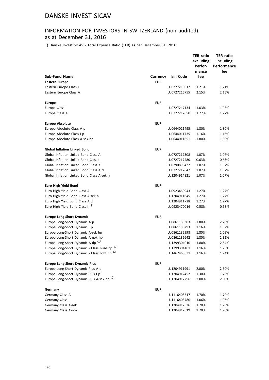### INFORMATION FOR INVESTORS IN SWITZERLAND (non audited) as at December 31, 2016

1) Danske Invest SICAV - Total Expense Ratio (TER) as per December 31, 2016

|                                                          |                 |              | <b>TER ratio</b><br>excluding<br>Perfor-<br>mance | <b>TER ratio</b><br>including<br>Performance<br>fee |
|----------------------------------------------------------|-----------------|--------------|---------------------------------------------------|-----------------------------------------------------|
| <b>Sub-Fund Name</b>                                     | <b>Currency</b> | Isin Code    | fee                                               |                                                     |
| <b>Eastern Europe</b>                                    | <b>EUR</b>      |              |                                                   |                                                     |
| Eastern Europe Class I                                   |                 | LU0727216912 | 1.21%                                             | 1.21%                                               |
| Eastern Europe Class A                                   |                 | LU0727216755 | 2.15%                                             | 2.15%                                               |
| <b>Europe</b>                                            | <b>EUR</b>      |              |                                                   |                                                     |
| Europe Class I                                           |                 | LU0727217134 | 1.03%                                             | 1.03%                                               |
| Europe Class A                                           |                 | LU0727217050 | 1.77%                                             | 1.77%                                               |
| <b>Europe Absolute</b>                                   | <b>EUR</b>      |              |                                                   |                                                     |
| Europe Absolute Class A p                                |                 | LU0644011495 | 1.80%                                             | 1.80%                                               |
| Europe Absolute Class I p                                |                 | LU0644011735 | 1.16%                                             | 1.16%                                               |
| Europe Absolute Class A-sek hp                           |                 | LU0644011651 | 1.80%                                             | 1.80%                                               |
| <b>Global Inflation Linked Bond</b>                      | <b>EUR</b>      |              |                                                   |                                                     |
| Global Inflation Linked Bond Class A                     |                 | LU0727217308 | 1.07%                                             | 1.07%                                               |
| Global Inflation Linked Bond Class I                     |                 | LU0727217480 | 0.63%                                             | 0.63%                                               |
| Global Inflation Linked Bond Class Y                     |                 | LU0790898422 | 1.07%                                             | 1.07%                                               |
| Global Inflation Linked Bond Class A d                   |                 | LU0727217647 | 1.07%                                             | 1.07%                                               |
| Global Inflation Linked Bond Class A-sek h               |                 | LU1204914821 | 1.07%                                             | 1.07%                                               |
| <b>Euro High Yield Bond</b>                              | <b>EUR</b>      |              |                                                   |                                                     |
| Euro High Yield Bond Class A                             |                 | LU0923469943 | 1.27%                                             | 1.27%                                               |
| Euro High Yield Bond Class A-sek h                       |                 | LU1204911645 | 1.27%                                             | 1.27%                                               |
| Euro High Yield Bond Class A d                           |                 | LU1204911728 | 1.27%                                             | 1.27%                                               |
| Euro High Yield Bond Class I $(1)$                       |                 | LU0923470016 | 0.58%                                             | 0.58%                                               |
| Europe Long-Short Dynamic                                | <b>EUR</b>      |              |                                                   |                                                     |
| Europe Long-Short Dynamic A p                            |                 | LU0861185303 | 1.80%                                             | 2.20%                                               |
| Europe Long-Short Dynamic I p                            |                 | LU0861186293 | 1.16%                                             | 1.52%                                               |
| Europe Long-Short Dynamic A-sek hp                       |                 | LU0861185998 | 1.80%                                             | 2.09%                                               |
| Europe Long-Short Dynamic A-nok hp                       |                 | LU0861185642 | 1.80%                                             | 2.32%                                               |
| Europe Long-Short Dynamic A dp <sup>(2)</sup>            |                 | LU1399304010 | 1.80%                                             | 2.54%                                               |
| Europe Long-Short Dynamic - Class I-usd hp <sup>12</sup> |                 | LU1399304101 | 1.16%                                             | 1.25%                                               |
| Europe Long-Short Dynamic - Class I-chf hp <sup>12</sup> |                 | LU1467468531 | 1.16%                                             | 1.24%                                               |
| <b>Europe Long-Short Dynamic Plus</b>                    | <b>EUR</b>      |              |                                                   |                                                     |
| Europe Long-Short Dynamic Plus A p                       |                 | LU1204911991 | 2.00%                                             | 2.60%                                               |
| Europe Long-Short Dynamic Plus I p                       |                 | LU1204912452 | 1.30%                                             | 1.75%                                               |
| Europe Long-Short Dynamic Plus A-sek hp 3                |                 | LU1204912296 | 2.00%                                             | 2.00%                                               |
| Germany                                                  | <b>EUR</b>      |              |                                                   |                                                     |
| Germany Class A                                          |                 | LU1116403517 | 1.70%                                             | 1.70%                                               |
| Germany Class I                                          |                 | LU1116403780 | 1.06%                                             | 1.06%                                               |
| Germany Class A-sek                                      |                 | LU1204912536 | 1.70%                                             | 1.70%                                               |
| Germany Class A-nok                                      |                 | LU1204912619 | 1.70%                                             | 1.70%                                               |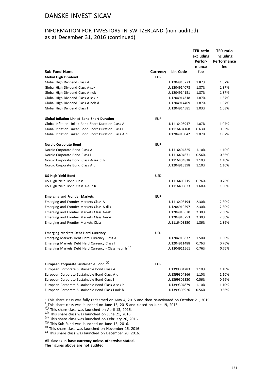### INFORMATION FOR INVESTORS IN SWITZERLAND (non audited) as at December 31, 2016 (continued)

|                                                        |                 |                  | <b>TER ratio</b><br>excluding<br>Perfor-<br>mance | <b>TER ratio</b><br>including<br>Performance<br>fee |
|--------------------------------------------------------|-----------------|------------------|---------------------------------------------------|-----------------------------------------------------|
| <b>Sub-Fund Name</b>                                   | <b>Currency</b> | <b>Isin Code</b> | fee                                               |                                                     |
| <b>Global High Dividend</b>                            | <b>EUR</b>      |                  |                                                   |                                                     |
| Global High Dividend Class A                           |                 | LU1204913773     | 1.87%                                             | 1.87%                                               |
| Global High Dividend Class A-sek                       |                 | LU1204914078     | 1.87%                                             | 1.87%                                               |
| Global High Dividend Class A-nok                       |                 | LU1204914151     | 1.87%                                             | 1.87%                                               |
| Global High Dividend Class A-sek d                     |                 | LU1204914318     | 1.87%                                             | 1.87%                                               |
| Global High Dividend Class A-nok d                     |                 | LU1204914409     | 1.87%                                             | 1.87%                                               |
| Global High Dividend Class I                           |                 | LU1204914581     | 1.03%                                             | 1.03%                                               |
| <b>Global Inflation Linked Bond Short Duration</b>     | <b>EUR</b>      |                  |                                                   |                                                     |
| Global Inflation Linked Bond Short Duration Class A    |                 | LU1116403947     | 1.07%                                             | 1.07%                                               |
| Global Inflation Linked Bond Short Duration Class I    |                 | LU1116404168     | 0.63%                                             | 0.63%                                               |
| Global Inflation Linked Bond Short Duration Class A d  |                 | LU1204915042     | 1.07%                                             | 1.07%                                               |
| <b>Nordic Corporate Bond</b>                           | <b>EUR</b>      |                  |                                                   |                                                     |
| Nordic Corporate Bond Class A                          |                 | LU1116404325     | 1.10%                                             | 1.10%                                               |
| Nordic Corporate Bond Class I                          |                 | LU1116404671     | 0.56%                                             | 0.56%                                               |
| Nordic Corporate Bond Class A-sek d h                  |                 | LU1116404838     | 1.10%                                             | 1.10%                                               |
| Nordic Corporate Bond Class A d                        |                 | LU1204915398     | 1.10%                                             | 1.10%                                               |
| <b>US High Yield Bond</b>                              | <b>USD</b>      |                  |                                                   |                                                     |
| US High Yield Bond Class I                             |                 | LU1116405215     | 0.76%                                             | 0.76%                                               |
| US High Yield Bond Class A-eur h                       |                 | LU1116406023     | 1.60%                                             | 1.60%                                               |
| <b>Emerging and Frontier Markets</b>                   | <b>EUR</b>      |                  |                                                   |                                                     |
| Emerging and Frontier Markets Class A                  |                 | LU1116403194     | 2.30%                                             | 2.30%                                               |
| Emerging and Frontier Markets Class A-dkk              |                 | LU1204910597     | 2.30%                                             | 2.30%                                               |
| Emerging and Frontier Markets Class A-sek              |                 | LU1204910670     | 2.30%                                             | 2.30%                                               |
| Emerging and Frontier Markets Class A-nok              |                 | LU1204910753     | 2.30%                                             | 2.30%                                               |
| <b>Emerging and Frontier Markets Class I</b>           |                 | LU1116403350     | 1.86%                                             | 1.86%                                               |
| <b>Emerging Markets Debt Hard Currency</b>             | <b>USD</b>      |                  |                                                   |                                                     |
| Emerging Markets Debt Hard Currency Class A            |                 | LU1204910837     | 1.50%                                             | 1.50%                                               |
| Emerging Markets Debt Hard Currency Class I            |                 | LU1204911488     | 0.76%                                             | 0.76%                                               |
| Emerging Markets Debt Hard Currency - Class I-eur h 10 |                 | LU1204911561     | 0.76%                                             | 0.76%                                               |
| European Corporate Sustainable Bond 5                  | <b>EUR</b>      |                  |                                                   |                                                     |
| European Corporate Sustainable Bond Class A            |                 | LU1399304283     | 1.10%                                             | 1.10%                                               |
| European Corporate Sustainable Bond Class A d          |                 | LU1399304366     | 1.10%                                             | 1.10%                                               |
| European Corporate Sustainable Bond Class I            |                 | LU1399305330     | 0.56%                                             | 0.56%                                               |
| European Corporate Sustainable Bond Class A-sek h      |                 | LU1399304879     | 1.10%                                             | 1.10%                                               |
| European Corporate Sustainable Bond Class I-nok h      |                 | LU1399305926     | 0.56%                                             | 0.56%                                               |

 $^7$  This share class was fully redeemed on May 4, 2015 and then re-activated on October 21, 2015.

 $^8$ <sub>2</sub>This share class was launched on June 16, 2015 and closed on June 19, 2015.

 $\textcircled{1}$  This share class was launched on April 13, 2016.<br>  $\textcircled{2}$  This share class was launched on June 21, 2016.<br>  $\textcircled{3}$  This share class was launched on February 26, 2016.<br>  $\textcircled{5}$  This Sub-Fund was launched on

**All classes in base currency unless otherwise stated. The figures above are not audited.**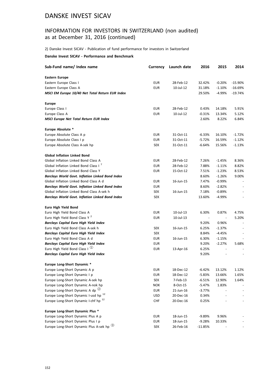### INFORMATION FOR INVESTORS IN SWITZERLAND (non audited) as at December 31, 2016 (continued)

2) Danske Invest SICAV - Publication of fund performance for investors in Switzerland

#### **Danske Invest SICAV - Performance and Benchmark**

| Sub-Fund name/ Index name                                       | Currency   | Launch date | 2016                         | 2015      | 2014                     |
|-----------------------------------------------------------------|------------|-------------|------------------------------|-----------|--------------------------|
| <b>Eastern Europe</b>                                           |            |             |                              |           |                          |
| Eastern Europe Class I                                          | <b>EUR</b> | 28-Feb-12   | 32.42%                       | $-0.20%$  | $-15.90%$                |
| Eastern Europe Class A                                          | <b>EUR</b> | 10-Jul-12   | 31.18%                       | $-1.10%$  | -16.69%                  |
| MSCI EM Europe 10/40 Net Total Return EUR Index                 |            |             | 29.50%                       | -4.99%    | -19.74%                  |
| <b>Europe</b>                                                   |            |             |                              |           |                          |
| Europe Class I                                                  | EUR        | 28-Feb-12   | 0.43%                        | 14.18%    | 5.91%                    |
| Europe Class A                                                  | <b>EUR</b> | 10-Jul-12   | $-0.31%$                     | 13.34%    | 5.12%                    |
| <b>MSCI Europe Net Total Return EUR Index</b>                   |            |             | 2.60%                        | 8.22%     | 6.84%                    |
| Europe Absolute *                                               |            |             |                              |           |                          |
| Europe Absolute Class A p                                       | <b>EUR</b> | 31-Oct-11   | $-6.33%$                     | 16.10%    | $-1.72%$                 |
| Europe Absolute Class I p                                       | <b>EUR</b> | 31-Oct-11   | -5.72%                       | 16.59%    | $-1.12%$                 |
| Europe Absolute Class A-sek hp                                  | SEK        | 31-Oct-11   | -6.64%                       | 15.56%    | $-1.13%$                 |
| <b>Global Inflation Linked Bond</b>                             |            |             |                              |           |                          |
| Global Inflation Linked Bond Class A                            | <b>EUR</b> | 28-Feb-12   | 7.26%                        | $-1.45%$  | 8.36%                    |
| Global Inflation Linked Bond Class I <sup>7</sup>               | <b>EUR</b> | 28-Feb-12   | 7.88%                        | $-1.11%$  | 8.82%                    |
| Global Inflation Linked Bond Class Y                            | <b>EUR</b> | 15-Oct-12   | 7.51%                        | $-1.23%$  | 8.53%                    |
| <b>Barclays World Govt. Inflation Linked Bond Index</b>         |            |             | 8.60%                        | $-1.26%$  | 9.00%                    |
| Global Inflation Linked Bond Class A d                          | <b>EUR</b> | 16-Jun-15   | 7.47%                        | $-0.99\%$ |                          |
| <b>Barclays World Govt. Inflation Linked Bond Index</b>         | <b>EUR</b> |             | 8.60%                        | $-2.82%$  |                          |
| Global Inflation Linked Bond Class A-sek h                      | <b>SEK</b> | 16-Jun-15   | 7.18%                        | $-0.89%$  |                          |
| <b>Barclays World Govt. Inflation Linked Bond Index</b>         | <b>SEK</b> |             | 13.60%                       | $-4.99%$  | $\overline{\phantom{a}}$ |
| Euro High Yield Bond                                            |            |             |                              |           |                          |
| Euro High Yield Bond Class A                                    | <b>EUR</b> | 10-Jul-13   | 6.30%                        | 0.87%     | 4.75%                    |
| Euro High Yield Bond Class Y <sup>2</sup>                       | <b>EUR</b> | 10-Jul-13   | $\qquad \qquad \blacksquare$ |           | 5.20%                    |
| <b>Barclays Capital Euro High Yield Index</b>                   |            |             | 9.20%                        | 0.96%     |                          |
| Euro High Yield Bond Class A-sek h                              | <b>SEK</b> | 16-Jun-15   | 6.25%                        | $-1.37%$  |                          |
| <b>Barclays Capital Euro High Yield Index</b>                   | <b>SEK</b> |             | 8.84%                        | -4.45%    | $\overline{\phantom{a}}$ |
| Euro High Yield Bond Class A d                                  | EUR        | 16-Jun-15   | 6.30%                        | $-1.15%$  |                          |
| <b>Barclays Capital Euro High Yield Index</b>                   | EUR        |             | 9.20%                        | $-2.27%$  | 5.68%                    |
| Euro High Yield Bond Class I $^{\textcircled{\tiny{\text{1}}}}$ | EUR        | 13-Apr-16   | 6.25%                        |           |                          |
| <b>Barclays Capital Euro High Yield Index</b>                   |            |             | 9.20%                        |           |                          |
| Europe Long-Short Dynamic *                                     |            |             |                              |           |                          |
| Europe Long-Short Dynamic A p                                   | <b>EUR</b> | 18-Dec-12   | $-6.42%$                     | 13.12%    | 1.12%                    |
| Europe Long-Short Dynamic I p                                   | <b>EUR</b> | 18-Dec-12   | $-5.83%$                     | 13.66%    | 1.65%                    |
| Europe Long-Short Dynamic A-sek hp                              | <b>SEK</b> | 7-Feb-13    | $-6.51%$                     | 12.90%    | 1.64%                    |
| Europe Long-Short Dynamic A-nok hp                              | <b>NOK</b> | 8-Oct-15    | $-5.47%$                     | 1.83%     |                          |
| Europe Long-Short Dynamic A dp <sup>(2)</sup>                   | <b>EUR</b> | 21-Jun-16   | $-3.77%$                     |           |                          |
| Europe Long-Short Dynamic I-usd hp <sup>12</sup>                | <b>USD</b> | 20-Dec-16   | 0.34%                        |           |                          |
| Europe Long-Short Dynamic I-chf hp <sup>12</sup>                | <b>CHF</b> | 20-Dec-16   | 0.25%                        |           |                          |
| Europe Long-Short Dynamic Plus *                                |            |             |                              |           |                          |
| Europe Long-Short Dynamic Plus A p                              | <b>EUR</b> | 18-Jun-15   | $-9.89%$                     | 9.96%     |                          |
| Europe Long-Short Dynamic Plus I p                              | <b>EUR</b> | 18-Jun-15   | $-9.28%$                     | 10.33%    |                          |
| Europe Long-Short Dynamic Plus A-sek hp 3                       | <b>SEK</b> | 26-Feb-16   | -11.85%                      |           | $\overline{\phantom{a}}$ |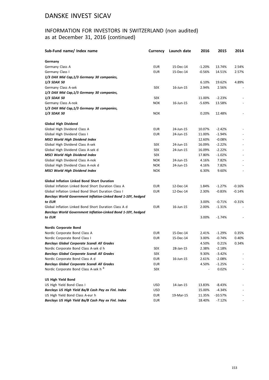## INFORMATION FOR INVESTORS IN SWITZERLAND (non audited) as at December 31, 2016 (continued)

| Sub-Fund name/ Index name                                               | <b>Currency</b> | Launch date | 2016     | 2015     | 2014     |
|-------------------------------------------------------------------------|-----------------|-------------|----------|----------|----------|
| Germany                                                                 |                 |             |          |          |          |
| Germany Class A                                                         | <b>EUR</b>      | 15-Dec-14   | $-1.20%$ | 13.74%   | 2.54%    |
| Germany Class I                                                         | <b>EUR</b>      | 15-Dec-14   | $-0.56%$ | 14.51%   | 2.57%    |
| 1/3 DAX Mid Cap, 1/3 Germany 30 companies,                              |                 |             |          |          |          |
| <b>1/3 SDAX 50</b>                                                      |                 |             | 6.10%    | 19.62%   | 4.89%    |
| Germany Class A-sek                                                     | <b>SEK</b>      | 16-Jun-15   | 2.94%    | 2.56%    |          |
| 1/3 DAX Mid Cap, 1/3 Germany 30 companies,                              |                 |             |          |          |          |
| <b>1/3 SDAX 50</b>                                                      | <b>SEK</b>      |             | 11.00%   | $-2.23%$ |          |
| Germany Class A-nok                                                     | <b>NOK</b>      | 16-Jun-15   | $-5.69%$ | 13.58%   |          |
| 1/3 DAX Mid Cap, 1/3 Germany 30 companies,                              |                 |             |          |          |          |
| <i><b>1/3 SDAX 50</b></i>                                               | <b>NOK</b>      |             | 0.20%    | 12.48%   |          |
| Global High Dividend                                                    |                 |             |          |          |          |
| Global High Dividend Class A                                            | <b>EUR</b>      | 24-Jun-15   | 10.07%   | $-2.42%$ |          |
| Global High Dividend Class I                                            | <b>EUR</b>      | 24-Jun-15   | 11.00%   | $-1.94%$ |          |
| <b>MSCI World High Dividend Index</b>                                   |                 |             | 12.60%   | $-0.08%$ |          |
| Global High Dividend Class A-sek                                        | <b>SEK</b>      | 24-Jun-15   | 16.09%   | $-2.22%$ |          |
| Global High Dividend Class A-sek d                                      | <b>SEK</b>      | 24-Jun-15   | 16.09%   | $-2.22%$ |          |
| <b>MSCI World High Dividend Index</b>                                   | <b>SEK</b>      |             | 17.80%   | $-1.02%$ |          |
| Global High Dividend Class A-nok                                        | <b>NOK</b>      | 24-Jun-15   | 4.16%    | 7.82%    |          |
| Global High Dividend Class A-nok d                                      | <b>NOK</b>      | 24-Jun-15   | 4.16%    | 7.82%    |          |
| <b>MSCI World High Dividend Index</b>                                   | <b>NOK</b>      |             | 6.30%    | 9.60%    |          |
| <b>Global Inflation Linked Bond Short Duration</b>                      |                 |             |          |          |          |
| Global Inflation Linked Bond Short Duration Class A                     | <b>EUR</b>      | 12-Dec-14   | 1.84%    | $-1.27%$ | $-0.16%$ |
| Global Inflation Linked Bond Short Duration Class I                     | <b>EUR</b>      | 12-Dec-14   | 2.30%    | $-0.83%$ | -0.14%   |
| Barclays World Government Inflation-Linked Bond 1-10Y, hedged<br>to EUR |                 |             | 3.00%    | $-0.71%$ | $-0.31%$ |
| Global Inflation Linked Bond Short Duration Class A d                   | <b>EUR</b>      | 16-Jun-15   | 2.00%    | $-1.31%$ |          |
| Barclays World Government Inflation-Linked Bond 1-10Y, hedged           |                 |             |          |          |          |
| to EUR                                                                  |                 |             | 3.00%    | $-1.74%$ |          |
| <b>Nordic Corporate Bond</b>                                            |                 |             |          |          |          |
| Nordic Corporate Bond Class A                                           | <b>EUR</b>      | 15-Dec-14   | 2.41%    | $-1.29%$ | 0.35%    |
| Nordic Corporate Bond Class I                                           | EUR             | 15-Dec-14   | 3.00%    | $-0.74%$ | 0.40%    |
| <b>Barclays Global Corporate Scandi All Grades</b>                      |                 |             | 4.50%    | 0.21%    | 0.34%    |
| Nordic Corporate Bond Class A-sek d h                                   | <b>SEK</b>      | 28-Jan-15   | 2.38%    | $-2.18%$ |          |
| <b>Barclays Global Corporate Scandi All Grades</b>                      | SEK             |             | 9.30%    | $-3.42%$ |          |
| Nordic Corporate Bond Class A d                                         | <b>EUR</b>      | 16-Jun-15   | 2.61%    | $-2.08%$ |          |
| <b>Barclays Global Corporate Scandi All Grades</b>                      | <b>EUR</b>      |             | 4.50%    | $-1.25%$ |          |
| Nordic Corporate Bond Class A-sek h <sup>8</sup>                        | SEK             |             |          | 0.02%    |          |
| <b>US High Yield Bond</b>                                               |                 |             |          |          |          |
| US High Yield Bond Class I                                              | <b>USD</b>      | 14-Jan-15   | 13.83%   | -8.43%   |          |
| Barclays US High Yield Ba/B Cash Pay ex Finl. Index                     | USD             |             | 15.00%   | -4.34%   |          |
| US High Yield Bond Class A-eur h                                        | EUR             | 19-Mar-15   | 11.35%   | -10.57%  |          |
| Barclays US High Yield Ba/B Cash Pay ex Finl. Index                     | EUR             |             | 18.40%   | $-7.12%$ |          |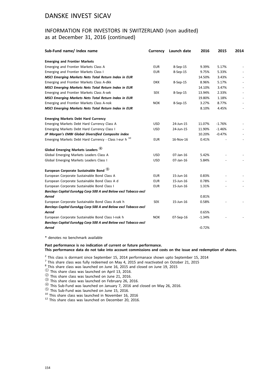### INFORMATION FOR INVESTORS IN SWITZERLAND (non audited) as at December 31, 2016 (continued)

| Sub-Fund name/ Index name                                         | <b>Currency</b> | Launch date | 2016     | 2015     | 2014 |
|-------------------------------------------------------------------|-----------------|-------------|----------|----------|------|
| <b>Emerging and Frontier Markets</b>                              |                 |             |          |          |      |
| Emerging and Frontier Markets Class A                             | <b>EUR</b>      | 8-Sep-15    | 9.39%    | 5.17%    |      |
| Emerging and Frontier Markets Class I                             | <b>EUR</b>      | 8-Sep-15    | 9.75%    | 5.33%    |      |
| <b>MSCI Emerging Markets Nets Total Return Index in EUR</b>       |                 |             | 14.50%   | 3.43%    |      |
| Emerging and Frontier Markets Class A-dkk                         | <b>DKK</b>      | 8-Sep-15    | 8.96%    | 5.17%    |      |
| <b>MSCI Emerging Markets Nets Total Return Index in EUR</b>       |                 |             | 14.10%   | 3.47%    |      |
| Emerging and Frontier Markets Class A-sek                         | <b>SEK</b>      | 8-Sep-15    | 13.94%   | 2.33%    |      |
| <b>MSCI Emerging Markets Nets Total Return Index in EUR</b>       |                 |             | 19.80%   | 1.18%    |      |
| Emerging and Frontier Markets Class A-nok                         | <b>NOK</b>      | 8-Sep-15    | 3.27%    | 8.77%    |      |
| MSCI Emerging Markets Nets Total Return Index in EUR              |                 |             | 8.10%    | 4.45%    |      |
| <b>Emerging Markets Debt Hard Currency</b>                        |                 |             |          |          |      |
| Emerging Markets Debt Hard Currency Class A                       | <b>USD</b>      | 24-Jun-15   | 11.07%   | $-1.76%$ |      |
| Emerging Markets Debt Hard Currency Class I                       | <b>USD</b>      | 24-Jun-15   | 11.90%   | $-1.46%$ |      |
| JP Morgan's EMBI Global Diversified Composite index               |                 |             | 10.20%   | $-0.47%$ |      |
| Emerging Markets Debt Hard Currency - Class I-eur h <sup>10</sup> | <b>EUR</b>      | 16-Nov-16   | 0.41%    |          |      |
| Global Emerging Markets Leaders 4                                 |                 |             |          |          |      |
| Global Emerging Markets Leaders Class A                           | <b>USD</b>      | 07-Jan-16   | 5.42%    |          |      |
| Global Emerging Markets Leaders Class I                           | <b>USD</b>      | 07-Jan-16   | 5.84%    |          |      |
| European Corporate Sustainable Bond (5)                           |                 |             |          |          |      |
| European Corporate Sustainable Bond Class A                       | <b>EUR</b>      | 15-Jun-16   | 0.83%    |          |      |
| European Corporate Sustainable Bond Class A d                     | <b>EUR</b>      | 15-Jun-16   | 0.78%    |          |      |
| European Corporate Sustainable Bond Class I                       | <b>EUR</b>      | 15-Jun-16   | 1.31%    |          |      |
| Barclays Capital EuroAgg Corp 500 A and Below excl Tobacco excl   |                 |             |          |          |      |
| Aerod                                                             |                 |             | 0.81%    |          |      |
| European Corporate Sustainable Bond Class A-sek h                 | <b>SEK</b>      | 15-Jun-16   | 0.58%    |          |      |
| Barclays Capital EuroAgg Corp 500 A and Below excl Tobacco excl   |                 |             |          |          |      |
| Aerod                                                             |                 |             | 0.65%    |          |      |
| European Corporate Sustainable Bond Class I-nok h                 | <b>NOK</b>      | 07-Sep-16   | $-1.34%$ |          |      |
| Barclays Capital EuroAgg Corp 500 A and Below excl Tobacco excl   |                 |             |          |          |      |
| Aerod                                                             |                 |             | $-0.72%$ |          |      |

\* denotes no benchmark available

**Past performance is no indication of current or future performance.**

**This performance data do not take into account commissions and costs on the issue and redemption of shares.**

 $2$  This class is dormant since September 15, 2014 performanace shown upto September 15, 2014

 $^7$  This share class was fully redeemed on May 4, 2015 and reactivated on October 21, 2015

 $^8$ <sub>2</sub>This share class was launched on June 16, 2015 and closed on June 19, 2015

 $\frac{1}{2}$  This share class was launched on April 13, 2016.<br>  $\frac{1}{2}$  This share class was launched on June 21, 2016.<br>  $\frac{1}{3}$  This share class was launched on February 26, 2016.<br>  $\frac{1}{3}$  This Sub-Fund was launched on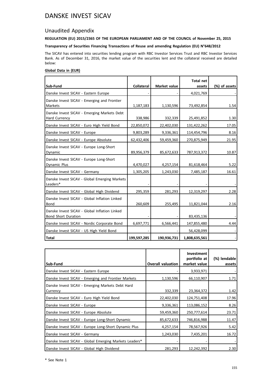### Unaudited Appendix

#### **REGULATION (EU) 2015/2365 OF THE EUROPEAN PARLIAMENT AND OF THE COUNCIL of November 25, 2015**

**Transparency of Securities Financing Transactions of Reuse and amending Regulation (EU) N°648/2012**

The SICAV has entered into securities lending program with RBC Investor Services Trust and RBC Investor Services Bank. As of December 31, 2016, the market value of the securities lent and the collateral received are detailed below:

#### **Global Data in (EUR)**

|                                                                             |                   |              | <b>Total net</b> |               |
|-----------------------------------------------------------------------------|-------------------|--------------|------------------|---------------|
| Sub-Fund                                                                    | <b>Collateral</b> | Market value | assets           | (%) of assets |
| Danske Invest SICAV - Eastern Europe                                        |                   |              | 4,021,769        |               |
| Danske Invest SICAV - Emerging and Frontier<br>Markets                      | 1,187,183         | 1,130,596    | 73,492,854       | 1.54          |
| Danske Invest SICAV - Emerging Markets Debt<br>Hard Currency                | 338,986           | 332,339      | 25,491,852       | 1.30          |
| Danske Invest SICAV - Euro High Yield Bond                                  | 22,850,072        | 22,402,030   | 131,422,262      | 17.05         |
| Danske Invest SICAV - Europe                                                | 9,803,289         | 9,336,361    | 114,454,796      | 8.16          |
| Danske Invest SICAV - Europe Absolute                                       | 62,432,406        | 59,459,360   | 270,875,949      | 21.95         |
| Danske Invest SICAV - Europe Long-Short<br>Dynamic                          | 89,956,379        | 85,672,633   | 787,913,372      | 10.87         |
| Danske Invest SICAV - Europe Long-Short<br>Dynamic Plus                     | 4,470,027         | 4,257,154    | 81,618,464       | 5.22          |
| Danske Invest SICAV - Germany                                               | 1,305,205         | 1,243,030    | 7,485,187        | 16.61         |
| Danske Invest SICAV - Global Emerging Markets<br>Leaders*                   |                   |              |                  |               |
| Danske Invest SICAV - Global High Dividend                                  | 295,359           | 281,293      | 12,319,297       | 2.28          |
| Danske Invest SICAV - Global Inflation Linked<br>Bond                       | 260,609           | 255,495      | 11,821,044       | 2.16          |
| Danske Invest SICAV - Global Inflation Linked<br><b>Bond Short Duration</b> |                   |              | 83,435,136       |               |
| Danske Invest SICAV - Nordic Corporate Bond                                 | 6,697,771         | 6,566,441    | 147,855,480      | 4.44          |
| Danske Invest SICAV - US High Yield Bond                                    |                   |              | 56,428,099       |               |
| l Total                                                                     | 199,597,285       | 190,936,731  | 1,808,635,561    |               |

| l Sub-Fund                                                   | <b>Overall valuation</b> | <b>Investment</b><br>portfolio at<br>market value | (%) lendable<br>assets |
|--------------------------------------------------------------|--------------------------|---------------------------------------------------|------------------------|
| Danske Invest SICAV - Eastern Europe                         |                          | 3,933,971                                         |                        |
| Danske Invest SICAV - Emerging and Frontier Markets          | 1,130,596                | 66,110,907                                        | 1.71                   |
| Danske Invest SICAV - Emerging Markets Debt Hard<br>Currency | 332,339                  | 23,364,372                                        | 1.42                   |
| Danske Invest SICAV - Euro High Yield Bond                   | 22,402,030               | 124,751,408                                       | 17.96                  |
| Danske Invest SICAV - Europe                                 | 9,336,361                | 113,086,152                                       | 8.26                   |
| Danske Invest SICAV - Europe Absolute                        | 59,459,360               | 250,777,614                                       | 23.71                  |
| Danske Invest SICAV - Europe Long-Short Dynamic              | 85,672,633               | 746,816,988                                       | 11.47                  |
| Danske Invest SICAV - Europe Long-Short Dynamic Plus         | 4,257,154                | 78,567,926                                        | 5.42                   |
| Danske Invest SICAV - Germany                                | 1,243,030                | 7,435,201                                         | 16.72                  |
| Danske Invest SICAV - Global Emerging Markets Leaders*       |                          |                                                   |                        |
| Danske Invest SICAV - Global High Dividend                   | 281,293                  | 12,242,392                                        | 2.30                   |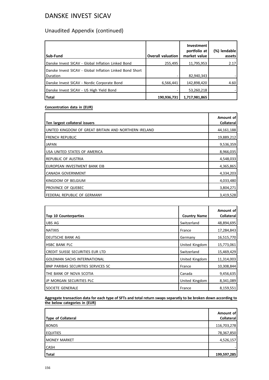# Unaudited Appendix (continued)

| Sub-Fund                                                             | <b>Overall valuation</b> | <b>Investment</b><br>portfolio at<br>market value | lendable<br>(%)<br>assets |
|----------------------------------------------------------------------|--------------------------|---------------------------------------------------|---------------------------|
| Danske Invest SICAV - Global Inflation Linked Bond                   | 255,495                  | 11,795,953                                        | 2.17                      |
| Danske Invest SICAV - Global Inflation Linked Bond Short<br>Duration |                          | 82,940,343                                        |                           |
| Danske Invest SICAV - Nordic Corporate Bond                          | 6,566,441                | 142,898,420                                       | 4.60                      |
| Danske Invest SICAV - US High Yield Bond                             |                          | 53,260,218                                        |                           |
| Total                                                                | 190,936,731              | 1,717,981,865                                     |                           |

#### **Concentration data in (EUR)**

| Ten largest collateral issuers                       | Amount of<br>Collateral |
|------------------------------------------------------|-------------------------|
| UNITED KINGDOM OF GREAT BRITAIN AND NORTHERN IRELAND | 44,161,188              |
| I FRENCH REPUBLIC                                    | 19,889,212              |
| <b>JAPAN</b>                                         | 9,536,359               |
| USA UNITED STATES OF AMERICA                         | 8,966,035               |
| IREPUBLIC OF AUSTRIA                                 | 4,548,033               |
| Ieuropean investment bank eib                        | 4,365,865               |
| CANADA GOVERNMENT                                    | 4,334,203               |
| IKINGDOM OF BELGIUM                                  | 4,033,480               |
| PROVINCE OF QUEBEC                                   | 3,804,271               |
| <b>IFEDERAL REPUBLIC OF GERMANY</b>                  | 3,419,528               |

|                                           |                     | Amount of         |
|-------------------------------------------|---------------------|-------------------|
| <b>Top 10 Counterparties</b>              | <b>Country Name</b> | <b>Collateral</b> |
| UBS AG                                    | Switzerland         | 48,894,695        |
| <b>NATIXIS</b>                            | France              | 17,284,843        |
| DEUTSCHE BANK AG                          | Germany             | 16,515,770        |
| <b>HSBC BANK PLC</b>                      | United Kingdom      | 15,773,061        |
| CREDIT SUISSE SECURITIES EUR LTD          | Switzerland         | 15,469,429        |
| GOLDMAN SACHS INTERNATIONAL               | United Kingdom      | 11,314,003        |
| <b>BNP PARIBAS SECURITIES SERVICES SC</b> | France              | 10,308,844        |
| THE BANK OF NOVA SCOTIA                   | Canada              | 9,456,635         |
| JP MORGAN SECURITIES PLC                  | United Kingdom      | 8,341,089         |
| SOCIETE GENERALE                          | France              | 8,159,551         |

**Aggregate transaction data for each type of SFTs and total return swaps separatly to be broken down according to the below categories in (EUR)**

| Type of Collateral  | Amount of<br><b>Collateral</b> |
|---------------------|--------------------------------|
| <b>BONDS</b>        | 116,703,278                    |
| <b>EQUITIES</b>     | 78,367,850                     |
| <b>MONEY MARKET</b> | 4,526,157                      |
| <b>CASH</b>         |                                |
| Total               | 199,597,285                    |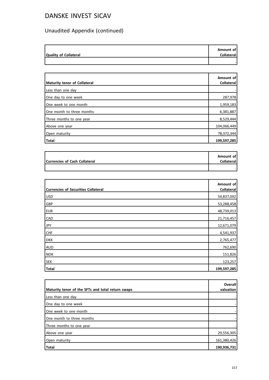# Unaudited Appendix (continued)

| <b>Quality of Collateral</b> | Amount of<br><b>Collateral</b> |
|------------------------------|--------------------------------|
|                              |                                |

|                              | Amount of   |
|------------------------------|-------------|
| Maturity tenor of Collateral | Collateral  |
| Less than one day            |             |
| One day to one week          | 287,978     |
| One week to one month        | 1,959,183   |
| One month to three months    | 6,381,887   |
| Three months to one year     | 8,529,444   |
| Above one year               | 104,066,449 |
| Open maturity                | 78,372,344  |
| Total                        | 199,597,285 |

|                               | Amount of  |
|-------------------------------|------------|
| Currencies of Cash Collateral | Collateral |
|                               |            |

| <b>Currencies of Securities Collateral</b> | Amount of<br>Collateral |
|--------------------------------------------|-------------------------|
|                                            |                         |
| USD                                        | 54,837,092              |
| GBP                                        | 53,288,458              |
| EUR                                        | 48,739,013              |
| <b>CAD</b>                                 | 21,716,457              |
| JPY                                        | 12,671,079              |
| <b>CHF</b>                                 | 4,541,937               |
| <b>DKK</b>                                 | 2,765,477               |
| AUD                                        | 762,690                 |
| <b>NOK</b>                                 | 151,826                 |
| <b>SEK</b>                                 | 123,257                 |
| Total                                      | 199,597,285             |

| Maturity tenor of the SFTs and total return swaps | Overall<br>valuation |
|---------------------------------------------------|----------------------|
| Less than one day                                 |                      |
| One day to one week                               |                      |
| One week to one month                             |                      |
| One month to three months                         |                      |
| Three months to one year                          |                      |
| Above one year                                    | 29,556,305           |
| Open maturity                                     | 161,380,426          |
| Total                                             | 190,936,731          |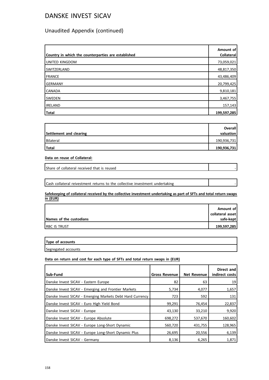### Unaudited Appendix (continued)

| Country in which the counterparties are established | Amount of<br><b>Collateral</b> |
|-----------------------------------------------------|--------------------------------|
| UNITED KINGDOM                                      | 73,059,021                     |
| SWITZERLAND                                         | 48,817,350                     |
| FRANCE                                              | 43,486,409                     |
| <b>GERMANY</b>                                      | 20,799,425                     |
| <b>CANADA</b>                                       | 9,810,181                      |
| <b>SWEDEN</b>                                       | 3,467,755                      |
| <b>IRELAND</b>                                      | 157,143                        |
| <b>Total</b>                                        | 199,597,285                    |

| Settlement and clearing | <b>Overall</b><br>valuation |
|-------------------------|-----------------------------|
| Bilateral               | 190,936,731                 |
| Total                   | 190,936,731                 |

**Data on reuse of Collateral:**

Share of collateral received that is reused

Cash collateral reivestment returns to the collective investment undertaking -

**Safekeeping of collateral received by the collective investment undertaking as part of SFTs and total return swaps in (EUR)**

|                         | Amount of        |
|-------------------------|------------------|
|                         | collateral asset |
| Names of the custodians | safe-kept        |
| <b>IRBC IS TRUST</b>    | 199,597,285      |

**Type of accounts**

Segregated accounts

#### **Data on return and cost for each type of SFTs and total return swaps in (EUR)**

| Sub-Fund                                                  | <b>Gross Revenue</b> | <b>Net Revenue</b> | Direct and<br>indirect costs |
|-----------------------------------------------------------|----------------------|--------------------|------------------------------|
| Danske Invest SICAV - Eastern Europe                      | 82                   | 63                 | 19                           |
| Danske Invest SICAV - Emerging and Frontier Markets       | 5,734                | 4,077              | 1,657                        |
| Danske Invest SICAV - Emerging Markets Debt Hard Currency | 723                  | 592                | 131                          |
| Danske Invest SICAV - Euro High Yield Bond                | 99,291               | 76,454             | 22,837                       |
| Danske Invest SICAV - Europe                              | 43,130               | 33,210             | 9,920                        |
| Danske Invest SICAV - Europe Absolute                     | 698,272              | 537,670            | 160,602                      |
| Danske Invest SICAV - Europe Long-Short Dynamic           | 560,720              | 431,755            | 128,965                      |
| Danske Invest SICAV - Europe Long-Short Dynamic Plus      | 26,695               | 20,556             | 6,139                        |
| Danske Invest SICAV - Germany                             | 8,136                | 6,265              | 1,871                        |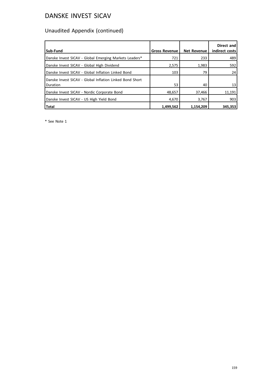# Unaudited Appendix (continued)

| Sub-Fund                                                             | <b>Gross Revenue</b> | <b>Net Revenue</b> | Direct and<br>indirect costs |
|----------------------------------------------------------------------|----------------------|--------------------|------------------------------|
| Danske Invest SICAV - Global Emerging Markets Leaders*               | 721                  | 233                | 489                          |
| Danske Invest SICAV - Global High Dividend                           | 2,575                | 1,983              | 592                          |
| Danske Invest SICAV - Global Inflation Linked Bond                   | 103                  | 79                 | 24                           |
| Danske Invest SICAV - Global Inflation Linked Bond Short<br>Duration | 53                   | 40                 | 13                           |
| Danske Invest SICAV - Nordic Corporate Bond                          | 48,657               | 37,466             | 11,191                       |
| Danske Invest SICAV - US High Yield Bond                             | 4,670                | 3,767              | 903                          |
| <b>Total</b>                                                         | 1,499,562            | 1,154,209          | 345,353                      |

\* See Note 1